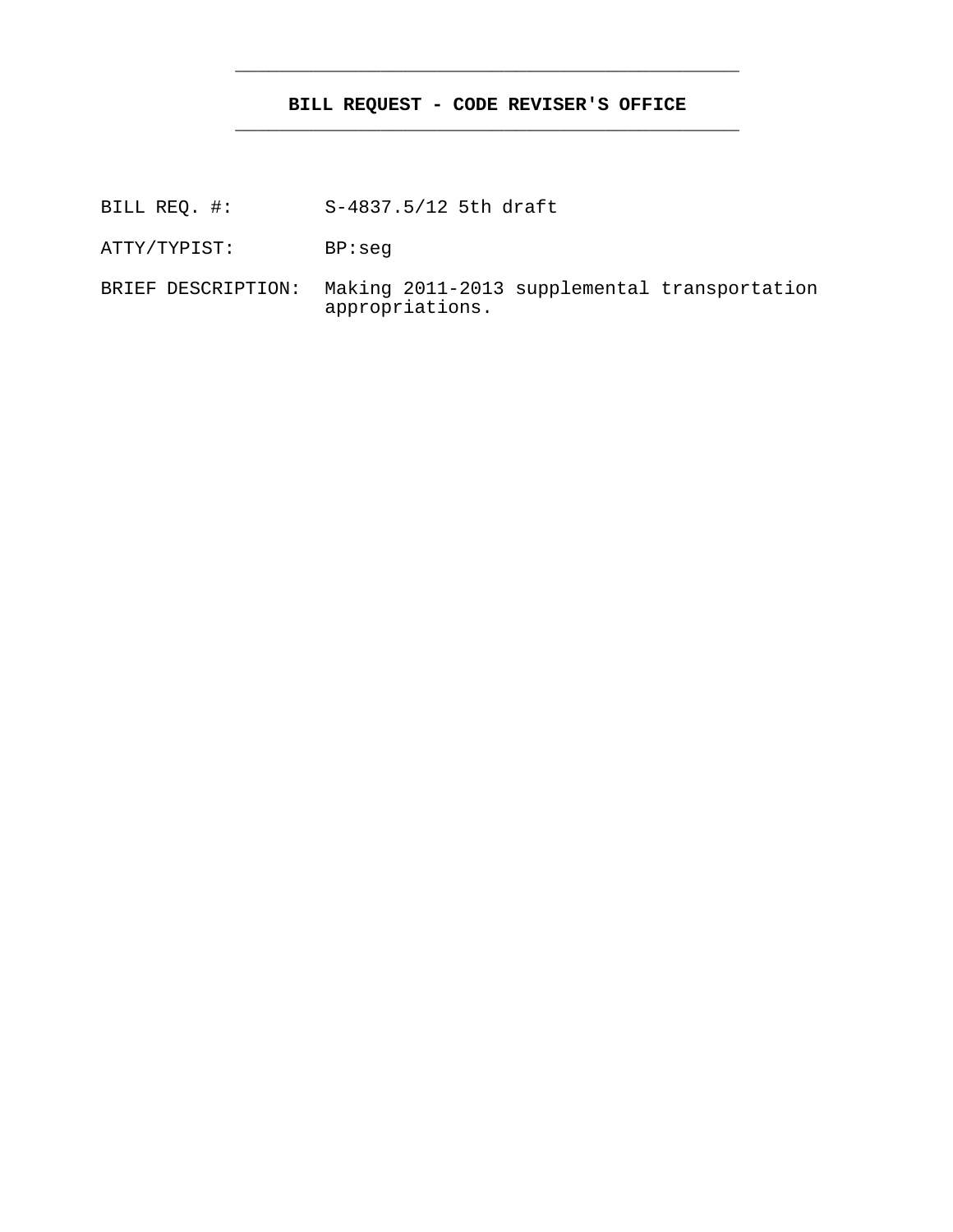## **BILL REQUEST - CODE REVISER'S OFFICE** \_\_\_\_\_\_\_\_\_\_\_\_\_\_\_\_\_\_\_\_\_\_\_\_\_\_\_\_\_\_\_\_\_\_\_\_\_\_\_\_\_\_\_\_\_

\_\_\_\_\_\_\_\_\_\_\_\_\_\_\_\_\_\_\_\_\_\_\_\_\_\_\_\_\_\_\_\_\_\_\_\_\_\_\_\_\_\_\_\_\_

- BILL REQ. #: S-4837.5/12 5th draft
- ATTY/TYPIST: BP:seg
- BRIEF DESCRIPTION: Making 2011-2013 supplemental transportation appropriations.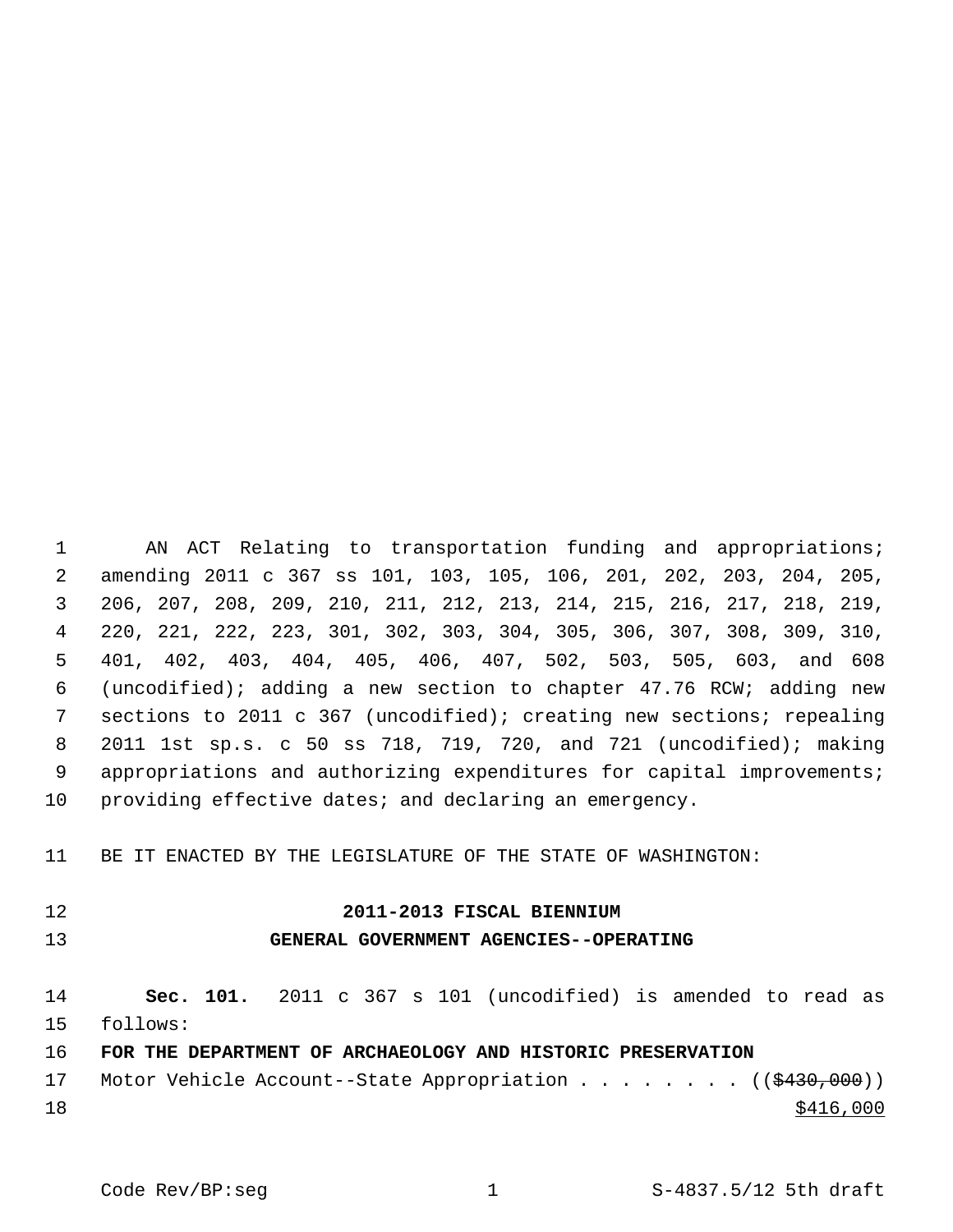1 AN ACT Relating to transportation funding and appropriations; 2 amending 2011 c 367 ss 101, 103, 105, 106, 201, 202, 203, 204, 205, 3 206, 207, 208, 209, 210, 211, 212, 213, 214, 215, 216, 217, 218, 219, 4 220, 221, 222, 223, 301, 302, 303, 304, 305, 306, 307, 308, 309, 310, 5 401, 402, 403, 404, 405, 406, 407, 502, 503, 505, 603, and 608 6 (uncodified); adding a new section to chapter 47.76 RCW; adding new 7 sections to 2011 c 367 (uncodified); creating new sections; repealing 8 2011 1st sp.s. c 50 ss 718, 719, 720, and 721 (uncodified); making 9 appropriations and authorizing expenditures for capital improvements; 10 providing effective dates; and declaring an emergency.

11 BE IT ENACTED BY THE LEGISLATURE OF THE STATE OF WASHINGTON:

### 12 **2011-2013 FISCAL BIENNIUM**

#### 13 **GENERAL GOVERNMENT AGENCIES--OPERATING**

14 **Sec. 101.** 2011 c 367 s 101 (uncodified) is amended to read as 15 follows:

## 16 **FOR THE DEPARTMENT OF ARCHAEOLOGY AND HISTORIC PRESERVATION**

17 Motor Vehicle Account--State Appropriation . . . . . . . ((\$430,000))  $18 \frac{\$416,000}{}$ 

Code Rev/BP:seg 1 1 S-4837.5/12 5th draft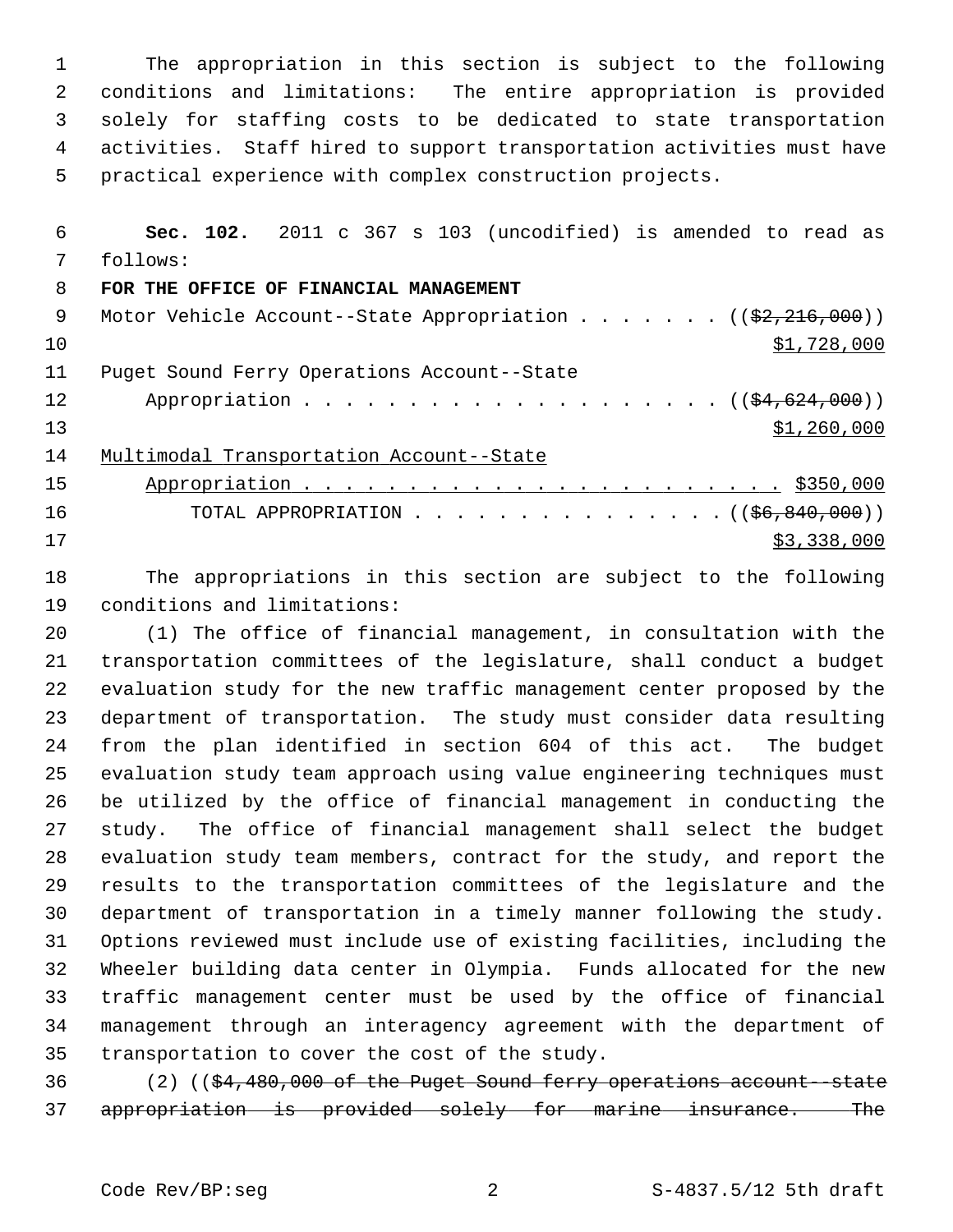1 The appropriation in this section is subject to the following 2 conditions and limitations: The entire appropriation is provided 3 solely for staffing costs to be dedicated to state transportation 4 activities. Staff hired to support transportation activities must have 5 practical experience with complex construction projects.

 6 **Sec. 102.** 2011 c 367 s 103 (uncodified) is amended to read as 7 follows:

#### 8 **FOR THE OFFICE OF FINANCIAL MANAGEMENT**

| 9  | Motor Vehicle Account--State Appropriation ( $(\frac{2}{2}, \frac{216}{100})$ ) |
|----|---------------------------------------------------------------------------------|
| 10 | \$1,728,000                                                                     |
| 11 | Puget Sound Ferry Operations Account--State                                     |
| 12 |                                                                                 |
| 13 | \$1,260,000                                                                     |
| 14 | Multimodal Transportation Account--State                                        |
| 15 |                                                                                 |
| 16 | TOTAL APPROPRIATION $($ $($ $\frac{66}{9000}$ $($ $000)$ $)$                    |
| 17 | \$3,338,000                                                                     |

18 The appropriations in this section are subject to the following 19 conditions and limitations:

20 (1) The office of financial management, in consultation with the 21 transportation committees of the legislature, shall conduct a budget 22 evaluation study for the new traffic management center proposed by the 23 department of transportation. The study must consider data resulting 24 from the plan identified in section 604 of this act. The budget 25 evaluation study team approach using value engineering techniques must 26 be utilized by the office of financial management in conducting the 27 study. The office of financial management shall select the budget 28 evaluation study team members, contract for the study, and report the 29 results to the transportation committees of the legislature and the 30 department of transportation in a timely manner following the study. 31 Options reviewed must include use of existing facilities, including the 32 Wheeler building data center in Olympia. Funds allocated for the new 33 traffic management center must be used by the office of financial 34 management through an interagency agreement with the department of 35 transportation to cover the cost of the study.

36 (2) ((\$4,480,000 of the Puget Sound ferry operations account--state 37 appropriation is provided solely for marine insurance. The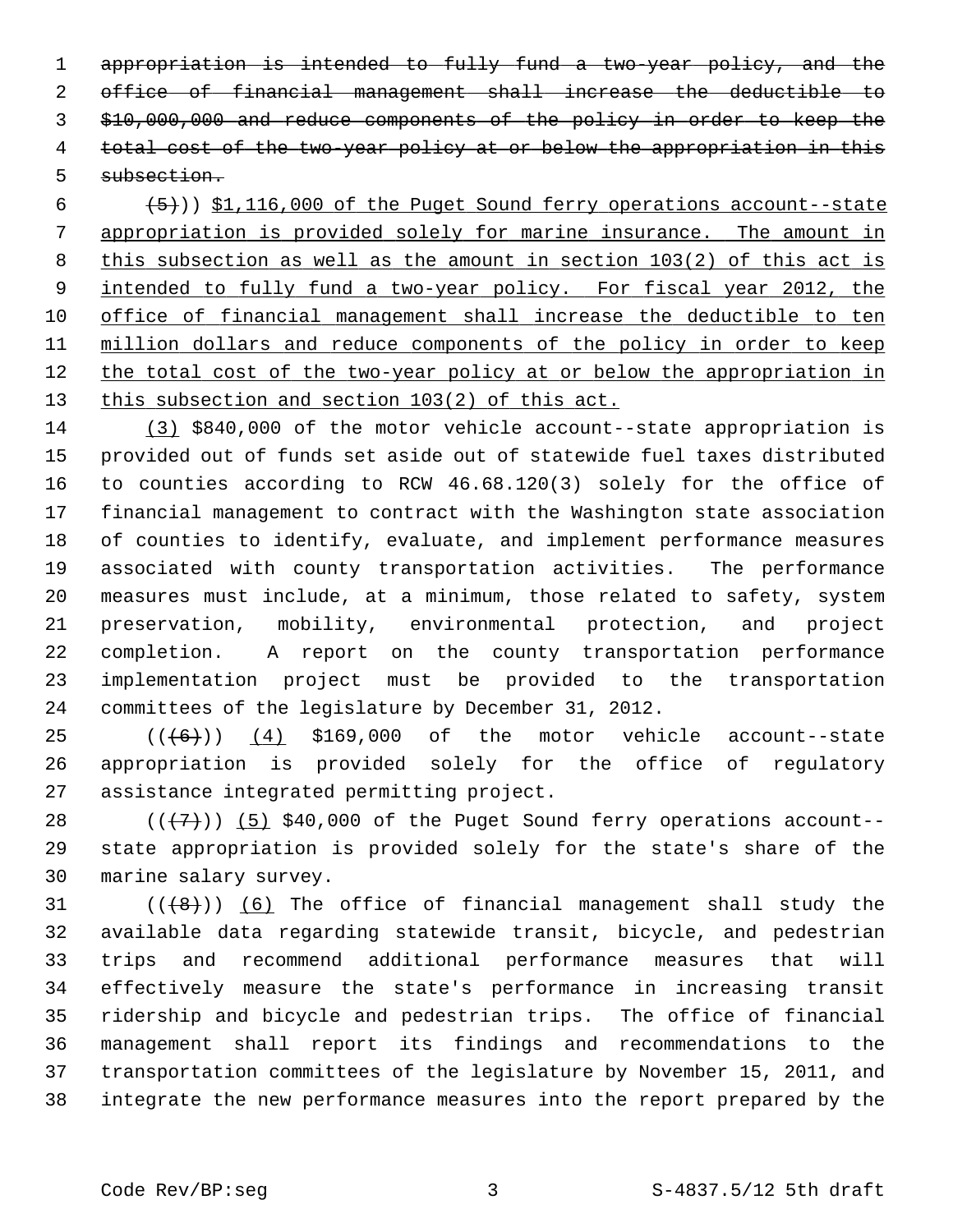appropriation is intended to fully fund a two-year policy, and the office of financial management shall increase the deductible to \$10,000,000 and reduce components of the policy in order to keep the total cost of the two-year policy at or below the appropriation in this subsection.

 $(5)$   $(5)$ ) \$1,116,000 of the Puget Sound ferry operations account--state appropriation is provided solely for marine insurance. The amount in this subsection as well as the amount in section 103(2) of this act is intended to fully fund a two-year policy. For fiscal year 2012, the office of financial management shall increase the deductible to ten million dollars and reduce components of the policy in order to keep the total cost of the two-year policy at or below the appropriation in this subsection and section 103(2) of this act.

14 (3) \$840,000 of the motor vehicle account--state appropriation is 15 provided out of funds set aside out of statewide fuel taxes distributed 16 to counties according to RCW 46.68.120(3) solely for the office of 17 financial management to contract with the Washington state association 18 of counties to identify, evaluate, and implement performance measures 19 associated with county transportation activities. The performance 20 measures must include, at a minimum, those related to safety, system 21 preservation, mobility, environmental protection, and project 22 completion. A report on the county transportation performance 23 implementation project must be provided to the transportation 24 committees of the legislature by December 31, 2012.

 $25$   $((\overline{6}))$   $(4)$  \$169,000 of the motor vehicle account--state 26 appropriation is provided solely for the office of regulatory 27 assistance integrated permitting project.

28  $((+7)^{n})$  (5) \$40,000 of the Puget Sound ferry operations account--29 state appropriation is provided solely for the state's share of the 30 marine salary survey.

 $(1 + 8)$ ) (6) The office of financial management shall study the 32 available data regarding statewide transit, bicycle, and pedestrian 33 trips and recommend additional performance measures that will 34 effectively measure the state's performance in increasing transit 35 ridership and bicycle and pedestrian trips. The office of financial 36 management shall report its findings and recommendations to the 37 transportation committees of the legislature by November 15, 2011, and 38 integrate the new performance measures into the report prepared by the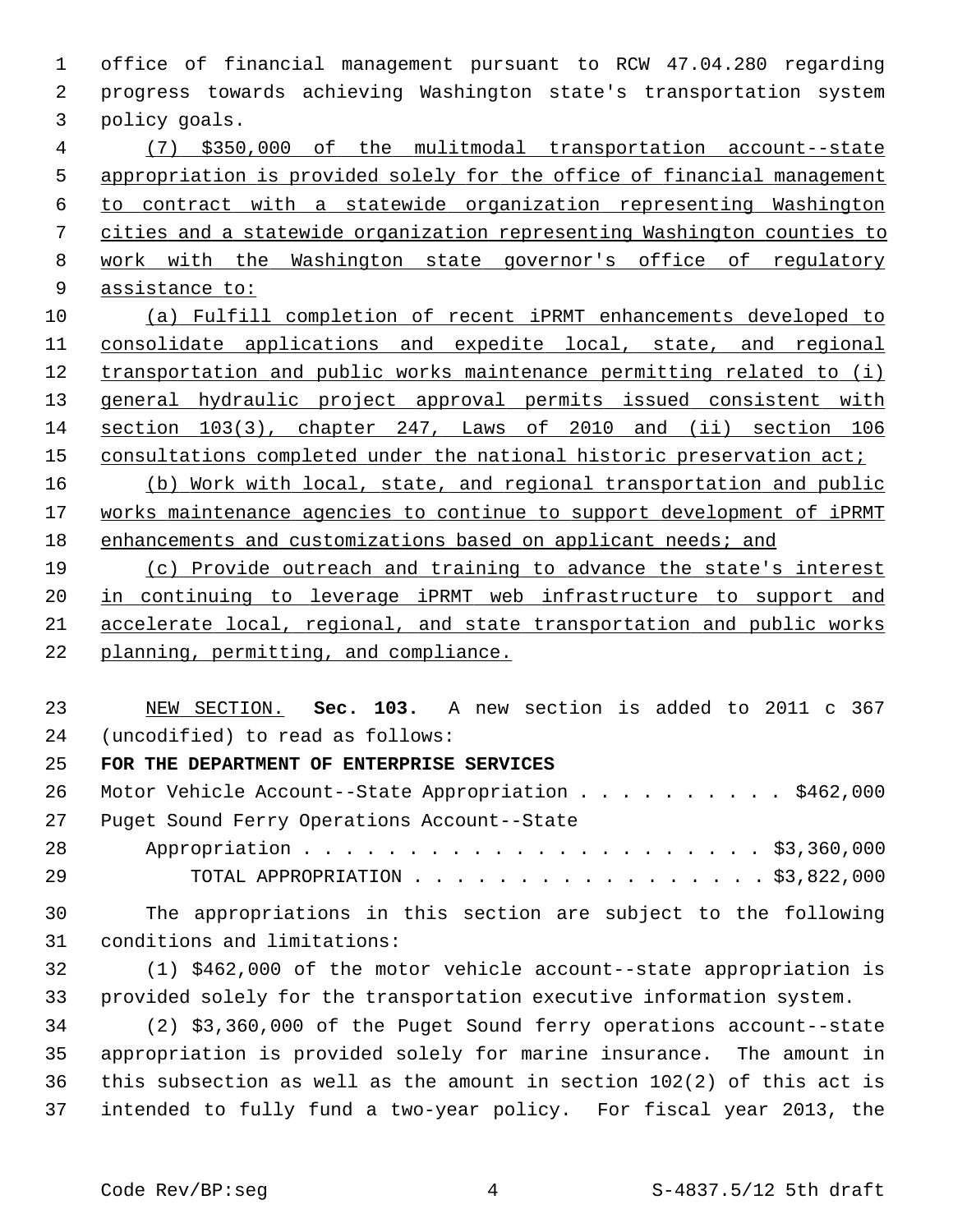1 office of financial management pursuant to RCW 47.04.280 regarding 2 progress towards achieving Washington state's transportation system 3 policy goals. (7) \$350,000 of the mulitmodal transportation account--state appropriation is provided solely for the office of financial management to contract with a statewide organization representing Washington cities and a statewide organization representing Washington counties to 8 work with the Washington state governor's office of regulatory assistance to: (a) Fulfill completion of recent iPRMT enhancements developed to consolidate applications and expedite local, state, and regional

 transportation and public works maintenance permitting related to (i) 13 general hydraulic project approval permits issued consistent with section 103(3), chapter 247, Laws of 2010 and (ii) section 106 consultations completed under the national historic preservation act;

16 (b) Work with local, state, and regional transportation and public 17 works maintenance agencies to continue to support development of iPRMT 18 enhancements and customizations based on applicant needs; and

 (c) Provide outreach and training to advance the state's interest in continuing to leverage iPRMT web infrastructure to support and accelerate local, regional, and state transportation and public works planning, permitting, and compliance.

23 NEW SECTION. **Sec. 103.** A new section is added to 2011 c 367 24 (uncodified) to read as follows:

## 25 **FOR THE DEPARTMENT OF ENTERPRISE SERVICES**

26 Motor Vehicle Account--State Appropriation . . . . . . . . . \$462,000 27 Puget Sound Ferry Operations Account--State

28 Appropriation . . . . . . . . . . . . . . . . . . . . . . \$3,360,000 29 TOTAL APPROPRIATION . . . . . . . . . . . . . . . . . \$3,822,000

30 The appropriations in this section are subject to the following 31 conditions and limitations:

32 (1) \$462,000 of the motor vehicle account--state appropriation is 33 provided solely for the transportation executive information system.

34 (2) \$3,360,000 of the Puget Sound ferry operations account--state 35 appropriation is provided solely for marine insurance. The amount in 36 this subsection as well as the amount in section 102(2) of this act is 37 intended to fully fund a two-year policy. For fiscal year 2013, the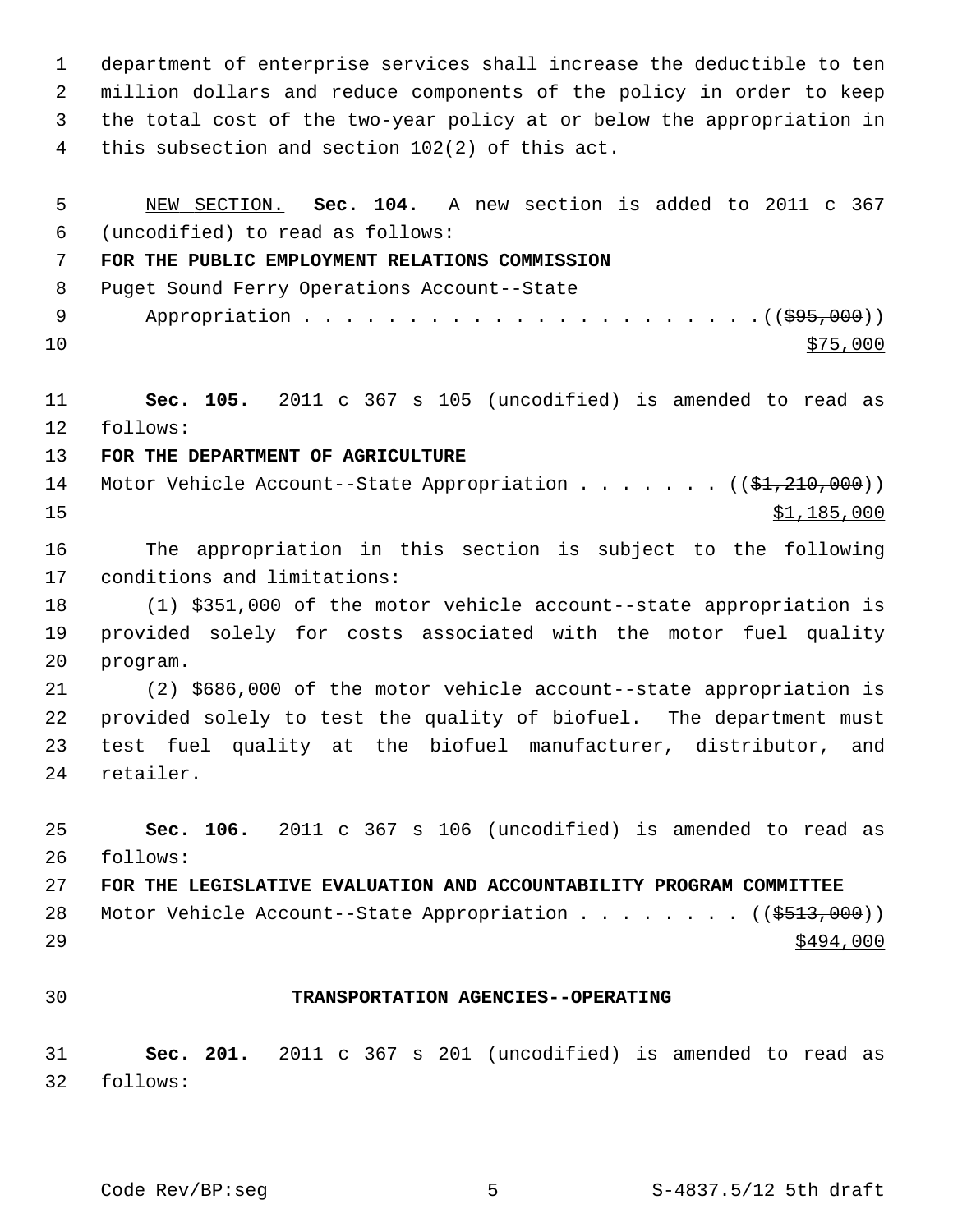1 department of enterprise services shall increase the deductible to ten 2 million dollars and reduce components of the policy in order to keep 3 the total cost of the two-year policy at or below the appropriation in 4 this subsection and section 102(2) of this act.

 5 NEW SECTION. **Sec. 104.** A new section is added to 2011 c 367 6 (uncodified) to read as follows: 7 **FOR THE PUBLIC EMPLOYMENT RELATIONS COMMISSION** 8 Puget Sound Ferry Operations Account--State 9 Appropriation . . . . . . . . . . . . . . . . . . . . . .((\$95,000))  $10 \frac{\text{S}}{75,000}$ 11 **Sec. 105.** 2011 c 367 s 105 (uncodified) is amended to read as 12 follows: 13 **FOR THE DEPARTMENT OF AGRICULTURE** 14 Motor Vehicle Account--State Appropriation . . . . . . ((\$1,210,000))  $\frac{15}{15}$   $\frac{185}{000}$ 16 The appropriation in this section is subject to the following 17 conditions and limitations: 18 (1) \$351,000 of the motor vehicle account--state appropriation is 19 provided solely for costs associated with the motor fuel quality 20 program. 21 (2) \$686,000 of the motor vehicle account--state appropriation is 22 provided solely to test the quality of biofuel. The department must 23 test fuel quality at the biofuel manufacturer, distributor, and 24 retailer. 25 **Sec. 106.** 2011 c 367 s 106 (uncodified) is amended to read as 26 follows: 27 **FOR THE LEGISLATIVE EVALUATION AND ACCOUNTABILITY PROGRAM COMMITTEE** 28 Motor Vehicle Account--State Appropriation . . . . . . . ((\$513,000))  $29$ 30 **TRANSPORTATION AGENCIES--OPERATING** 31 **Sec. 201.** 2011 c 367 s 201 (uncodified) is amended to read as 32 follows:

Code Rev/BP:seg 5 5 S-4837.5/12 5th draft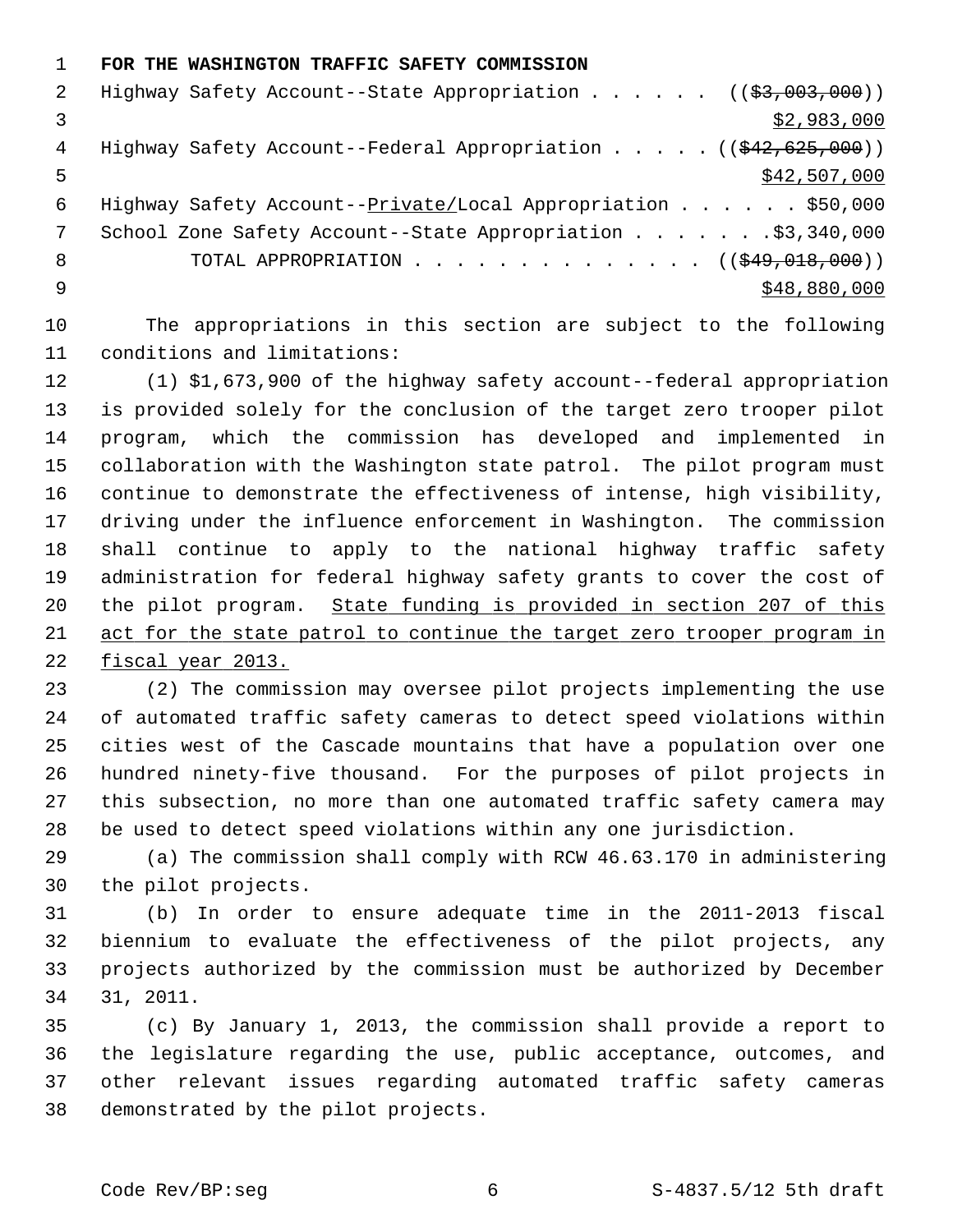1 **FOR THE WASHINGTON TRAFFIC SAFETY COMMISSION** 2 Highway Safety Account--State Appropriation . . . . . ((\$3,003,000)) 3  $\frac{1}{2}$  3 4 Highway Safety Account--Federal Appropriation . . . . . ((\$42,625,000))  $\frac{$42,507,000}{ }$  6 Highway Safety Account--Private/Local Appropriation . . . . . . \$50,000 7 School Zone Safety Account--State Appropriation . . . . . . \$3,340,000 8 TOTAL APPROPRIATION . . . . . . . . . . . . . ((\$49,018,000))

 $9 \hspace{2.5cm}$  \$48,880,000

10 The appropriations in this section are subject to the following 11 conditions and limitations:

12 (1) \$1,673,900 of the highway safety account--federal appropriation 13 is provided solely for the conclusion of the target zero trooper pilot 14 program, which the commission has developed and implemented in 15 collaboration with the Washington state patrol. The pilot program must 16 continue to demonstrate the effectiveness of intense, high visibility, 17 driving under the influence enforcement in Washington. The commission 18 shall continue to apply to the national highway traffic safety 19 administration for federal highway safety grants to cover the cost of 20 the pilot program. State funding is provided in section 207 of this 21 act for the state patrol to continue the target zero trooper program in 22 fiscal year 2013.

23 (2) The commission may oversee pilot projects implementing the use 24 of automated traffic safety cameras to detect speed violations within 25 cities west of the Cascade mountains that have a population over one 26 hundred ninety-five thousand. For the purposes of pilot projects in 27 this subsection, no more than one automated traffic safety camera may 28 be used to detect speed violations within any one jurisdiction.

29 (a) The commission shall comply with RCW 46.63.170 in administering 30 the pilot projects.

31 (b) In order to ensure adequate time in the 2011-2013 fiscal 32 biennium to evaluate the effectiveness of the pilot projects, any 33 projects authorized by the commission must be authorized by December 34 31, 2011.

35 (c) By January 1, 2013, the commission shall provide a report to 36 the legislature regarding the use, public acceptance, outcomes, and 37 other relevant issues regarding automated traffic safety cameras 38 demonstrated by the pilot projects.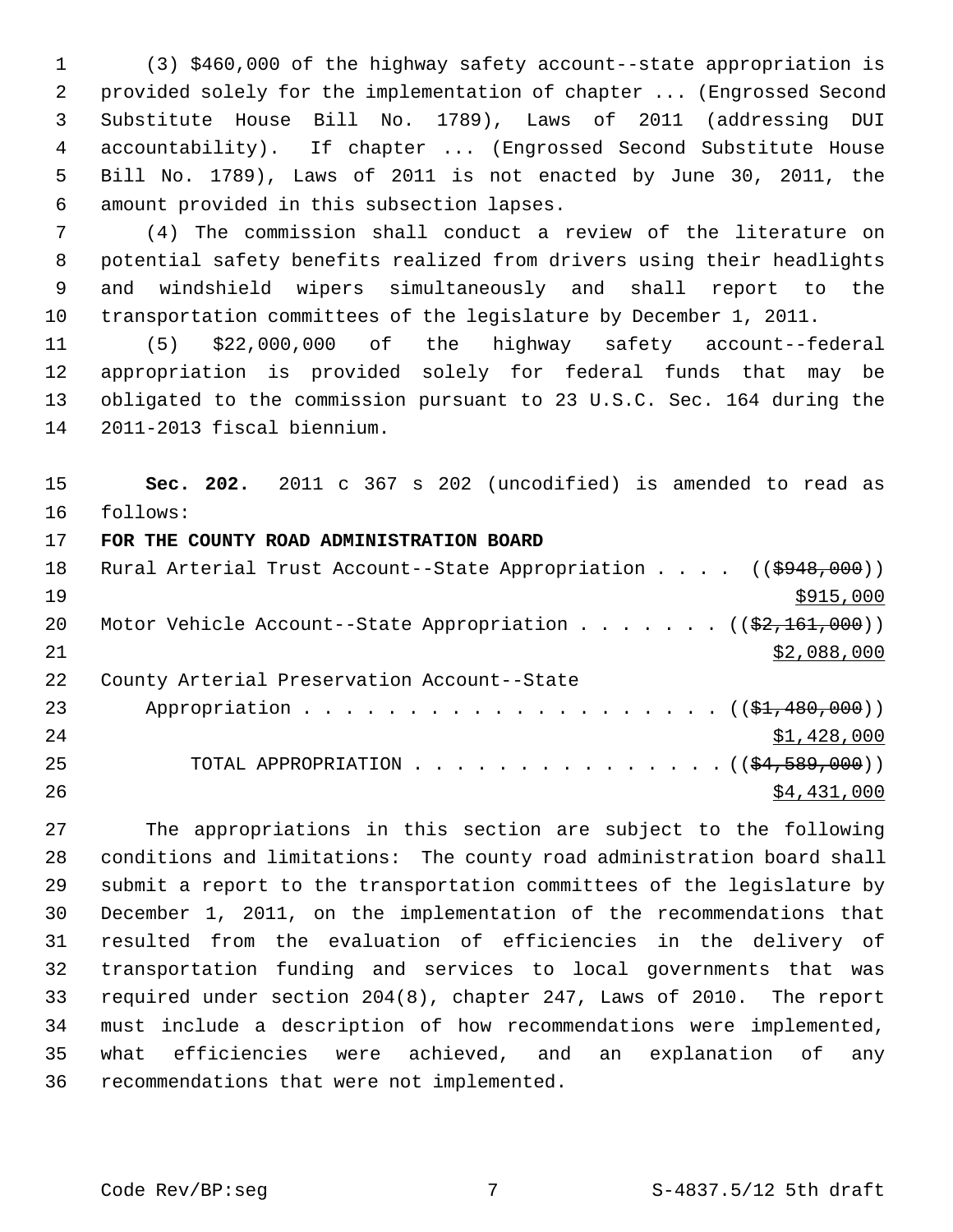1 (3) \$460,000 of the highway safety account--state appropriation is 2 provided solely for the implementation of chapter ... (Engrossed Second 3 Substitute House Bill No. 1789), Laws of 2011 (addressing DUI 4 accountability). If chapter ... (Engrossed Second Substitute House 5 Bill No. 1789), Laws of 2011 is not enacted by June 30, 2011, the 6 amount provided in this subsection lapses.

 7 (4) The commission shall conduct a review of the literature on 8 potential safety benefits realized from drivers using their headlights 9 and windshield wipers simultaneously and shall report to the 10 transportation committees of the legislature by December 1, 2011.

11 (5) \$22,000,000 of the highway safety account--federal 12 appropriation is provided solely for federal funds that may be 13 obligated to the commission pursuant to 23 U.S.C. Sec. 164 during the 14 2011-2013 fiscal biennium.

15 **Sec. 202.** 2011 c 367 s 202 (uncodified) is amended to read as 16 follows:

17 **FOR THE COUNTY ROAD ADMINISTRATION BOARD**

| 18 | Rural Arterial Trust Account--State Appropriation ((\$948,000))          |
|----|--------------------------------------------------------------------------|
| 19 | \$915,000                                                                |
| 20 | Motor Vehicle Account--State Appropriation ( $(\frac{2}{2}, 161, 000)$ ) |
| 21 | \$2,088,000                                                              |
| 22 | County Arterial Preservation Account--State                              |
| 23 | Appropriation $($ $($ \$1,480,000) $)$                                   |
| 24 | \$1,428,000                                                              |
| 25 | TOTAL APPROPRIATION $($ $($ $\frac{24}{569},000)$ $)$                    |
| 26 | \$4,431,000                                                              |

27 The appropriations in this section are subject to the following 28 conditions and limitations: The county road administration board shall 29 submit a report to the transportation committees of the legislature by 30 December 1, 2011, on the implementation of the recommendations that 31 resulted from the evaluation of efficiencies in the delivery of 32 transportation funding and services to local governments that was 33 required under section 204(8), chapter 247, Laws of 2010. The report 34 must include a description of how recommendations were implemented, 35 what efficiencies were achieved, and an explanation of any 36 recommendations that were not implemented.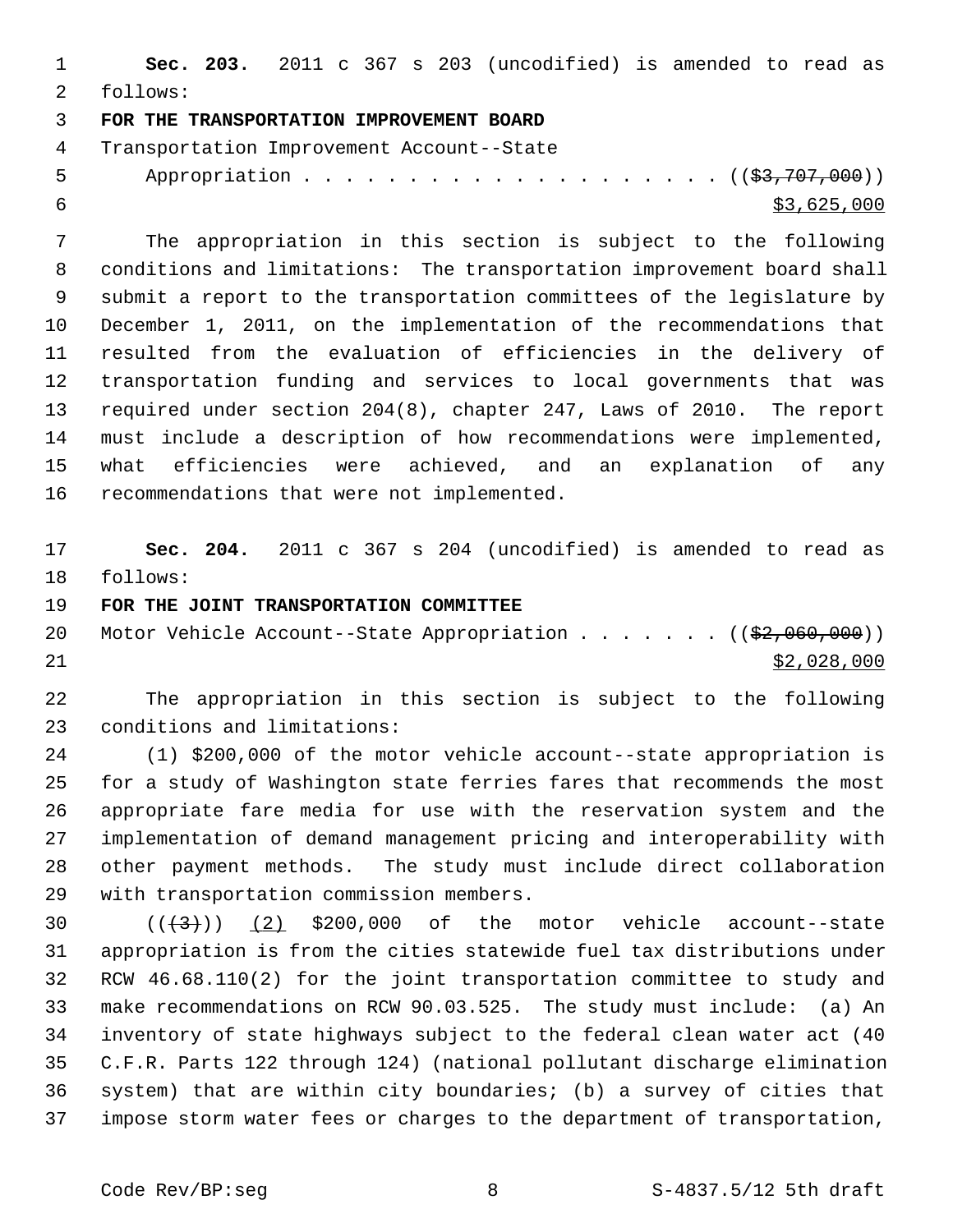|                                             |  |  |  | <b>Sec. 203.</b> 2011 c 367 s 203 (uncodified) is amended to read as |  |  |  |
|---------------------------------------------|--|--|--|----------------------------------------------------------------------|--|--|--|
| 2 follows:                                  |  |  |  |                                                                      |  |  |  |
| 3 FOR THE TRANSPORTATION IMPROVEMENT BOARD  |  |  |  |                                                                      |  |  |  |
| 4 Transportation Improvement Account--State |  |  |  |                                                                      |  |  |  |

5 Appropriation . . . . . . . . . . . . . . . . . . (  $(\frac{23}{707},000)$  )  $\frac{1}{53,625,000}$ 

 7 The appropriation in this section is subject to the following 8 conditions and limitations: The transportation improvement board shall 9 submit a report to the transportation committees of the legislature by 10 December 1, 2011, on the implementation of the recommendations that 11 resulted from the evaluation of efficiencies in the delivery of 12 transportation funding and services to local governments that was 13 required under section 204(8), chapter 247, Laws of 2010. The report 14 must include a description of how recommendations were implemented, 15 what efficiencies were achieved, and an explanation of any 16 recommendations that were not implemented.

17 **Sec. 204.** 2011 c 367 s 204 (uncodified) is amended to read as 18 follows:

19 **FOR THE JOINT TRANSPORTATION COMMITTEE**

20 Motor Vehicle Account--State Appropriation . . . . . . ((\$2,060,000))  $21$  \$2,028,000

22 The appropriation in this section is subject to the following 23 conditions and limitations:

24 (1) \$200,000 of the motor vehicle account--state appropriation is 25 for a study of Washington state ferries fares that recommends the most 26 appropriate fare media for use with the reservation system and the 27 implementation of demand management pricing and interoperability with 28 other payment methods. The study must include direct collaboration 29 with transportation commission members.

30  $((+3))$  (2) \$200,000 of the motor vehicle account--state 31 appropriation is from the cities statewide fuel tax distributions under 32 RCW 46.68.110(2) for the joint transportation committee to study and 33 make recommendations on RCW 90.03.525. The study must include: (a) An 34 inventory of state highways subject to the federal clean water act (40 35 C.F.R. Parts 122 through 124) (national pollutant discharge elimination 36 system) that are within city boundaries; (b) a survey of cities that 37 impose storm water fees or charges to the department of transportation,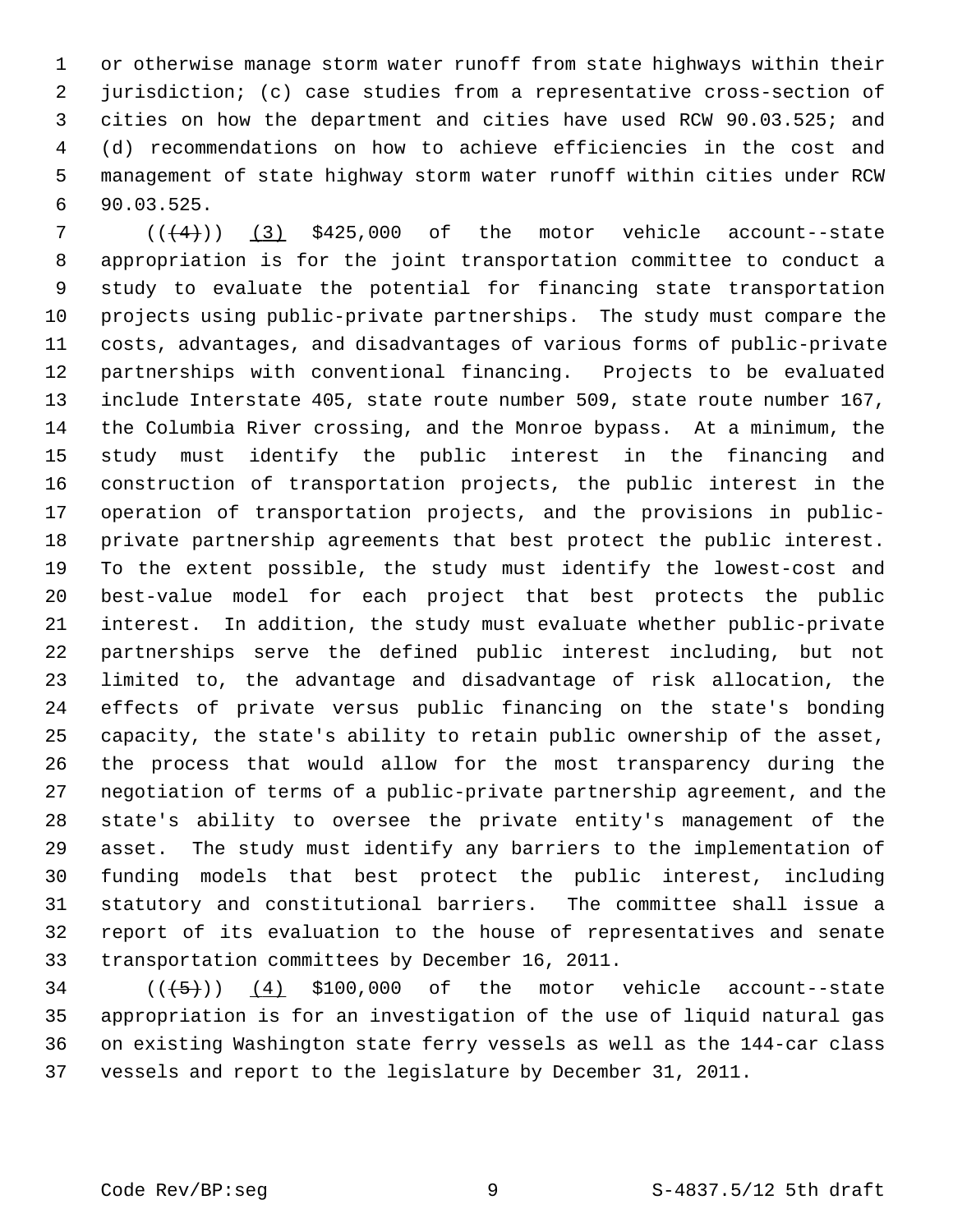1 or otherwise manage storm water runoff from state highways within their 2 jurisdiction; (c) case studies from a representative cross-section of 3 cities on how the department and cities have used RCW 90.03.525; and 4 (d) recommendations on how to achieve efficiencies in the cost and 5 management of state highway storm water runoff within cities under RCW 6 90.03.525.

 $7$  ( $(\overline{+4})$ ) (3) \$425,000 of the motor vehicle account--state 8 appropriation is for the joint transportation committee to conduct a 9 study to evaluate the potential for financing state transportation 10 projects using public-private partnerships. The study must compare the 11 costs, advantages, and disadvantages of various forms of public-private 12 partnerships with conventional financing. Projects to be evaluated 13 include Interstate 405, state route number 509, state route number 167, 14 the Columbia River crossing, and the Monroe bypass. At a minimum, the 15 study must identify the public interest in the financing and 16 construction of transportation projects, the public interest in the 17 operation of transportation projects, and the provisions in public-18 private partnership agreements that best protect the public interest. 19 To the extent possible, the study must identify the lowest-cost and 20 best-value model for each project that best protects the public 21 interest. In addition, the study must evaluate whether public-private 22 partnerships serve the defined public interest including, but not 23 limited to, the advantage and disadvantage of risk allocation, the 24 effects of private versus public financing on the state's bonding 25 capacity, the state's ability to retain public ownership of the asset, 26 the process that would allow for the most transparency during the 27 negotiation of terms of a public-private partnership agreement, and the 28 state's ability to oversee the private entity's management of the 29 asset. The study must identify any barriers to the implementation of 30 funding models that best protect the public interest, including 31 statutory and constitutional barriers. The committee shall issue a 32 report of its evaluation to the house of representatives and senate 33 transportation committees by December 16, 2011.

 $34$  ( $(\overline{(+5+)}$ ) (4) \$100,000 of the motor vehicle account--state 35 appropriation is for an investigation of the use of liquid natural gas 36 on existing Washington state ferry vessels as well as the 144-car class 37 vessels and report to the legislature by December 31, 2011.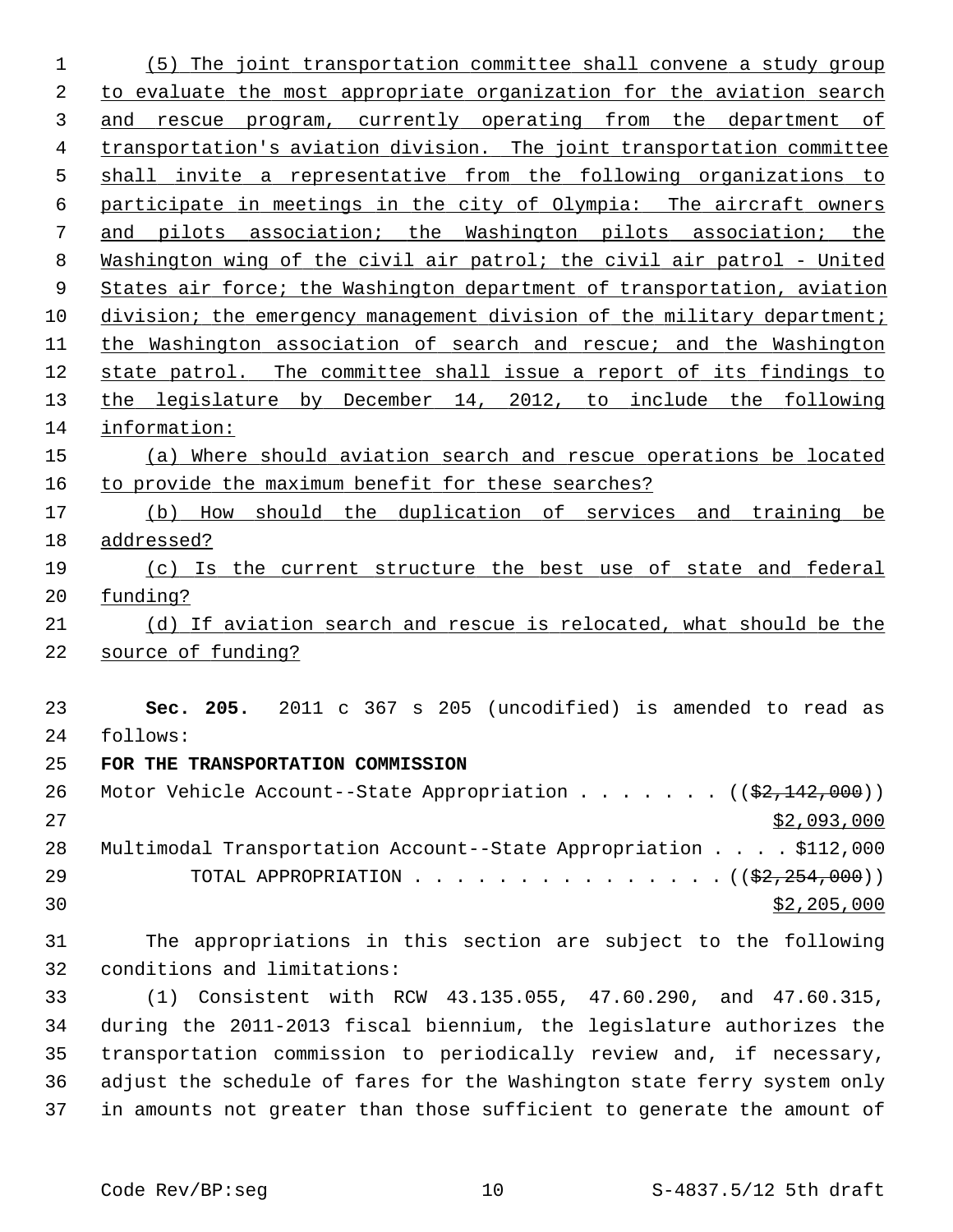(5) The joint transportation committee shall convene a study group to evaluate the most appropriate organization for the aviation search and rescue program, currently operating from the department of transportation's aviation division. The joint transportation committee 5 shall invite a representative from the following organizations to participate in meetings in the city of Olympia: The aircraft owners and pilots association; the Washington pilots association; the Washington wing of the civil air patrol; the civil air patrol - United States air force; the Washington department of transportation, aviation 10 division; the emergency management division of the military department; the Washington association of search and rescue; and the Washington state patrol. The committee shall issue a report of its findings to the legislature by December 14, 2012, to include the following information: (a) Where should aviation search and rescue operations be located to provide the maximum benefit for these searches? (b) How should the duplication of services and training be addressed? (c) Is the current structure the best use of state and federal funding? (d) If aviation search and rescue is relocated, what should be the source of funding? **Sec. 205.** 2011 c 367 s 205 (uncodified) is amended to read as 24 follows: **FOR THE TRANSPORTATION COMMISSION** 26 Motor Vehicle Account--State Appropriation  $\ldots$  .....  $\left(\frac{2}{2,142,000}\right)$ 27 \$2,093,000 28 Multimodal Transportation Account--State Appropriation . . . . \$112,000 29 TOTAL APPROPRIATION  $\ldots$ , . . . . . . . . . . . . ( $(\frac{2}{2}, \frac{254}{254}, 000)$ ) \$2,205,000 31 The appropriations in this section are subject to the following 32 conditions and limitations: 33 (1) Consistent with RCW 43.135.055, 47.60.290, and 47.60.315, 34 during the 2011-2013 fiscal biennium, the legislature authorizes the 35 transportation commission to periodically review and, if necessary, 36 adjust the schedule of fares for the Washington state ferry system only

37 in amounts not greater than those sufficient to generate the amount of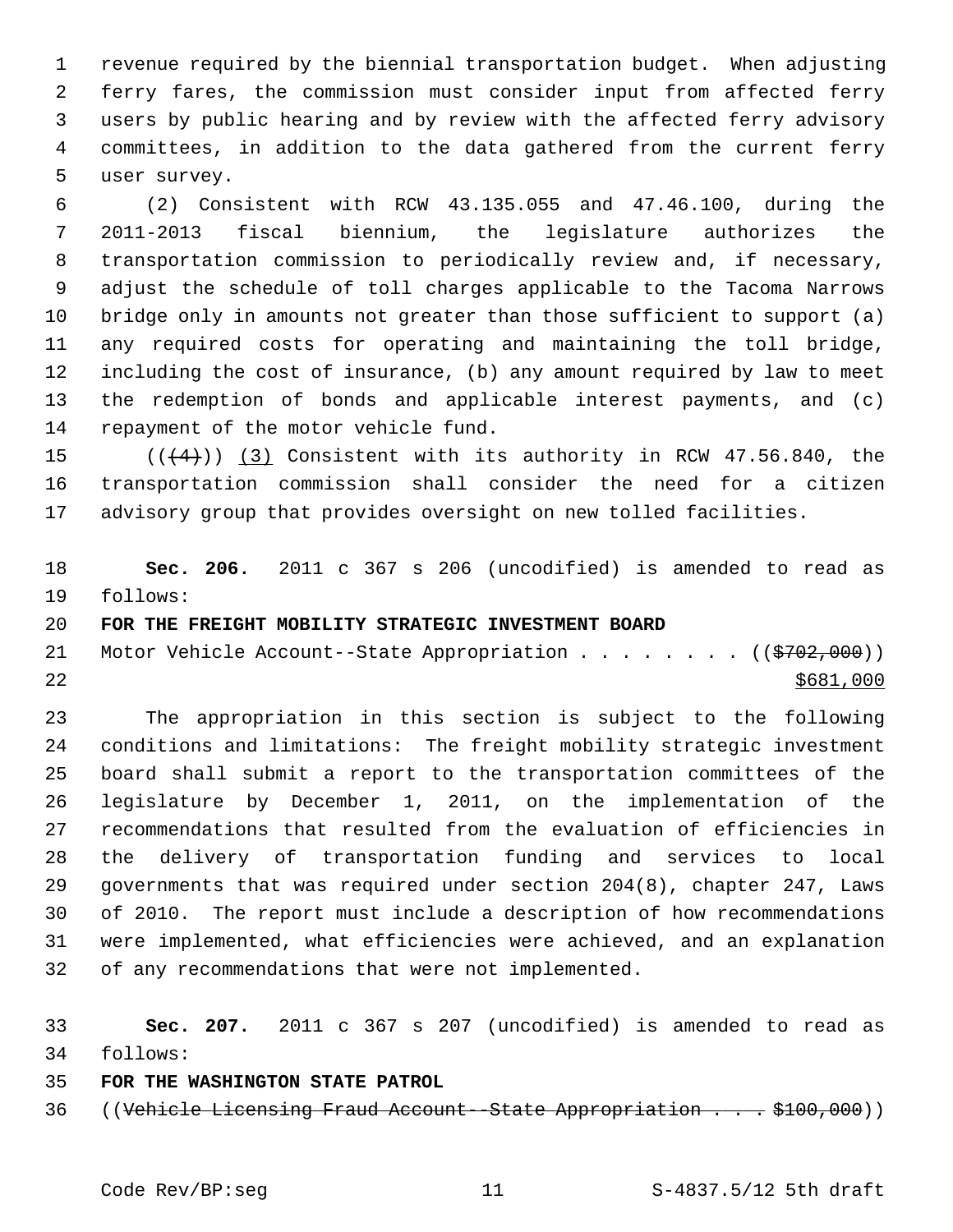1 revenue required by the biennial transportation budget. When adjusting 2 ferry fares, the commission must consider input from affected ferry 3 users by public hearing and by review with the affected ferry advisory 4 committees, in addition to the data gathered from the current ferry 5 user survey.

 6 (2) Consistent with RCW 43.135.055 and 47.46.100, during the 7 2011-2013 fiscal biennium, the legislature authorizes the 8 transportation commission to periodically review and, if necessary, 9 adjust the schedule of toll charges applicable to the Tacoma Narrows 10 bridge only in amounts not greater than those sufficient to support (a) 11 any required costs for operating and maintaining the toll bridge, 12 including the cost of insurance, (b) any amount required by law to meet 13 the redemption of bonds and applicable interest payments, and (c) 14 repayment of the motor vehicle fund.

15  $((+4))$  (3) Consistent with its authority in RCW 47.56.840, the 16 transportation commission shall consider the need for a citizen 17 advisory group that provides oversight on new tolled facilities.

18 **Sec. 206.** 2011 c 367 s 206 (uncodified) is amended to read as 19 follows:

20 **FOR THE FREIGHT MOBILITY STRATEGIC INVESTMENT BOARD**

21 Motor Vehicle Account--State Appropriation . . . . . . . ((\$702,000))  $22$ 

23 The appropriation in this section is subject to the following 24 conditions and limitations: The freight mobility strategic investment 25 board shall submit a report to the transportation committees of the 26 legislature by December 1, 2011, on the implementation of the 27 recommendations that resulted from the evaluation of efficiencies in 28 the delivery of transportation funding and services to local 29 governments that was required under section 204(8), chapter 247, Laws 30 of 2010. The report must include a description of how recommendations 31 were implemented, what efficiencies were achieved, and an explanation 32 of any recommendations that were not implemented.

33 **Sec. 207.** 2011 c 367 s 207 (uncodified) is amended to read as 34 follows:

### 35 **FOR THE WASHINGTON STATE PATROL**

36 ((Vehicle Licensing Fraud Account--State Appropriation . . . \$100,000))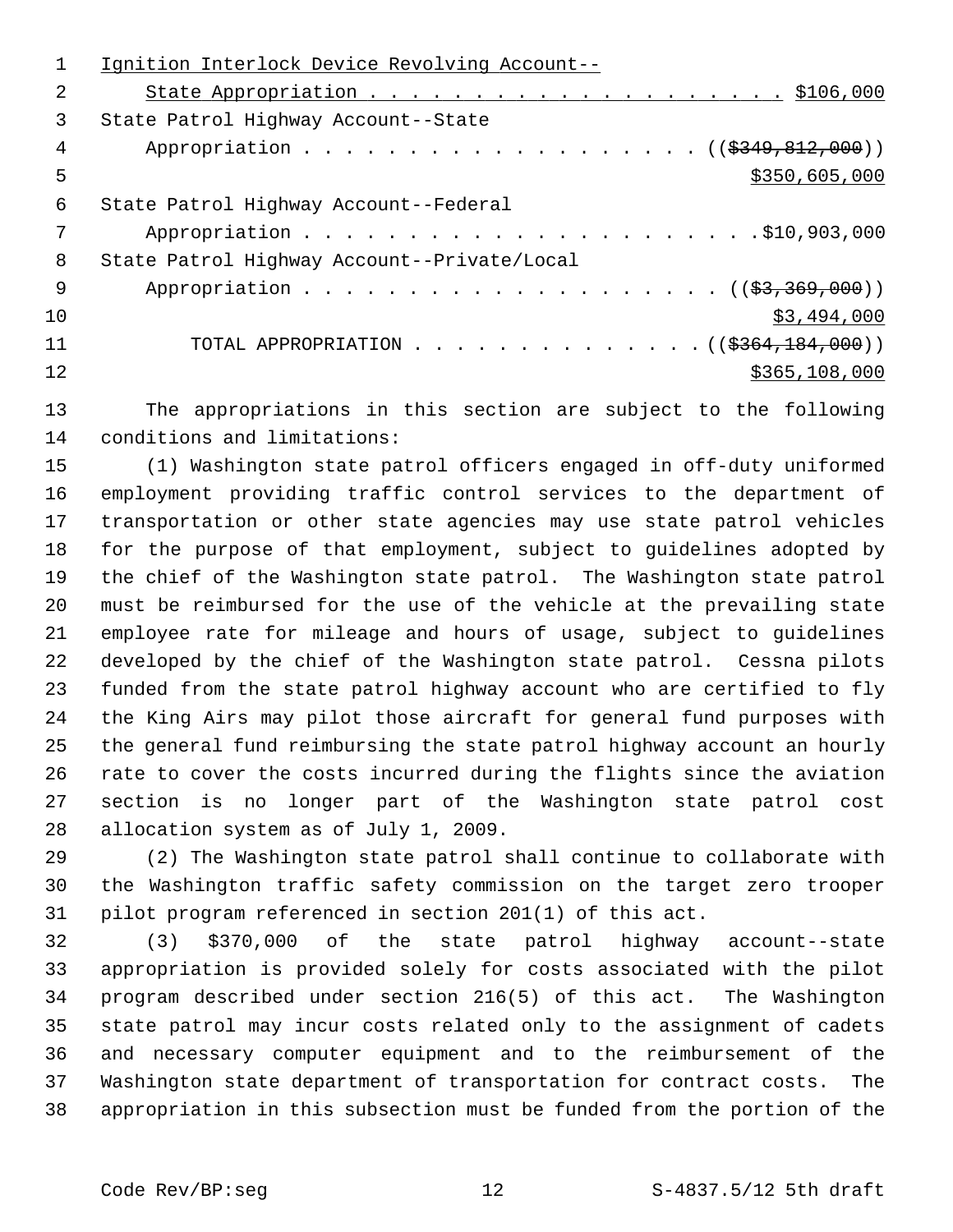|     | Ignition Interlock Device Revolving Account--   |
|-----|-------------------------------------------------|
| 2   |                                                 |
| 3   | State Patrol Highway Account--State             |
| 4   | Appropriation ( $(\frac{2349}{121}, 000)$ )     |
| 5   | \$350,605,000                                   |
| 6   | State Patrol Highway Account--Federal           |
|     |                                                 |
| 8   | State Patrol Highway Account--Private/Local     |
| - 9 |                                                 |
| 10  | \$3,494,000                                     |
| 11  | TOTAL APPROPRIATION ( $(\frac{2364}{184000})$ ) |
| 12  | \$365,108,000                                   |
|     |                                                 |

13 The appropriations in this section are subject to the following 14 conditions and limitations:

15 (1) Washington state patrol officers engaged in off-duty uniformed 16 employment providing traffic control services to the department of 17 transportation or other state agencies may use state patrol vehicles 18 for the purpose of that employment, subject to guidelines adopted by 19 the chief of the Washington state patrol. The Washington state patrol 20 must be reimbursed for the use of the vehicle at the prevailing state 21 employee rate for mileage and hours of usage, subject to guidelines 22 developed by the chief of the Washington state patrol. Cessna pilots 23 funded from the state patrol highway account who are certified to fly 24 the King Airs may pilot those aircraft for general fund purposes with 25 the general fund reimbursing the state patrol highway account an hourly 26 rate to cover the costs incurred during the flights since the aviation 27 section is no longer part of the Washington state patrol cost 28 allocation system as of July 1, 2009.

29 (2) The Washington state patrol shall continue to collaborate with 30 the Washington traffic safety commission on the target zero trooper 31 pilot program referenced in section 201(1) of this act.

32 (3) \$370,000 of the state patrol highway account--state 33 appropriation is provided solely for costs associated with the pilot 34 program described under section 216(5) of this act. The Washington 35 state patrol may incur costs related only to the assignment of cadets 36 and necessary computer equipment and to the reimbursement of the 37 Washington state department of transportation for contract costs. The 38 appropriation in this subsection must be funded from the portion of the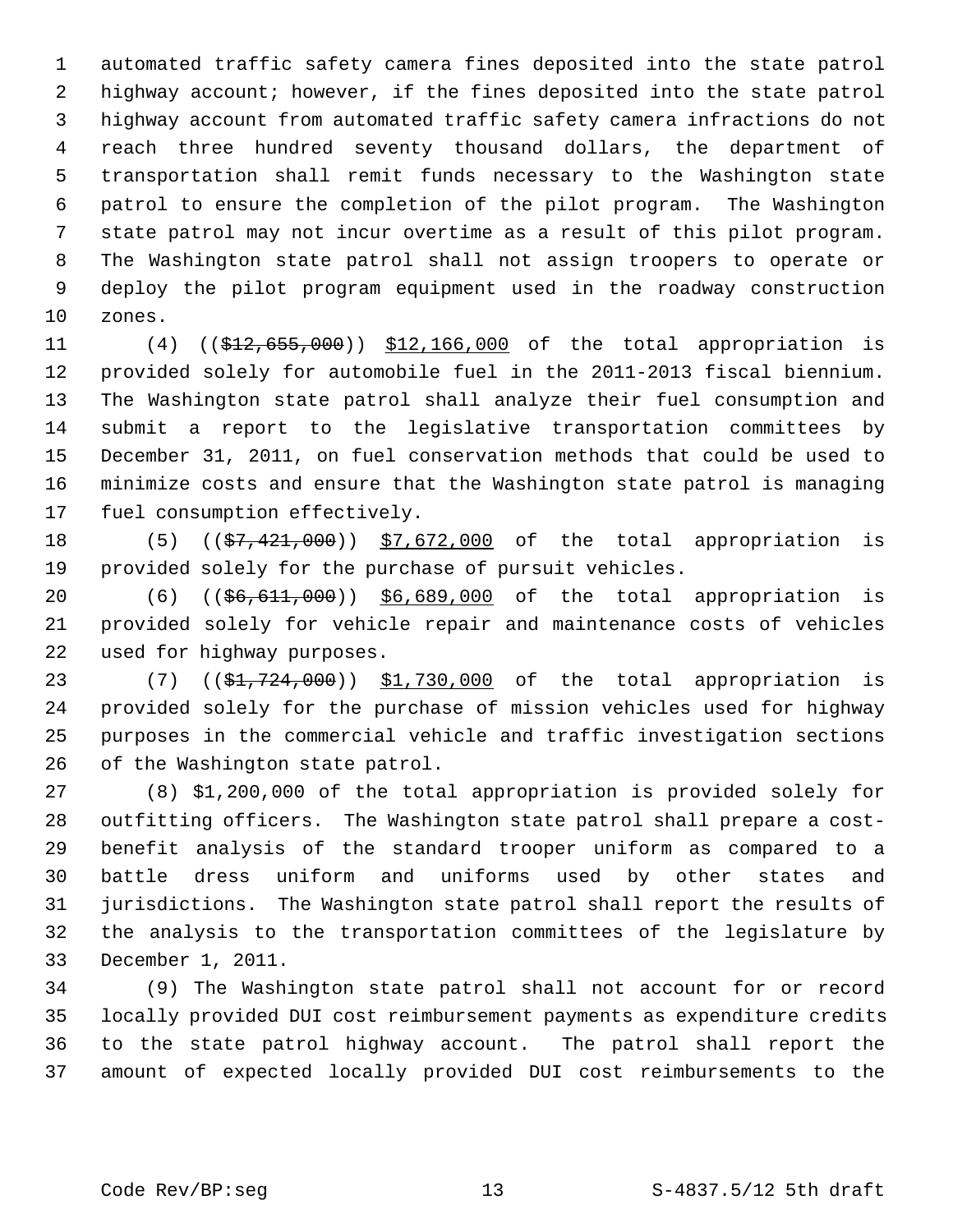1 automated traffic safety camera fines deposited into the state patrol 2 highway account; however, if the fines deposited into the state patrol 3 highway account from automated traffic safety camera infractions do not 4 reach three hundred seventy thousand dollars, the department of 5 transportation shall remit funds necessary to the Washington state 6 patrol to ensure the completion of the pilot program. The Washington 7 state patrol may not incur overtime as a result of this pilot program. 8 The Washington state patrol shall not assign troopers to operate or 9 deploy the pilot program equipment used in the roadway construction 10 zones.

11 (4) ((\$12,655,000)) \$12,166,000 of the total appropriation is 12 provided solely for automobile fuel in the 2011-2013 fiscal biennium. 13 The Washington state patrol shall analyze their fuel consumption and 14 submit a report to the legislative transportation committees by 15 December 31, 2011, on fuel conservation methods that could be used to 16 minimize costs and ensure that the Washington state patrol is managing 17 fuel consumption effectively.

18 (5) ((\$7,421,000)) \$7,672,000 of the total appropriation is 19 provided solely for the purchase of pursuit vehicles.

20 (6) ((\$6,611,000)) \$6,689,000 of the total appropriation is 21 provided solely for vehicle repair and maintenance costs of vehicles 22 used for highway purposes.

23 (7) ((\$1,724,000)) \$1,730,000 of the total appropriation is 24 provided solely for the purchase of mission vehicles used for highway 25 purposes in the commercial vehicle and traffic investigation sections 26 of the Washington state patrol.

27 (8) \$1,200,000 of the total appropriation is provided solely for 28 outfitting officers. The Washington state patrol shall prepare a cost-29 benefit analysis of the standard trooper uniform as compared to a 30 battle dress uniform and uniforms used by other states and 31 jurisdictions. The Washington state patrol shall report the results of 32 the analysis to the transportation committees of the legislature by 33 December 1, 2011.

34 (9) The Washington state patrol shall not account for or record 35 locally provided DUI cost reimbursement payments as expenditure credits 36 to the state patrol highway account. The patrol shall report the 37 amount of expected locally provided DUI cost reimbursements to the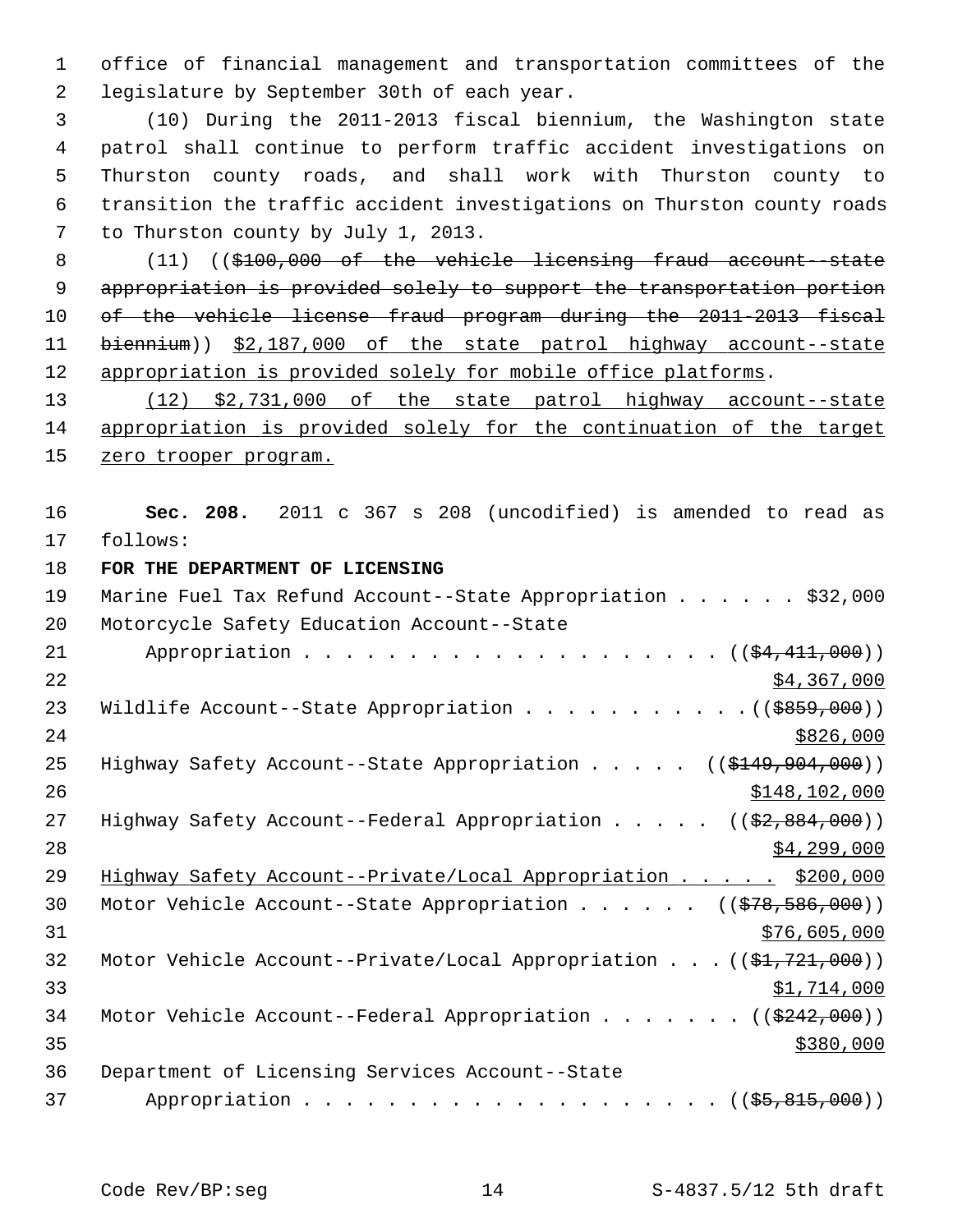1 office of financial management and transportation committees of the 2 legislature by September 30th of each year.

 3 (10) During the 2011-2013 fiscal biennium, the Washington state 4 patrol shall continue to perform traffic accident investigations on 5 Thurston county roads, and shall work with Thurston county to 6 transition the traffic accident investigations on Thurston county roads 7 to Thurston county by July 1, 2013.

8 (11) ((\$100,000 of the vehicle licensing fraud account--state appropriation is provided solely to support the transportation portion of the vehicle license fraud program during the 2011-2013 fiscal biennium)) \$2,187,000 of the state patrol highway account--state appropriation is provided solely for mobile office platforms.

13 (12) \$2,731,000 of the state patrol highway account--state 14 appropriation is provided solely for the continuation of the target 15 zero trooper program.

16 **Sec. 208.** 2011 c 367 s 208 (uncodified) is amended to read as 17 follows:

18 **FOR THE DEPARTMENT OF LICENSING**

| 19 | Marine Fuel Tax Refund Account--State Appropriation \$32,000                               |
|----|--------------------------------------------------------------------------------------------|
| 20 | Motorcycle Safety Education Account--State                                                 |
| 21 | Appropriation $($ $(\frac{24}{11}, 000))$                                                  |
| 22 | \$4,367,000                                                                                |
| 23 | Wildlife Account--State Appropriation ( $(\frac{2859}{100})$ )                             |
| 24 | \$826,000                                                                                  |
| 25 | Highway Safety Account--State Appropriation $($ $($ $\frac{149}{7941})$                    |
| 26 | \$148,102,000                                                                              |
| 27 | Highway Safety Account--Federal Appropriation $($ $($ $\frac{2}{7}$ , $\frac{284}{100})$ ) |
| 28 | \$4,299,000                                                                                |
| 29 | Highway Safety Account--Private/Local Appropriation \$200,000                              |
| 30 | Motor Vehicle Account--State Appropriation ((\$78,586,000))                                |
| 31 | \$76,605,000                                                                               |
| 32 | Motor Vehicle Account--Private/Local Appropriation $((\frac{1}{21}, 721, 000))$            |
| 33 | \$1,714,000                                                                                |
| 34 | Motor Vehicle Account--Federal Appropriation ( $(\frac{2242}{000})$ )                      |
| 35 | \$380,000                                                                                  |
| 36 | Department of Licensing Services Account--State                                            |
| 37 |                                                                                            |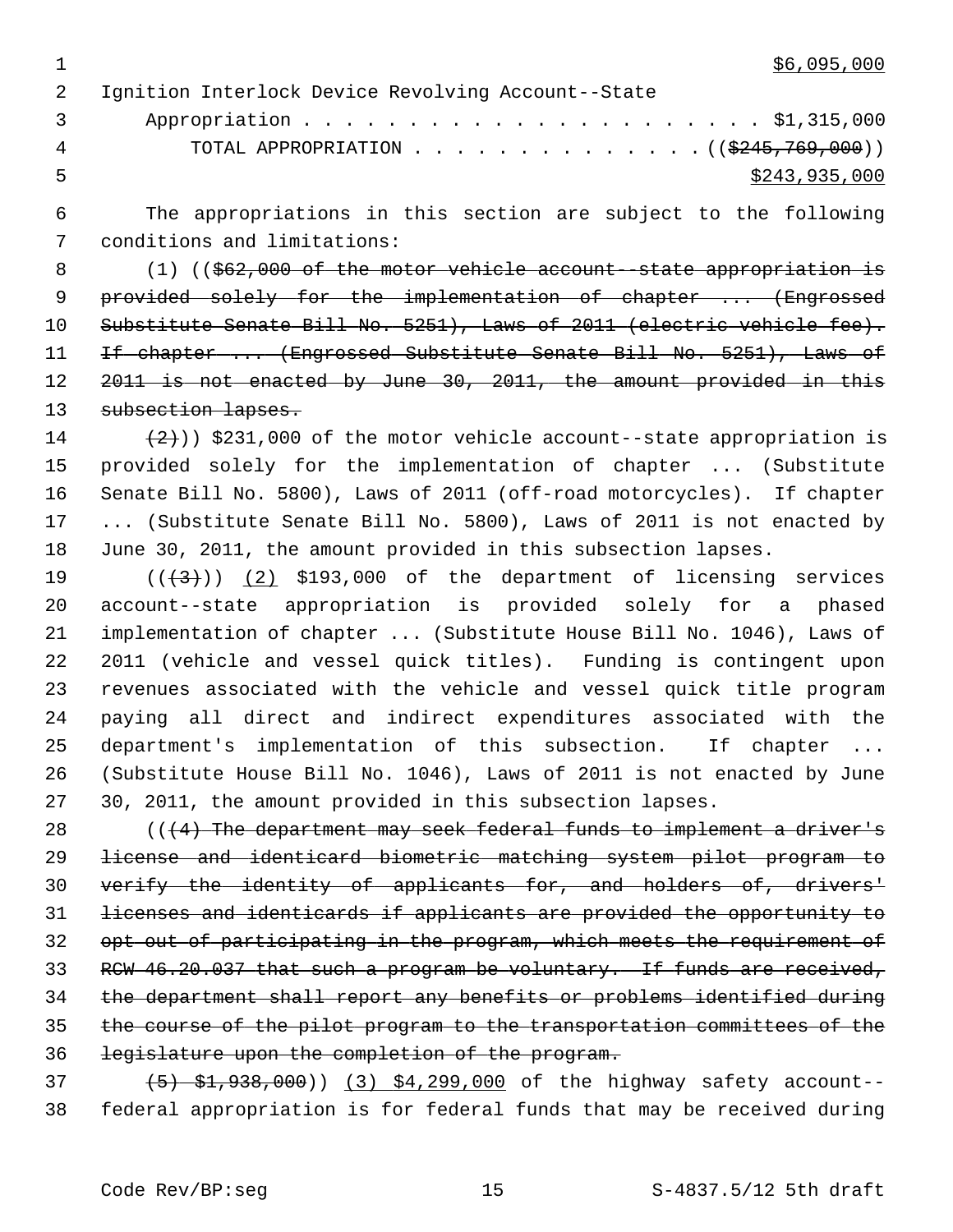$1$  \$6,095,000

 2 Ignition Interlock Device Revolving Account--State 3 Appropriation . . . . . . . . . . . . . . . . . . . . . . \$1,315,000 4 TOTAL APPROPRIATION . . . . . . . . . . . . . ((\$245,769,000))  $5 - 5$  \$243,935,000

 6 The appropriations in this section are subject to the following 7 conditions and limitations:

8 (1) ((\$62,000 of the motor vehicle account--state appropriation is 9 provided solely for the implementation of chapter ... (Engrossed 10 Substitute Senate Bill No. 5251), Laws of 2011 (electric vehicle fee). 11 If chapter ... (Engrossed Substitute Senate Bill No. 5251), Laws of 12 2011 is not enacted by June 30, 2011, the amount provided in this 13 subsection lapses.

14  $(2)$ ) \$231,000 of the motor vehicle account--state appropriation is 15 provided solely for the implementation of chapter ... (Substitute 16 Senate Bill No. 5800), Laws of 2011 (off-road motorcycles). If chapter 17 ... (Substitute Senate Bill No. 5800), Laws of 2011 is not enacted by 18 June 30, 2011, the amount provided in this subsection lapses.

19  $((+3))$   $(2)$  \$193,000 of the department of licensing services 20 account--state appropriation is provided solely for a phased 21 implementation of chapter ... (Substitute House Bill No. 1046), Laws of 22 2011 (vehicle and vessel quick titles). Funding is contingent upon 23 revenues associated with the vehicle and vessel quick title program 24 paying all direct and indirect expenditures associated with the 25 department's implementation of this subsection. If chapter ... 26 (Substitute House Bill No. 1046), Laws of 2011 is not enacted by June 27 30, 2011, the amount provided in this subsection lapses.

 $(4)$  The department may seek federal funds to implement a driver's license and identicard biometric matching system pilot program to verify the identity of applicants for, and holders of, drivers' licenses and identicards if applicants are provided the opportunity to 32 opt out of participating in the program, which meets the requirement of 33 RCW 46.20.037 that such a program be voluntary. If funds are received, the department shall report any benefits or problems identified during the course of the pilot program to the transportation committees of the legislature upon the completion of the program.

 $(5)$   $(5)$   $(3)$   $(3)$   $(4)$ ,  $(3)$   $(5)$   $(7)$   $(8)$   $(9)$  of the highway safety account--38 federal appropriation is for federal funds that may be received during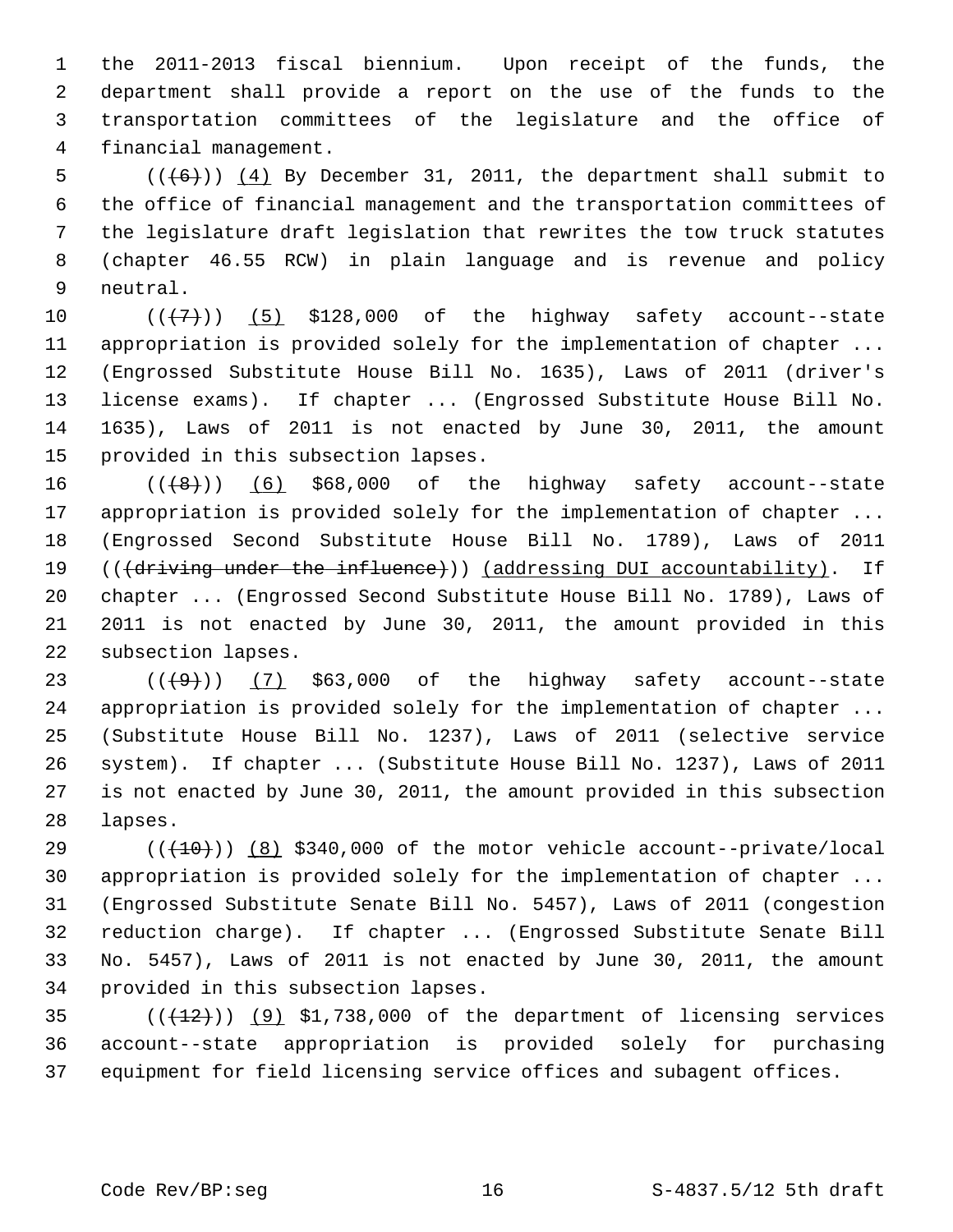1 the 2011-2013 fiscal biennium. Upon receipt of the funds, the 2 department shall provide a report on the use of the funds to the 3 transportation committees of the legislature and the office of 4 financial management.

5  $((\lbrace 6 \rbrace) )$  (4) By December 31, 2011, the department shall submit to 6 the office of financial management and the transportation committees of 7 the legislature draft legislation that rewrites the tow truck statutes 8 (chapter 46.55 RCW) in plain language and is revenue and policy 9 neutral.

10  $((+7+))$   $(5)$  \$128,000 of the highway safety account--state 11 appropriation is provided solely for the implementation of chapter ... 12 (Engrossed Substitute House Bill No. 1635), Laws of 2011 (driver's 13 license exams). If chapter ... (Engrossed Substitute House Bill No. 14 1635), Laws of 2011 is not enacted by June 30, 2011, the amount 15 provided in this subsection lapses.

16  $((+8))$   $(6)$  \$68,000 of the highway safety account--state 17 appropriation is provided solely for the implementation of chapter ... 18 (Engrossed Second Substitute House Bill No. 1789), Laws of 2011 19 (( $\overline{d}$ ) ( $\overline{d}$ ) ( $\overline{d}$ ) (addressing DUI accountability). If 20 chapter ... (Engrossed Second Substitute House Bill No. 1789), Laws of 21 2011 is not enacted by June 30, 2011, the amount provided in this 22 subsection lapses.

23  $((+9))$   $(7)$  \$63,000 of the highway safety account--state 24 appropriation is provided solely for the implementation of chapter ... 25 (Substitute House Bill No. 1237), Laws of 2011 (selective service 26 system). If chapter ... (Substitute House Bill No. 1237), Laws of 2011 27 is not enacted by June 30, 2011, the amount provided in this subsection 28 lapses.

29  $((+10))$  (8) \$340,000 of the motor vehicle account--private/local 30 appropriation is provided solely for the implementation of chapter ... 31 (Engrossed Substitute Senate Bill No. 5457), Laws of 2011 (congestion 32 reduction charge). If chapter ... (Engrossed Substitute Senate Bill 33 No. 5457), Laws of 2011 is not enacted by June 30, 2011, the amount 34 provided in this subsection lapses.

 $(1+12)(1+12)$  (9) \$1,738,000 of the department of licensing services 36 account--state appropriation is provided solely for purchasing 37 equipment for field licensing service offices and subagent offices.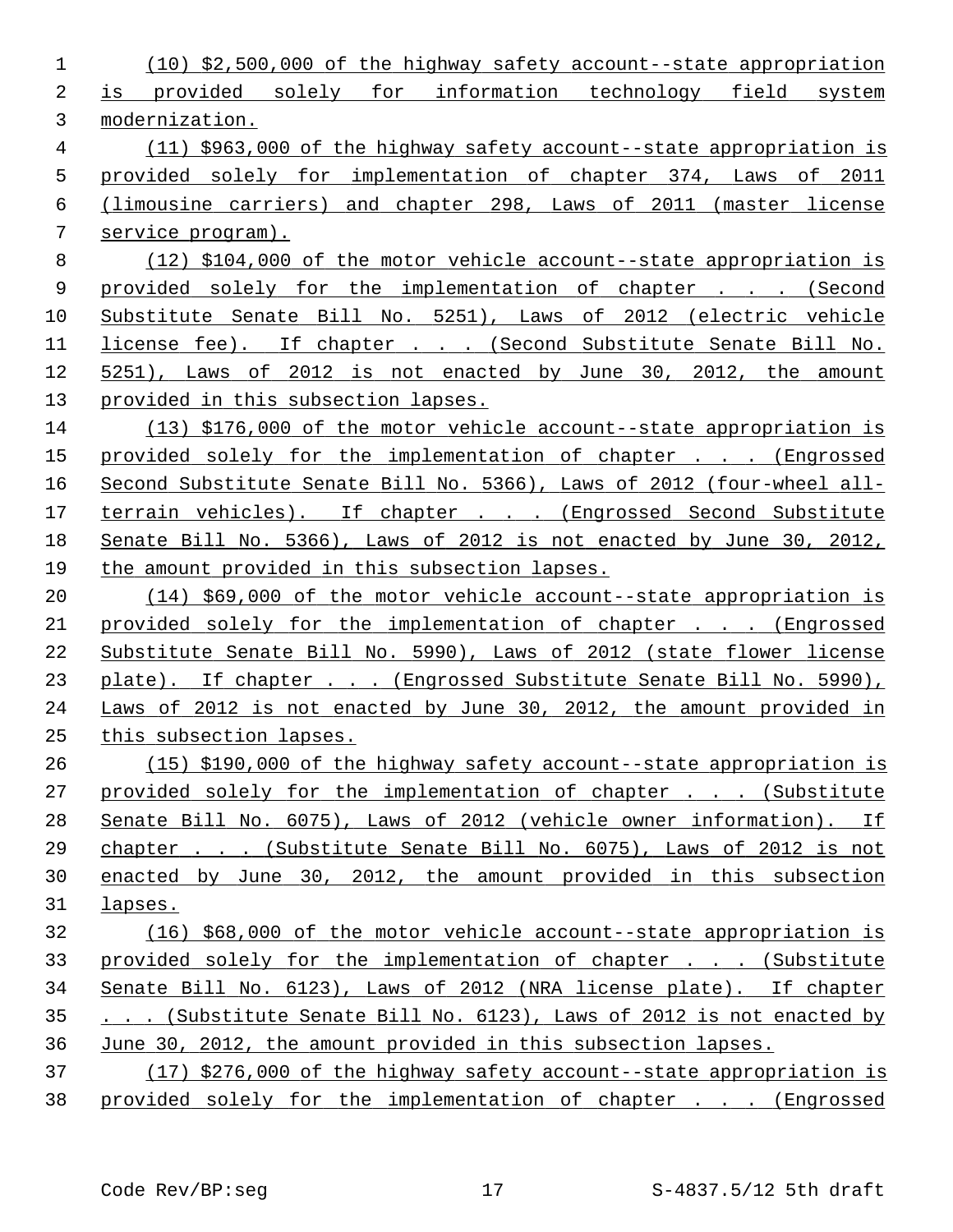| 1              | $(10)$ \$2,500,000 of the highway safety account--state appropriation  |
|----------------|------------------------------------------------------------------------|
| 2              | is provided solely for information technology field system             |
| 3              | modernization.                                                         |
| $\overline{4}$ | (11) \$963,000 of the highway safety account--state appropriation is   |
| 5              | provided solely for implementation of chapter 374, Laws of 2011        |
| 6              | (limousine carriers) and chapter 298, Laws of 2011 (master license     |
| 7              | service program).                                                      |
| 8              | (12) \$104,000 of the motor vehicle account--state appropriation is    |
| 9              | provided solely for the implementation of chapter (Second              |
| 10             | Substitute Senate Bill No. 5251), Laws of 2012 (electric vehicle       |
| 11             | license fee). If chapter (Second Substitute Senate Bill No.            |
| 12             | 5251), Laws of 2012 is not enacted by June 30, 2012, the amount        |
| 13             | provided in this subsection lapses.                                    |
| 14             | $(13)$ \$176,000 of the motor vehicle account--state appropriation is  |
| 15             | provided solely for the implementation of chapter (Engrossed           |
| 16             | Second Substitute Senate Bill No. 5366), Laws of 2012 (four-wheel all- |
| 17             | terrain vehicles). If chapter (Engrossed Second Substitute             |
| 18             | Senate Bill No. 5366), Laws of 2012 is not enacted by June 30, 2012,   |
| 19             | the amount provided in this subsection lapses.                         |
| 20             | (14) \$69,000 of the motor vehicle account--state appropriation is     |
| 21             | provided solely for the implementation of chapter (Engrossed           |
| 22             | Substitute Senate Bill No. 5990), Laws of 2012 (state flower license   |
| 23             | plate). If chapter (Engrossed Substitute Senate Bill No. 5990),        |
| 24             | Laws of 2012 is not enacted by June 30, 2012, the amount provided in   |
| 25             | this subsection lapses.                                                |
| 26             | (15) \$190,000 of the highway safety account--state appropriation is   |
| 27             | provided solely for the implementation of chapter (Substitute          |
| 28             | Senate Bill No. 6075), Laws of 2012 (vehicle owner information). If    |
| 29             | chapter (Substitute Senate Bill No. 6075), Laws of 2012 is not         |
| 30             | enacted by June 30, 2012, the amount provided in this subsection       |
| 31             | lapses.                                                                |
| 32             | (16) \$68,000 of the motor vehicle account--state appropriation is     |
| 33             | provided solely for the implementation of chapter (Substitute          |
| 34             | Senate Bill No. 6123), Laws of 2012 (NRA license plate). If chapter    |
| 35             | (Substitute Senate Bill No. 6123), Laws of 2012 is not enacted by      |
| 36             | June 30, 2012, the amount provided in this subsection lapses.          |
| 37             | (17) \$276,000 of the highway safety account--state appropriation is   |
| 38             | provided solely for the implementation of chapter (Engrossed           |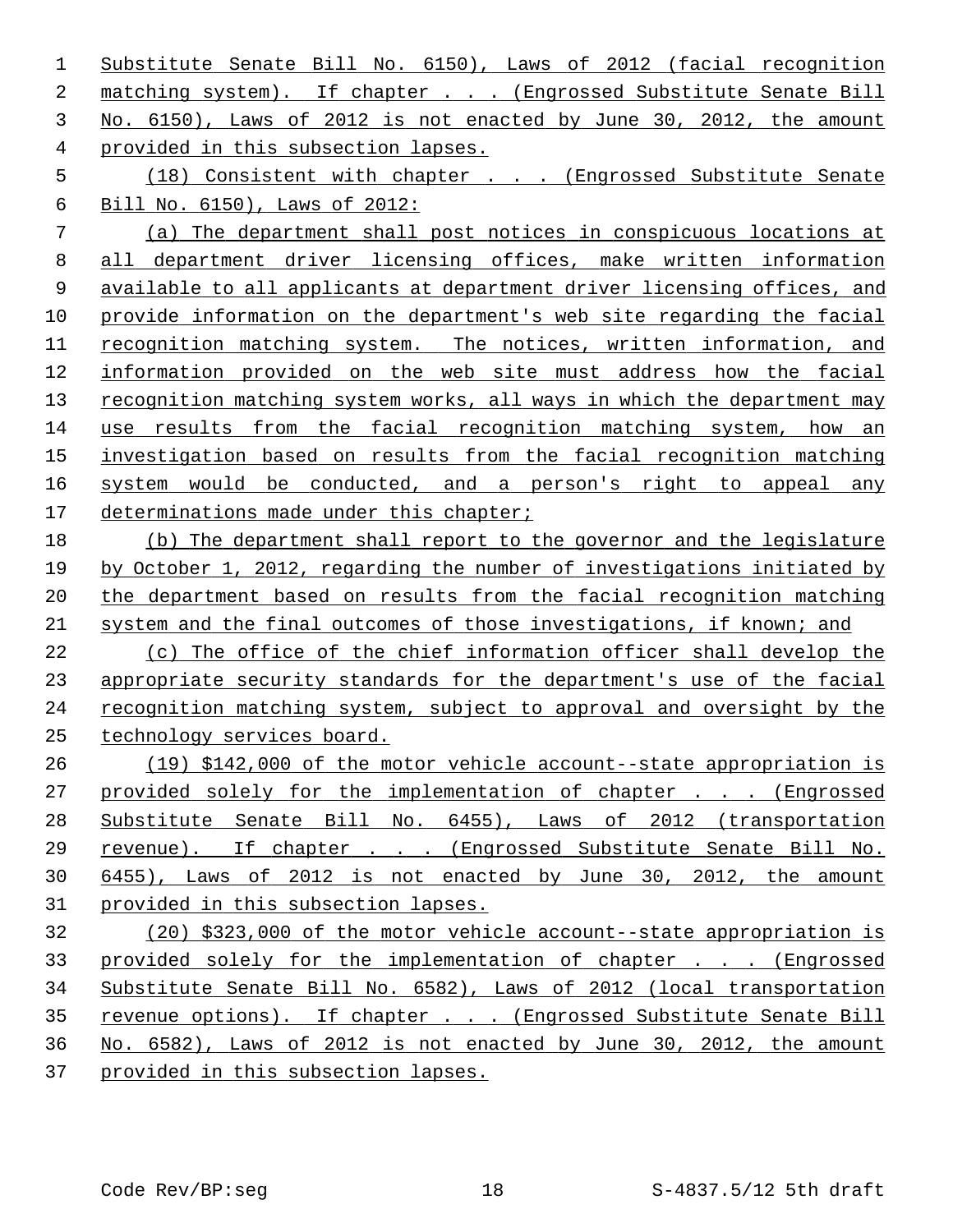Substitute Senate Bill No. 6150), Laws of 2012 (facial recognition matching system). If chapter . . . (Engrossed Substitute Senate Bill No. 6150), Laws of 2012 is not enacted by June 30, 2012, the amount provided in this subsection lapses.

 (18) Consistent with chapter . . . (Engrossed Substitute Senate Bill No. 6150), Laws of 2012:

 (a) The department shall post notices in conspicuous locations at all department driver licensing offices, make written information available to all applicants at department driver licensing offices, and provide information on the department's web site regarding the facial recognition matching system. The notices, written information, and information provided on the web site must address how the facial recognition matching system works, all ways in which the department may use results from the facial recognition matching system, how an investigation based on results from the facial recognition matching system would be conducted, and a person's right to appeal any 17 determinations made under this chapter;

 (b) The department shall report to the governor and the legislature by October 1, 2012, regarding the number of investigations initiated by the department based on results from the facial recognition matching system and the final outcomes of those investigations, if known; and

 (c) The office of the chief information officer shall develop the appropriate security standards for the department's use of the facial recognition matching system, subject to approval and oversight by the technology services board.

 (19) \$142,000 of the motor vehicle account--state appropriation is provided solely for the implementation of chapter . . . (Engrossed Substitute Senate Bill No. 6455), Laws of 2012 (transportation revenue). If chapter . . . (Engrossed Substitute Senate Bill No. 6455), Laws of 2012 is not enacted by June 30, 2012, the amount provided in this subsection lapses.

 (20) \$323,000 of the motor vehicle account--state appropriation is provided solely for the implementation of chapter . . . (Engrossed Substitute Senate Bill No. 6582), Laws of 2012 (local transportation revenue options). If chapter . . . (Engrossed Substitute Senate Bill No. 6582), Laws of 2012 is not enacted by June 30, 2012, the amount provided in this subsection lapses.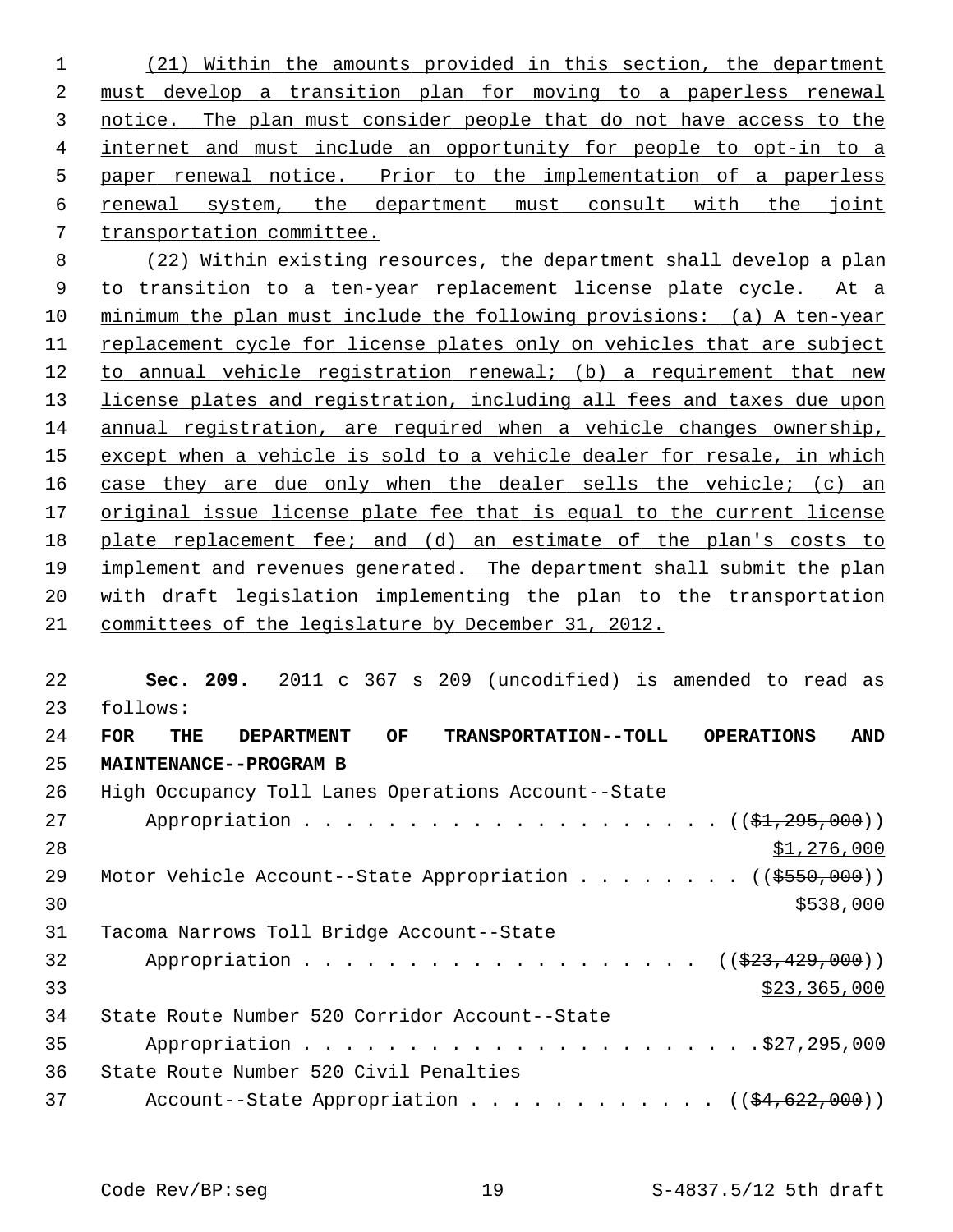(21) Within the amounts provided in this section, the department must develop a transition plan for moving to a paperless renewal notice. The plan must consider people that do not have access to the internet and must include an opportunity for people to opt-in to a paper renewal notice. Prior to the implementation of a paperless renewal system, the department must consult with the joint transportation committee.

 (22) Within existing resources, the department shall develop a plan to transition to a ten-year replacement license plate cycle. At a minimum the plan must include the following provisions: (a) A ten-year replacement cycle for license plates only on vehicles that are subject to annual vehicle registration renewal; (b) a requirement that new license plates and registration, including all fees and taxes due upon annual registration, are required when a vehicle changes ownership, except when a vehicle is sold to a vehicle dealer for resale, in which case they are due only when the dealer sells the vehicle; (c) an original issue license plate fee that is equal to the current license plate replacement fee; and (d) an estimate of the plan's costs to implement and revenues generated. The department shall submit the plan with draft legislation implementing the plan to the transportation committees of the legislature by December 31, 2012.

 **Sec. 209.** 2011 c 367 s 209 (uncodified) is amended to read as 23 follows: **FOR THE DEPARTMENT OF TRANSPORTATION--TOLL OPERATIONS AND MAINTENANCE--PROGRAM B** 26 High Occupancy Toll Lanes Operations Account--State 27 Appropriation . . . . . . . . . . . . . . . . . . (  $(\frac{21}{295},000)$  ) 28 \$1,276,000 29 Motor Vehicle Account--State Appropriation . . . . . . . ((\$550,000)) 31 Tacoma Narrows Toll Bridge Account--State 32 Appropriation . . . . . . . . . . . . . . . . . ((\$23,429,000)) \$23,365,000 34 State Route Number 520 Corridor Account--State 35 Appropriation . . . . . . . . . . . . . . . . . . . . . .\$27,295,000 36 State Route Number 520 Civil Penalties 37 Account--State Appropriation . . . . . . . . . . .  $($   $($ \$4,622,000))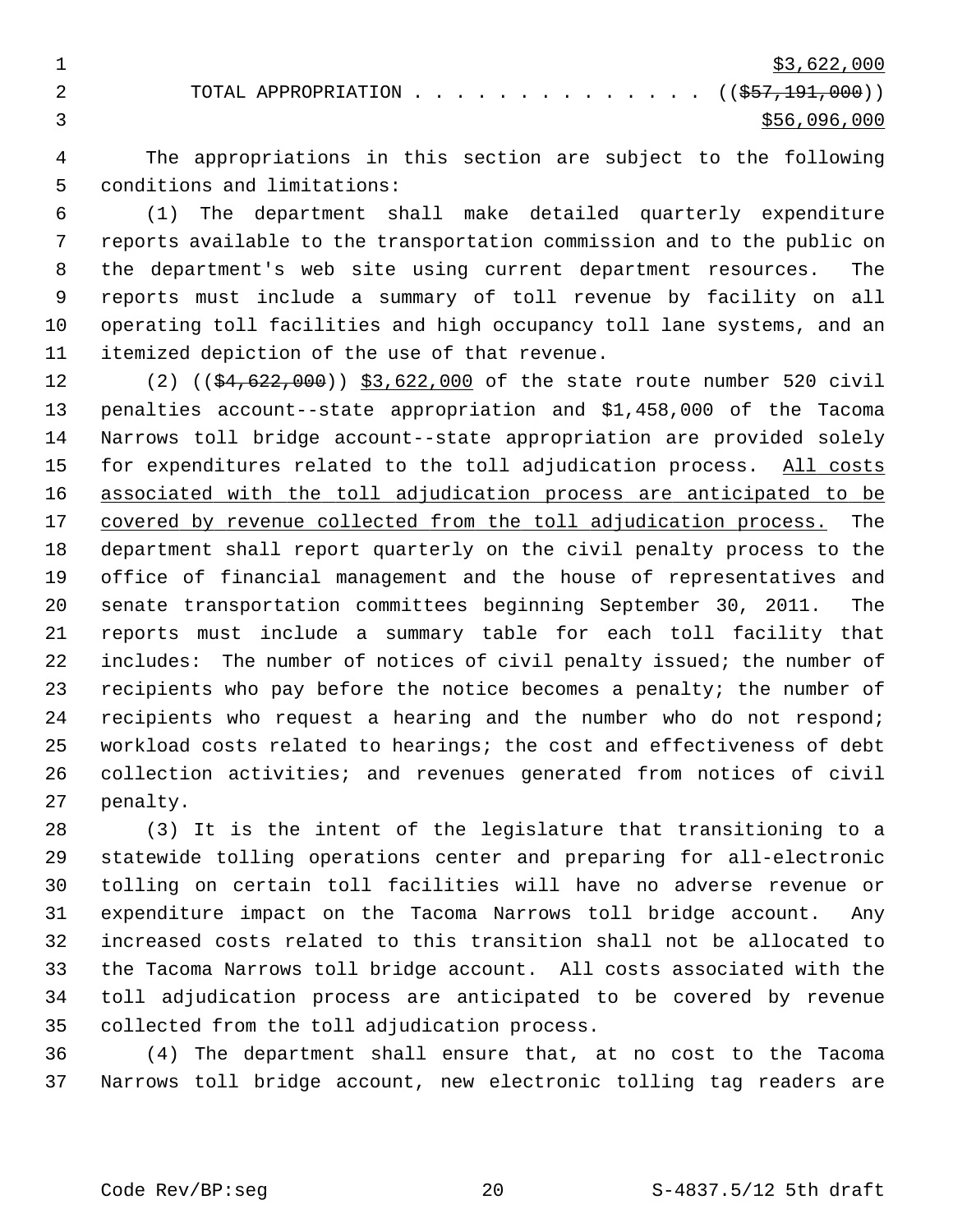1  $\frac{1}{33,622,000}$ 

2 TOTAL APPROPRIATION . . . . . . . . . . . . . ((<del>\$57,191,000</del>))  $\frac{1}{2}$  \$56,096,000

 4 The appropriations in this section are subject to the following 5 conditions and limitations:

 6 (1) The department shall make detailed quarterly expenditure 7 reports available to the transportation commission and to the public on 8 the department's web site using current department resources. The 9 reports must include a summary of toll revenue by facility on all 10 operating toll facilities and high occupancy toll lane systems, and an 11 itemized depiction of the use of that revenue.

12 (2) ((\$4,622,000)) \$3,622,000 of the state route number 520 civil 13 penalties account--state appropriation and \$1,458,000 of the Tacoma 14 Narrows toll bridge account--state appropriation are provided solely 15 for expenditures related to the toll adjudication process. All costs 16 associated with the toll adjudication process are anticipated to be 17 covered by revenue collected from the toll adjudication process. The 18 department shall report quarterly on the civil penalty process to the 19 office of financial management and the house of representatives and 20 senate transportation committees beginning September 30, 2011. The 21 reports must include a summary table for each toll facility that 22 includes: The number of notices of civil penalty issued; the number of 23 recipients who pay before the notice becomes a penalty; the number of 24 recipients who request a hearing and the number who do not respond; 25 workload costs related to hearings; the cost and effectiveness of debt 26 collection activities; and revenues generated from notices of civil 27 penalty.

28 (3) It is the intent of the legislature that transitioning to a 29 statewide tolling operations center and preparing for all-electronic 30 tolling on certain toll facilities will have no adverse revenue or 31 expenditure impact on the Tacoma Narrows toll bridge account. Any 32 increased costs related to this transition shall not be allocated to 33 the Tacoma Narrows toll bridge account. All costs associated with the 34 toll adjudication process are anticipated to be covered by revenue 35 collected from the toll adjudication process.

36 (4) The department shall ensure that, at no cost to the Tacoma 37 Narrows toll bridge account, new electronic tolling tag readers are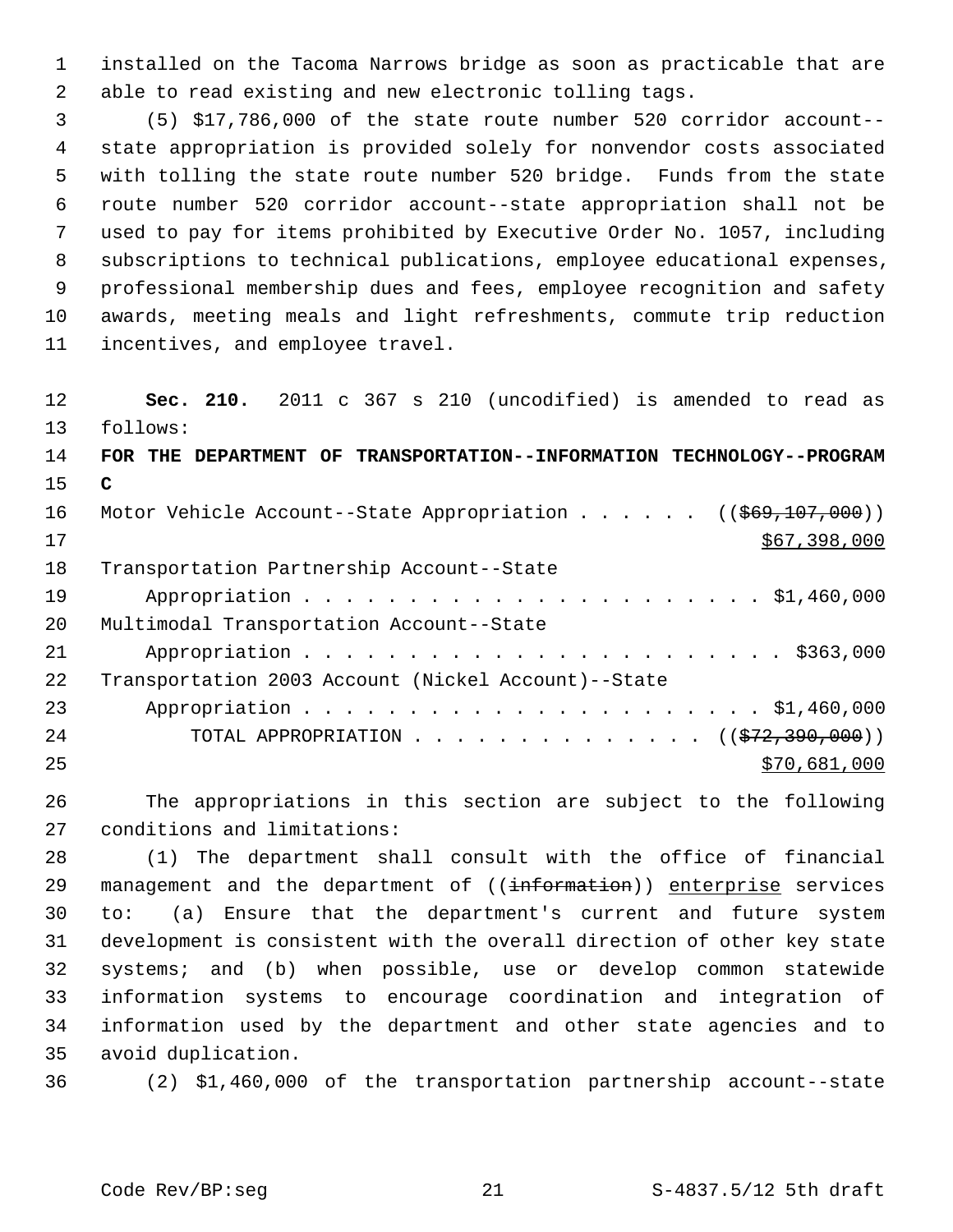1 installed on the Tacoma Narrows bridge as soon as practicable that are 2 able to read existing and new electronic tolling tags.

 3 (5) \$17,786,000 of the state route number 520 corridor account-- 4 state appropriation is provided solely for nonvendor costs associated 5 with tolling the state route number 520 bridge. Funds from the state 6 route number 520 corridor account--state appropriation shall not be 7 used to pay for items prohibited by Executive Order No. 1057, including 8 subscriptions to technical publications, employee educational expenses, 9 professional membership dues and fees, employee recognition and safety 10 awards, meeting meals and light refreshments, commute trip reduction 11 incentives, and employee travel.

12 **Sec. 210.** 2011 c 367 s 210 (uncodified) is amended to read as 13 follows: 14 **FOR THE DEPARTMENT OF TRANSPORTATION--INFORMATION TECHNOLOGY--PROGRAM** 15 **C** 16 Motor Vehicle Account--State Appropriation . . . . . ((\$69,107,000))  $17$  \$67,398,000 18 Transportation Partnership Account--State 19 Appropriation . . . . . . . . . . . . . . . . . . . . . . \$1,460,000 20 Multimodal Transportation Account--State 21 Appropriation . . . . . . . . . . . . . . . . . . . . . . . \$363,000 22 Transportation 2003 Account (Nickel Account)--State 23 Appropriation . . . . . . . . . . . . . . . . . . . . . . \$1,460,000 24 TOTAL APPROPRIATION . . . . . . . . . . . . . ((<del>\$72,390,000</del>))  $25$  \$70,681,000

26 The appropriations in this section are subject to the following 27 conditions and limitations:

28 (1) The department shall consult with the office of financial 29 management and the department of ((information)) enterprise services 30 to: (a) Ensure that the department's current and future system 31 development is consistent with the overall direction of other key state 32 systems; and (b) when possible, use or develop common statewide 33 information systems to encourage coordination and integration of 34 information used by the department and other state agencies and to 35 avoid duplication.

36 (2) \$1,460,000 of the transportation partnership account--state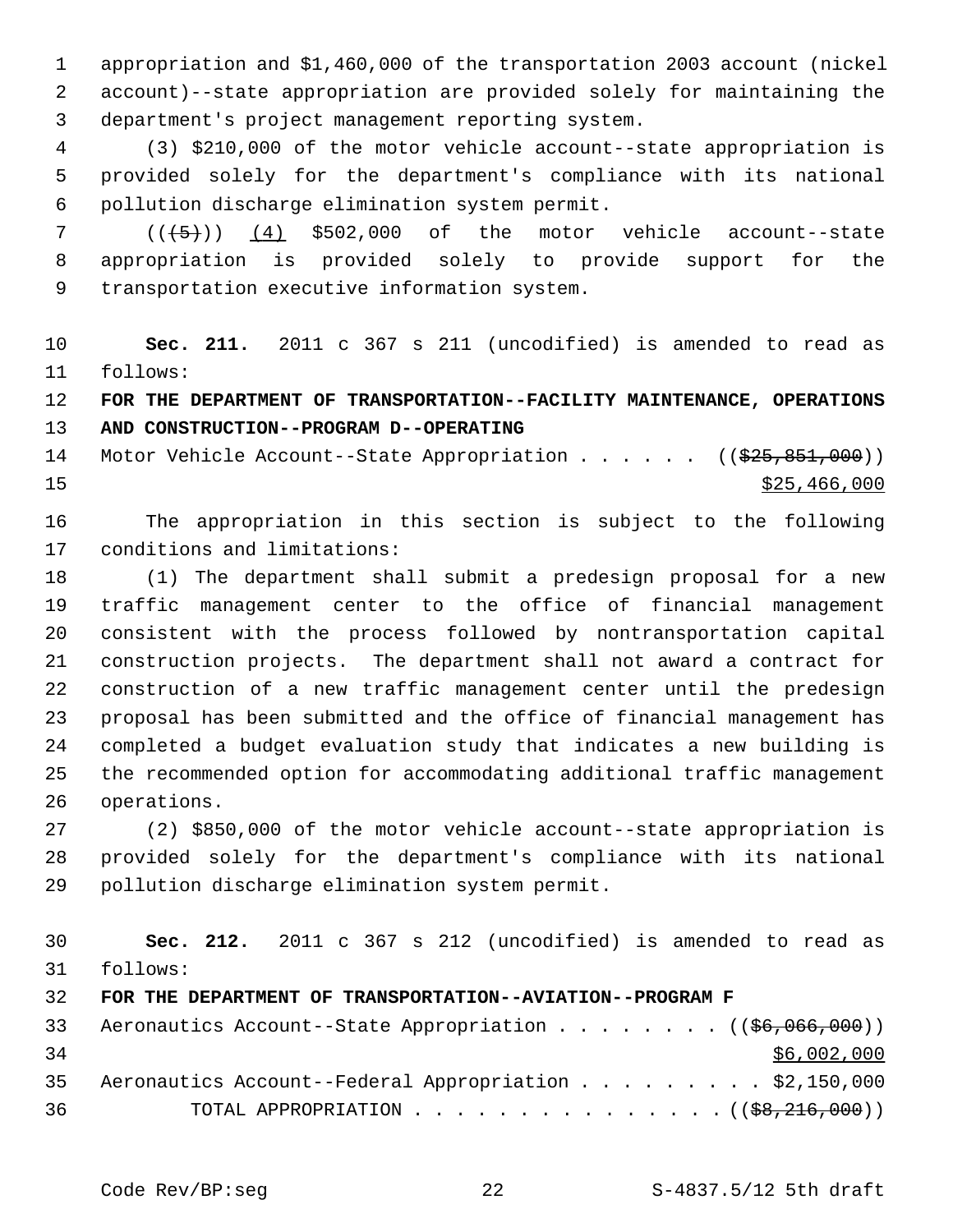1 appropriation and \$1,460,000 of the transportation 2003 account (nickel 2 account)--state appropriation are provided solely for maintaining the 3 department's project management reporting system.

 4 (3) \$210,000 of the motor vehicle account--state appropriation is 5 provided solely for the department's compliance with its national 6 pollution discharge elimination system permit.

 $7$  ( $(\overline{5})$ ) (4) \$502,000 of the motor vehicle account--state 8 appropriation is provided solely to provide support for the 9 transportation executive information system.

10 **Sec. 211.** 2011 c 367 s 211 (uncodified) is amended to read as 11 follows:

12 **FOR THE DEPARTMENT OF TRANSPORTATION--FACILITY MAINTENANCE, OPERATIONS** 13 **AND CONSTRUCTION--PROGRAM D--OPERATING**

14 Motor Vehicle Account--State Appropriation . . . . . ((\$25,851,000))  $\frac{$25,466,000}{25}$ 

16 The appropriation in this section is subject to the following 17 conditions and limitations:

18 (1) The department shall submit a predesign proposal for a new 19 traffic management center to the office of financial management 20 consistent with the process followed by nontransportation capital 21 construction projects. The department shall not award a contract for 22 construction of a new traffic management center until the predesign 23 proposal has been submitted and the office of financial management has 24 completed a budget evaluation study that indicates a new building is 25 the recommended option for accommodating additional traffic management 26 operations.

27 (2) \$850,000 of the motor vehicle account--state appropriation is 28 provided solely for the department's compliance with its national 29 pollution discharge elimination system permit.

30 **Sec. 212.** 2011 c 367 s 212 (uncodified) is amended to read as 31 follows:

32 **FOR THE DEPARTMENT OF TRANSPORTATION--AVIATION--PROGRAM F**

|    | 33 Aeronautics Account--State Appropriation ((\$6,066,000))    |             |
|----|----------------------------------------------------------------|-------------|
| 34 |                                                                | \$6,002,000 |
|    | 35 Aeronautics Account--Federal Appropriation \$2,150,000      |             |
| 36 | TOTAL APPROPRIATION $($ $($ $\frac{68}{216}, \frac{216}{000})$ |             |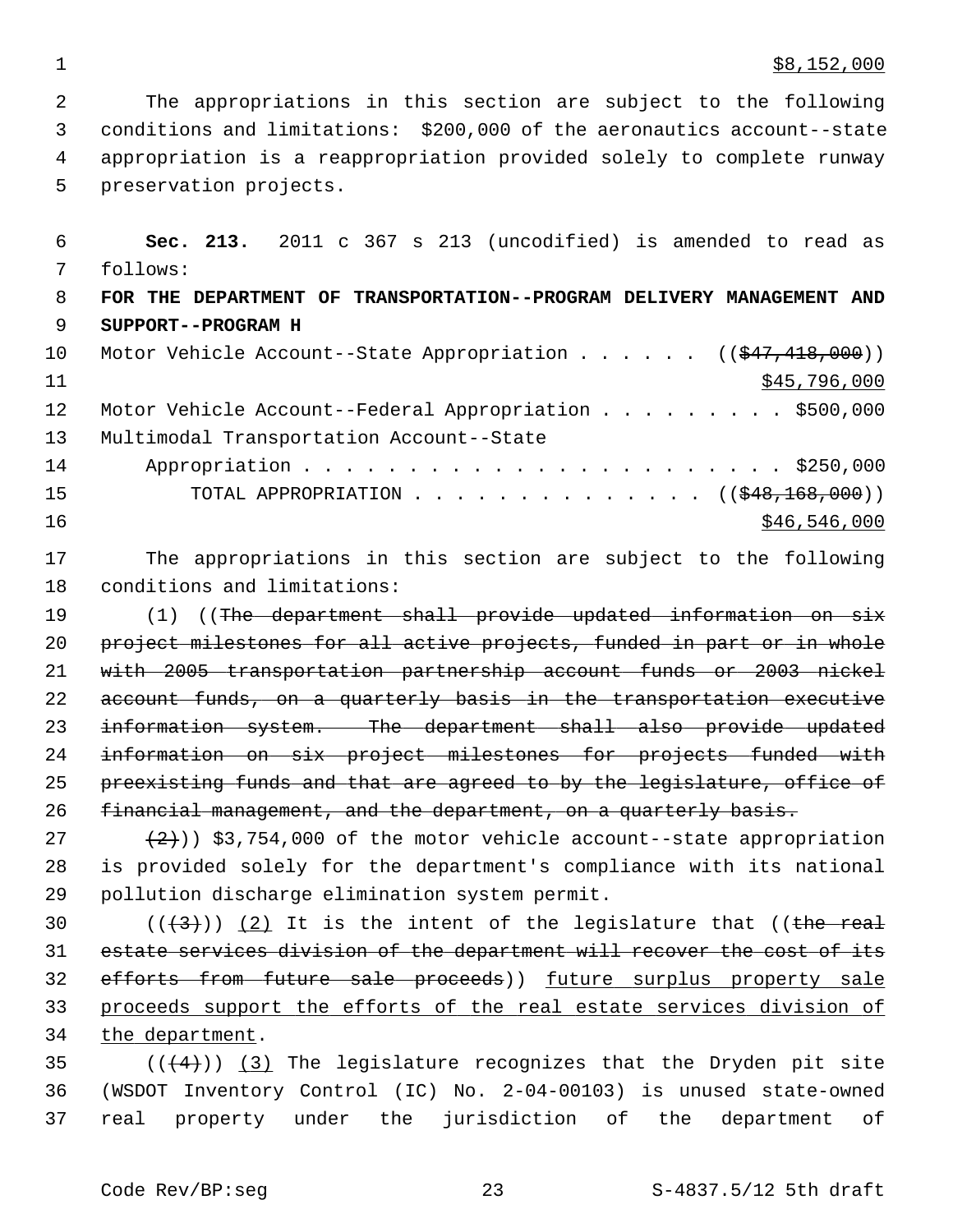$\frac{1}{88,152,000}$ 

 2 The appropriations in this section are subject to the following 3 conditions and limitations: \$200,000 of the aeronautics account--state 4 appropriation is a reappropriation provided solely to complete runway 5 preservation projects.

 6 **Sec. 213.** 2011 c 367 s 213 (uncodified) is amended to read as 7 follows: 8 **FOR THE DEPARTMENT OF TRANSPORTATION--PROGRAM DELIVERY MANAGEMENT AND** 9 **SUPPORT--PROGRAM H** 10 Motor Vehicle Account--State Appropriation . . . . . ((\$47,418,000))  $11$  \$45,796,000 12 Motor Vehicle Account--Federal Appropriation . . . . . . . . \$500,000 13 Multimodal Transportation Account--State 14 Appropriation . . . . . . . . . . . . . . . . . . . . . . . \$250,000 15 TOTAL APPROPRIATION . . . . . . . . . . . . . . ((\$48,168,000))  $16$  \$46,546,000

17 The appropriations in this section are subject to the following 18 conditions and limitations:

19 (1) ((The department shall provide updated information on six 20 project milestones for all active projects, funded in part or in whole 21 with 2005 transportation partnership account funds or 2003 nickel 22 account funds, on a quarterly basis in the transportation executive 23 information system. The department shall also provide updated 24 information on six project milestones for projects funded with 25 preexisting funds and that are agreed to by the legislature, office of 26 financial management, and the department, on a quarterly basis.

27  $(2)$  (2)) \$3,754,000 of the motor vehicle account--state appropriation 28 is provided solely for the department's compliance with its national 29 pollution discharge elimination system permit.

 $((+3))$  (2) It is the intent of the legislature that ((the real estate services division of the department will recover the cost of its efforts from future sale proceeds)) future surplus property sale proceeds support the efforts of the real estate services division of the department.

35  $((4+))$  (3) The legislature recognizes that the Dryden pit site 36 (WSDOT Inventory Control (IC) No. 2-04-00103) is unused state-owned 37 real property under the jurisdiction of the department of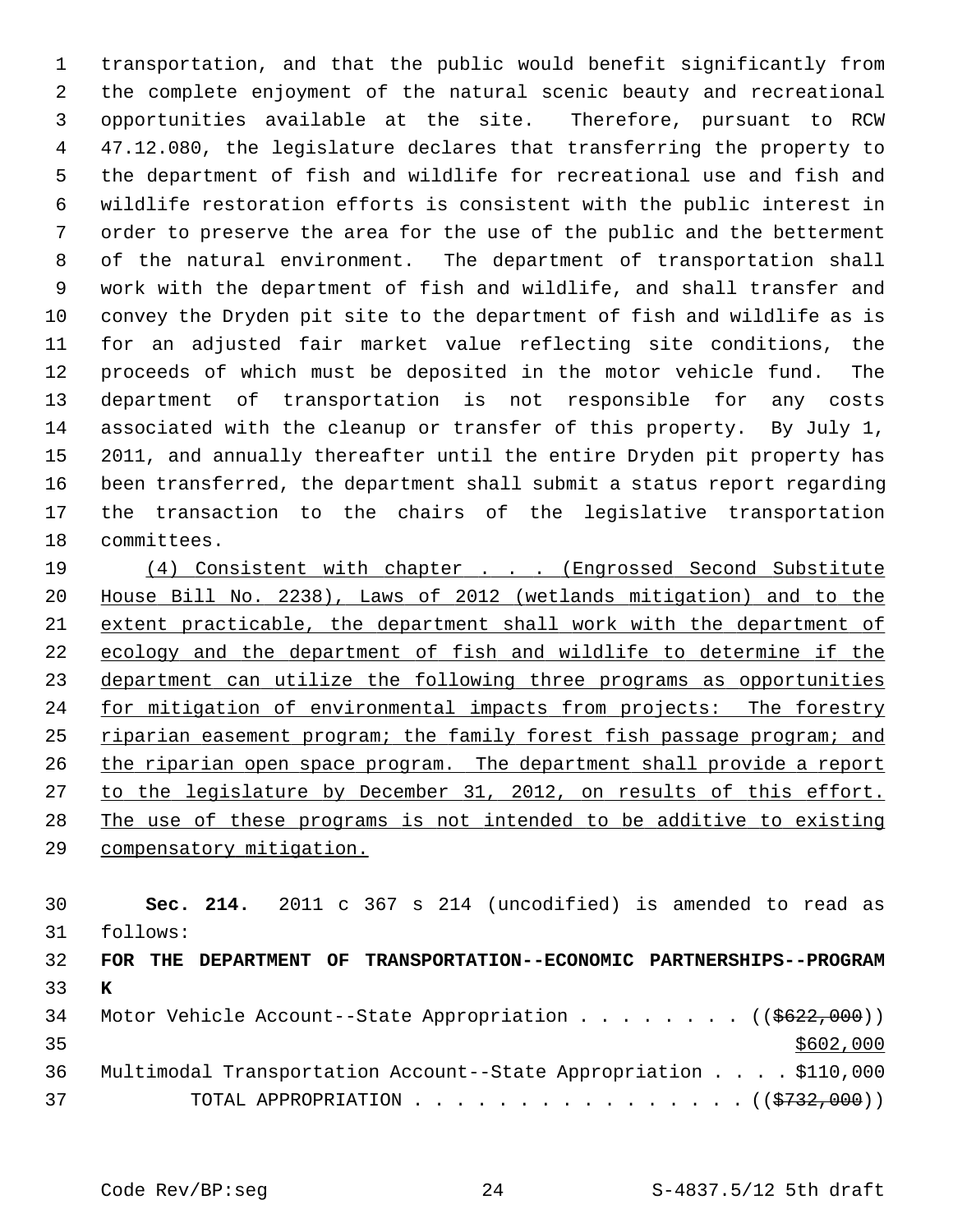1 transportation, and that the public would benefit significantly from 2 the complete enjoyment of the natural scenic beauty and recreational 3 opportunities available at the site. Therefore, pursuant to RCW 4 47.12.080, the legislature declares that transferring the property to 5 the department of fish and wildlife for recreational use and fish and 6 wildlife restoration efforts is consistent with the public interest in 7 order to preserve the area for the use of the public and the betterment 8 of the natural environment. The department of transportation shall 9 work with the department of fish and wildlife, and shall transfer and 10 convey the Dryden pit site to the department of fish and wildlife as is 11 for an adjusted fair market value reflecting site conditions, the 12 proceeds of which must be deposited in the motor vehicle fund. The 13 department of transportation is not responsible for any costs 14 associated with the cleanup or transfer of this property. By July 1, 15 2011, and annually thereafter until the entire Dryden pit property has 16 been transferred, the department shall submit a status report regarding 17 the transaction to the chairs of the legislative transportation 18 committees.

 (4) Consistent with chapter . . . (Engrossed Second Substitute House Bill No. 2238), Laws of 2012 (wetlands mitigation) and to the extent practicable, the department shall work with the department of ecology and the department of fish and wildlife to determine if the department can utilize the following three programs as opportunities for mitigation of environmental impacts from projects: The forestry riparian easement program; the family forest fish passage program; and the riparian open space program. The department shall provide a report to the legislature by December 31, 2012, on results of this effort. The use of these programs is not intended to be additive to existing compensatory mitigation.

30 **Sec. 214.** 2011 c 367 s 214 (uncodified) is amended to read as 31 follows: 32 **FOR THE DEPARTMENT OF TRANSPORTATION--ECONOMIC PARTNERSHIPS--PROGRAM** 33 **K** 34 Motor Vehicle Account--State Appropriation . . . . . . . ((\$622,000))

| 35 |                                                                     |  | \$602,000 |
|----|---------------------------------------------------------------------|--|-----------|
|    | 36 Multimodal Transportation Account--State Appropriation \$110,000 |  |           |
| 37 | TOTAL APPROPRIATION $\ldots$ , ( $(\frac{15732,000}{100})$          |  |           |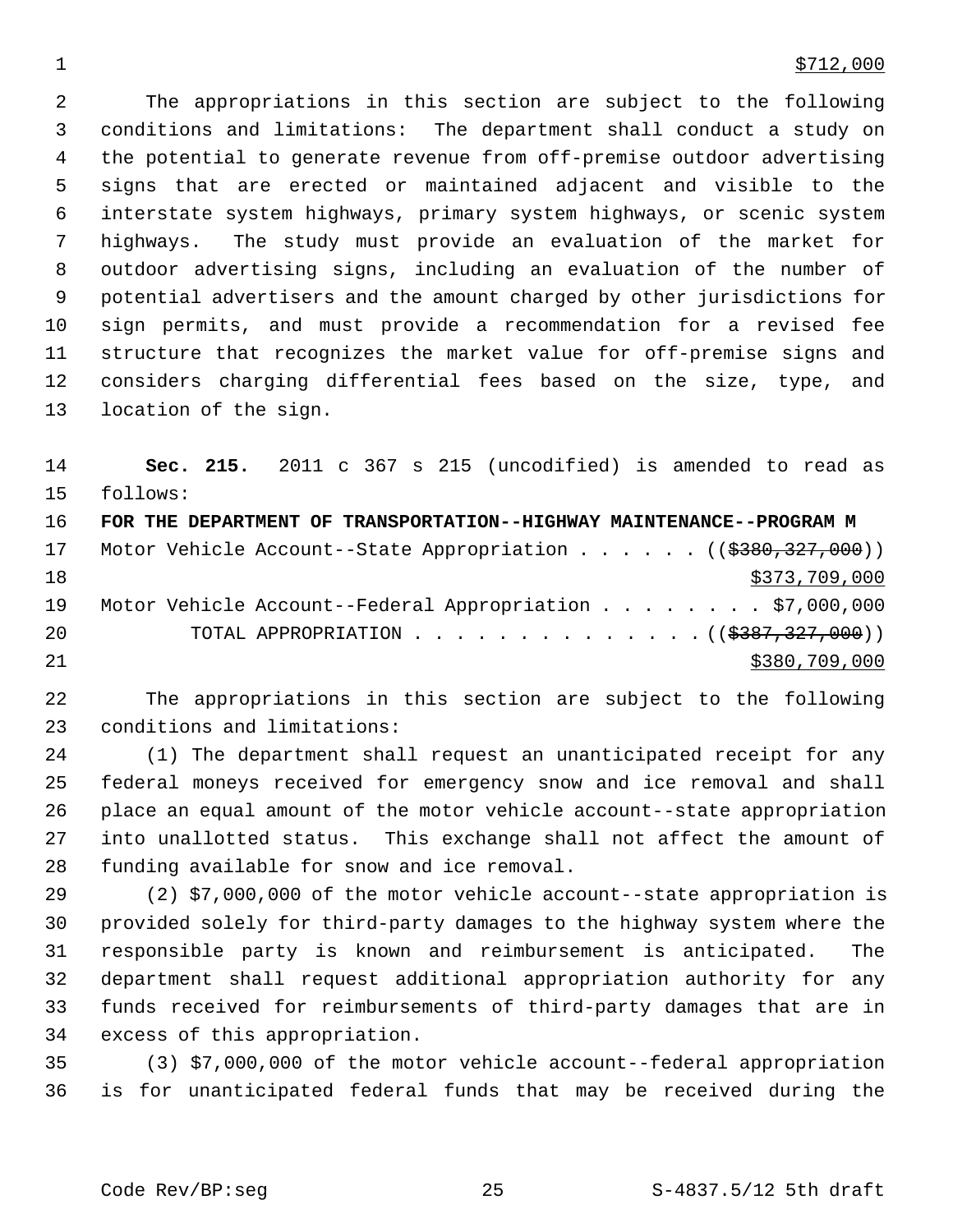2 The appropriations in this section are subject to the following 3 conditions and limitations: The department shall conduct a study on 4 the potential to generate revenue from off-premise outdoor advertising 5 signs that are erected or maintained adjacent and visible to the 6 interstate system highways, primary system highways, or scenic system 7 highways. The study must provide an evaluation of the market for 8 outdoor advertising signs, including an evaluation of the number of 9 potential advertisers and the amount charged by other jurisdictions for 10 sign permits, and must provide a recommendation for a revised fee 11 structure that recognizes the market value for off-premise signs and 12 considers charging differential fees based on the size, type, and 13 location of the sign.

14 **Sec. 215.** 2011 c 367 s 215 (uncodified) is amended to read as 15 follows:

| 16 | FOR THE DEPARTMENT OF TRANSPORTATION--HIGHWAY MAINTENANCE--PROGRAM M |
|----|----------------------------------------------------------------------|
| 17 | Motor Vehicle Account--State Appropriation ((\$380,327,000))         |
| 18 | \$373,709,000                                                        |
| 19 | Motor Vehicle Account--Federal Appropriation \$7,000,000             |
| 20 | TOTAL APPROPRIATION $\ldots$ , ( $(\frac{2387,327,000}{$ )           |
| 21 | \$380,709,000                                                        |

22 The appropriations in this section are subject to the following 23 conditions and limitations:

24 (1) The department shall request an unanticipated receipt for any 25 federal moneys received for emergency snow and ice removal and shall 26 place an equal amount of the motor vehicle account--state appropriation 27 into unallotted status. This exchange shall not affect the amount of 28 funding available for snow and ice removal.

29 (2) \$7,000,000 of the motor vehicle account--state appropriation is 30 provided solely for third-party damages to the highway system where the 31 responsible party is known and reimbursement is anticipated. The 32 department shall request additional appropriation authority for any 33 funds received for reimbursements of third-party damages that are in 34 excess of this appropriation.

35 (3) \$7,000,000 of the motor vehicle account--federal appropriation 36 is for unanticipated federal funds that may be received during the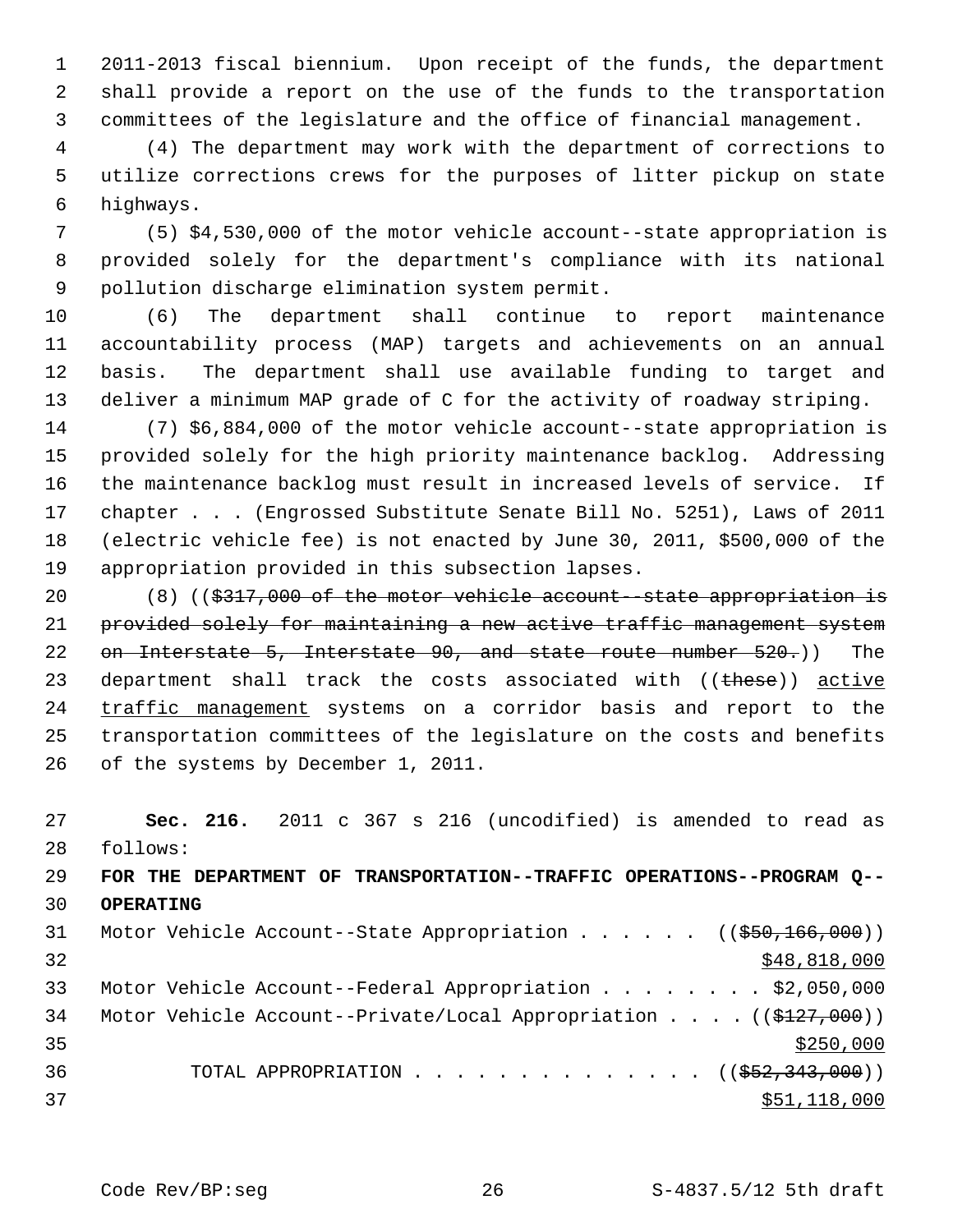1 2011-2013 fiscal biennium. Upon receipt of the funds, the department 2 shall provide a report on the use of the funds to the transportation 3 committees of the legislature and the office of financial management.

 4 (4) The department may work with the department of corrections to 5 utilize corrections crews for the purposes of litter pickup on state 6 highways.

 7 (5) \$4,530,000 of the motor vehicle account--state appropriation is 8 provided solely for the department's compliance with its national 9 pollution discharge elimination system permit.

10 (6) The department shall continue to report maintenance 11 accountability process (MAP) targets and achievements on an annual 12 basis. The department shall use available funding to target and 13 deliver a minimum MAP grade of C for the activity of roadway striping.

14 (7) \$6,884,000 of the motor vehicle account--state appropriation is 15 provided solely for the high priority maintenance backlog. Addressing 16 the maintenance backlog must result in increased levels of service. If 17 chapter . . . (Engrossed Substitute Senate Bill No. 5251), Laws of 2011 18 (electric vehicle fee) is not enacted by June 30, 2011, \$500,000 of the 19 appropriation provided in this subsection lapses.

20 (8) ((\$317,000 of the motor vehicle account--state appropriation is 21 provided solely for maintaining a new active traffic management system 22 on Interstate 5, Interstate 90, and state route number 520.) The 23 department shall track the costs associated with  $($  ( $t$ hese)) active 24 traffic management systems on a corridor basis and report to the 25 transportation committees of the legislature on the costs and benefits 26 of the systems by December 1, 2011.

27 **Sec. 216.** 2011 c 367 s 216 (uncodified) is amended to read as 28 follows:

# 29 **FOR THE DEPARTMENT OF TRANSPORTATION--TRAFFIC OPERATIONS--PROGRAM Q--** 30 **OPERATING**

| 31 |  | Motor Vehicle Account--State Appropriation ( $(\frac{250}{166}, 000)$ )              |
|----|--|--------------------------------------------------------------------------------------|
| 32 |  | \$48,818,000                                                                         |
| 33 |  | Motor Vehicle Account--Federal Appropriation \$2,050,000                             |
| 34 |  | Motor Vehicle Account--Private/Local Appropriation $($ $($ $\frac{27}{27}, 000)$ $)$ |
| 35 |  | \$250,000                                                                            |
| 36 |  | TOTAL APPROPRIATION $\ldots$ , ( $(\frac{252}{343}, \frac{343}{900})$ )              |
| 37 |  | \$51,118,000                                                                         |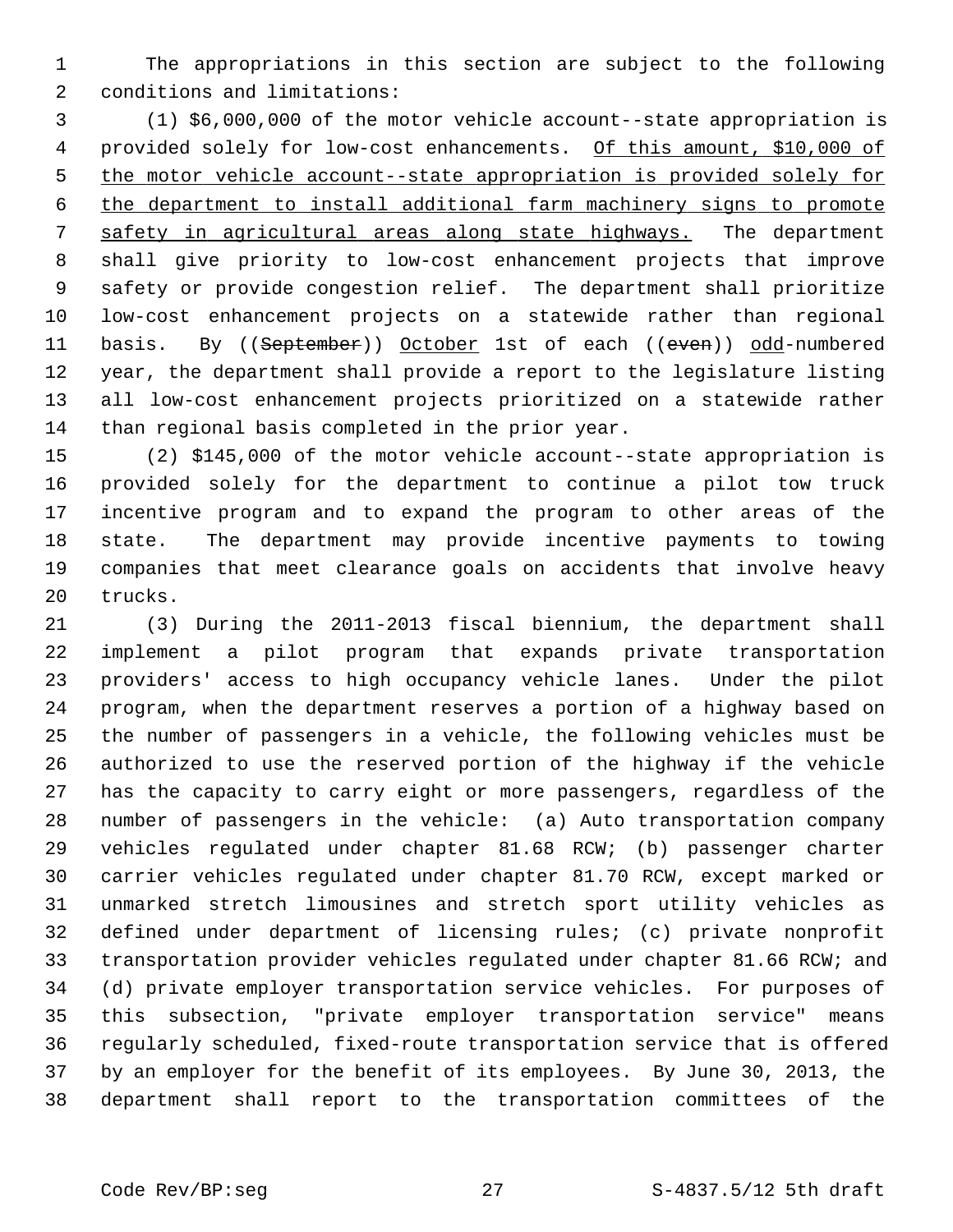1 The appropriations in this section are subject to the following 2 conditions and limitations:

 3 (1) \$6,000,000 of the motor vehicle account--state appropriation is 4 provided solely for low-cost enhancements. Of this amount, \$10,000 of 5 the motor vehicle account--state appropriation is provided solely for 6 the department to install additional farm machinery signs to promote 7 safety in agricultural areas along state highways. The department 8 shall give priority to low-cost enhancement projects that improve 9 safety or provide congestion relief. The department shall prioritize 10 low-cost enhancement projects on a statewide rather than regional 11 basis. By ((September)) October 1st of each ((even)) odd-numbered 12 year, the department shall provide a report to the legislature listing 13 all low-cost enhancement projects prioritized on a statewide rather 14 than regional basis completed in the prior year.

15 (2) \$145,000 of the motor vehicle account--state appropriation is 16 provided solely for the department to continue a pilot tow truck 17 incentive program and to expand the program to other areas of the 18 state. The department may provide incentive payments to towing 19 companies that meet clearance goals on accidents that involve heavy 20 trucks.

21 (3) During the 2011-2013 fiscal biennium, the department shall 22 implement a pilot program that expands private transportation 23 providers' access to high occupancy vehicle lanes. Under the pilot 24 program, when the department reserves a portion of a highway based on 25 the number of passengers in a vehicle, the following vehicles must be 26 authorized to use the reserved portion of the highway if the vehicle 27 has the capacity to carry eight or more passengers, regardless of the 28 number of passengers in the vehicle: (a) Auto transportation company 29 vehicles regulated under chapter 81.68 RCW; (b) passenger charter 30 carrier vehicles regulated under chapter 81.70 RCW, except marked or 31 unmarked stretch limousines and stretch sport utility vehicles as 32 defined under department of licensing rules; (c) private nonprofit 33 transportation provider vehicles regulated under chapter 81.66 RCW; and 34 (d) private employer transportation service vehicles. For purposes of 35 this subsection, "private employer transportation service" means 36 regularly scheduled, fixed-route transportation service that is offered 37 by an employer for the benefit of its employees. By June 30, 2013, the 38 department shall report to the transportation committees of the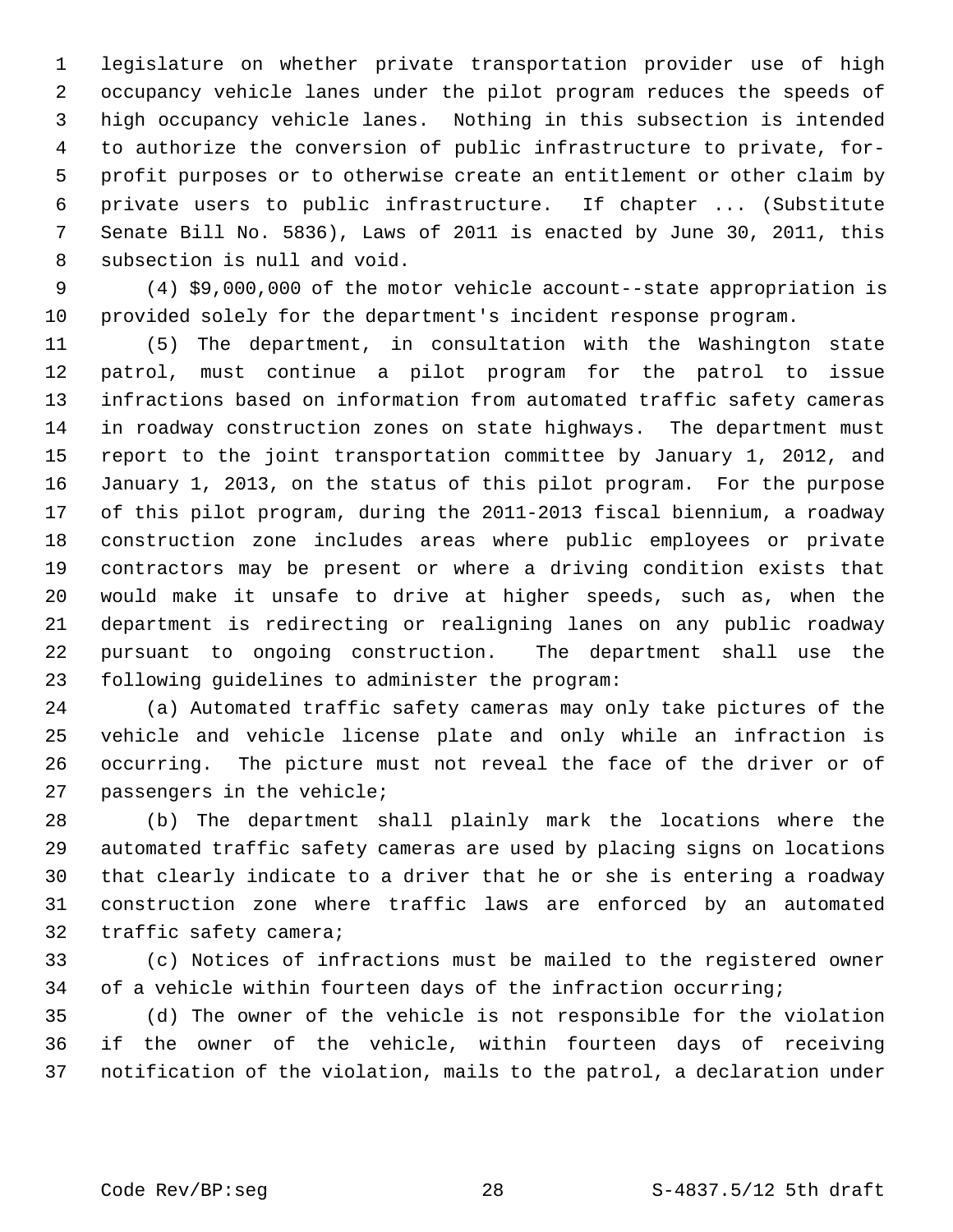1 legislature on whether private transportation provider use of high 2 occupancy vehicle lanes under the pilot program reduces the speeds of 3 high occupancy vehicle lanes. Nothing in this subsection is intended 4 to authorize the conversion of public infrastructure to private, for- 5 profit purposes or to otherwise create an entitlement or other claim by 6 private users to public infrastructure. If chapter ... (Substitute 7 Senate Bill No. 5836), Laws of 2011 is enacted by June 30, 2011, this 8 subsection is null and void.

 9 (4) \$9,000,000 of the motor vehicle account--state appropriation is 10 provided solely for the department's incident response program.

11 (5) The department, in consultation with the Washington state 12 patrol, must continue a pilot program for the patrol to issue 13 infractions based on information from automated traffic safety cameras 14 in roadway construction zones on state highways. The department must 15 report to the joint transportation committee by January 1, 2012, and 16 January 1, 2013, on the status of this pilot program. For the purpose 17 of this pilot program, during the 2011-2013 fiscal biennium, a roadway 18 construction zone includes areas where public employees or private 19 contractors may be present or where a driving condition exists that 20 would make it unsafe to drive at higher speeds, such as, when the 21 department is redirecting or realigning lanes on any public roadway 22 pursuant to ongoing construction. The department shall use the 23 following guidelines to administer the program:

24 (a) Automated traffic safety cameras may only take pictures of the 25 vehicle and vehicle license plate and only while an infraction is 26 occurring. The picture must not reveal the face of the driver or of 27 passengers in the vehicle;

28 (b) The department shall plainly mark the locations where the 29 automated traffic safety cameras are used by placing signs on locations 30 that clearly indicate to a driver that he or she is entering a roadway 31 construction zone where traffic laws are enforced by an automated 32 traffic safety camera;

33 (c) Notices of infractions must be mailed to the registered owner 34 of a vehicle within fourteen days of the infraction occurring;

35 (d) The owner of the vehicle is not responsible for the violation 36 if the owner of the vehicle, within fourteen days of receiving 37 notification of the violation, mails to the patrol, a declaration under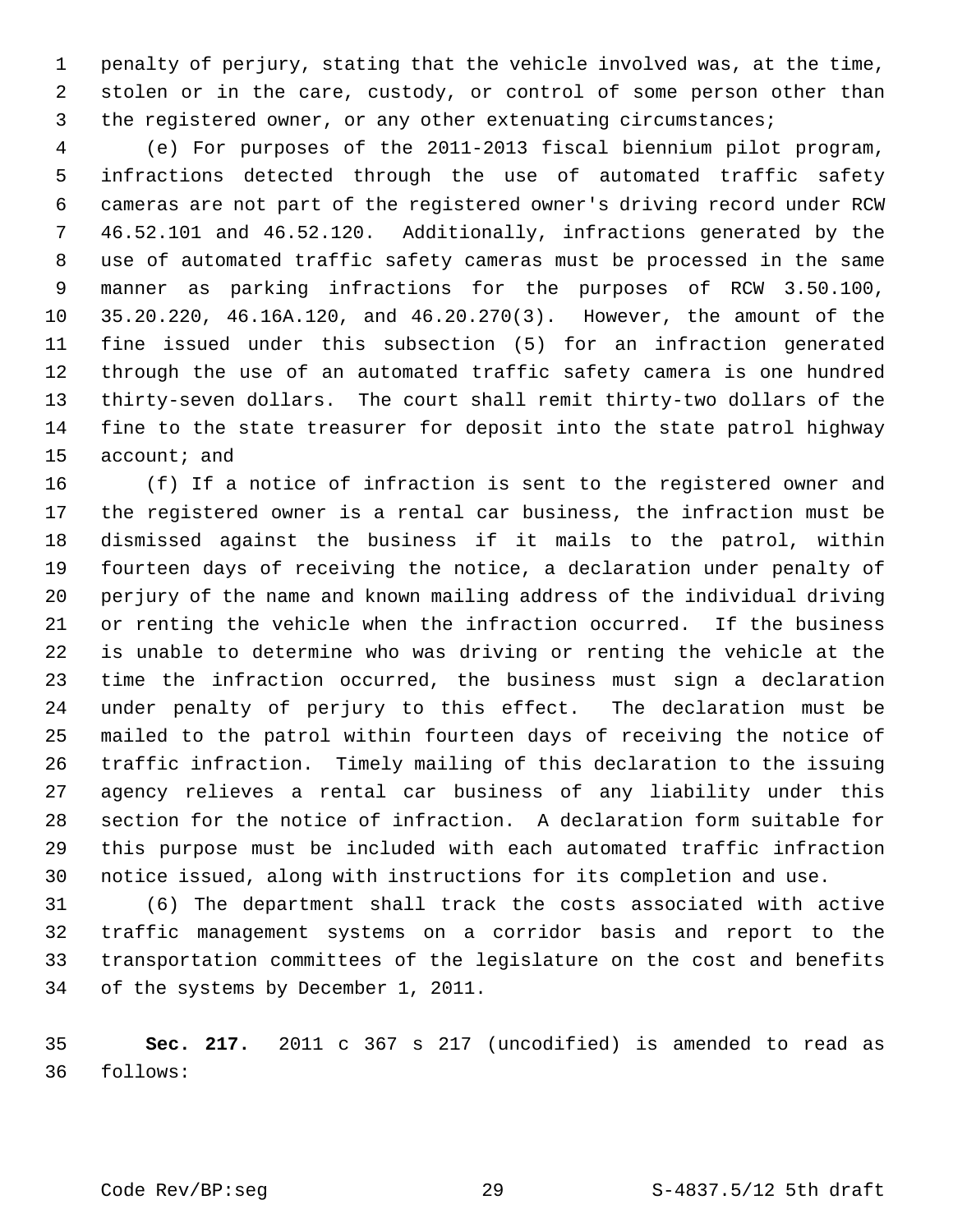1 penalty of perjury, stating that the vehicle involved was, at the time, 2 stolen or in the care, custody, or control of some person other than 3 the registered owner, or any other extenuating circumstances;

 4 (e) For purposes of the 2011-2013 fiscal biennium pilot program, 5 infractions detected through the use of automated traffic safety 6 cameras are not part of the registered owner's driving record under RCW 7 46.52.101 and 46.52.120. Additionally, infractions generated by the 8 use of automated traffic safety cameras must be processed in the same 9 manner as parking infractions for the purposes of RCW 3.50.100, 10 35.20.220, 46.16A.120, and 46.20.270(3). However, the amount of the 11 fine issued under this subsection (5) for an infraction generated 12 through the use of an automated traffic safety camera is one hundred 13 thirty-seven dollars. The court shall remit thirty-two dollars of the 14 fine to the state treasurer for deposit into the state patrol highway 15 account; and

16 (f) If a notice of infraction is sent to the registered owner and 17 the registered owner is a rental car business, the infraction must be 18 dismissed against the business if it mails to the patrol, within 19 fourteen days of receiving the notice, a declaration under penalty of 20 perjury of the name and known mailing address of the individual driving 21 or renting the vehicle when the infraction occurred. If the business 22 is unable to determine who was driving or renting the vehicle at the 23 time the infraction occurred, the business must sign a declaration 24 under penalty of perjury to this effect. The declaration must be 25 mailed to the patrol within fourteen days of receiving the notice of 26 traffic infraction. Timely mailing of this declaration to the issuing 27 agency relieves a rental car business of any liability under this 28 section for the notice of infraction. A declaration form suitable for 29 this purpose must be included with each automated traffic infraction 30 notice issued, along with instructions for its completion and use.

31 (6) The department shall track the costs associated with active 32 traffic management systems on a corridor basis and report to the 33 transportation committees of the legislature on the cost and benefits 34 of the systems by December 1, 2011.

35 **Sec. 217.** 2011 c 367 s 217 (uncodified) is amended to read as 36 follows: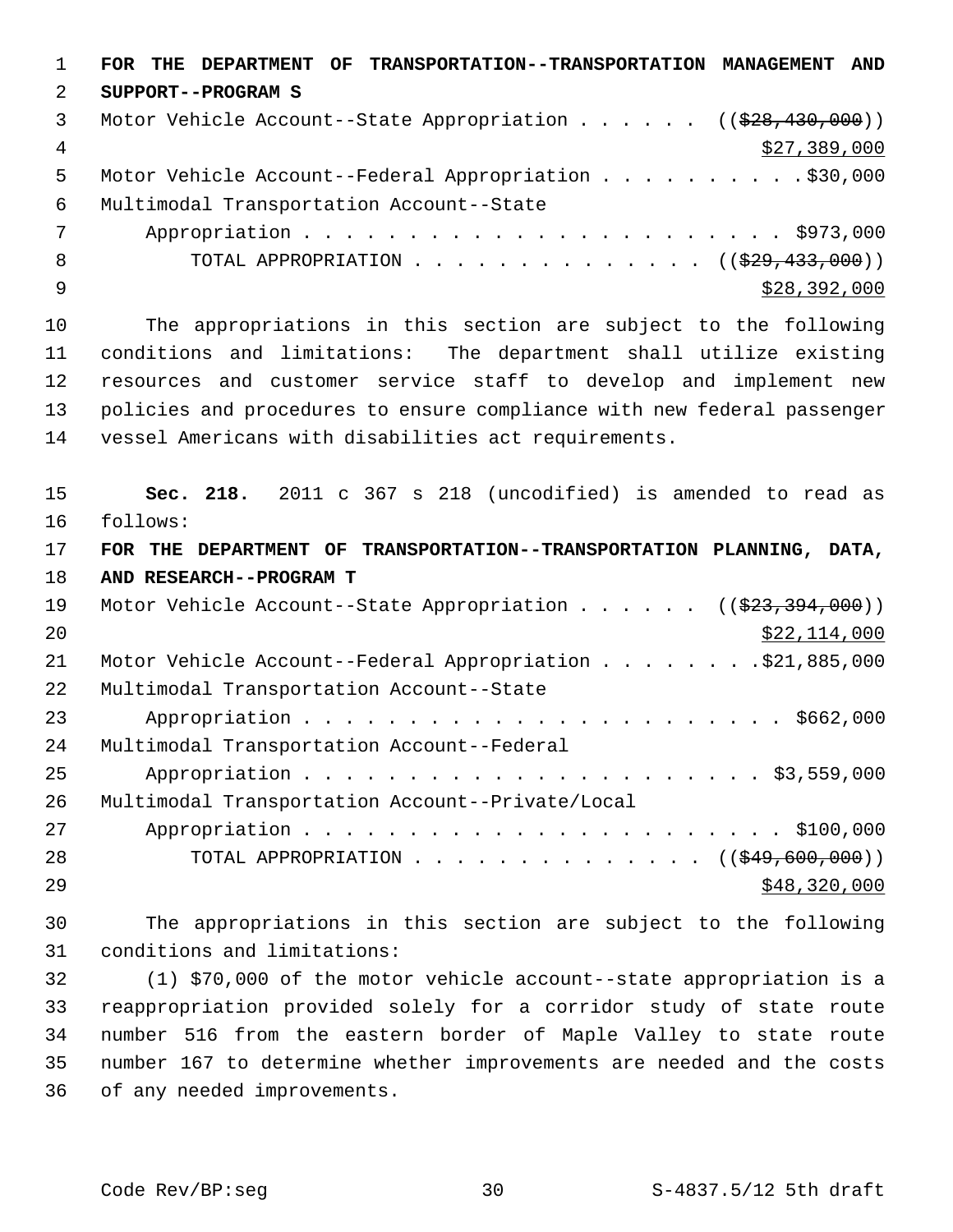1 **FOR THE DEPARTMENT OF TRANSPORTATION--TRANSPORTATION MANAGEMENT AND** 2 **SUPPORT--PROGRAM S** 3 Motor Vehicle Account--State Appropriation . . . . . ((\$28,430,000)) 4  $\frac{1}{27}$ , 389, 000 5 Motor Vehicle Account--Federal Appropriation . . . . . . . . . . \$30,000 6 Multimodal Transportation Account--State 7 Appropriation . . . . . . . . . . . . . . . . . . . . . . . \$973,000 8 TOTAL APPROPRIATION . . . . . . . . . . . . . ((<del>\$29,433,000</del>))  $\frac{$28,392,000}{ }$ 10 The appropriations in this section are subject to the following 11 conditions and limitations: The department shall utilize existing 12 resources and customer service staff to develop and implement new 13 policies and procedures to ensure compliance with new federal passenger 14 vessel Americans with disabilities act requirements. 15 **Sec. 218.** 2011 c 367 s 218 (uncodified) is amended to read as 16 follows: 17 **FOR THE DEPARTMENT OF TRANSPORTATION--TRANSPORTATION PLANNING, DATA,** 18 **AND RESEARCH--PROGRAM T** 19 Motor Vehicle Account--State Appropriation . . . . . ((\$23,394,000)) 20 \$22,114,000 21 Motor Vehicle Account--Federal Appropriation . . . . . . . . \$21,885,000 22 Multimodal Transportation Account--State 23 Appropriation . . . . . . . . . . . . . . . . . . . . . . . \$662,000 24 Multimodal Transportation Account--Federal 25 Appropriation . . . . . . . . . . . . . . . . . . . . . . \$3,559,000 26 Multimodal Transportation Account--Private/Local 27 Appropriation . . . . . . . . . . . . . . . . . . . . . . . \$100,000 28 TOTAL APPROPRIATION . . . . . . . . . . . . . ((<del>\$49,600,000</del>)) 29 \$48,320,000 \$48,320,000 \$48,320,000 \$48,320,000 \$48,320,000 \$48,320,000 \$48,1  $\sim$ 30 The appropriations in this section are subject to the following 31 conditions and limitations: 32 (1) \$70,000 of the motor vehicle account--state appropriation is a 33 reappropriation provided solely for a corridor study of state route 34 number 516 from the eastern border of Maple Valley to state route

35 number 167 to determine whether improvements are needed and the costs 36 of any needed improvements.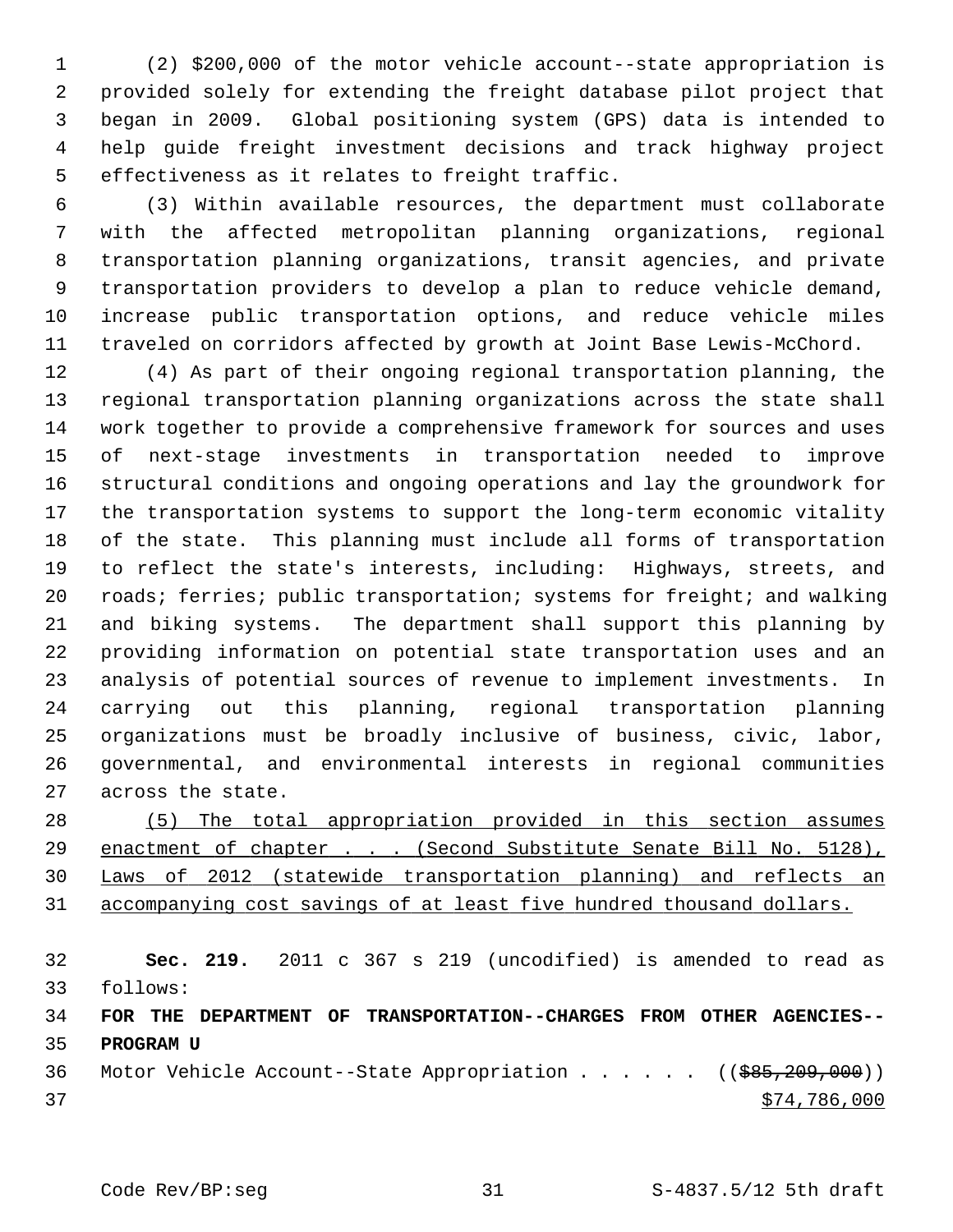1 (2) \$200,000 of the motor vehicle account--state appropriation is 2 provided solely for extending the freight database pilot project that 3 began in 2009. Global positioning system (GPS) data is intended to 4 help guide freight investment decisions and track highway project 5 effectiveness as it relates to freight traffic.

 6 (3) Within available resources, the department must collaborate 7 with the affected metropolitan planning organizations, regional 8 transportation planning organizations, transit agencies, and private 9 transportation providers to develop a plan to reduce vehicle demand, 10 increase public transportation options, and reduce vehicle miles 11 traveled on corridors affected by growth at Joint Base Lewis-McChord.

12 (4) As part of their ongoing regional transportation planning, the 13 regional transportation planning organizations across the state shall 14 work together to provide a comprehensive framework for sources and uses 15 of next-stage investments in transportation needed to improve 16 structural conditions and ongoing operations and lay the groundwork for 17 the transportation systems to support the long-term economic vitality 18 of the state. This planning must include all forms of transportation 19 to reflect the state's interests, including: Highways, streets, and 20 roads; ferries; public transportation; systems for freight; and walking 21 and biking systems. The department shall support this planning by 22 providing information on potential state transportation uses and an 23 analysis of potential sources of revenue to implement investments. In 24 carrying out this planning, regional transportation planning 25 organizations must be broadly inclusive of business, civic, labor, 26 governmental, and environmental interests in regional communities 27 across the state.

 (5) The total appropriation provided in this section assumes enactment of chapter . . . (Second Substitute Senate Bill No. 5128), Laws of 2012 (statewide transportation planning) and reflects an accompanying cost savings of at least five hundred thousand dollars.

 **Sec. 219.** 2011 c 367 s 219 (uncodified) is amended to read as 33 follows: **FOR THE DEPARTMENT OF TRANSPORTATION--CHARGES FROM OTHER AGENCIES-- PROGRAM U**

36 Motor Vehicle Account--State Appropriation . . . . . ((\$85,209,000)) 37 \$74,786,000

Code Rev/BP:seg 31 S-4837.5/12 5th draft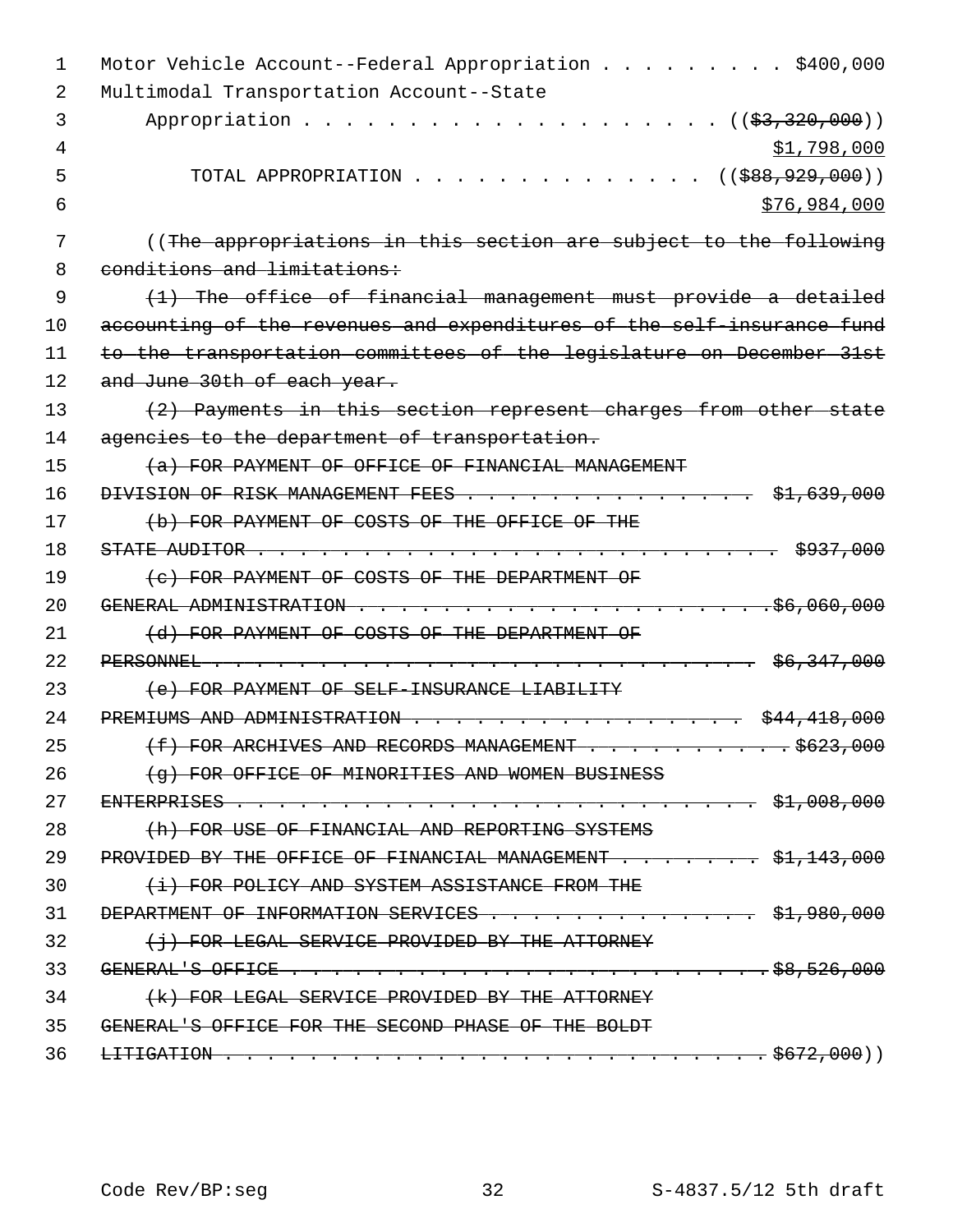| $\mathbf{1}$ | Motor Vehicle Account--Federal Appropriation \$400,000                                                                                                                                                                                                                                                                                |
|--------------|---------------------------------------------------------------------------------------------------------------------------------------------------------------------------------------------------------------------------------------------------------------------------------------------------------------------------------------|
| 2            | Multimodal Transportation Account--State                                                                                                                                                                                                                                                                                              |
| 3            | Appropriation<br>(( <del>\$3,320,000</del> ))                                                                                                                                                                                                                                                                                         |
| 4            | \$1,798,000                                                                                                                                                                                                                                                                                                                           |
| 5            | $($ (\$88,929,000))<br>TOTAL APPROPRIATION                                                                                                                                                                                                                                                                                            |
| 6            | \$76,984,000                                                                                                                                                                                                                                                                                                                          |
| 7            | ((The appropriations in this section are subject to the following                                                                                                                                                                                                                                                                     |
| 8            | conditions and limitations:                                                                                                                                                                                                                                                                                                           |
| 9            | $(1)$ The office of financial management must provide a detailed                                                                                                                                                                                                                                                                      |
| 10           | accounting of the revenues and expenditures of the self-insurance fund                                                                                                                                                                                                                                                                |
| 11           | to the transportation committees of the legislature on December 31st                                                                                                                                                                                                                                                                  |
| 12           | and June 30th of each year.                                                                                                                                                                                                                                                                                                           |
| 13           | (2) Payments in this section represent charges from other state                                                                                                                                                                                                                                                                       |
| 14           | agencies to the department of transportation.                                                                                                                                                                                                                                                                                         |
| 15           | (a) FOR PAYMENT OF OFFICE OF FINANCIAL MANAGEMENT                                                                                                                                                                                                                                                                                     |
| 16           | DIVISION OF RISK MANAGEMENT FEES \$1,639,000                                                                                                                                                                                                                                                                                          |
| 17           | (b) FOR PAYMENT OF COSTS OF THE OFFICE OF THE                                                                                                                                                                                                                                                                                         |
| 18           | STATE AUDITOR $\cdots$ $\cdots$ $\cdots$ $\cdots$ $\cdots$ $\cdots$ $\cdots$ $\cdots$ $\cdots$ $\cdots$ $\cdots$ $\cdots$ $\cdots$ $\cdots$ $\cdots$ $\cdots$ $\cdots$ $\cdots$ $\cdots$ $\cdots$ $\cdots$ $\cdots$ $\cdots$ $\cdots$ $\cdots$ $\cdots$ $\cdots$ $\cdots$ $\cdots$ $\cdots$ $\cdots$ $\cdots$ $\cdots$ $\cdots$ $\cd$ |
| 19           | (c) FOR PAYMENT OF COSTS OF THE DEPARTMENT OF                                                                                                                                                                                                                                                                                         |
| 20           |                                                                                                                                                                                                                                                                                                                                       |
| 21           | (d) FOR PAYMENT OF COSTS OF THE DEPARTMENT OF                                                                                                                                                                                                                                                                                         |
| 22           |                                                                                                                                                                                                                                                                                                                                       |
| 23           | (e) FOR PAYMENT OF SELF-INSURANCE LIABILITY                                                                                                                                                                                                                                                                                           |
| 24           | PREMIUMS AND ADMINISTRATION<br>\$44,418,000                                                                                                                                                                                                                                                                                           |
| 25           | $\frac{1}{1000}$ $\frac{1}{1000}$ $\frac{1}{1000}$ $\frac{1}{1000}$ $\frac{1}{1000}$<br>(f) FOR ARCHIVES AND RECORDS MANAGEMENT.                                                                                                                                                                                                      |
| 26           | (a) FOR OFFICE OF MINORITIES AND WOMEN BUSINESS                                                                                                                                                                                                                                                                                       |
| 27           |                                                                                                                                                                                                                                                                                                                                       |
| 28           | (h) FOR USE OF FINANCIAL AND REPORTING SYSTEMS                                                                                                                                                                                                                                                                                        |
| 29           | PROVIDED BY THE OFFICE OF FINANCIAL MANAGEMENT \$1,143,000                                                                                                                                                                                                                                                                            |
| 30           | (i) FOR POLICY AND SYSTEM ASSISTANCE FROM THE                                                                                                                                                                                                                                                                                         |
| 31           | DEPARTMENT OF INFORMATION SERVICES \$1,980,000                                                                                                                                                                                                                                                                                        |
| 32           | $\{\dagger\}$ FOR LEGAL SERVICE PROVIDED BY THE ATTORNEY                                                                                                                                                                                                                                                                              |
| 33           |                                                                                                                                                                                                                                                                                                                                       |
| 34           | (k) FOR LEGAL SERVICE PROVIDED BY THE ATTORNEY                                                                                                                                                                                                                                                                                        |
| 35           | GENERALLS OFFICE FOR THE SECOND PHASE OF THE BOLDT                                                                                                                                                                                                                                                                                    |
| 36           |                                                                                                                                                                                                                                                                                                                                       |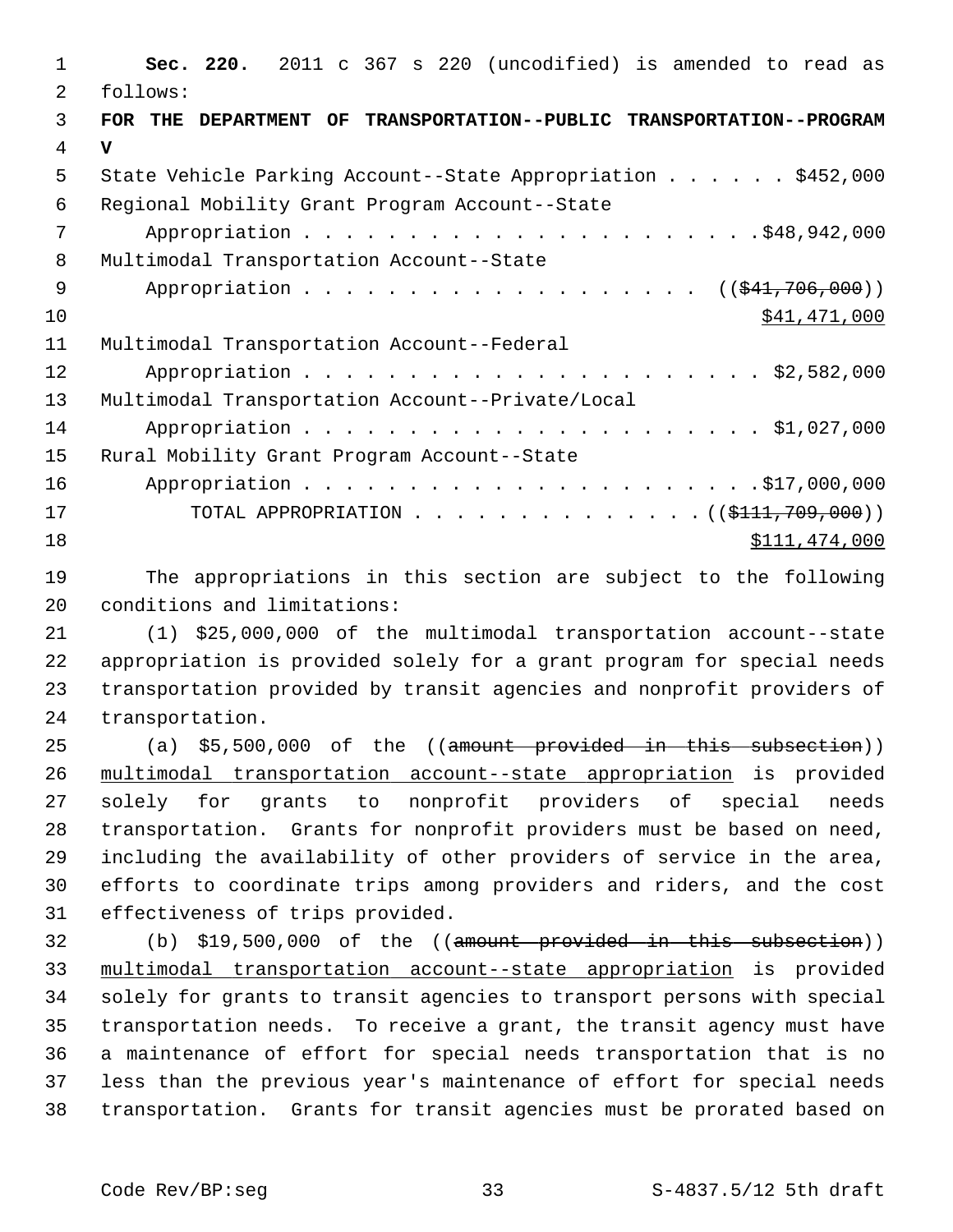| 1  | Sec. 220. 2011 c 367 s 220 (uncodified) is amended to read as        |
|----|----------------------------------------------------------------------|
| 2  | follows:                                                             |
| 3  | FOR THE DEPARTMENT OF TRANSPORTATION--PUBLIC TRANSPORTATION--PROGRAM |
| 4  | $\mathbf v$                                                          |
| 5  | State Vehicle Parking Account--State Appropriation \$452,000         |
| 6  | Regional Mobility Grant Program Account--State                       |
| 7  |                                                                      |
| 8  | Multimodal Transportation Account--State                             |
| 9  | Appropriation ((\$41,706,000))                                       |
| 10 | \$41,471,000                                                         |
| 11 | Multimodal Transportation Account--Federal                           |
| 12 |                                                                      |
| 13 | Multimodal Transportation Account--Private/Local                     |
| 14 |                                                                      |
| 15 | Rural Mobility Grant Program Account--State                          |
| 16 |                                                                      |
| 17 | TOTAL APPROPRIATION ( $(\frac{111}{709}, 000)$ )                     |
| 18 | \$111,474,000                                                        |

19 The appropriations in this section are subject to the following 20 conditions and limitations:

21 (1) \$25,000,000 of the multimodal transportation account--state 22 appropriation is provided solely for a grant program for special needs 23 transportation provided by transit agencies and nonprofit providers of 24 transportation.

25 (a) \$5,500,000 of the ((amount provided in this subsection)) 26 multimodal transportation account--state appropriation is provided 27 solely for grants to nonprofit providers of special needs 28 transportation. Grants for nonprofit providers must be based on need, 29 including the availability of other providers of service in the area, 30 efforts to coordinate trips among providers and riders, and the cost 31 effectiveness of trips provided.

32 (b) \$19,500,000 of the ((amount provided in this subsection)) 33 multimodal transportation account--state appropriation is provided 34 solely for grants to transit agencies to transport persons with special 35 transportation needs. To receive a grant, the transit agency must have 36 a maintenance of effort for special needs transportation that is no 37 less than the previous year's maintenance of effort for special needs 38 transportation. Grants for transit agencies must be prorated based on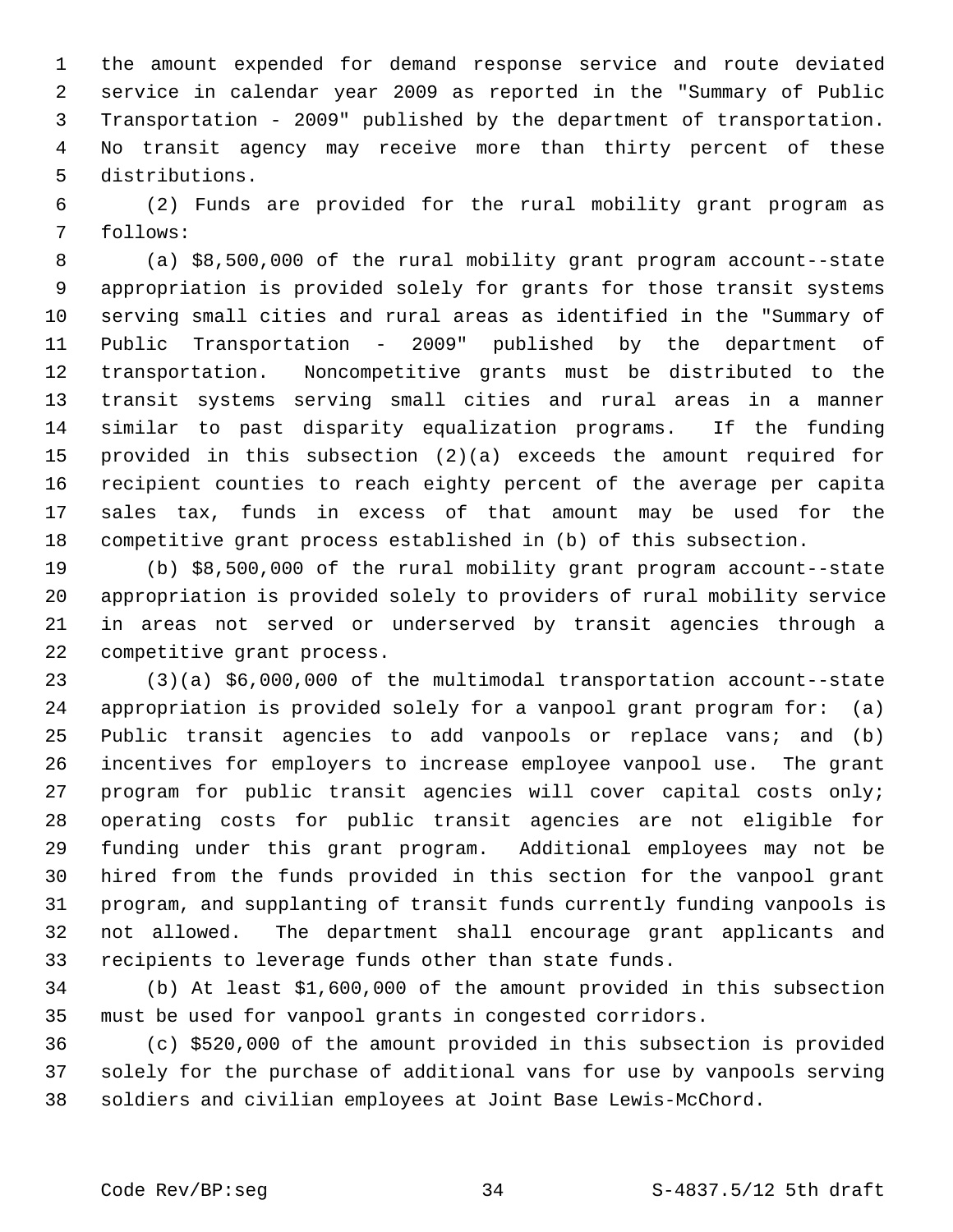1 the amount expended for demand response service and route deviated 2 service in calendar year 2009 as reported in the "Summary of Public 3 Transportation - 2009" published by the department of transportation. 4 No transit agency may receive more than thirty percent of these 5 distributions.

 6 (2) Funds are provided for the rural mobility grant program as 7 follows:

 8 (a) \$8,500,000 of the rural mobility grant program account--state 9 appropriation is provided solely for grants for those transit systems 10 serving small cities and rural areas as identified in the "Summary of 11 Public Transportation - 2009" published by the department of 12 transportation. Noncompetitive grants must be distributed to the 13 transit systems serving small cities and rural areas in a manner 14 similar to past disparity equalization programs. If the funding 15 provided in this subsection (2)(a) exceeds the amount required for 16 recipient counties to reach eighty percent of the average per capita 17 sales tax, funds in excess of that amount may be used for the 18 competitive grant process established in (b) of this subsection.

19 (b) \$8,500,000 of the rural mobility grant program account--state 20 appropriation is provided solely to providers of rural mobility service 21 in areas not served or underserved by transit agencies through a 22 competitive grant process.

23 (3)(a) \$6,000,000 of the multimodal transportation account--state 24 appropriation is provided solely for a vanpool grant program for: (a) 25 Public transit agencies to add vanpools or replace vans; and (b) 26 incentives for employers to increase employee vanpool use. The grant 27 program for public transit agencies will cover capital costs only; 28 operating costs for public transit agencies are not eligible for 29 funding under this grant program. Additional employees may not be 30 hired from the funds provided in this section for the vanpool grant 31 program, and supplanting of transit funds currently funding vanpools is 32 not allowed. The department shall encourage grant applicants and 33 recipients to leverage funds other than state funds.

34 (b) At least \$1,600,000 of the amount provided in this subsection 35 must be used for vanpool grants in congested corridors.

36 (c) \$520,000 of the amount provided in this subsection is provided 37 solely for the purchase of additional vans for use by vanpools serving 38 soldiers and civilian employees at Joint Base Lewis-McChord.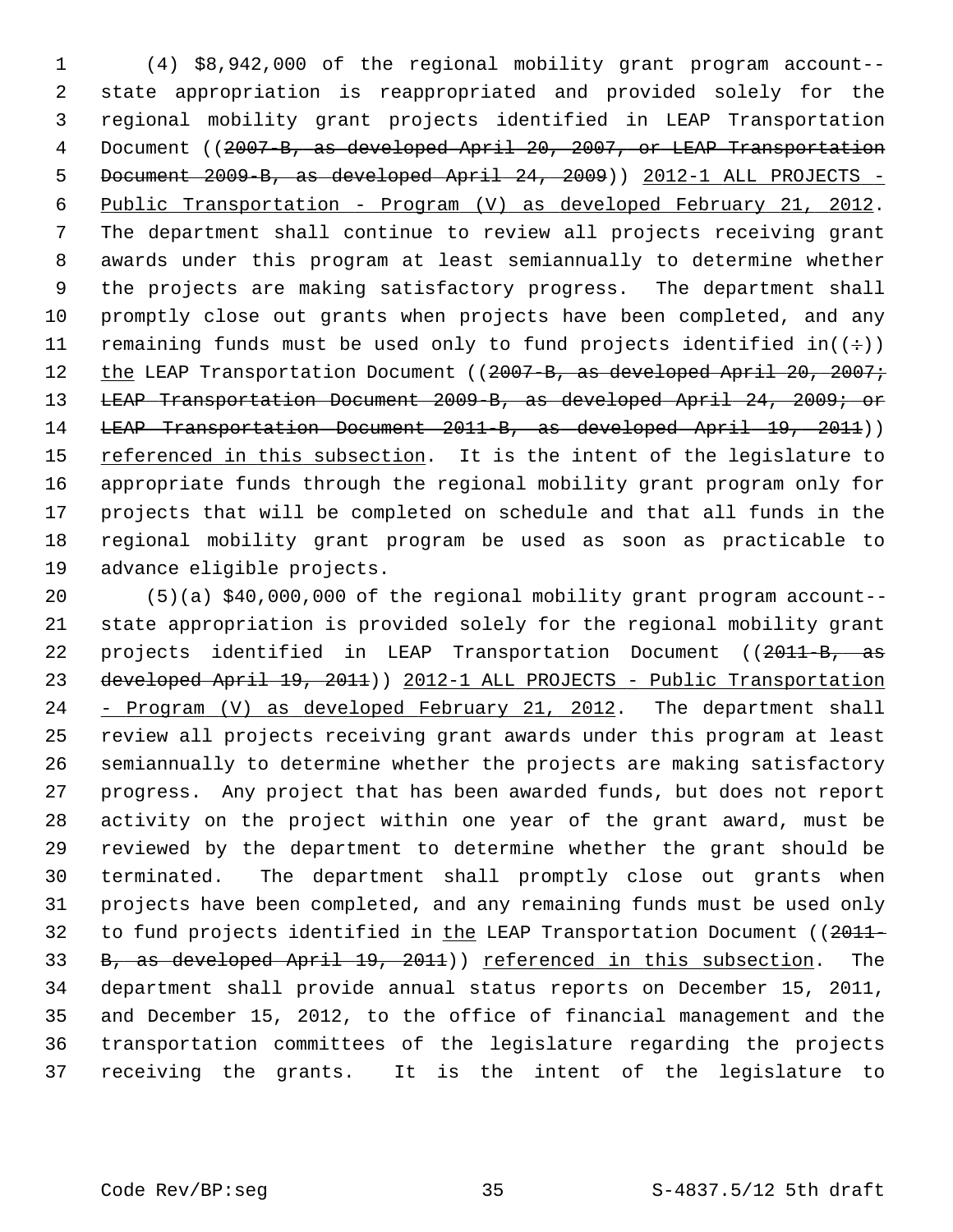1 (4) \$8,942,000 of the regional mobility grant program account-- 2 state appropriation is reappropriated and provided solely for the 3 regional mobility grant projects identified in LEAP Transportation 4 Document ((2007-B, as developed April 20, 2007, or LEAP Transportation 5 Document 2009-B, as developed April 24, 2009)) 2012-1 ALL PROJECTS - 6 Public Transportation - Program (V) as developed February 21, 2012. 7 The department shall continue to review all projects receiving grant 8 awards under this program at least semiannually to determine whether 9 the projects are making satisfactory progress. The department shall 10 promptly close out grants when projects have been completed, and any 11 remaining funds must be used only to fund projects identified in( $(\div)$ ) 12 the LEAP Transportation Document ((2007-B, as developed April 20, 2007; 13 LEAP Transportation Document 2009-B, as developed April 24, 2009; or 14 LEAP Transportation Document 2011-B, as developed April 19, 2011)) 15 referenced in this subsection. It is the intent of the legislature to 16 appropriate funds through the regional mobility grant program only for 17 projects that will be completed on schedule and that all funds in the 18 regional mobility grant program be used as soon as practicable to 19 advance eligible projects.

20 (5)(a) \$40,000,000 of the regional mobility grant program account-- 21 state appropriation is provided solely for the regional mobility grant 22 projects identified in LEAP Transportation Document ((2011-B, as 23 developed April 19, 2011)) 2012-1 ALL PROJECTS - Public Transportation 24 - Program (V) as developed February 21, 2012. The department shall 25 review all projects receiving grant awards under this program at least 26 semiannually to determine whether the projects are making satisfactory 27 progress. Any project that has been awarded funds, but does not report 28 activity on the project within one year of the grant award, must be 29 reviewed by the department to determine whether the grant should be 30 terminated. The department shall promptly close out grants when 31 projects have been completed, and any remaining funds must be used only 32 to fund projects identified in the LEAP Transportation Document ((2011-33 B, as developed April 19, 2011)) referenced in this subsection. The 34 department shall provide annual status reports on December 15, 2011, 35 and December 15, 2012, to the office of financial management and the 36 transportation committees of the legislature regarding the projects 37 receiving the grants. It is the intent of the legislature to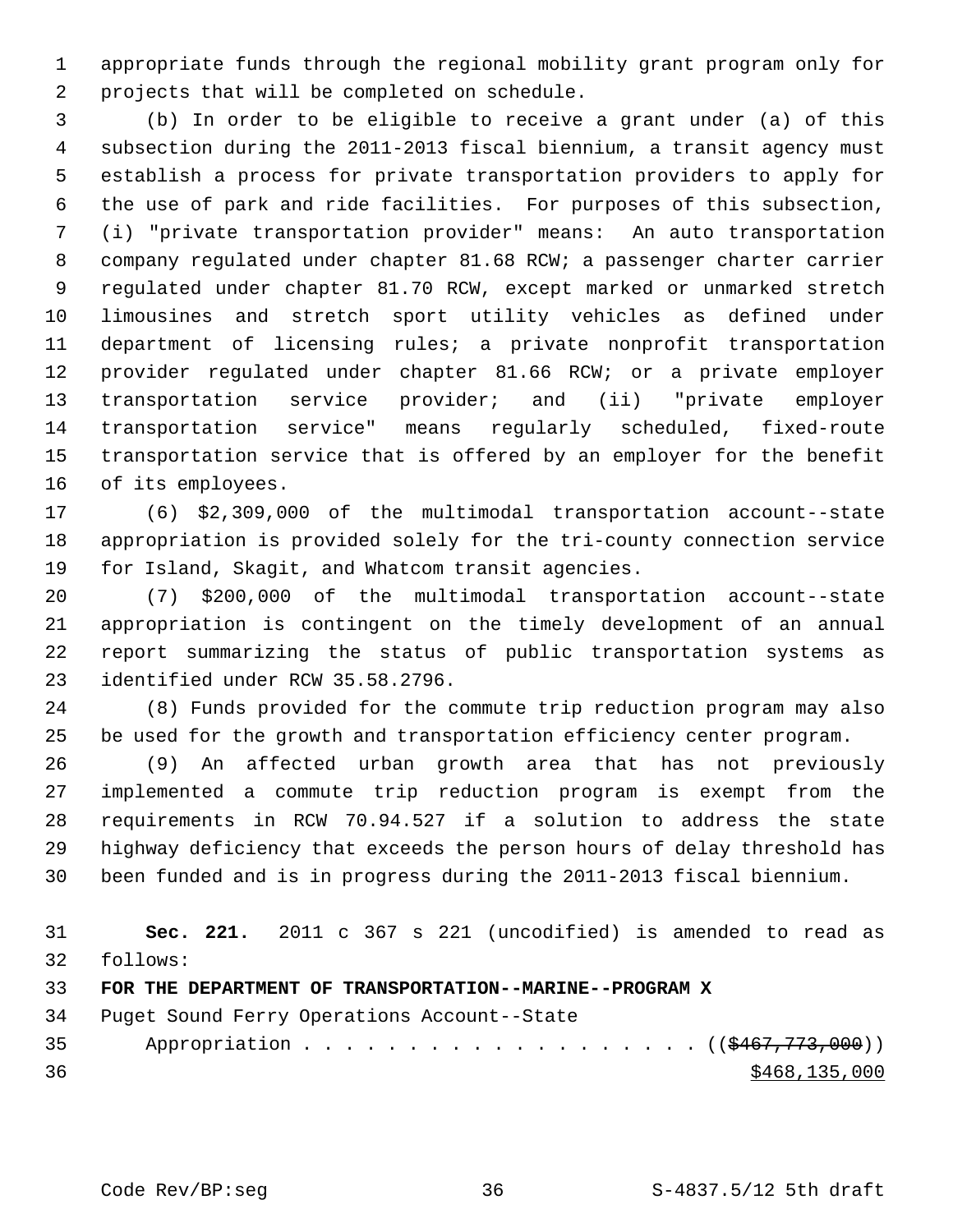1 appropriate funds through the regional mobility grant program only for 2 projects that will be completed on schedule.

 3 (b) In order to be eligible to receive a grant under (a) of this 4 subsection during the 2011-2013 fiscal biennium, a transit agency must 5 establish a process for private transportation providers to apply for 6 the use of park and ride facilities. For purposes of this subsection, 7 (i) "private transportation provider" means: An auto transportation 8 company regulated under chapter 81.68 RCW; a passenger charter carrier 9 regulated under chapter 81.70 RCW, except marked or unmarked stretch 10 limousines and stretch sport utility vehicles as defined under 11 department of licensing rules; a private nonprofit transportation 12 provider regulated under chapter 81.66 RCW; or a private employer 13 transportation service provider; and (ii) "private employer 14 transportation service" means regularly scheduled, fixed-route 15 transportation service that is offered by an employer for the benefit 16 of its employees.

17 (6) \$2,309,000 of the multimodal transportation account--state 18 appropriation is provided solely for the tri-county connection service 19 for Island, Skagit, and Whatcom transit agencies.

20 (7) \$200,000 of the multimodal transportation account--state 21 appropriation is contingent on the timely development of an annual 22 report summarizing the status of public transportation systems as 23 identified under RCW 35.58.2796.

24 (8) Funds provided for the commute trip reduction program may also 25 be used for the growth and transportation efficiency center program.

26 (9) An affected urban growth area that has not previously 27 implemented a commute trip reduction program is exempt from the 28 requirements in RCW 70.94.527 if a solution to address the state 29 highway deficiency that exceeds the person hours of delay threshold has 30 been funded and is in progress during the 2011-2013 fiscal biennium.

| 31 |          |  |  |  | <b>Sec. 221.</b> 2011 c 367 s 221 (uncodified) is amended to read as |  |                 |  |
|----|----------|--|--|--|----------------------------------------------------------------------|--|-----------------|--|
| 32 | follows: |  |  |  |                                                                      |  |                 |  |
| 33 |          |  |  |  | FOR THE DEPARTMENT OF TRANSPORTATION--MARINE--PROGRAM X              |  |                 |  |
| 34 |          |  |  |  | Puget Sound Ferry Operations Account--State                          |  |                 |  |
| 35 |          |  |  |  | Appropriation $($ $($ $\frac{467}{773}, 000) )$                      |  |                 |  |
| 36 |          |  |  |  |                                                                      |  | \$468, 135, 000 |  |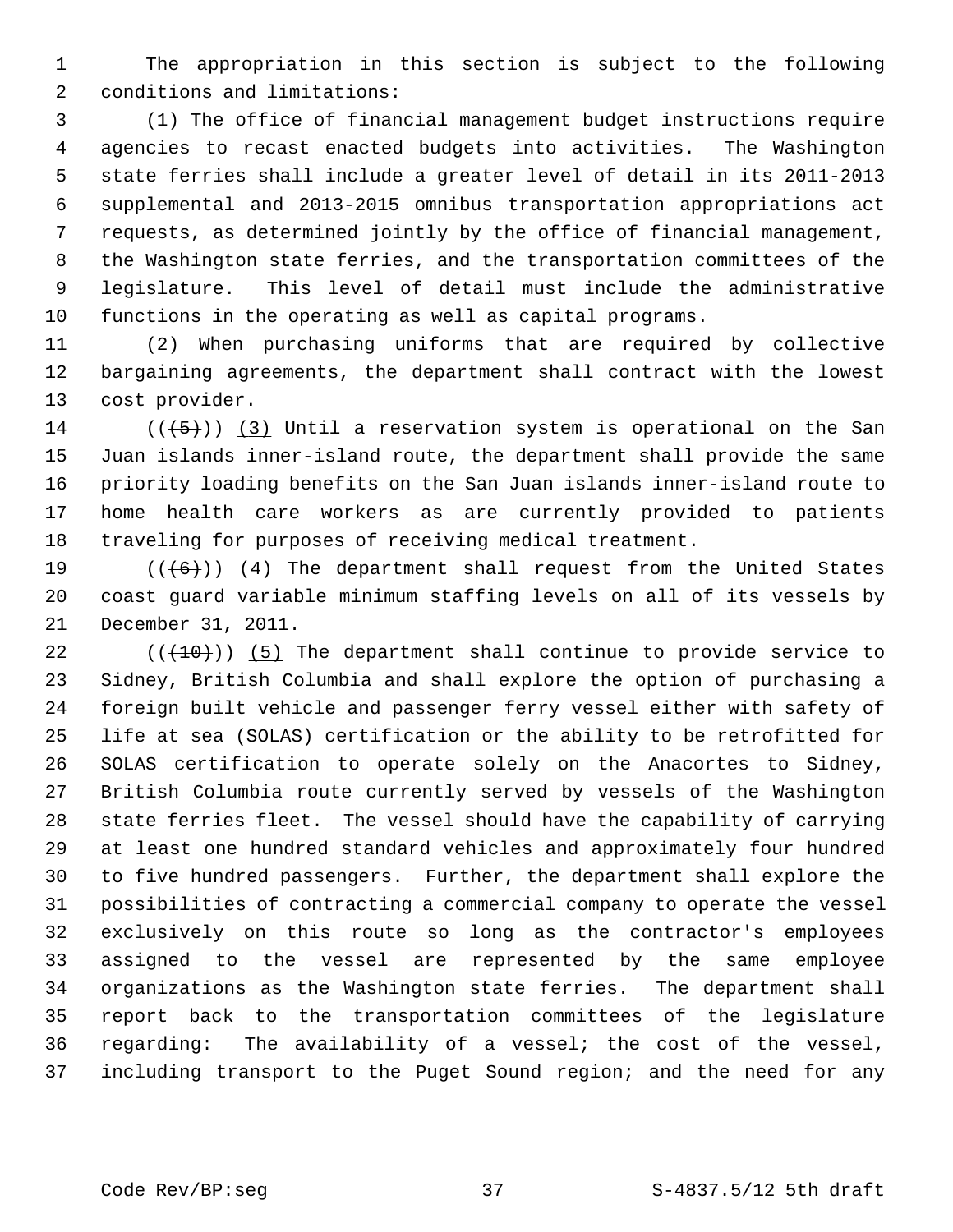1 The appropriation in this section is subject to the following 2 conditions and limitations:

 3 (1) The office of financial management budget instructions require 4 agencies to recast enacted budgets into activities. The Washington 5 state ferries shall include a greater level of detail in its 2011-2013 6 supplemental and 2013-2015 omnibus transportation appropriations act 7 requests, as determined jointly by the office of financial management, 8 the Washington state ferries, and the transportation committees of the 9 legislature. This level of detail must include the administrative 10 functions in the operating as well as capital programs.

11 (2) When purchasing uniforms that are required by collective 12 bargaining agreements, the department shall contract with the lowest 13 cost provider.

14 ( $(\overline{5})$ ) (3) Until a reservation system is operational on the San 15 Juan islands inner-island route, the department shall provide the same 16 priority loading benefits on the San Juan islands inner-island route to 17 home health care workers as are currently provided to patients 18 traveling for purposes of receiving medical treatment.

19  $((+6))$  (4) The department shall request from the United States 20 coast guard variable minimum staffing levels on all of its vessels by 21 December 31, 2011.

22  $((+10))$  (5) The department shall continue to provide service to 23 Sidney, British Columbia and shall explore the option of purchasing a 24 foreign built vehicle and passenger ferry vessel either with safety of 25 life at sea (SOLAS) certification or the ability to be retrofitted for 26 SOLAS certification to operate solely on the Anacortes to Sidney, 27 British Columbia route currently served by vessels of the Washington 28 state ferries fleet. The vessel should have the capability of carrying 29 at least one hundred standard vehicles and approximately four hundred 30 to five hundred passengers. Further, the department shall explore the 31 possibilities of contracting a commercial company to operate the vessel 32 exclusively on this route so long as the contractor's employees 33 assigned to the vessel are represented by the same employee 34 organizations as the Washington state ferries. The department shall 35 report back to the transportation committees of the legislature 36 regarding: The availability of a vessel; the cost of the vessel, 37 including transport to the Puget Sound region; and the need for any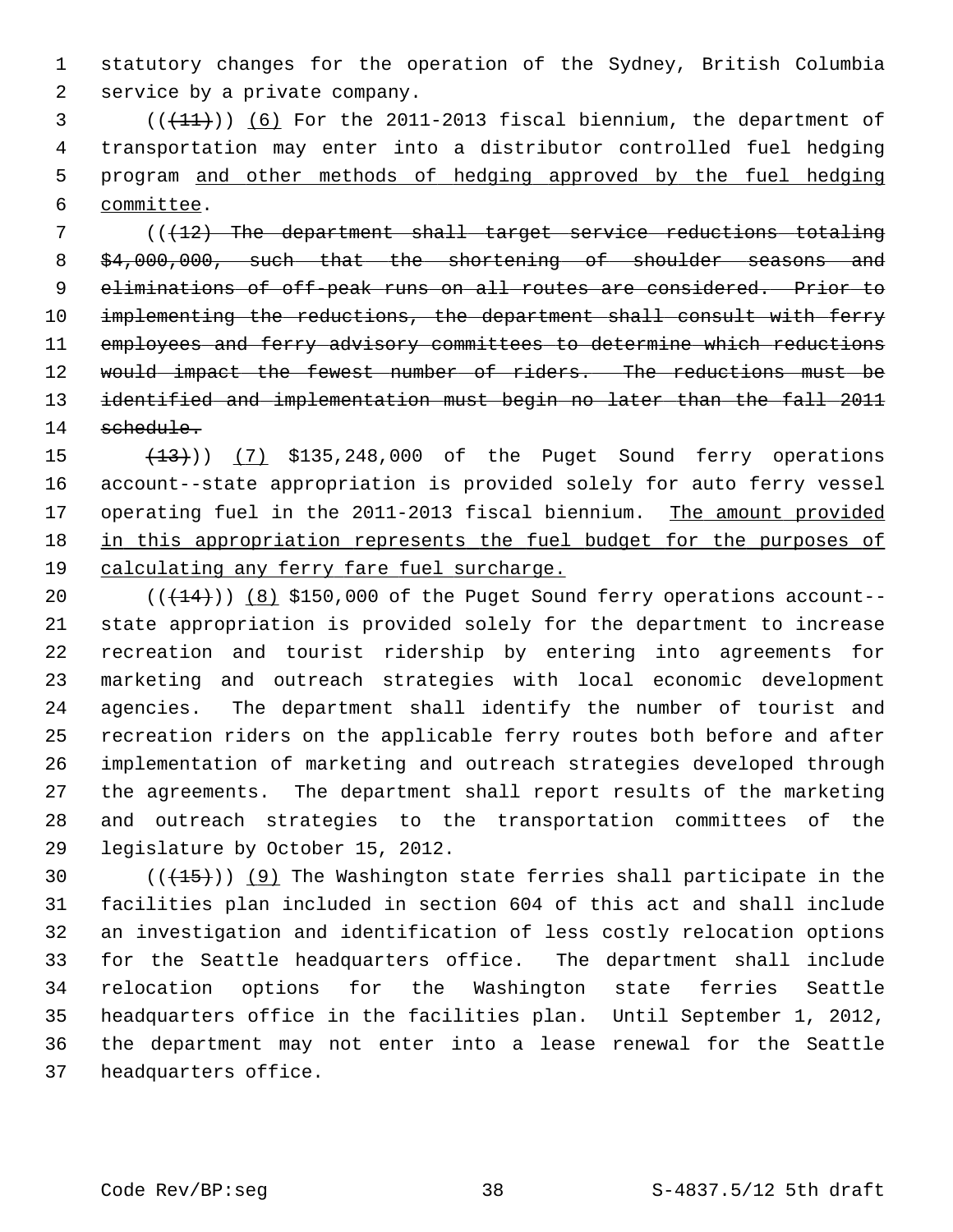1 statutory changes for the operation of the Sydney, British Columbia 2 service by a private company.

 $($   $($   $($   $($   $($   $($   $+$   $1$  $)$   $)$   $($   $6$   $)$  For the 2011-2013 fiscal biennium, the department of 4 transportation may enter into a distributor controlled fuel hedging 5 program and other methods of hedging approved by the fuel hedging 6 committee.

7 (( $(12)$ ) The department shall target service reductions totaling 8 \$4,000,000, such that the shortening of shoulder seasons and 9 eliminations of off-peak runs on all routes are considered. Prior to 10 implementing the reductions, the department shall consult with ferry 11 employees and ferry advisory committees to determine which reductions 12 would impact the fewest number of riders. The reductions must be 13 identified and implementation must begin no later than the fall 2011 14 schedule.

15 (13)) (7) \$135,248,000 of the Puget Sound ferry operations 16 account--state appropriation is provided solely for auto ferry vessel 17 operating fuel in the 2011-2013 fiscal biennium. The amount provided 18 in this appropriation represents the fuel budget for the purposes of 19 calculating any ferry fare fuel surcharge.

20  $((+14))$   $(8)$  \$150,000 of the Puget Sound ferry operations account--21 state appropriation is provided solely for the department to increase 22 recreation and tourist ridership by entering into agreements for 23 marketing and outreach strategies with local economic development 24 agencies. The department shall identify the number of tourist and 25 recreation riders on the applicable ferry routes both before and after 26 implementation of marketing and outreach strategies developed through 27 the agreements. The department shall report results of the marketing 28 and outreach strategies to the transportation committees of the 29 legislature by October 15, 2012.

30  $((+15))$  (9) The Washington state ferries shall participate in the 31 facilities plan included in section 604 of this act and shall include 32 an investigation and identification of less costly relocation options 33 for the Seattle headquarters office. The department shall include 34 relocation options for the Washington state ferries Seattle 35 headquarters office in the facilities plan. Until September 1, 2012, 36 the department may not enter into a lease renewal for the Seattle 37 headquarters office.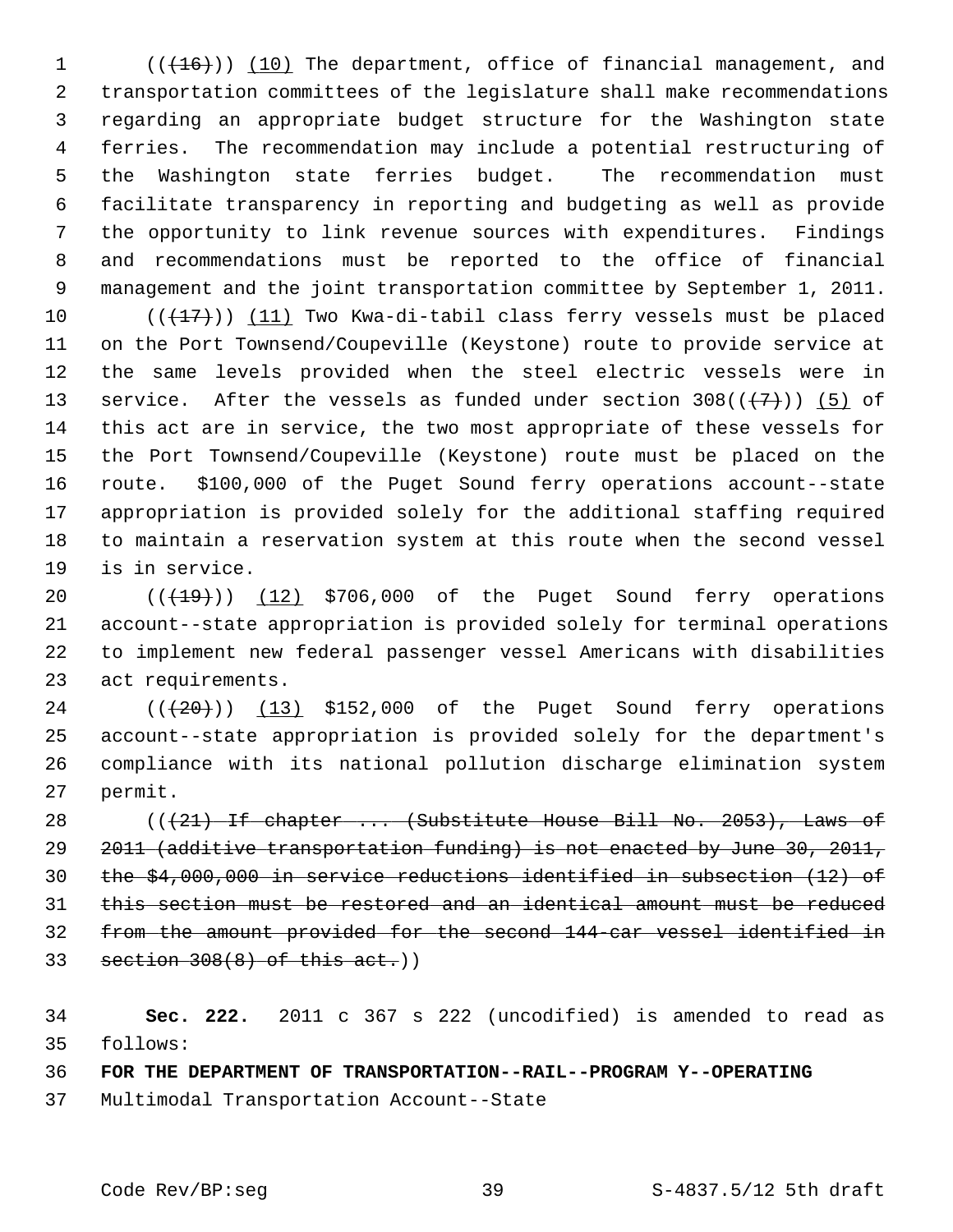1 (( $(16)$ )) (10) The department, office of financial management, and 2 transportation committees of the legislature shall make recommendations 3 regarding an appropriate budget structure for the Washington state 4 ferries. The recommendation may include a potential restructuring of 5 the Washington state ferries budget. The recommendation must 6 facilitate transparency in reporting and budgeting as well as provide 7 the opportunity to link revenue sources with expenditures. Findings 8 and recommendations must be reported to the office of financial 9 management and the joint transportation committee by September 1, 2011.

10  $((+17))$  (11) Two Kwa-di-tabil class ferry vessels must be placed 11 on the Port Townsend/Coupeville (Keystone) route to provide service at 12 the same levels provided when the steel electric vessels were in 13 service. After the vessels as funded under section  $308((+7))$  (5) of 14 this act are in service, the two most appropriate of these vessels for 15 the Port Townsend/Coupeville (Keystone) route must be placed on the 16 route. \$100,000 of the Puget Sound ferry operations account--state 17 appropriation is provided solely for the additional staffing required 18 to maintain a reservation system at this route when the second vessel 19 is in service.

20  $((+19))$   $(12)$  \$706,000 of the Puget Sound ferry operations 21 account--state appropriation is provided solely for terminal operations 22 to implement new federal passenger vessel Americans with disabilities 23 act requirements.

24  $((+20))$   $(13)$  \$152,000 of the Puget Sound ferry operations 25 account--state appropriation is provided solely for the department's 26 compliance with its national pollution discharge elimination system 27 permit.

28 ( $(\frac{21}{11} + \frac{1}{11})$  if chapter ... (Substitute House Bill No. 2053), Laws of 2011 (additive transportation funding) is not enacted by June 30, 2011, the \$4,000,000 in service reductions identified in subsection (12) of this section must be restored and an identical amount must be reduced from the amount provided for the second 144-car vessel identified in section 308(8) of this act.))

34 **Sec. 222.** 2011 c 367 s 222 (uncodified) is amended to read as 35 follows:

36 **FOR THE DEPARTMENT OF TRANSPORTATION--RAIL--PROGRAM Y--OPERATING**

37 Multimodal Transportation Account--State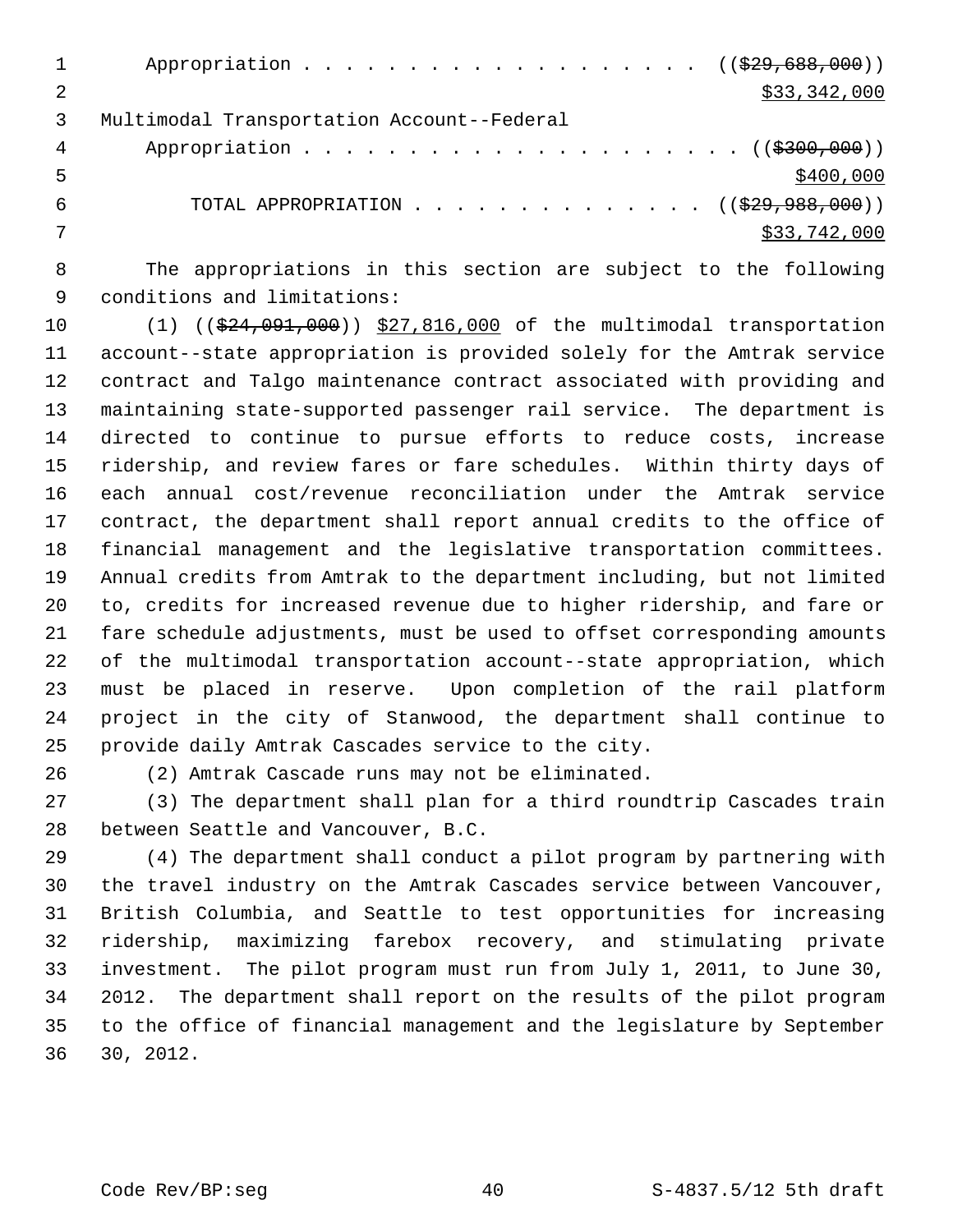|   | Appropriation ( $(\frac{29}{29}, \frac{688}{600})$ )      |
|---|-----------------------------------------------------------|
|   | \$33,342,000                                              |
|   | Multimodal Transportation Account--Federal                |
| 4 |                                                           |
| 5 | \$400,000                                                 |
| h | TOTAL APPROPRIATION ( $(\frac{29}{7})$ , $988$ , $000)$ ) |
|   | \$33,742,000                                              |
|   |                                                           |

 8 The appropriations in this section are subject to the following 9 conditions and limitations:

10 (1) ((\$24,091,000)) \$27,816,000 of the multimodal transportation 11 account--state appropriation is provided solely for the Amtrak service 12 contract and Talgo maintenance contract associated with providing and 13 maintaining state-supported passenger rail service. The department is 14 directed to continue to pursue efforts to reduce costs, increase 15 ridership, and review fares or fare schedules. Within thirty days of 16 each annual cost/revenue reconciliation under the Amtrak service 17 contract, the department shall report annual credits to the office of 18 financial management and the legislative transportation committees. 19 Annual credits from Amtrak to the department including, but not limited 20 to, credits for increased revenue due to higher ridership, and fare or 21 fare schedule adjustments, must be used to offset corresponding amounts 22 of the multimodal transportation account--state appropriation, which 23 must be placed in reserve. Upon completion of the rail platform 24 project in the city of Stanwood, the department shall continue to 25 provide daily Amtrak Cascades service to the city.

26 (2) Amtrak Cascade runs may not be eliminated.

27 (3) The department shall plan for a third roundtrip Cascades train 28 between Seattle and Vancouver, B.C.

29 (4) The department shall conduct a pilot program by partnering with 30 the travel industry on the Amtrak Cascades service between Vancouver, 31 British Columbia, and Seattle to test opportunities for increasing 32 ridership, maximizing farebox recovery, and stimulating private 33 investment. The pilot program must run from July 1, 2011, to June 30, 34 2012. The department shall report on the results of the pilot program 35 to the office of financial management and the legislature by September 36 30, 2012.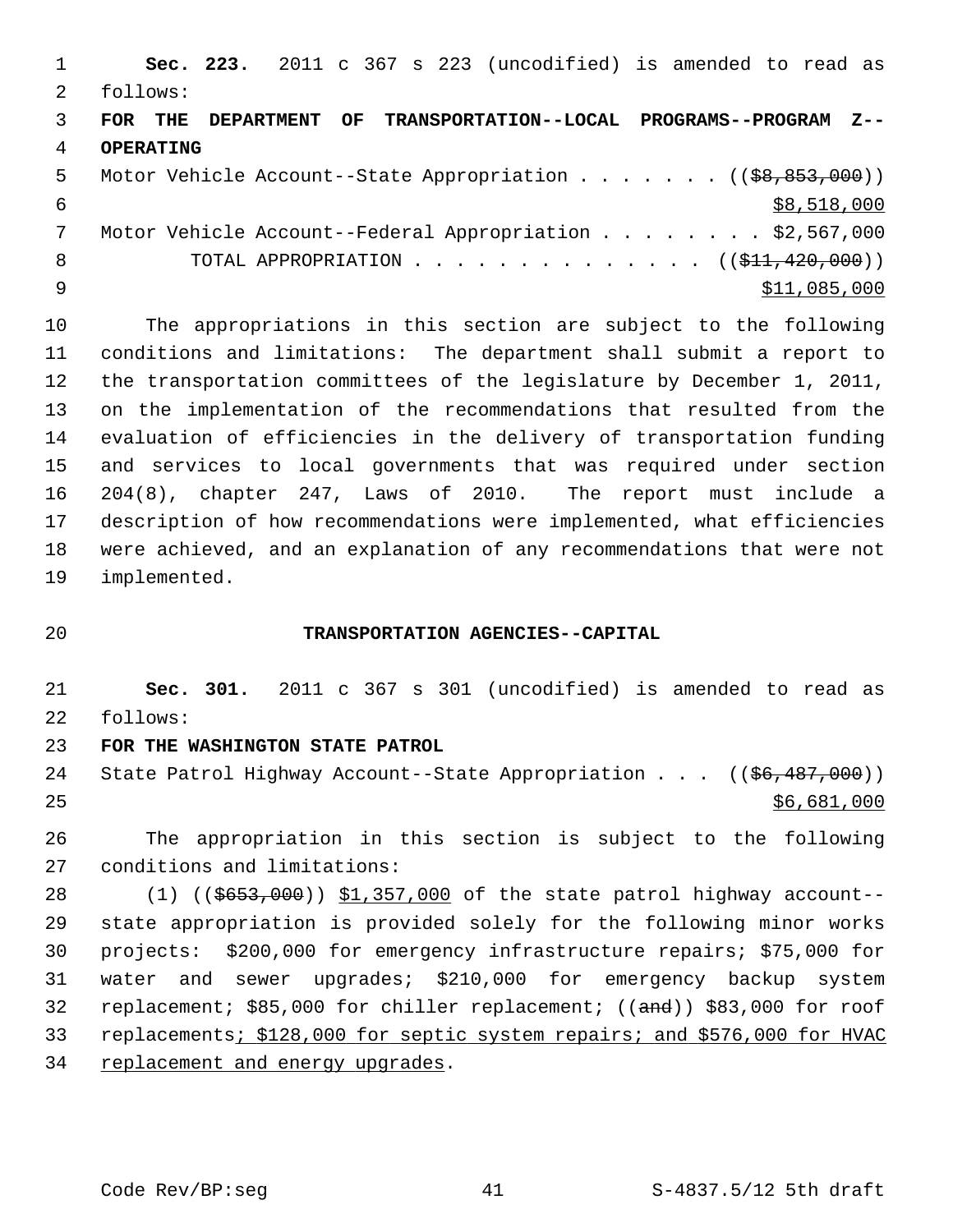1 **Sec. 223.** 2011 c 367 s 223 (uncodified) is amended to read as 2 follows: 3 **FOR THE DEPARTMENT OF TRANSPORTATION--LOCAL PROGRAMS--PROGRAM Z--** 4 **OPERATING** 5 Motor Vehicle Account--State Appropriation . . . . . . ((\$8,853,000))  $\frac{1}{58,518,000}$  7 Motor Vehicle Account--Federal Appropriation . . . . . . . . \$2,567,000 8 TOTAL APPROPRIATION . . . . . . . . . . . . . ((<del>\$11,420,000</del>))  $\frac{$11,085,000}{ }$ 

10 The appropriations in this section are subject to the following 11 conditions and limitations: The department shall submit a report to 12 the transportation committees of the legislature by December 1, 2011, 13 on the implementation of the recommendations that resulted from the 14 evaluation of efficiencies in the delivery of transportation funding 15 and services to local governments that was required under section 16 204(8), chapter 247, Laws of 2010. The report must include a 17 description of how recommendations were implemented, what efficiencies 18 were achieved, and an explanation of any recommendations that were not 19 implemented.

## 20 **TRANSPORTATION AGENCIES--CAPITAL**

21 **Sec. 301.** 2011 c 367 s 301 (uncodified) is amended to read as 22 follows:

## 23 **FOR THE WASHINGTON STATE PATROL**

24 State Patrol Highway Account--State Appropriation . . . ((\$6,487,000))  $25$  \$6,681,000

26 The appropriation in this section is subject to the following 27 conditions and limitations:

28 (1) ((\$653,000)) \$1,357,000 of the state patrol highway account--29 state appropriation is provided solely for the following minor works 30 projects: \$200,000 for emergency infrastructure repairs; \$75,000 for 31 water and sewer upgrades; \$210,000 for emergency backup system 32 replacement; \$85,000 for chiller replacement; ((and)) \$83,000 for roof 33 replacements; \$128,000 for septic system repairs; and \$576,000 for HVAC 34 replacement and energy upgrades.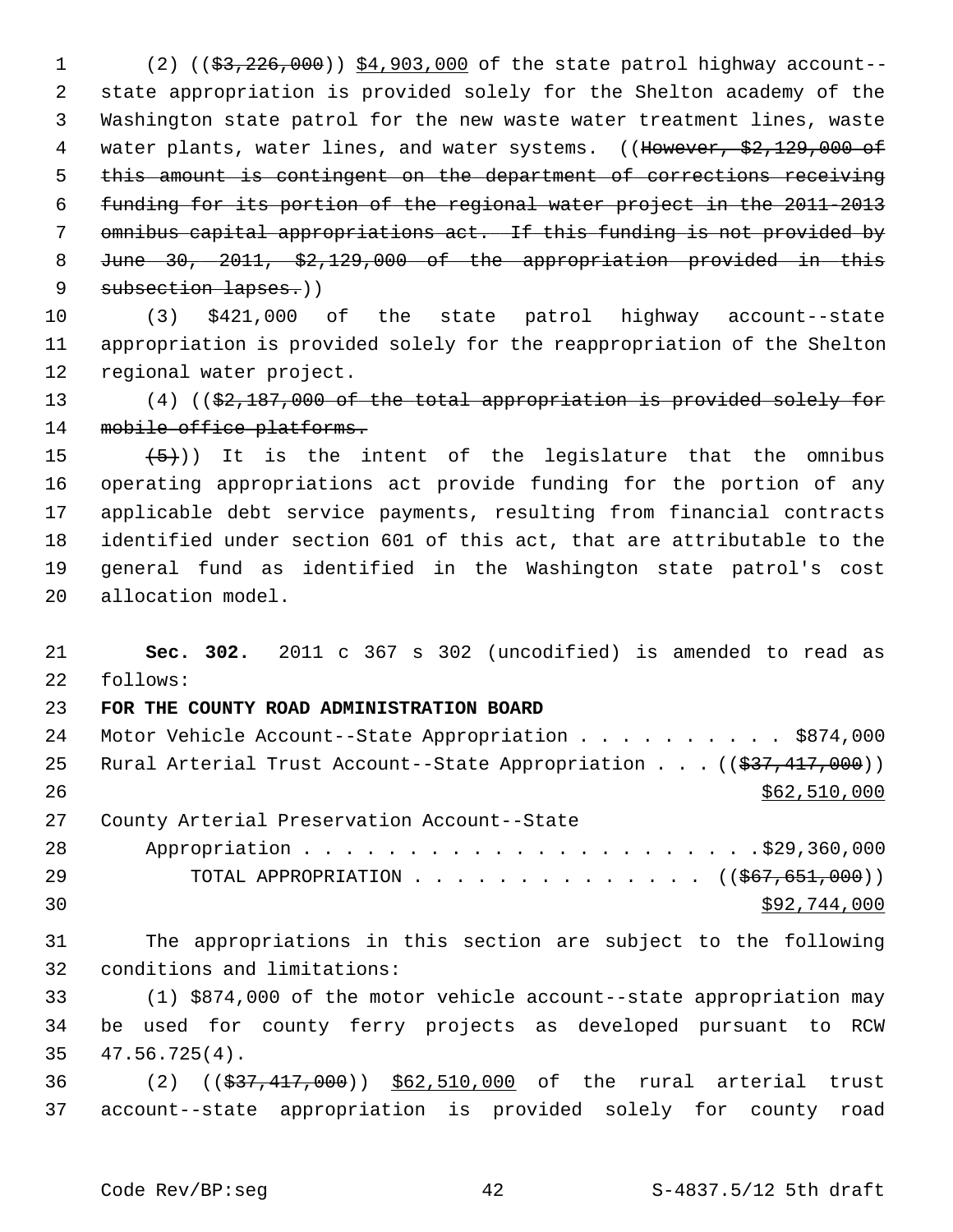1 (2) ((\$3,226,000)) \$4,903,000 of the state patrol highway account-- 2 state appropriation is provided solely for the Shelton academy of the 3 Washington state patrol for the new waste water treatment lines, waste 4 water plants, water lines, and water systems. ((However, \$2,129,000 of 5 this amount is contingent on the department of corrections receiving 6 funding for its portion of the regional water project in the 2011-2013 7 omnibus capital appropriations act. If this funding is not provided by 8 June 30, 2011, \$2,129,000 of the appropriation provided in this 9 subsection lapses.))

10 (3) \$421,000 of the state patrol highway account--state 11 appropriation is provided solely for the reappropriation of the Shelton 12 regional water project.

13 (4) ((\$2,187,000 of the total appropriation is provided solely for 14 mobile office platforms.

15  $(5)$ ) It is the intent of the legislature that the omnibus 16 operating appropriations act provide funding for the portion of any 17 applicable debt service payments, resulting from financial contracts 18 identified under section 601 of this act, that are attributable to the 19 general fund as identified in the Washington state patrol's cost 20 allocation model.

21 **Sec. 302.** 2011 c 367 s 302 (uncodified) is amended to read as 22 follows:

## 23 **FOR THE COUNTY ROAD ADMINISTRATION BOARD**

| 24 | Motor Vehicle Account--State Appropriation \$874,000                                  |
|----|---------------------------------------------------------------------------------------|
| 25 | Rural Arterial Trust Account--State Appropriation $((\frac{27}{7}, \frac{417}{900}))$ |
| 26 | \$62,510,000                                                                          |
| 27 | County Arterial Preservation Account--State                                           |
| 28 |                                                                                       |
| 29 | TOTAL APPROPRIATION $\ldots$ , ( $(\frac{667}{651}, \frac{651}{600})$ )               |
| 30 | \$92,744,000                                                                          |

31 The appropriations in this section are subject to the following 32 conditions and limitations:

33 (1) \$874,000 of the motor vehicle account--state appropriation may 34 be used for county ferry projects as developed pursuant to RCW 35 47.56.725(4).

36 (2) ((\$37,417,000)) \$62,510,000 of the rural arterial trust 37 account--state appropriation is provided solely for county road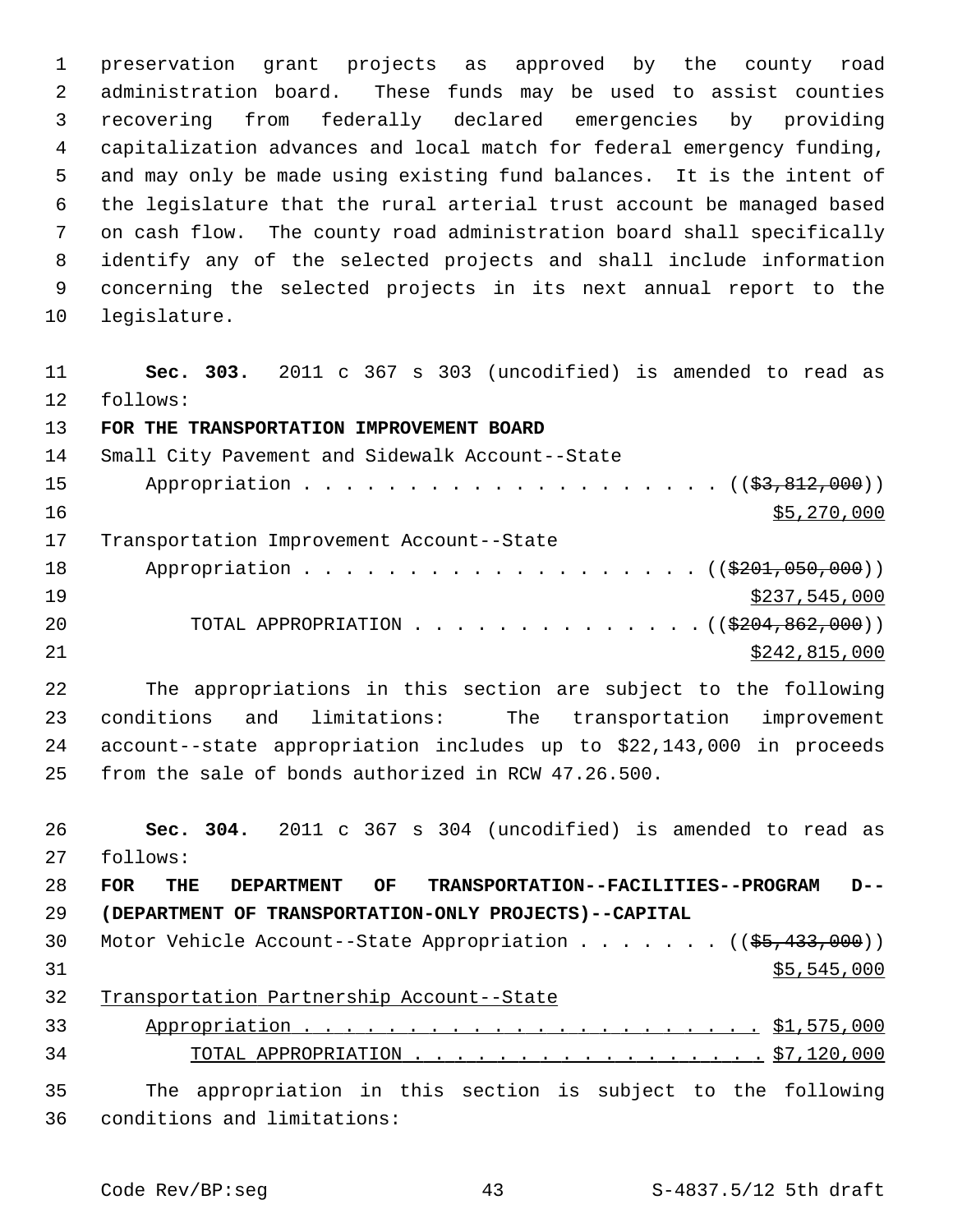1 preservation grant projects as approved by the county road 2 administration board. These funds may be used to assist counties 3 recovering from federally declared emergencies by providing 4 capitalization advances and local match for federal emergency funding, 5 and may only be made using existing fund balances. It is the intent of 6 the legislature that the rural arterial trust account be managed based 7 on cash flow. The county road administration board shall specifically 8 identify any of the selected projects and shall include information 9 concerning the selected projects in its next annual report to the 10 legislature.

11 **Sec. 303.** 2011 c 367 s 303 (uncodified) is amended to read as 12 follows: 13 **FOR THE TRANSPORTATION IMPROVEMENT BOARD** 14 Small City Pavement and Sidewalk Account--State 15 Appropriation . . . . . . . . . . . . . . . . . . (  $(\frac{23}{83}, \frac{812}{100})$  ) 16 \$5,270,000 17 Transportation Improvement Account--State 18 Appropriation . . . . . . . . . . . . . . . . . ((\$201,050,000))  $\frac{$237,545,000}{2}$ 20 TOTAL APPROPRIATION . . . . . . . . . . . . . . ((\$204,862,000)) 21 \$242,815,000

22 The appropriations in this section are subject to the following 23 conditions and limitations: The transportation improvement 24 account--state appropriation includes up to \$22,143,000 in proceeds 25 from the sale of bonds authorized in RCW 47.26.500.

 **Sec. 304.** 2011 c 367 s 304 (uncodified) is amended to read as 27 follows: **FOR THE DEPARTMENT OF TRANSPORTATION--FACILITIES--PROGRAM D-- (DEPARTMENT OF TRANSPORTATION-ONLY PROJECTS)--CAPITAL** 30 Motor Vehicle Account--State Appropriation . . . . . . ((\$5,433,000)) \$5,545,000 Transportation Partnership Account--State Appropriation . . . . . . . . . . . . . . . . . . . . . . \$1,575,000 TOTAL APPROPRIATION . . . . . . . . . . . . . . . . . \$7,120,000 35 The appropriation in this section is subject to the following 36 conditions and limitations: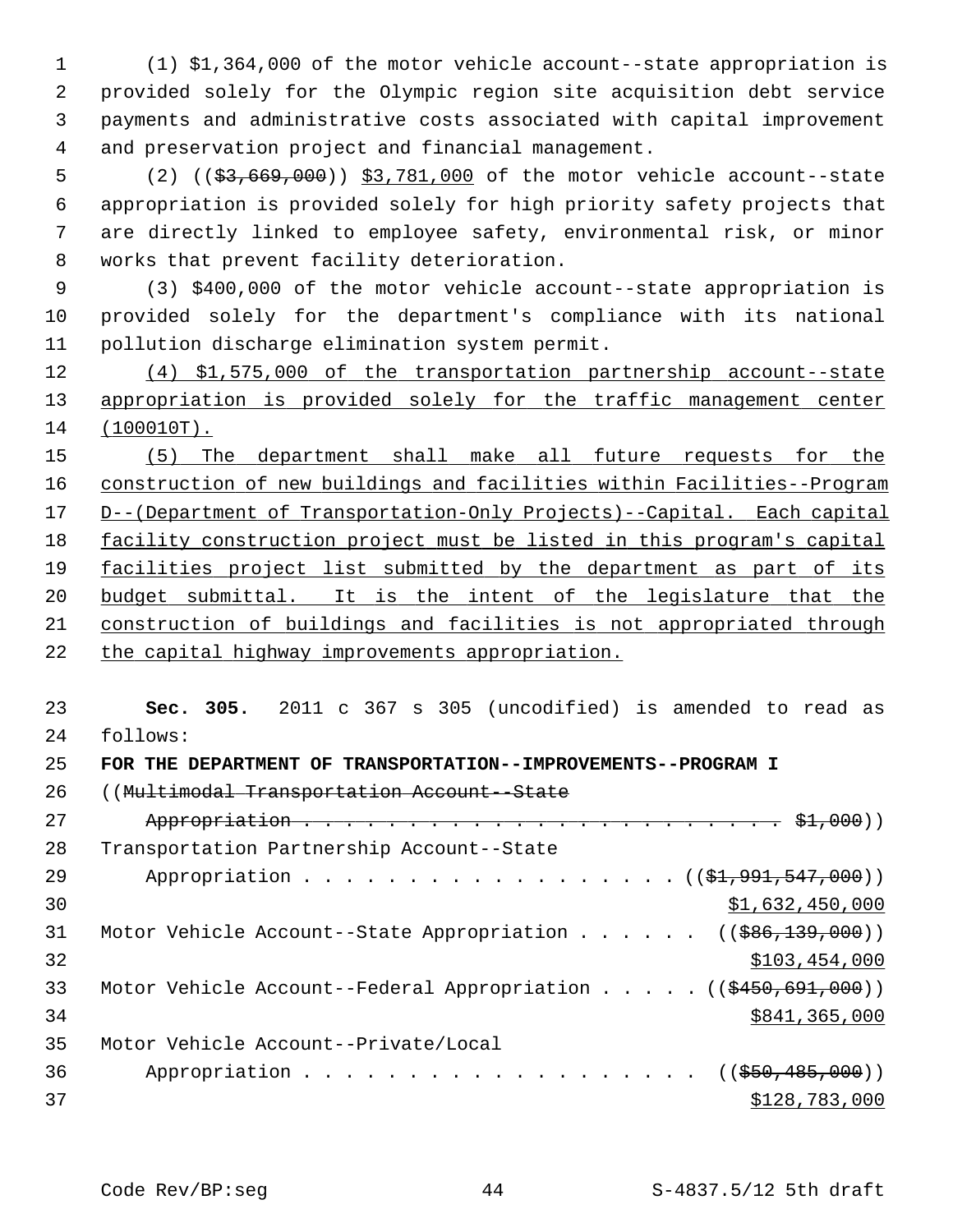1 (1) \$1,364,000 of the motor vehicle account--state appropriation is 2 provided solely for the Olympic region site acquisition debt service 3 payments and administrative costs associated with capital improvement 4 and preservation project and financial management.

 5 (2) ((\$3,669,000)) \$3,781,000 of the motor vehicle account--state 6 appropriation is provided solely for high priority safety projects that 7 are directly linked to employee safety, environmental risk, or minor 8 works that prevent facility deterioration.

 9 (3) \$400,000 of the motor vehicle account--state appropriation is 10 provided solely for the department's compliance with its national 11 pollution discharge elimination system permit.

12 (4) \$1,575,000 of the transportation partnership account--state 13 appropriation is provided solely for the traffic management center 14 (100010T).

 (5) The department shall make all future requests for the construction of new buildings and facilities within Facilities--Program D--(Department of Transportation-Only Projects)--Capital. Each capital facility construction project must be listed in this program's capital facilities project list submitted by the department as part of its budget submittal. It is the intent of the legislature that the construction of buildings and facilities is not appropriated through the capital highway improvements appropriation.

23 **Sec. 305.** 2011 c 367 s 305 (uncodified) is amended to read as 24 follows:

```
25 FOR THE DEPARTMENT OF TRANSPORTATION--IMPROVEMENTS--PROGRAM I
```
26 ((Multimodal Transportation Account--State

| 27 |                                                                                          |
|----|------------------------------------------------------------------------------------------|
| 28 | Transportation Partnership Account--State                                                |
| 29 | Appropriation $($ $(*1, 991, 547, 000))$                                                 |
| 30 | \$1,632,450,000                                                                          |
| 31 | Motor Vehicle Account--State Appropriation ( $(\frac{686}{139}, 000)$ )                  |
| 32 | \$103,454,000                                                                            |
| 33 | Motor Vehicle Account--Federal Appropriation $($ $($ $\frac{450}{691}, \frac{691}{100})$ |
| 34 | \$841,365,000                                                                            |
| 35 | Motor Vehicle Account--Private/Local                                                     |
| 36 | Appropriation ((\$50,485,000))                                                           |
| 37 | \$128,783,000                                                                            |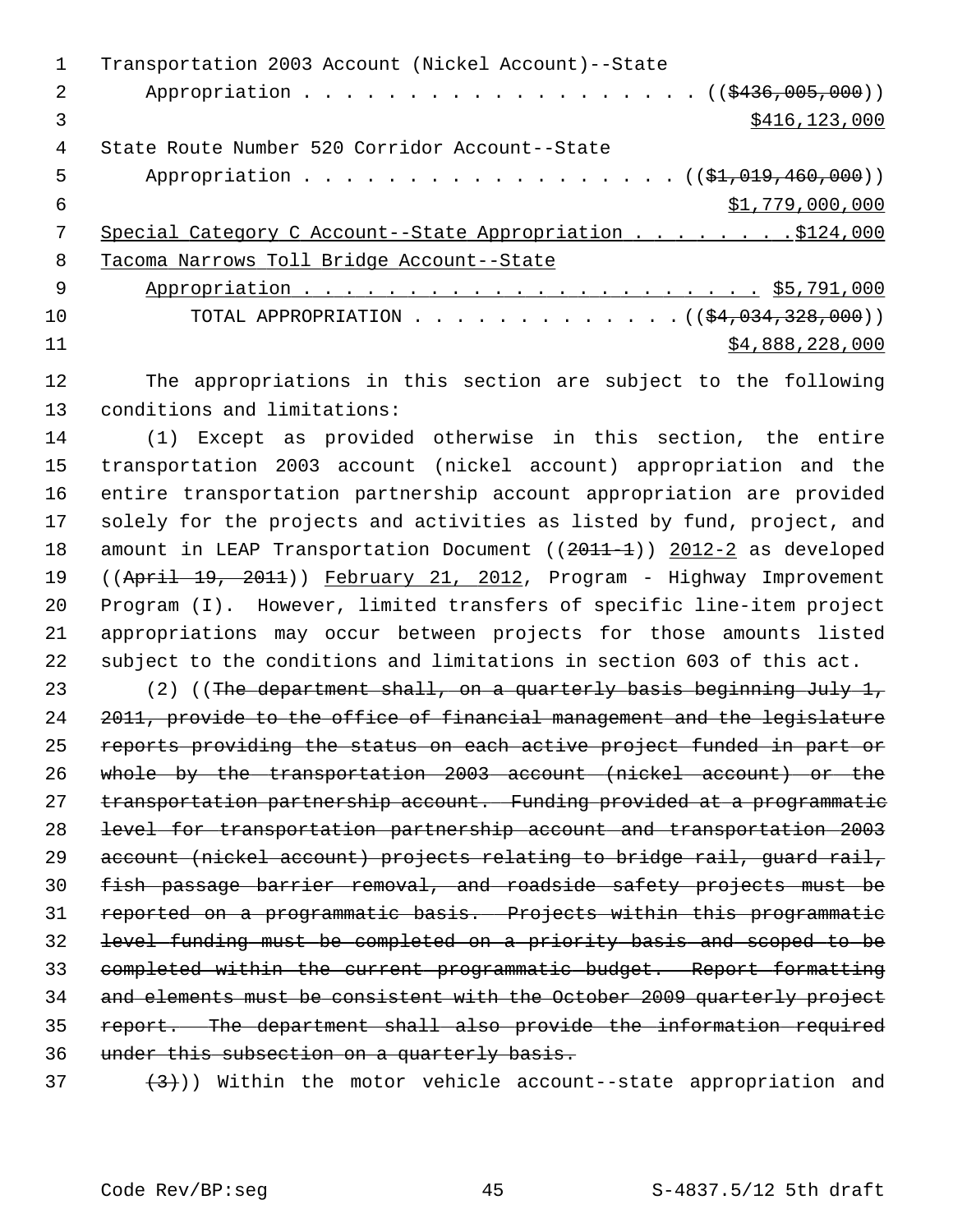|     | Transportation 2003 Account (Nickel Account)--State      |
|-----|----------------------------------------------------------|
| 2   | Appropriation ( $(\frac{2436,005,000}{1})$ )             |
| 3   | \$416, 123, 000                                          |
| 4   | State Route Number 520 Corridor Account--State           |
| 5   | Appropriation ( $(\frac{1}{21}, 019, 460, 000)$ )        |
| 6   | \$1,779,000,000                                          |
|     |                                                          |
| 8   | Tacoma Narrows Toll Bridge Account--State                |
| - 9 |                                                          |
| 10  | TOTAL APPROPRIATION ( $(\frac{24}{94}, 034, 328, 000)$ ) |
| 11  | \$4,888,228,000                                          |
|     |                                                          |

12 The appropriations in this section are subject to the following 13 conditions and limitations:

14 (1) Except as provided otherwise in this section, the entire 15 transportation 2003 account (nickel account) appropriation and the 16 entire transportation partnership account appropriation are provided 17 solely for the projects and activities as listed by fund, project, and 18 amount in LEAP Transportation Document ((2011-1)) 2012-2 as developed 19 ((April 19, 2011)) February 21, 2012, Program - Highway Improvement 20 Program (I). However, limited transfers of specific line-item project 21 appropriations may occur between projects for those amounts listed 22 subject to the conditions and limitations in section 603 of this act.

23 (2) ((The department shall, on a quarterly basis beginning July 1, 2011, provide to the office of financial management and the legislature reports providing the status on each active project funded in part or whole by the transportation 2003 account (nickel account) or the 27 transportation partnership account. Funding provided at a programmatic level for transportation partnership account and transportation 2003 29 account (nickel account) projects relating to bridge rail, quard rail, fish passage barrier removal, and roadside safety projects must be reported on a programmatic basis. Projects within this programmatic level funding must be completed on a priority basis and scoped to be completed within the current programmatic budget. Report formatting and elements must be consistent with the October 2009 quarterly project report. The department shall also provide the information required under this subsection on a quarterly basis.

 $(37 + 3)$ ) Within the motor vehicle account--state appropriation and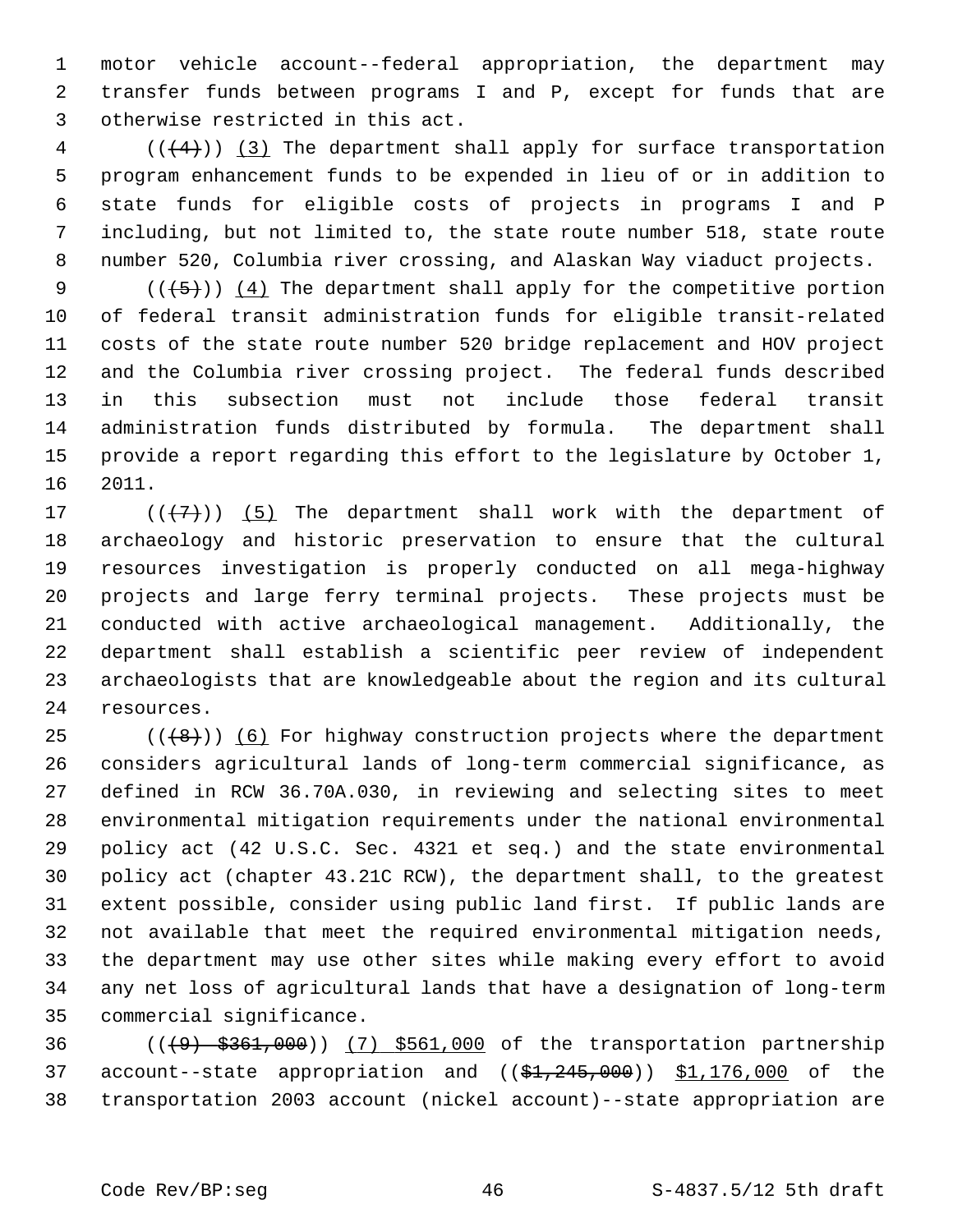1 motor vehicle account--federal appropriation, the department may 2 transfer funds between programs I and P, except for funds that are 3 otherwise restricted in this act.

 $4$  (( $(4)$ )) (3) The department shall apply for surface transportation 5 program enhancement funds to be expended in lieu of or in addition to 6 state funds for eligible costs of projects in programs I and P 7 including, but not limited to, the state route number 518, state route 8 number 520, Columbia river crossing, and Alaskan Way viaduct projects.

9  $((+5))$  (4) The department shall apply for the competitive portion 10 of federal transit administration funds for eligible transit-related 11 costs of the state route number 520 bridge replacement and HOV project 12 and the Columbia river crossing project. The federal funds described 13 in this subsection must not include those federal transit 14 administration funds distributed by formula. The department shall 15 provide a report regarding this effort to the legislature by October 1, 16 2011.

17  $((+7)^{n})$  (5) The department shall work with the department of 18 archaeology and historic preservation to ensure that the cultural 19 resources investigation is properly conducted on all mega-highway 20 projects and large ferry terminal projects. These projects must be 21 conducted with active archaeological management. Additionally, the 22 department shall establish a scientific peer review of independent 23 archaeologists that are knowledgeable about the region and its cultural 24 resources.

25  $((+8))$  (6) For highway construction projects where the department 26 considers agricultural lands of long-term commercial significance, as 27 defined in RCW 36.70A.030, in reviewing and selecting sites to meet 28 environmental mitigation requirements under the national environmental 29 policy act (42 U.S.C. Sec. 4321 et seq.) and the state environmental 30 policy act (chapter 43.21C RCW), the department shall, to the greatest 31 extent possible, consider using public land first. If public lands are 32 not available that meet the required environmental mitigation needs, 33 the department may use other sites while making every effort to avoid 34 any net loss of agricultural lands that have a designation of long-term 35 commercial significance.

36 (((9) \$361,000)) (7) \$561,000 of the transportation partnership 37 account--state appropriation and  $($  $$1,245,000$ )  $$1,176,000$  of the 38 transportation 2003 account (nickel account)--state appropriation are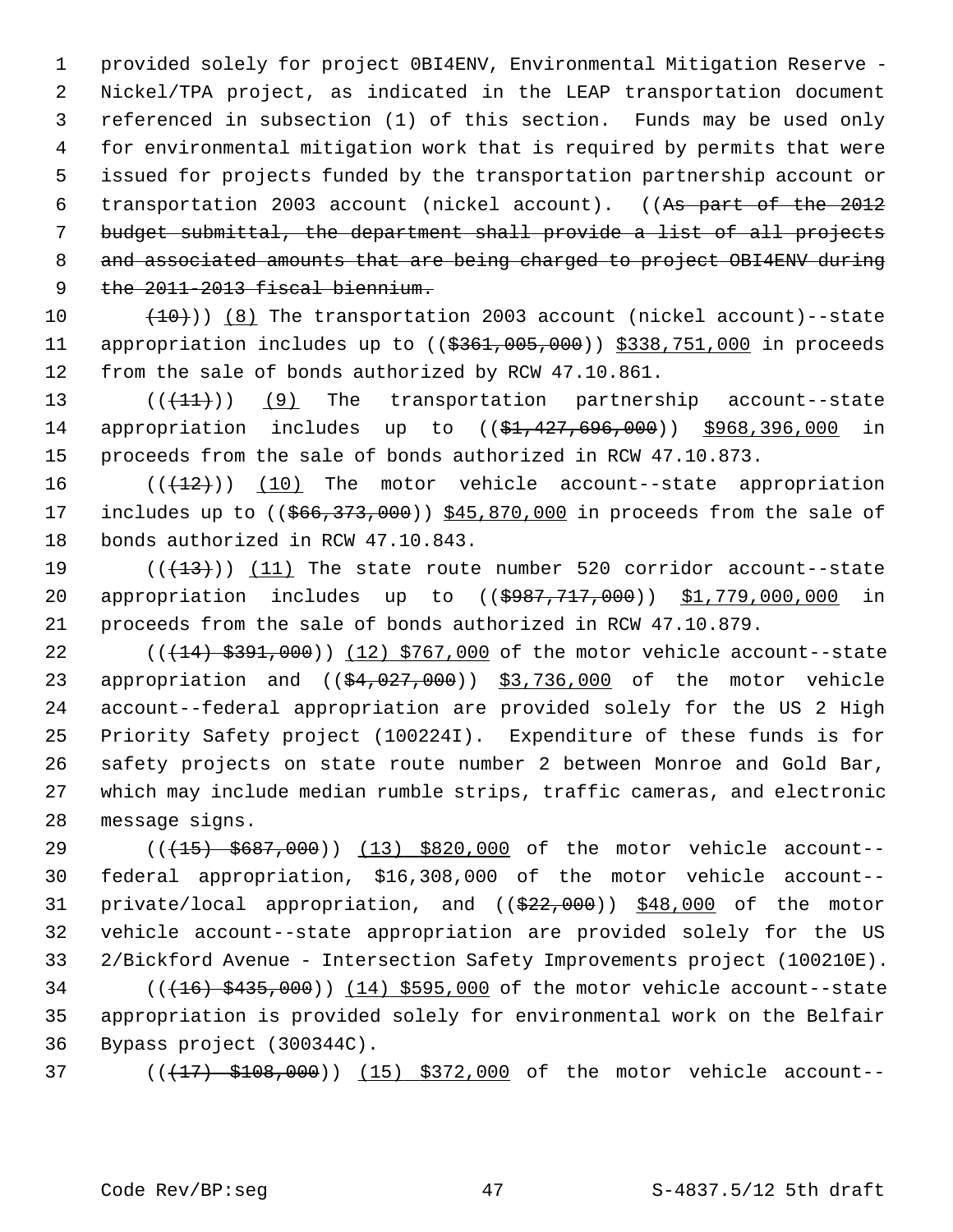1 provided solely for project 0BI4ENV, Environmental Mitigation Reserve - 2 Nickel/TPA project, as indicated in the LEAP transportation document 3 referenced in subsection (1) of this section. Funds may be used only 4 for environmental mitigation work that is required by permits that were 5 issued for projects funded by the transportation partnership account or 6 transportation 2003 account (nickel account). ((As part of the 2012 7 budget submittal, the department shall provide a list of all projects 8 and associated amounts that are being charged to project OBI4ENV during 9 the 2011-2013 fiscal biennium.

10  $(10)$   $(8)$  The transportation 2003 account (nickel account)--state 11 appropriation includes up to ((\$361,005,000)) \$338,751,000 in proceeds 12 from the sale of bonds authorized by RCW 47.10.861.

13  $((+11))$  (9) The transportation partnership account--state 14 appropriation includes up to ((\$1,427,696,000)) \$968,396,000 in 15 proceeds from the sale of bonds authorized in RCW 47.10.873.

16  $((+12))$  (10) The motor vehicle account--state appropriation 17 includes up to  $((\frac{666}{373},000))$  \$45,870,000 in proceeds from the sale of 18 bonds authorized in RCW 47.10.843.

19  $((+13))$   $(11)$  The state route number 520 corridor account--state 20 appropriation includes up to ((\$987,717,000)) \$1,779,000,000 in 21 proceeds from the sale of bonds authorized in RCW 47.10.879.

22 (( $(14)$  \$391,000)) (12) \$767,000 of the motor vehicle account--state 23 appropriation and  $((\frac{24}{94},027,000))$  \$3,736,000 of the motor vehicle 24 account--federal appropriation are provided solely for the US 2 High 25 Priority Safety project (100224I). Expenditure of these funds is for 26 safety projects on state route number 2 between Monroe and Gold Bar, 27 which may include median rumble strips, traffic cameras, and electronic 28 message signs.

29 (( $(15)$  \$687,000)) (13) \$820,000 of the motor vehicle account--30 federal appropriation, \$16,308,000 of the motor vehicle account-- 31 private/local appropriation, and ((\$22,000)) \$48,000 of the motor 32 vehicle account--state appropriation are provided solely for the US 33 2/Bickford Avenue - Intersection Safety Improvements project (100210E).

 $34$  ( $(416)$   $$435,000$ )) (14) \$595,000 of the motor vehicle account--state 35 appropriation is provided solely for environmental work on the Belfair 36 Bypass project (300344C).

37 (( $(17)$  \$108,000)) (15) \$372,000 of the motor vehicle account--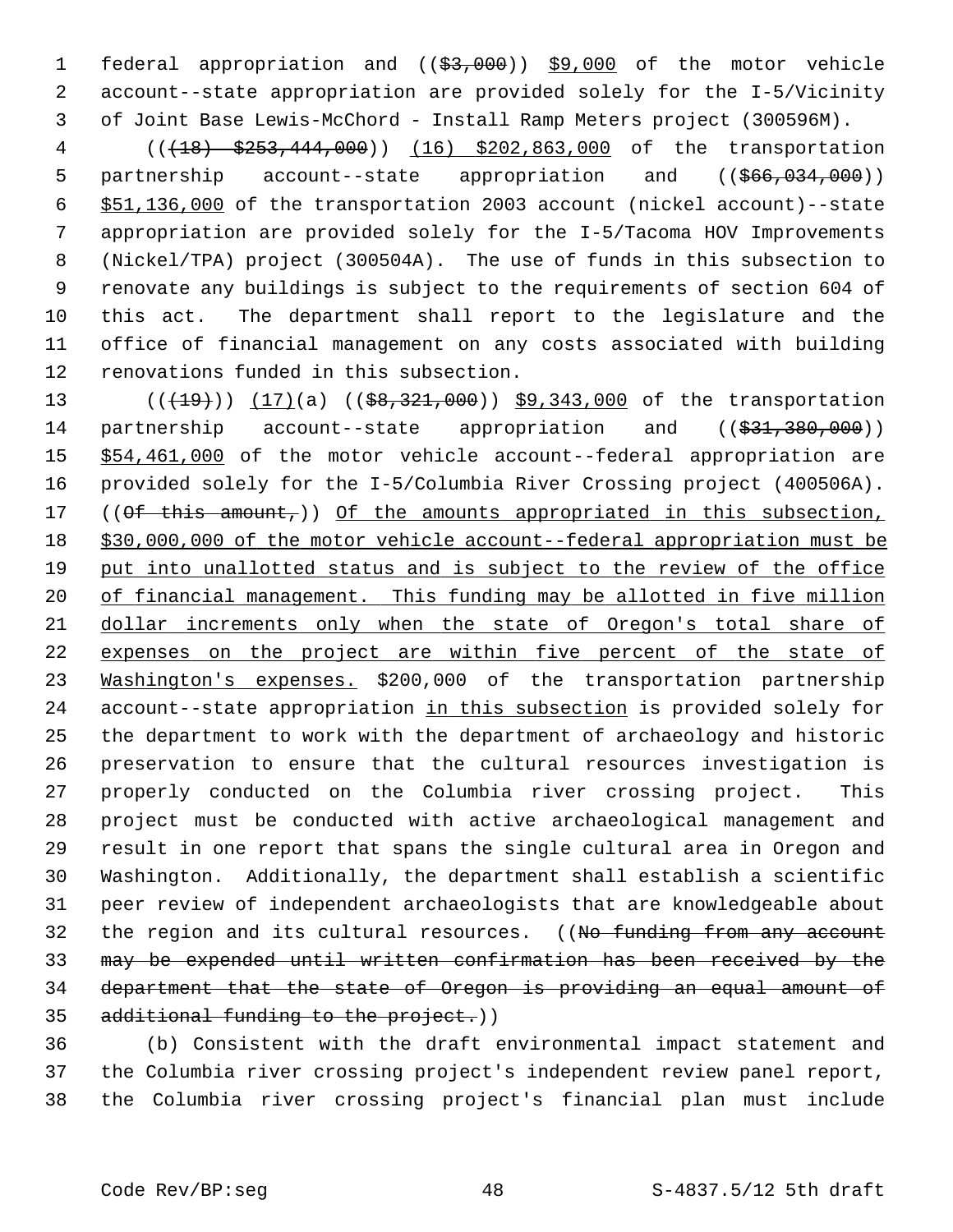1 federal appropriation and ((\$3,000)) \$9,000 of the motor vehicle 2 account--state appropriation are provided solely for the I-5/Vicinity 3 of Joint Base Lewis-McChord - Install Ramp Meters project (300596M).

 4 (((18) \$253,444,000)) (16) \$202,863,000 of the transportation 5 partnership account--state appropriation and ((\$66,034,000)) 6 \$51,136,000 of the transportation 2003 account (nickel account)--state 7 appropriation are provided solely for the I-5/Tacoma HOV Improvements 8 (Nickel/TPA) project (300504A). The use of funds in this subsection to 9 renovate any buildings is subject to the requirements of section 604 of 10 this act. The department shall report to the legislature and the 11 office of financial management on any costs associated with building 12 renovations funded in this subsection.

13 (( $(19)$ )) (17)(a) (( $$8,321,000$ )) \$9,343,000 of the transportation 14 partnership account--state appropriation and ((\$31,380,000)) 15 \$54,461,000 of the motor vehicle account--federal appropriation are 16 provided solely for the I-5/Columbia River Crossing project (400506A). 17 ((Of this amount,)) Of the amounts appropriated in this subsection, 18 \$30,000,000 of the motor vehicle account--federal appropriation must be 19 put into unallotted status and is subject to the review of the office 20 of financial management. This funding may be allotted in five million 21 dollar increments only when the state of Oregon's total share of 22 expenses on the project are within five percent of the state of 23 Washington's expenses. \$200,000 of the transportation partnership 24 account--state appropriation in this subsection is provided solely for 25 the department to work with the department of archaeology and historic 26 preservation to ensure that the cultural resources investigation is 27 properly conducted on the Columbia river crossing project. This 28 project must be conducted with active archaeological management and 29 result in one report that spans the single cultural area in Oregon and 30 Washington. Additionally, the department shall establish a scientific 31 peer review of independent archaeologists that are knowledgeable about 32 the region and its cultural resources. ((No funding from any account 33 may be expended until written confirmation has been received by the 34 department that the state of Oregon is providing an equal amount of 35 additional funding to the project.))

36 (b) Consistent with the draft environmental impact statement and 37 the Columbia river crossing project's independent review panel report, 38 the Columbia river crossing project's financial plan must include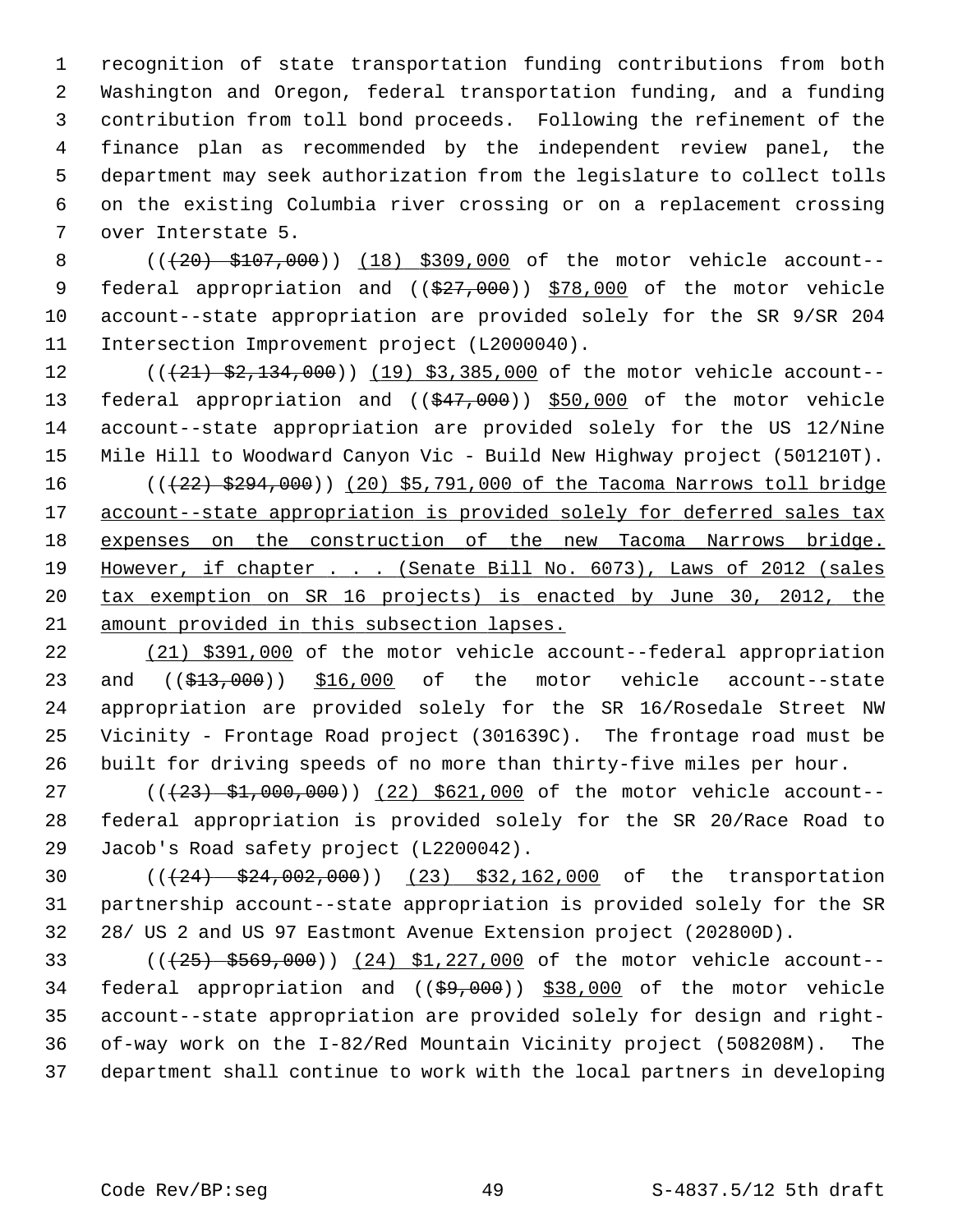1 recognition of state transportation funding contributions from both 2 Washington and Oregon, federal transportation funding, and a funding 3 contribution from toll bond proceeds. Following the refinement of the 4 finance plan as recommended by the independent review panel, the 5 department may seek authorization from the legislature to collect tolls 6 on the existing Columbia river crossing or on a replacement crossing 7 over Interstate 5.

8 (( $(20)$  \$107,000)) (18) \$309,000 of the motor vehicle account--9 federal appropriation and ((\$27,000)) \$78,000 of the motor vehicle 10 account--state appropriation are provided solely for the SR 9/SR 204 11 Intersection Improvement project (L2000040).

12 (( $(21)$   $\frac{2}{32}$ , 134, 000)) (19) \$3, 385, 000 of the motor vehicle account--13 federal appropriation and (( $\frac{247,000}{1550,000}$  of the motor vehicle 14 account--state appropriation are provided solely for the US 12/Nine 15 Mile Hill to Woodward Canyon Vic - Build New Highway project (501210T). 16 (( $\left(\frac{22}{32}, \frac{294}{900}\right)$  (20) \$5,791,000 of the Tacoma Narrows toll bridge 17 account--state appropriation is provided solely for deferred sales tax 18 expenses on the construction of the new Tacoma Narrows bridge. 19 However, if chapter . . . (Senate Bill No. 6073), Laws of 2012 (sales 20 tax exemption on SR 16 projects) is enacted by June 30, 2012, the 21 amount provided in this subsection lapses.

22 (21) \$391,000 of the motor vehicle account--federal appropriation 23 and ((\$13,000)) \$16,000 of the motor vehicle account--state 24 appropriation are provided solely for the SR 16/Rosedale Street NW 25 Vicinity - Frontage Road project (301639C). The frontage road must be 26 built for driving speeds of no more than thirty-five miles per hour.

27 (( $(23)$  \$1,000,000)) (22) \$621,000 of the motor vehicle account--28 federal appropriation is provided solely for the SR 20/Race Road to 29 Jacob's Road safety project (L2200042).

30 (((24) \$24,002,000)) (23) \$32,162,000 of the transportation 31 partnership account--state appropriation is provided solely for the SR 32 28/ US 2 and US 97 Eastmont Avenue Extension project (202800D).

33 (((25) \$569,000)) (24) \$1,227,000 of the motor vehicle account-- 34 federal appropriation and  $((\frac{69,000}{9})$  \$38,000 of the motor vehicle 35 account--state appropriation are provided solely for design and right-36 of-way work on the I-82/Red Mountain Vicinity project (508208M). The 37 department shall continue to work with the local partners in developing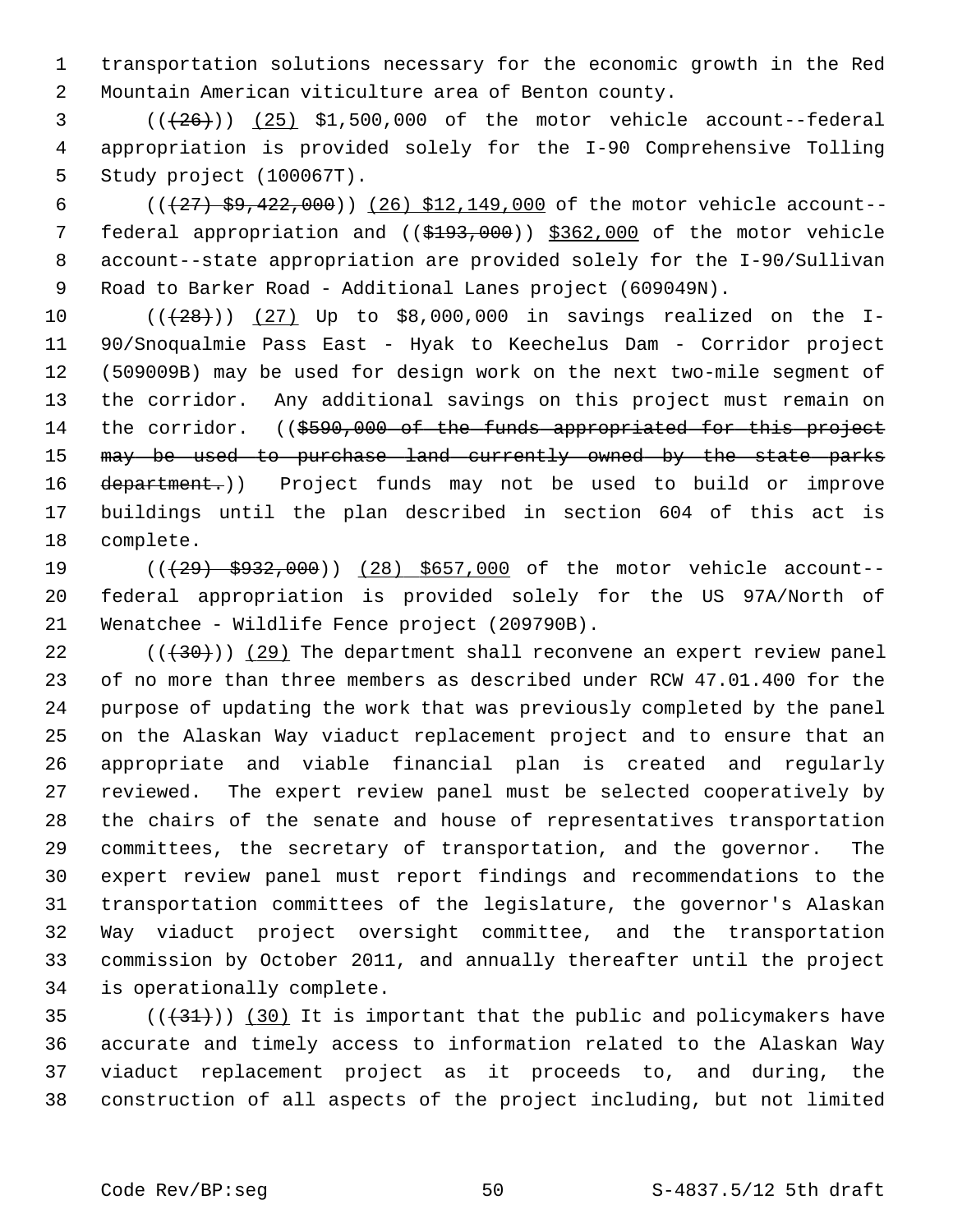1 transportation solutions necessary for the economic growth in the Red 2 Mountain American viticulture area of Benton county.

 $3$   $((+26))$   $(25)$  \$1,500,000 of the motor vehicle account--federal 4 appropriation is provided solely for the I-90 Comprehensive Tolling 5 Study project (100067T).

6 ( $(\frac{27}{59}, \frac{22}{100})$  (26) \$12,149,000 of the motor vehicle account-- 7 federal appropriation and ((\$193,000)) \$362,000 of the motor vehicle 8 account--state appropriation are provided solely for the I-90/Sullivan 9 Road to Barker Road - Additional Lanes project (609049N).

10  $((+28))$   $(27)$  Up to \$8,000,000 in savings realized on the I-11 90/Snoqualmie Pass East - Hyak to Keechelus Dam - Corridor project 12 (509009B) may be used for design work on the next two-mile segment of 13 the corridor. Any additional savings on this project must remain on 14 the corridor. ((\$590,000 of the funds appropriated for this project 15 may be used to purchase land currently owned by the state parks 16 department.)) Project funds may not be used to build or improve 17 buildings until the plan described in section 604 of this act is 18 complete.

19 (( $(29)$  \$932,000)) (28) \$657,000 of the motor vehicle account--20 federal appropriation is provided solely for the US 97A/North of 21 Wenatchee - Wildlife Fence project (209790B).

22  $((+30))$  (29) The department shall reconvene an expert review panel 23 of no more than three members as described under RCW 47.01.400 for the 24 purpose of updating the work that was previously completed by the panel 25 on the Alaskan Way viaduct replacement project and to ensure that an 26 appropriate and viable financial plan is created and regularly 27 reviewed. The expert review panel must be selected cooperatively by 28 the chairs of the senate and house of representatives transportation 29 committees, the secretary of transportation, and the governor. The 30 expert review panel must report findings and recommendations to the 31 transportation committees of the legislature, the governor's Alaskan 32 Way viaduct project oversight committee, and the transportation 33 commission by October 2011, and annually thereafter until the project 34 is operationally complete.

 $(1+31)$  (30) It is important that the public and policymakers have 36 accurate and timely access to information related to the Alaskan Way 37 viaduct replacement project as it proceeds to, and during, the 38 construction of all aspects of the project including, but not limited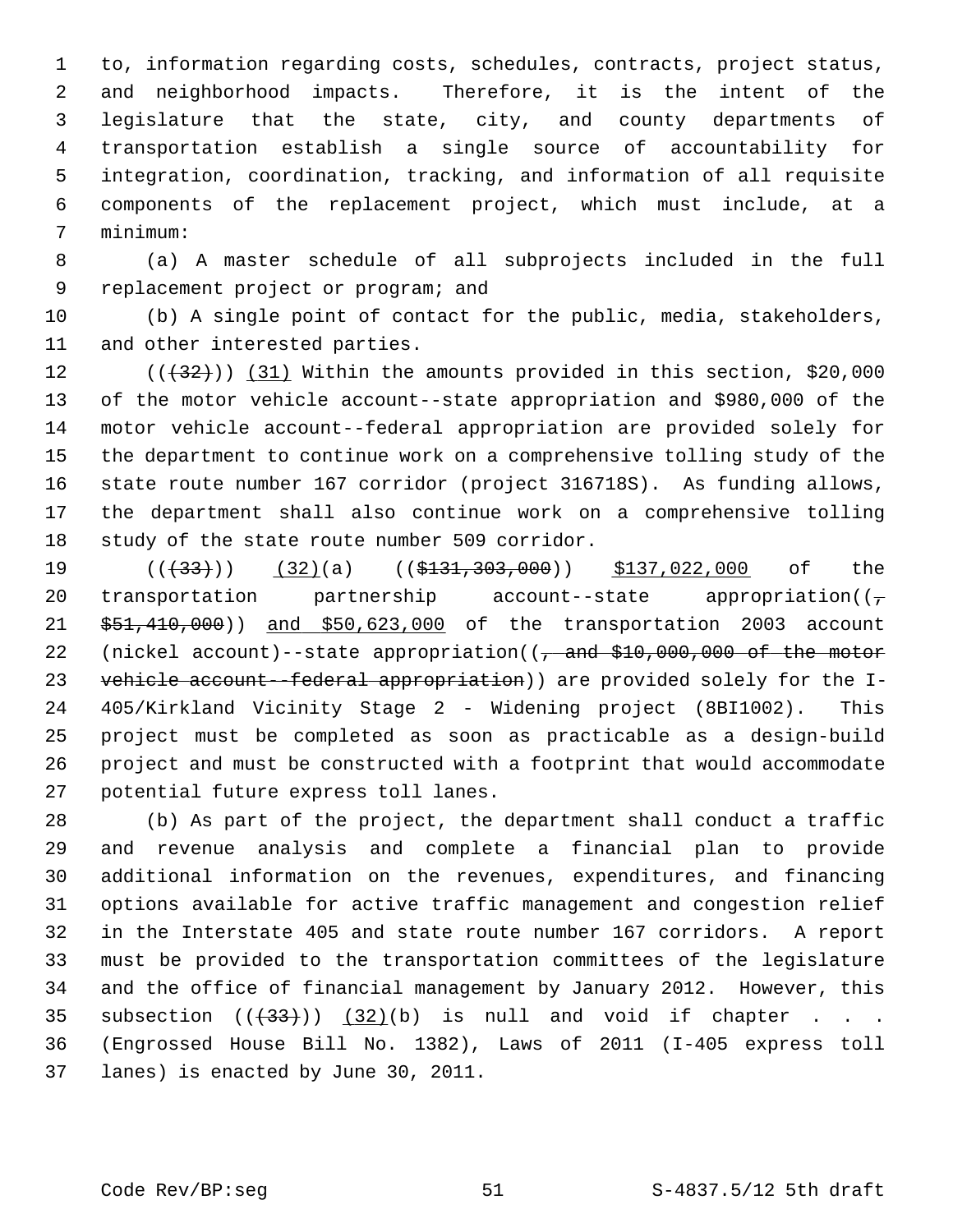1 to, information regarding costs, schedules, contracts, project status, 2 and neighborhood impacts. Therefore, it is the intent of the 3 legislature that the state, city, and county departments of 4 transportation establish a single source of accountability for 5 integration, coordination, tracking, and information of all requisite 6 components of the replacement project, which must include, at a 7 minimum:

 8 (a) A master schedule of all subprojects included in the full 9 replacement project or program; and

10 (b) A single point of contact for the public, media, stakeholders, 11 and other interested parties.

12  $((+32))$   $(31)$  Within the amounts provided in this section, \$20,000 13 of the motor vehicle account--state appropriation and \$980,000 of the 14 motor vehicle account--federal appropriation are provided solely for 15 the department to continue work on a comprehensive tolling study of the 16 state route number 167 corridor (project 316718S). As funding allows, 17 the department shall also continue work on a comprehensive tolling 18 study of the state route number 509 corridor.

19 ((<del>(33)</del>)) (32)(a) ((\$131,303,000)) \$137,022,000 of the 20 transportation partnership account--state appropriation( $(\frac{1}{\epsilon})$ 21 \$51,410,000)) and \$50,623,000 of the transportation 2003 account 22 (nickel account)--state appropriation((, and \$10,000,000 of the motor 23 vehicle account--federal appropriation)) are provided solely for the I-24 405/Kirkland Vicinity Stage 2 - Widening project (8BI1002). This 25 project must be completed as soon as practicable as a design-build 26 project and must be constructed with a footprint that would accommodate 27 potential future express toll lanes.

28 (b) As part of the project, the department shall conduct a traffic 29 and revenue analysis and complete a financial plan to provide 30 additional information on the revenues, expenditures, and financing 31 options available for active traffic management and congestion relief 32 in the Interstate 405 and state route number 167 corridors. A report 33 must be provided to the transportation committees of the legislature 34 and the office of financial management by January 2012. However, this 35 subsection  $((+33))$   $(32)(b)$  is null and void if chapter . . . 36 (Engrossed House Bill No. 1382), Laws of 2011 (I-405 express toll 37 lanes) is enacted by June 30, 2011.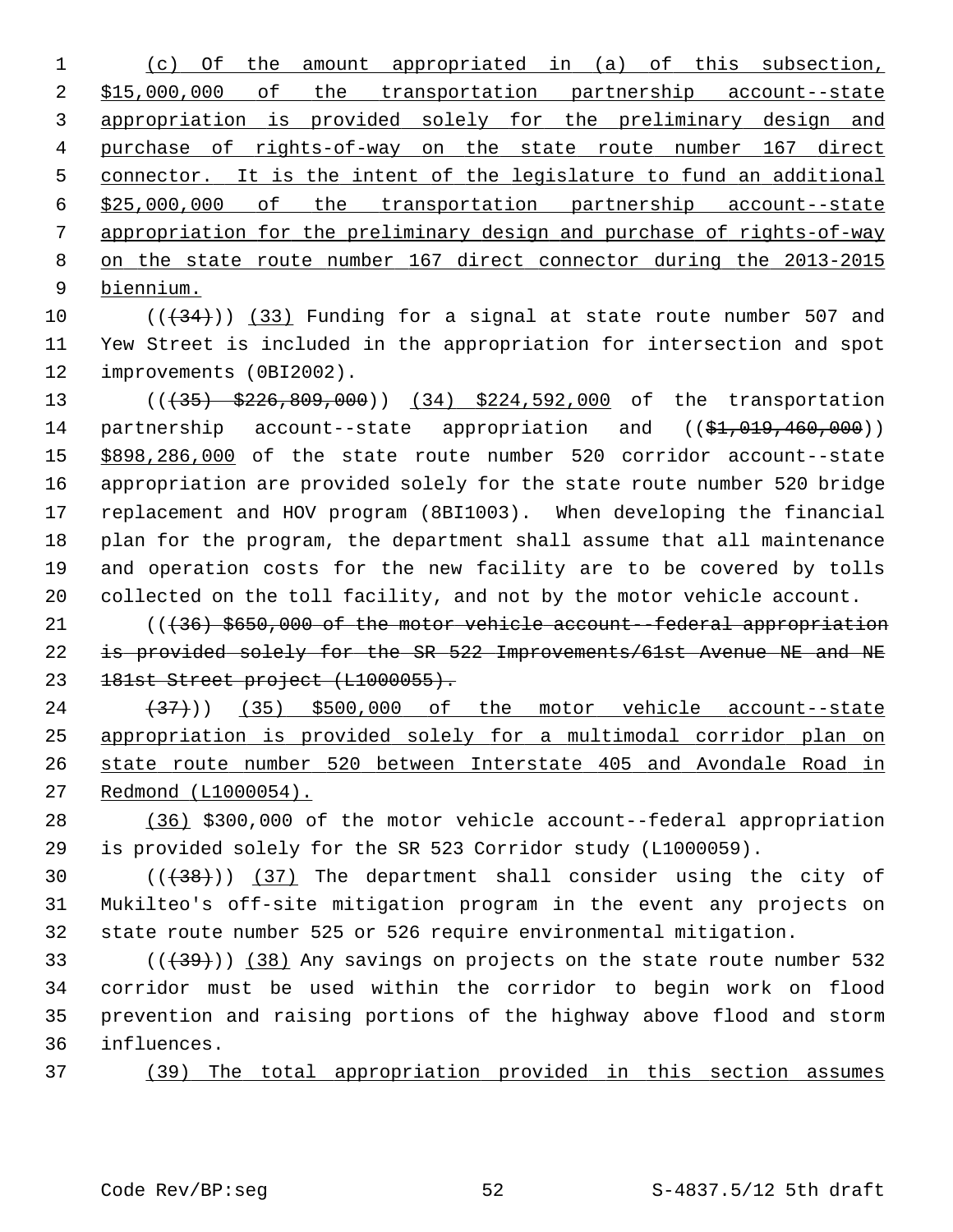(c) Of the amount appropriated in (a) of this subsection, \$15,000,000 of the transportation partnership account--state appropriation is provided solely for the preliminary design and purchase of rights-of-way on the state route number 167 direct connector. It is the intent of the legislature to fund an additional \$25,000,000 of the transportation partnership account--state appropriation for the preliminary design and purchase of rights-of-way on the state route number 167 direct connector during the 2013-2015 biennium.

10  $((+34))$   $(33)$  Funding for a signal at state route number 507 and 11 Yew Street is included in the appropriation for intersection and spot 12 improvements (0BI2002).

13 (( $\left(435\right)$  \$226,809,000)) (34) \$224,592,000 of the transportation 14 partnership account--state appropriation and ((\$1,019,460,000)) 15 \$898,286,000 of the state route number 520 corridor account--state 16 appropriation are provided solely for the state route number 520 bridge 17 replacement and HOV program (8BI1003). When developing the financial 18 plan for the program, the department shall assume that all maintenance 19 and operation costs for the new facility are to be covered by tolls 20 collected on the toll facility, and not by the motor vehicle account.

21 ((436) \$650,000 of the motor vehicle account--federal appropriation 22 is provided solely for the SR 522 Improvements/61st Avenue NE and NE 23 181st Street project (L1000055).

 $(37)$   $(35)$  \$500,000 of the motor vehicle account--state appropriation is provided solely for a multimodal corridor plan on state route number 520 between Interstate 405 and Avondale Road in Redmond (L1000054).

28 (36) \$300,000 of the motor vehicle account--federal appropriation 29 is provided solely for the SR 523 Corridor study (L1000059).

30  $((+38))$   $(37)$  The department shall consider using the city of 31 Mukilteo's off-site mitigation program in the event any projects on 32 state route number 525 or 526 require environmental mitigation.

 $($  ( $($   $($   $+$  39 $)$ ) (38) Any savings on projects on the state route number 532 34 corridor must be used within the corridor to begin work on flood 35 prevention and raising portions of the highway above flood and storm 36 influences.

37 (39) The total appropriation provided in this section assumes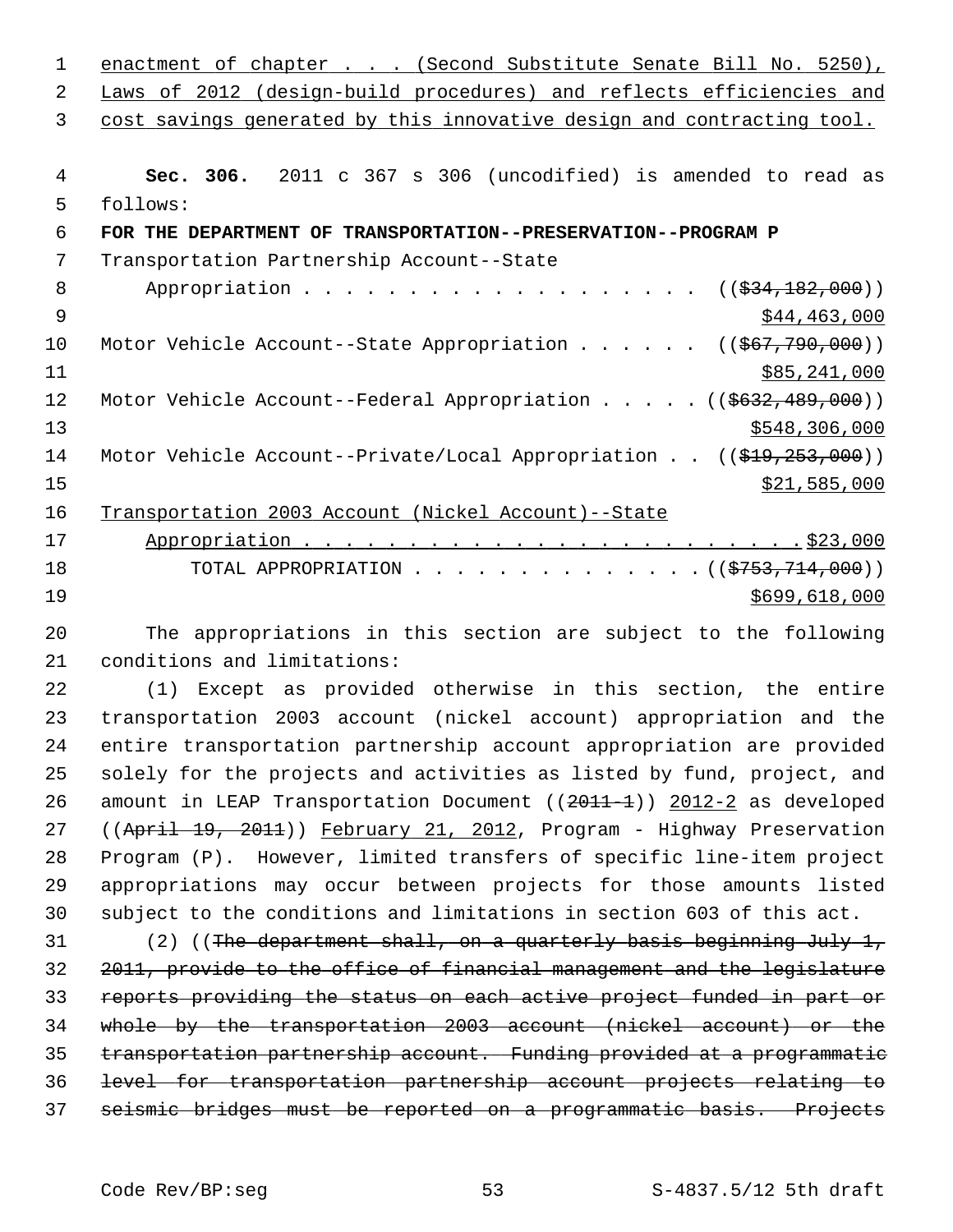| 1  | enactment of chapter (Second Substitute Senate Bill No. 5250),                            |
|----|-------------------------------------------------------------------------------------------|
| 2  | Laws of 2012 (design-build procedures) and reflects efficiencies and                      |
| 3  | cost savings generated by this innovative design and contracting tool.                    |
|    |                                                                                           |
| 4  | Sec. 306. 2011 c 367 s 306 (uncodified) is amended to read as                             |
| 5  | follows:                                                                                  |
| 6  | FOR THE DEPARTMENT OF TRANSPORTATION--PRESERVATION--PROGRAM P                             |
| 7  | Transportation Partnership Account--State                                                 |
| 8  | $((\frac{234}{182},000))$                                                                 |
| 9  | \$44,463,000                                                                              |
| 10 | Motor Vehicle Account--State Appropriation ( $(\frac{667}{790}, \frac{790}{000})$ )       |
| 11 | \$85,241,000                                                                              |
| 12 | Motor Vehicle Account--Federal Appropriation $($ $($ $\frac{2632}{100})$                  |
| 13 | \$548,306,000                                                                             |
| 14 | Motor Vehicle Account--Private/Local Appropriation $((\frac{219}{253}, \frac{253}{260}))$ |
| 15 | \$21,585,000                                                                              |
| 16 | Transportation 2003 Account (Nickel Account)--State                                       |
| 17 |                                                                                           |
| 18 | TOTAL APPROPRIATION ( $(\frac{2753}{714},000)$ )                                          |
| 19 | \$699,618,000                                                                             |

20 The appropriations in this section are subject to the following 21 conditions and limitations:

22 (1) Except as provided otherwise in this section, the entire 23 transportation 2003 account (nickel account) appropriation and the 24 entire transportation partnership account appropriation are provided 25 solely for the projects and activities as listed by fund, project, and 26 amount in LEAP Transportation Document ((2011-1)) 2012-2 as developed 27 ((April 19, 2011)) February 21, 2012, Program - Highway Preservation 28 Program (P). However, limited transfers of specific line-item project 29 appropriations may occur between projects for those amounts listed 30 subject to the conditions and limitations in section 603 of this act.

31 (2) ((The department shall, on a quarterly basis beginning July 1, 2011, provide to the office of financial management and the legislature reports providing the status on each active project funded in part or whole by the transportation 2003 account (nickel account) or the transportation partnership account. Funding provided at a programmatic level for transportation partnership account projects relating to seismic bridges must be reported on a programmatic basis. Projects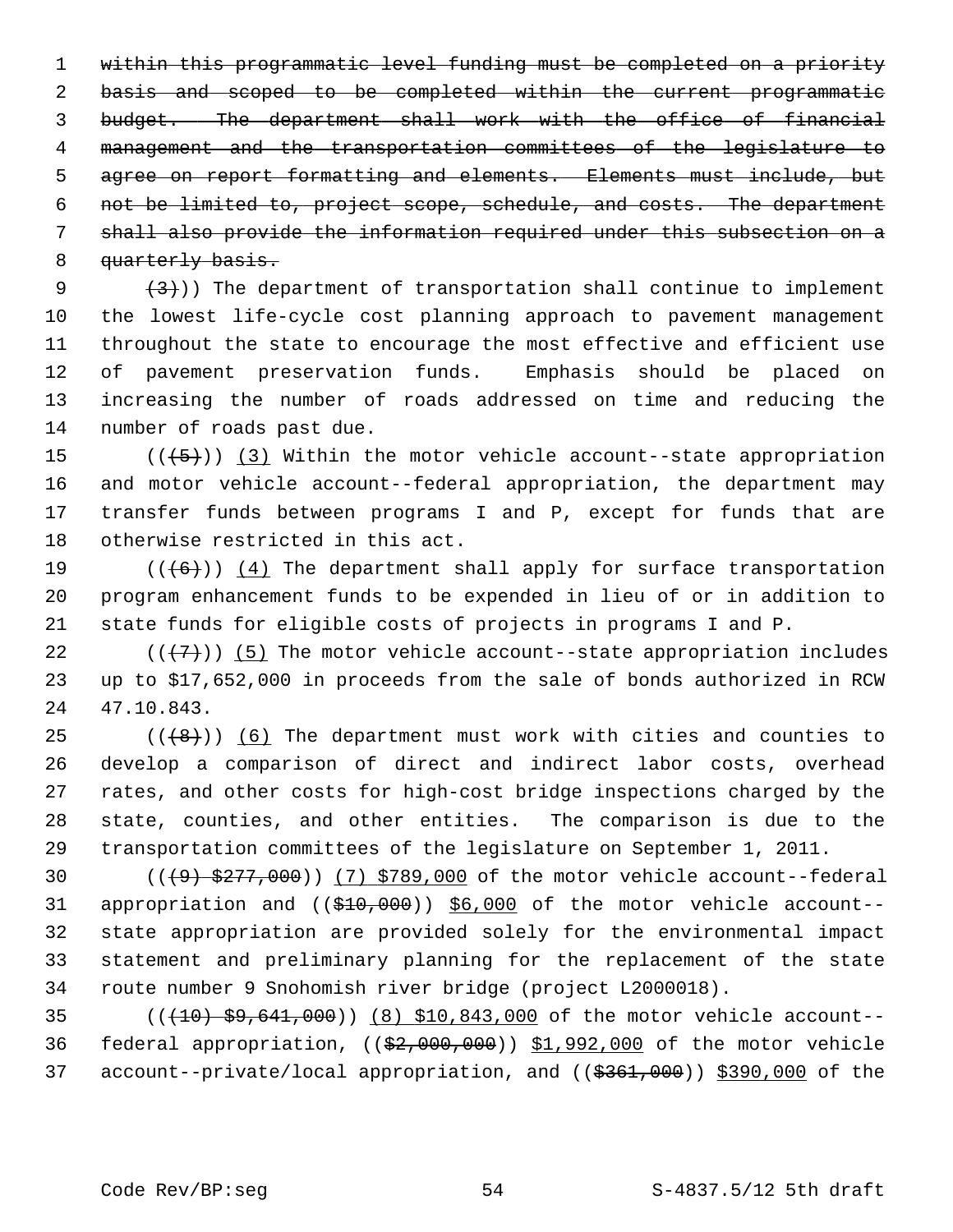within this programmatic level funding must be completed on a priority basis and scoped to be completed within the current programmatic budget. The department shall work with the office of financial management and the transportation committees of the legislature to agree on report formatting and elements. Elements must include, but not be limited to, project scope, schedule, and costs. The department shall also provide the information required under this subsection on a 8 quarterly basis.

9  $(3)$ )) The department of transportation shall continue to implement 10 the lowest life-cycle cost planning approach to pavement management 11 throughout the state to encourage the most effective and efficient use 12 of pavement preservation funds. Emphasis should be placed on 13 increasing the number of roads addressed on time and reducing the 14 number of roads past due.

15  $((+5))$  (3) Within the motor vehicle account--state appropriation 16 and motor vehicle account--federal appropriation, the department may 17 transfer funds between programs I and P, except for funds that are 18 otherwise restricted in this act.

19  $((+6))$  (4) The department shall apply for surface transportation 20 program enhancement funds to be expended in lieu of or in addition to 21 state funds for eligible costs of projects in programs I and P.

22  $((+7))$  (5) The motor vehicle account--state appropriation includes 23 up to \$17,652,000 in proceeds from the sale of bonds authorized in RCW 24 47.10.843.

25  $((+8))$  (6) The department must work with cities and counties to 26 develop a comparison of direct and indirect labor costs, overhead 27 rates, and other costs for high-cost bridge inspections charged by the 28 state, counties, and other entities. The comparison is due to the 29 transportation committees of the legislature on September 1, 2011.

30  $((49) $277,000)$   $(7) $789,000$  of the motor vehicle account--federal 31 appropriation and ((\$10,000)) \$6,000 of the motor vehicle account-- 32 state appropriation are provided solely for the environmental impact 33 statement and preliminary planning for the replacement of the state 34 route number 9 Snohomish river bridge (project L2000018).

35 (((10) \$9,641,000)) (8) \$10,843,000 of the motor vehicle account-- 36 federal appropriation, ((\$2,000,000)) \$1,992,000 of the motor vehicle 37 account--private/local appropriation, and ((\$361,000)) \$390,000 of the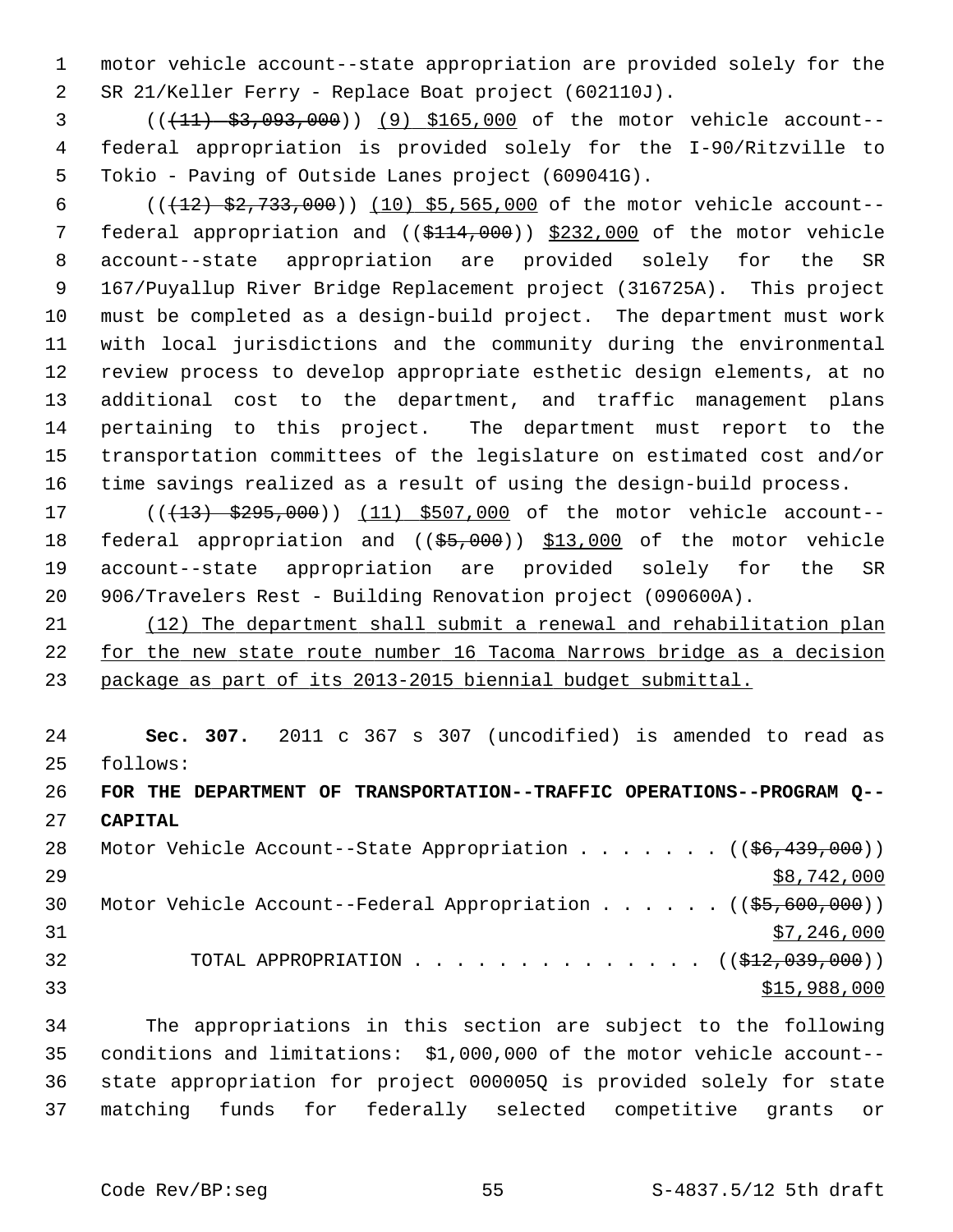1 motor vehicle account--state appropriation are provided solely for the 2 SR 21/Keller Ferry - Replace Boat project (602110J).

 3 (((11) \$3,093,000)) (9) \$165,000 of the motor vehicle account-- 4 federal appropriation is provided solely for the I-90/Ritzville to 5 Tokio - Paving of Outside Lanes project (609041G).

6 ( $(12)$   $$2,733,000$ )) (10) \$5,565,000 of the motor vehicle account--7 federal appropriation and ((\$114,000)) \$232,000 of the motor vehicle 8 account--state appropriation are provided solely for the SR 9 167/Puyallup River Bridge Replacement project (316725A). This project 10 must be completed as a design-build project. The department must work 11 with local jurisdictions and the community during the environmental 12 review process to develop appropriate esthetic design elements, at no 13 additional cost to the department, and traffic management plans 14 pertaining to this project. The department must report to the 15 transportation committees of the legislature on estimated cost and/or 16 time savings realized as a result of using the design-build process.

17 (( $(13)$  \$295,000)) (11) \$507,000 of the motor vehicle account--18 federal appropriation and ((\$5,000)) \$13,000 of the motor vehicle 19 account--state appropriation are provided solely for the SR 20 906/Travelers Rest - Building Renovation project (090600A).

21 (12) The department shall submit a renewal and rehabilitation plan 22 for the new state route number 16 Tacoma Narrows bridge as a decision 23 package as part of its 2013-2015 biennial budget submittal.

24 **Sec. 307.** 2011 c 367 s 307 (uncodified) is amended to read as 25 follows:

26 **FOR THE DEPARTMENT OF TRANSPORTATION--TRAFFIC OPERATIONS--PROGRAM Q--** 27 **CAPITAL**

28 Motor Vehicle Account--State Appropriation . . . . . . ((<del>\$6,439,000</del>))  $29$   $\frac{$8,742,000}{ }$ 30 Motor Vehicle Account--Federal Appropriation . . . . . ((\$5,600,000))  $31$  \$7,246,000 32 TOTAL APPROPRIATION  $\ldots$ , . . . . . . . . . . . ( $(\frac{12}{12}, 039, 000)$ )  $\frac{$15,988,000}{$15,988,000}$ 

34 The appropriations in this section are subject to the following 35 conditions and limitations: \$1,000,000 of the motor vehicle account-- 36 state appropriation for project 000005Q is provided solely for state 37 matching funds for federally selected competitive grants or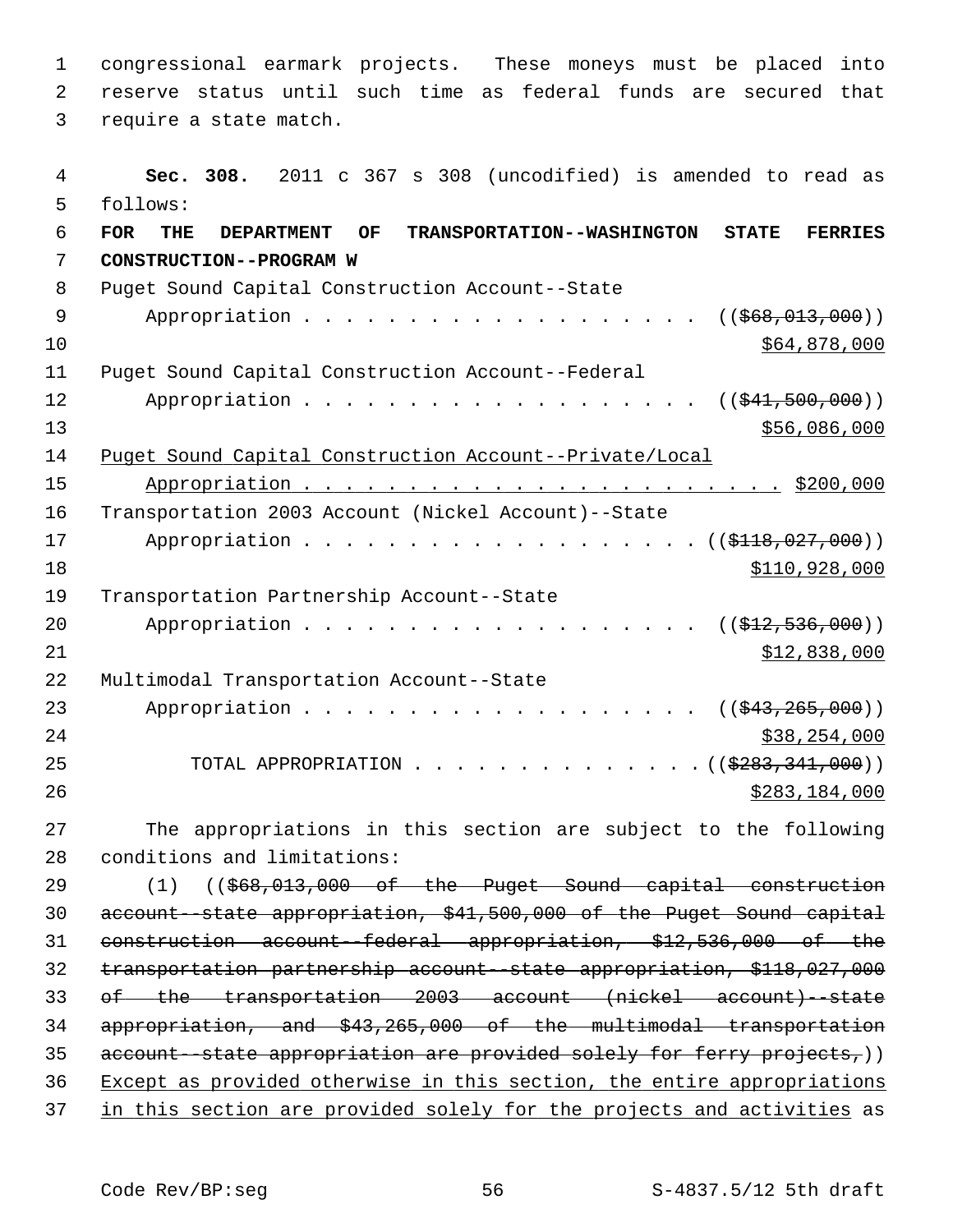1 congressional earmark projects. These moneys must be placed into 2 reserve status until such time as federal funds are secured that 3 require a state match. 4 **Sec. 308.** 2011 c 367 s 308 (uncodified) is amended to read as 5 follows: 6 **FOR THE DEPARTMENT OF TRANSPORTATION--WASHINGTON STATE FERRIES** 7 **CONSTRUCTION--PROGRAM W** 8 Puget Sound Capital Construction Account--State 9 Appropriation . . . . . . . . . . . . . . . . . ( $(\frac{266}{66}, \frac{013}{000})$ )  $10$  \$64,878,000 11 Puget Sound Capital Construction Account--Federal 12 Appropriation . . . . . . . . . . . . . . . . . ((\$41,500,000)) 13 \$56,086,000 14 Puget Sound Capital Construction Account--Private/Local 15 Appropriation . . . . . . . . . . . . . . . . . . . . . . . \$200,000 16 Transportation 2003 Account (Nickel Account)--State 17 Appropriation . . . . . . . . . . . . . . . . . ( (\$118,027,000)) 18 \$110,928,000 19 Transportation Partnership Account--State 20 Appropriation . . . . . . . . . . . . . . . . . (  $(\frac{212}{536},000)$  )  $21$   $512,838,000$ 22 Multimodal Transportation Account--State 23 Appropriation . . . . . . . . . . . . . . . . . ((\$43,265,000)) 24 \$38,254,000 25 TOTAL APPROPRIATION . . . . . . . . . . . . . . ((<del>\$283,341,000</del>)) 26 \$283,184,000 27 The appropriations in this section are subject to the following 28 conditions and limitations: 29 (1) ((\$68,013,000 of the Puget Sound capital construction 30 account--state appropriation, \$41,500,000 of the Puget Sound capital 31 construction account--federal appropriation, \$12,536,000 of the 32 transportation partnership account--state appropriation, \$118,027,000 33 of the transportation 2003 account (nickel account)--state 34 appropriation, and \$43,265,000 of the multimodal transportation 35 account--state appropriation are provided solely for ferry projects,)) 36 Except as provided otherwise in this section, the entire appropriations 37 in this section are provided solely for the projects and activities as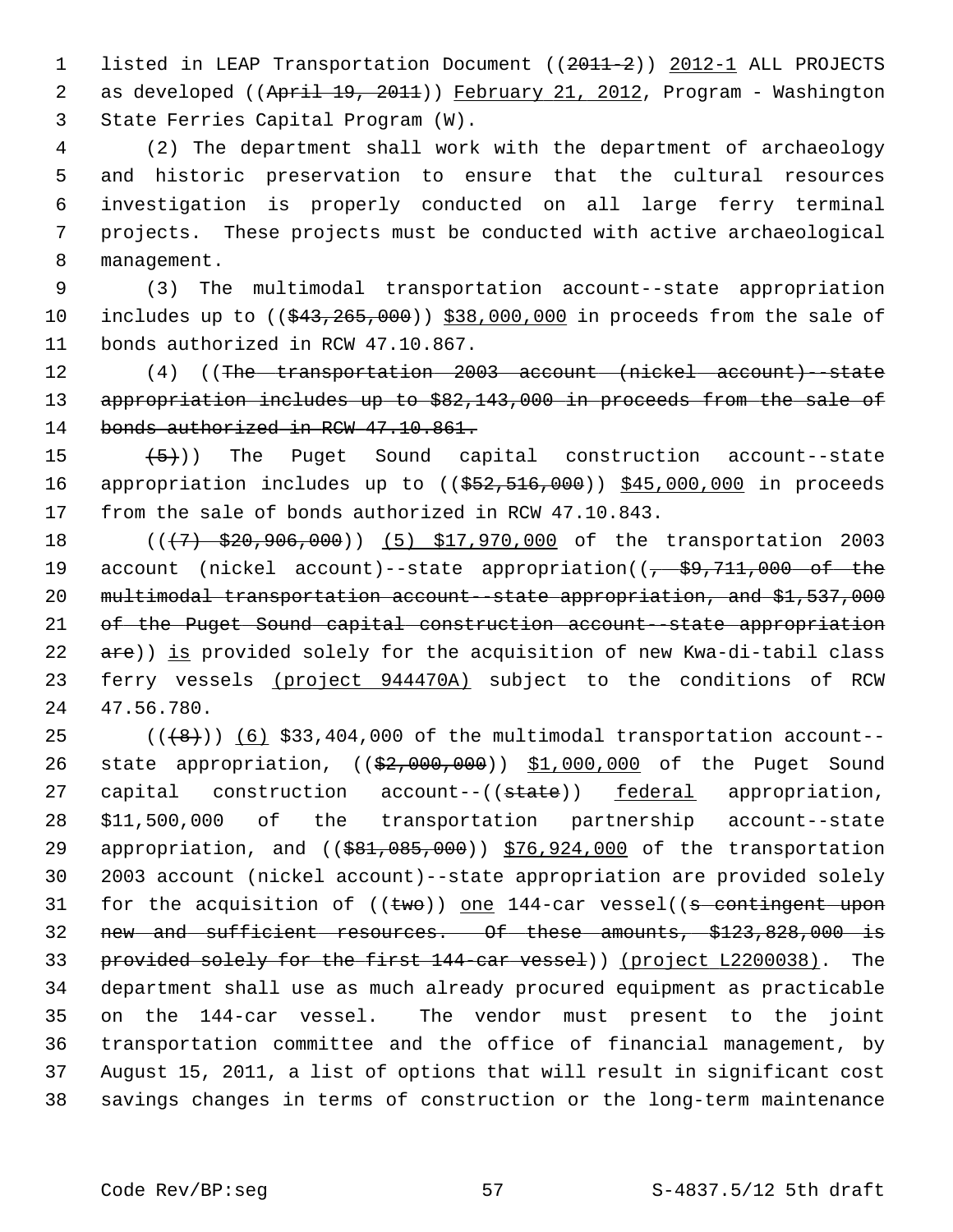1 listed in LEAP Transportation Document ((2011-2)) 2012-1 ALL PROJECTS 2 as developed ((April 19, 2011)) February 21, 2012, Program - Washington 3 State Ferries Capital Program (W).

 4 (2) The department shall work with the department of archaeology 5 and historic preservation to ensure that the cultural resources 6 investigation is properly conducted on all large ferry terminal 7 projects. These projects must be conducted with active archaeological 8 management.

 9 (3) The multimodal transportation account--state appropriation 10 includes up to  $(( $$43, 265, 000)$ )  $$38,000,000$  in proceeds from the sale of$ 11 bonds authorized in RCW 47.10.867.

12 (4) ((The transportation 2003 account (nickel account)--state 13 appropriation includes up to \$82,143,000 in proceeds from the sale of 14 bonds authorized in RCW 47.10.861.

15  $(5)$ ) The Puget Sound capital construction account--state 16 appropriation includes up to ((\$52,516,000)) \$45,000,000 in proceeds 17 from the sale of bonds authorized in RCW 47.10.843.

18 (( $\left(\frac{1}{7} + \frac{20}{520} + \frac{906}{100}\right)$  (5) \$17,970,000 of the transportation 2003 19 account (nickel account)--state appropriation(( $\frac{29}{7}$ , 711,000 of the 20 multimodal transportation account--state appropriation, and \$1,537,000 21 of the Puget Sound capital construction account--state appropriation 22 are)) is provided solely for the acquisition of new Kwa-di-tabil class 23 ferry vessels (project 944470A) subject to the conditions of RCW 24 47.56.780.

 $25$  ( $(\overline{8})$ ) (6) \$33,404,000 of the multimodal transportation account--26 state appropriation, ((\$2,000,000)) \$1,000,000 of the Puget Sound 27 capital construction account--((state)) federal appropriation, 28 \$11,500,000 of the transportation partnership account--state 29 appropriation, and ((\$81,085,000)) \$76,924,000 of the transportation 30 2003 account (nickel account)--state appropriation are provided solely 31 for the acquisition of  $((\text{two}))$  one 144-car vessel((s contingent upon 32 new and sufficient resources. Of these amounts, \$123,828,000 is 33 provided solely for the first 144-car vessel)) (project L2200038). The 34 department shall use as much already procured equipment as practicable 35 on the 144-car vessel. The vendor must present to the joint 36 transportation committee and the office of financial management, by 37 August 15, 2011, a list of options that will result in significant cost 38 savings changes in terms of construction or the long-term maintenance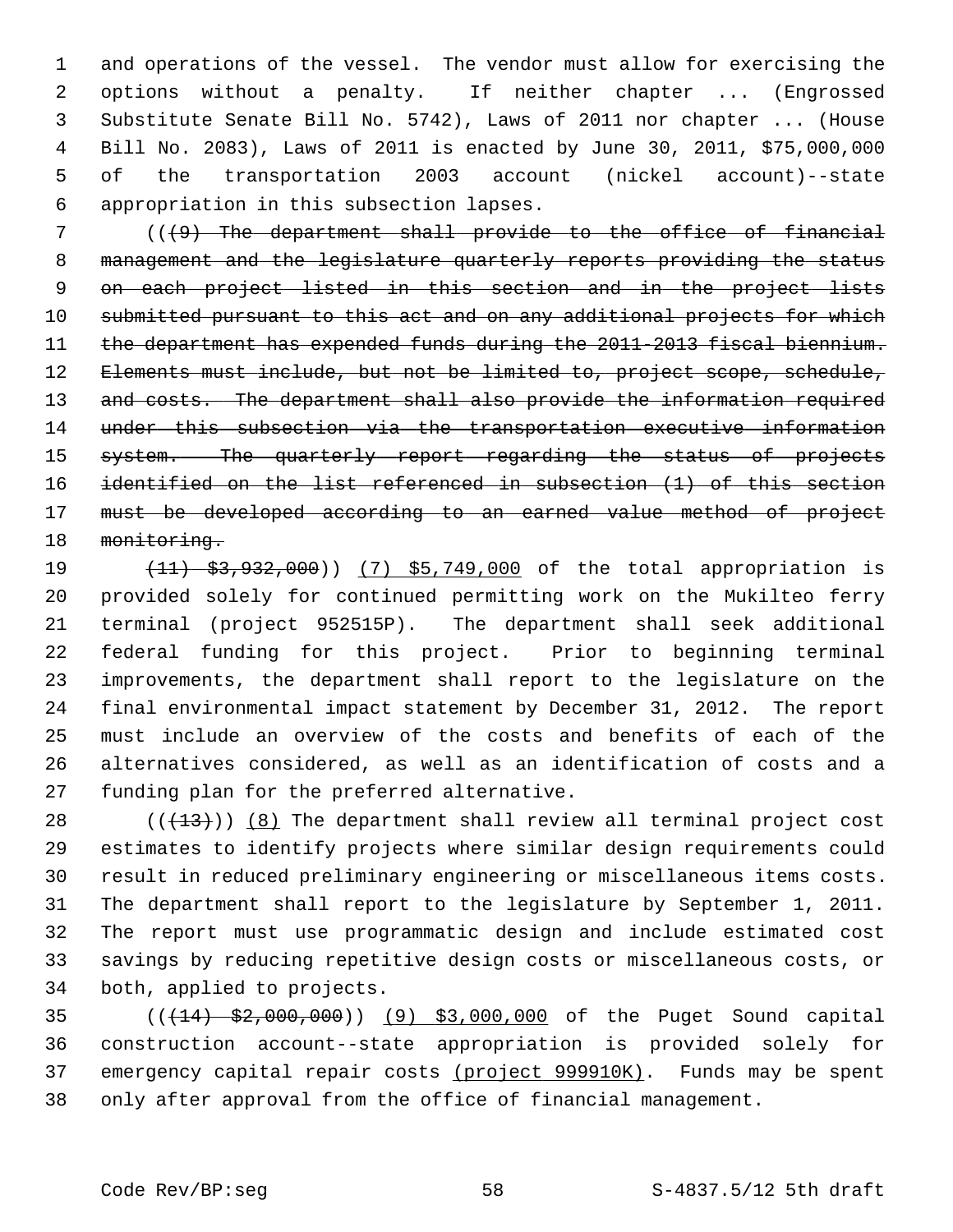1 and operations of the vessel. The vendor must allow for exercising the 2 options without a penalty. If neither chapter ... (Engrossed 3 Substitute Senate Bill No. 5742), Laws of 2011 nor chapter ... (House 4 Bill No. 2083), Laws of 2011 is enacted by June 30, 2011, \$75,000,000 5 of the transportation 2003 account (nickel account)--state 6 appropriation in this subsection lapses.

7 (((9) The department shall provide to the office of financial 8 management and the legislature quarterly reports providing the status 9 on each project listed in this section and in the project lists 10 submitted pursuant to this act and on any additional projects for which 11 the department has expended funds during the 2011-2013 fiscal biennium. 12 Elements must include, but not be limited to, project scope, schedule, 13 and costs. The department shall also provide the information required 14 under this subsection via the transportation executive information 15 system. The quarterly report regarding the status of projects 16 identified on the list referenced in subsection (1) of this section 17 must be developed according to an earned value method of project 18 monitoring.

19 (11) \$3,932,000)) (7) \$5,749,000 of the total appropriation is 20 provided solely for continued permitting work on the Mukilteo ferry 21 terminal (project 952515P). The department shall seek additional 22 federal funding for this project. Prior to beginning terminal 23 improvements, the department shall report to the legislature on the 24 final environmental impact statement by December 31, 2012. The report 25 must include an overview of the costs and benefits of each of the 26 alternatives considered, as well as an identification of costs and a 27 funding plan for the preferred alternative.

28  $((+13))$   $(8)$  The department shall review all terminal project cost 29 estimates to identify projects where similar design requirements could 30 result in reduced preliminary engineering or miscellaneous items costs. 31 The department shall report to the legislature by September 1, 2011. 32 The report must use programmatic design and include estimated cost 33 savings by reducing repetitive design costs or miscellaneous costs, or 34 both, applied to projects.

35 (((14) \$2,000,000)) (9) \$3,000,000 of the Puget Sound capital 36 construction account--state appropriation is provided solely for 37 emergency capital repair costs (project 999910K). Funds may be spent 38 only after approval from the office of financial management.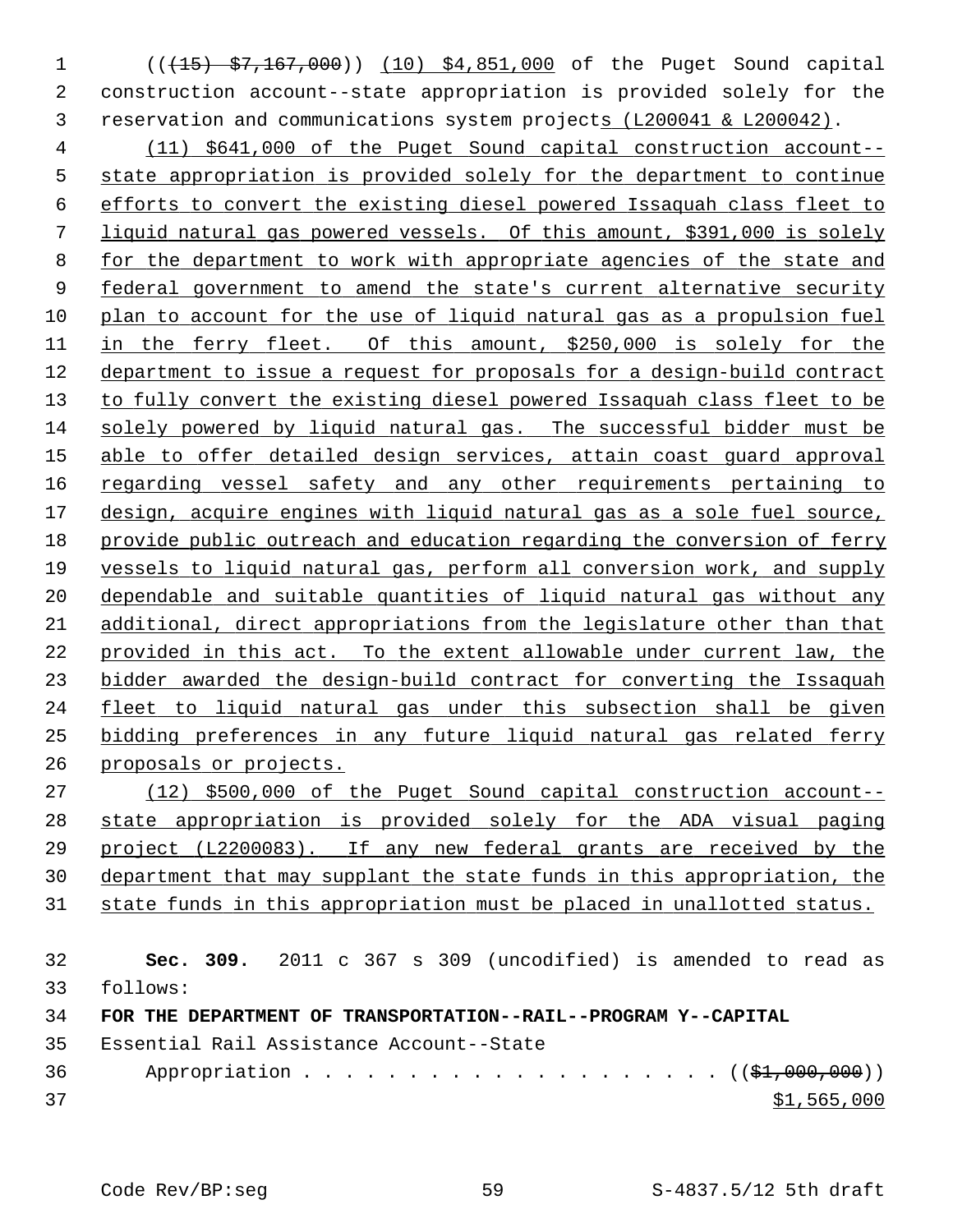1 (( $\left(\frac{15}{15}\right)$   $\left(\frac{57}{167},\frac{167}{160}\right)$  (10) \$4,851,000 of the Puget Sound capital 2 construction account--state appropriation is provided solely for the 3 reservation and communications system projects (L200041 & L200042).

 (11) \$641,000 of the Puget Sound capital construction account-- state appropriation is provided solely for the department to continue efforts to convert the existing diesel powered Issaquah class fleet to liquid natural gas powered vessels. Of this amount, \$391,000 is solely for the department to work with appropriate agencies of the state and federal government to amend the state's current alternative security plan to account for the use of liquid natural gas as a propulsion fuel 11 in the ferry fleet. Of this amount, \$250,000 is solely for the department to issue a request for proposals for a design-build contract to fully convert the existing diesel powered Issaquah class fleet to be solely powered by liquid natural gas. The successful bidder must be able to offer detailed design services, attain coast guard approval regarding vessel safety and any other requirements pertaining to design, acquire engines with liquid natural gas as a sole fuel source, provide public outreach and education regarding the conversion of ferry vessels to liquid natural gas, perform all conversion work, and supply dependable and suitable quantities of liquid natural gas without any additional, direct appropriations from the legislature other than that provided in this act. To the extent allowable under current law, the bidder awarded the design-build contract for converting the Issaquah fleet to liquid natural gas under this subsection shall be given bidding preferences in any future liquid natural gas related ferry proposals or projects.

 (12) \$500,000 of the Puget Sound capital construction account-- state appropriation is provided solely for the ADA visual paging project (L2200083). If any new federal grants are received by the department that may supplant the state funds in this appropriation, the state funds in this appropriation must be placed in unallotted status.

 **Sec. 309.** 2011 c 367 s 309 (uncodified) is amended to read as 33 follows: **FOR THE DEPARTMENT OF TRANSPORTATION--RAIL--PROGRAM Y--CAPITAL** 35 Essential Rail Assistance Account--State

36 Appropriation . . . . . . . . . . . . . . . . . . (  $(\frac{1}{2}, 000, 000)$  )  $31,565,000$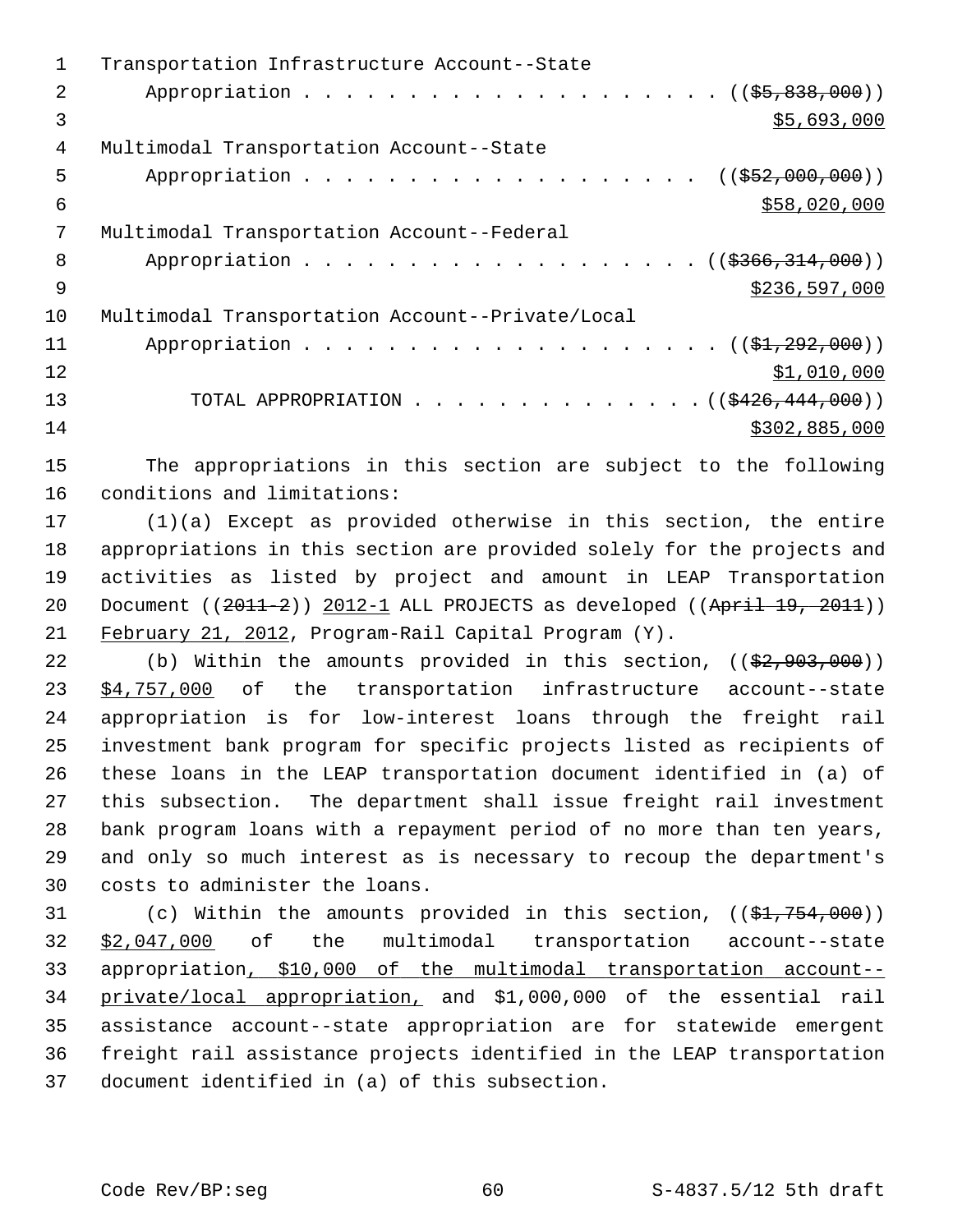|    | Transportation Infrastructure Account--State     |
|----|--------------------------------------------------|
| 2. |                                                  |
| 3  | \$5,693,000                                      |
| 4  | Multimodal Transportation Account--State         |
| 5  | Appropriation ( $(\frac{252,000,000)}{100,000})$ |
| 6  | \$58,020,000                                     |
| 7  | Multimodal Transportation Account--Federal       |
| 8  | Appropriation ((\$366,314,000))                  |
| 9  | \$236,597,000                                    |
| 10 | Multimodal Transportation Account--Private/Local |
| 11 |                                                  |
| 12 | \$1,010,000                                      |
| 13 | TOTAL APPROPRIATION ( $(\frac{2426}{144},000)$ ) |
| 14 | \$302,885,000                                    |
|    |                                                  |

15 The appropriations in this section are subject to the following 16 conditions and limitations:

17 (1)(a) Except as provided otherwise in this section, the entire 18 appropriations in this section are provided solely for the projects and 19 activities as listed by project and amount in LEAP Transportation 20 Document ((2011-2)) 2012-1 ALL PROJECTS as developed ((April 19, 2011)) 21 February 21, 2012, Program-Rail Capital Program (Y).

22 (b) Within the amounts provided in this section,  $((\frac{2}{7}, 903, 000))$ 23 \$4,757,000 of the transportation infrastructure account--state 24 appropriation is for low-interest loans through the freight rail 25 investment bank program for specific projects listed as recipients of 26 these loans in the LEAP transportation document identified in (a) of 27 this subsection. The department shall issue freight rail investment 28 bank program loans with a repayment period of no more than ten years, 29 and only so much interest as is necessary to recoup the department's 30 costs to administer the loans.

31 (c) Within the amounts provided in this section,  $((\frac{21}{754}, \frac{754}{700}))$ 32 \$2,047,000 of the multimodal transportation account--state 33 appropriation, \$10,000 of the multimodal transportation account-- 34 private/local appropriation, and \$1,000,000 of the essential rail 35 assistance account--state appropriation are for statewide emergent 36 freight rail assistance projects identified in the LEAP transportation 37 document identified in (a) of this subsection.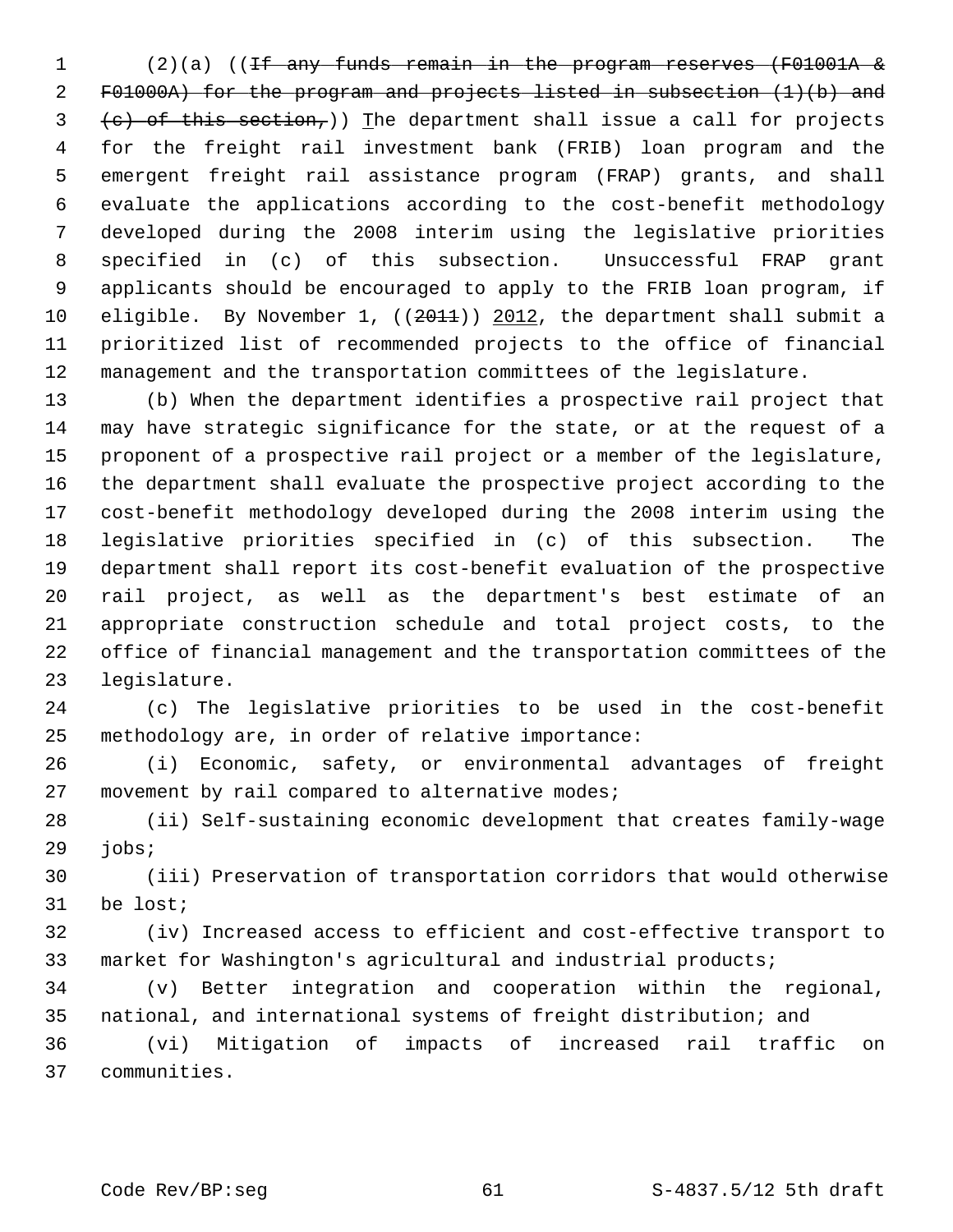1 (2)(a) ((If any funds remain in the program reserves (F01001A & 2 F01000A) for the program and projects listed in subsection (1)(b) and  $3$  (c) of this section,)) The department shall issue a call for projects 4 for the freight rail investment bank (FRIB) loan program and the 5 emergent freight rail assistance program (FRAP) grants, and shall 6 evaluate the applications according to the cost-benefit methodology 7 developed during the 2008 interim using the legislative priorities 8 specified in (c) of this subsection. Unsuccessful FRAP grant 9 applicants should be encouraged to apply to the FRIB loan program, if 10 eligible. By November 1, ((2011)) 2012, the department shall submit a 11 prioritized list of recommended projects to the office of financial 12 management and the transportation committees of the legislature.

13 (b) When the department identifies a prospective rail project that 14 may have strategic significance for the state, or at the request of a 15 proponent of a prospective rail project or a member of the legislature, 16 the department shall evaluate the prospective project according to the 17 cost-benefit methodology developed during the 2008 interim using the 18 legislative priorities specified in (c) of this subsection. The 19 department shall report its cost-benefit evaluation of the prospective 20 rail project, as well as the department's best estimate of an 21 appropriate construction schedule and total project costs, to the 22 office of financial management and the transportation committees of the 23 legislature.

24 (c) The legislative priorities to be used in the cost-benefit 25 methodology are, in order of relative importance:

26 (i) Economic, safety, or environmental advantages of freight 27 movement by rail compared to alternative modes;

28 (ii) Self-sustaining economic development that creates family-wage 29 jobs;

30 (iii) Preservation of transportation corridors that would otherwise 31 be lost;

32 (iv) Increased access to efficient and cost-effective transport to 33 market for Washington's agricultural and industrial products;

34 (v) Better integration and cooperation within the regional, 35 national, and international systems of freight distribution; and

36 (vi) Mitigation of impacts of increased rail traffic on 37 communities.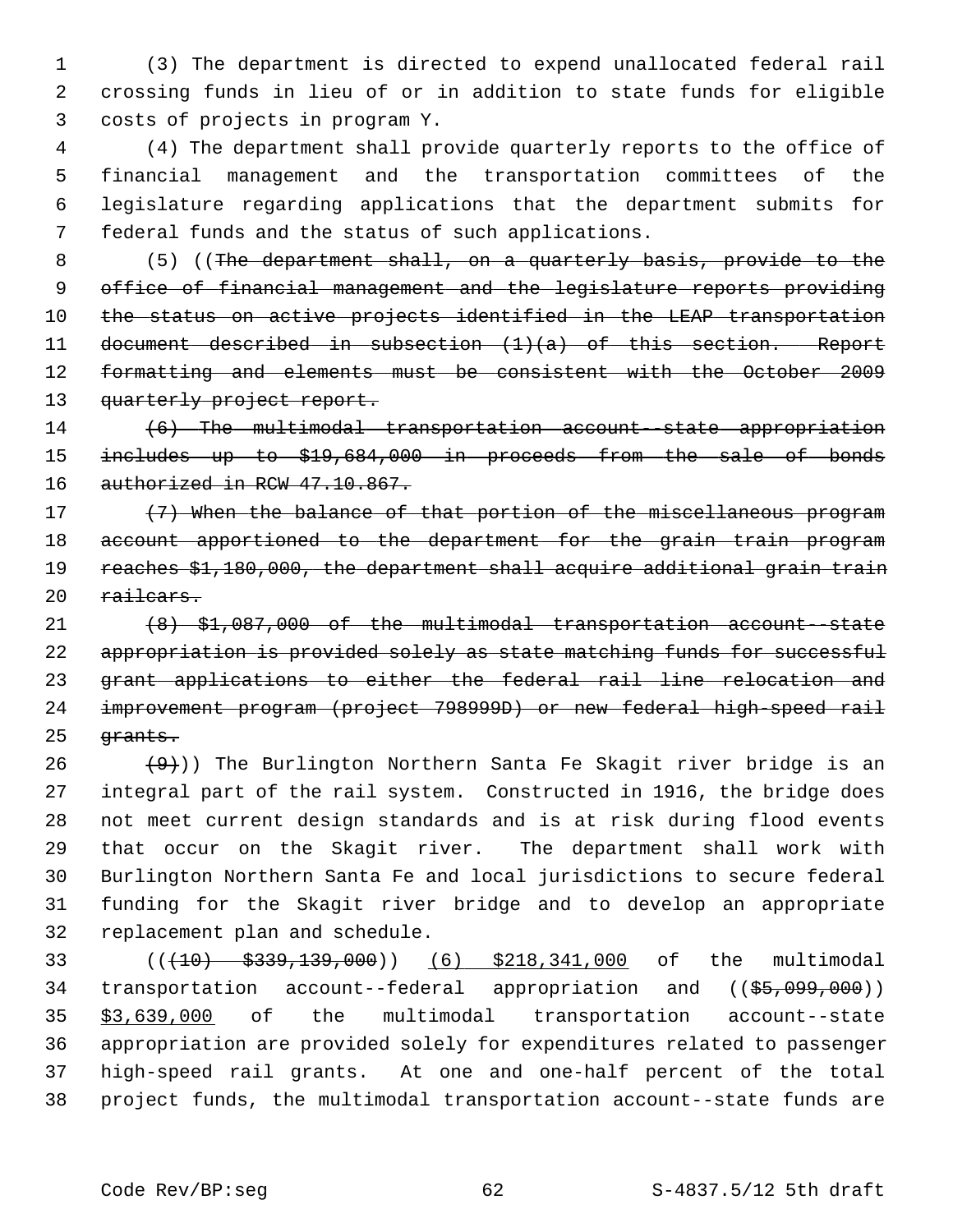1 (3) The department is directed to expend unallocated federal rail 2 crossing funds in lieu of or in addition to state funds for eligible 3 costs of projects in program Y.

 4 (4) The department shall provide quarterly reports to the office of 5 financial management and the transportation committees of the 6 legislature regarding applications that the department submits for 7 federal funds and the status of such applications.

 8 (5) ((The department shall, on a quarterly basis, provide to the office of financial management and the legislature reports providing the status on active projects identified in the LEAP transportation document described in subsection (1)(a) of this section. Report formatting and elements must be consistent with the October 2009 13 quarterly project report.

14 (6) The multimodal transportation account--state appropriation 15 includes up to \$19,684,000 in proceeds from the sale of bonds 16 authorized in RCW 47.10.867.

17 (7) When the balance of that portion of the miscellaneous program 18 account apportioned to the department for the grain train program 19 reaches \$1,180,000, the department shall acquire additional grain train 20 railcars.

21 (8) \$1,087,000 of the multimodal transportation account--state 22 appropriation is provided solely as state matching funds for successful 23 grant applications to either the federal rail line relocation and 24 improvement program (project 798999D) or new federal high-speed rail 25 <del>grants.</del>

 $(9)$ )) The Burlington Northern Santa Fe Skagit river bridge is an 27 integral part of the rail system. Constructed in 1916, the bridge does 28 not meet current design standards and is at risk during flood events 29 that occur on the Skagit river. The department shall work with 30 Burlington Northern Santa Fe and local jurisdictions to secure federal 31 funding for the Skagit river bridge and to develop an appropriate 32 replacement plan and schedule.

33 (((10) \$339,139,000)) (6) \$218,341,000 of the multimodal 34 transportation account--federal appropriation and ((\$5,099,000)) 35 \$3,639,000 of the multimodal transportation account--state 36 appropriation are provided solely for expenditures related to passenger 37 high-speed rail grants. At one and one-half percent of the total 38 project funds, the multimodal transportation account--state funds are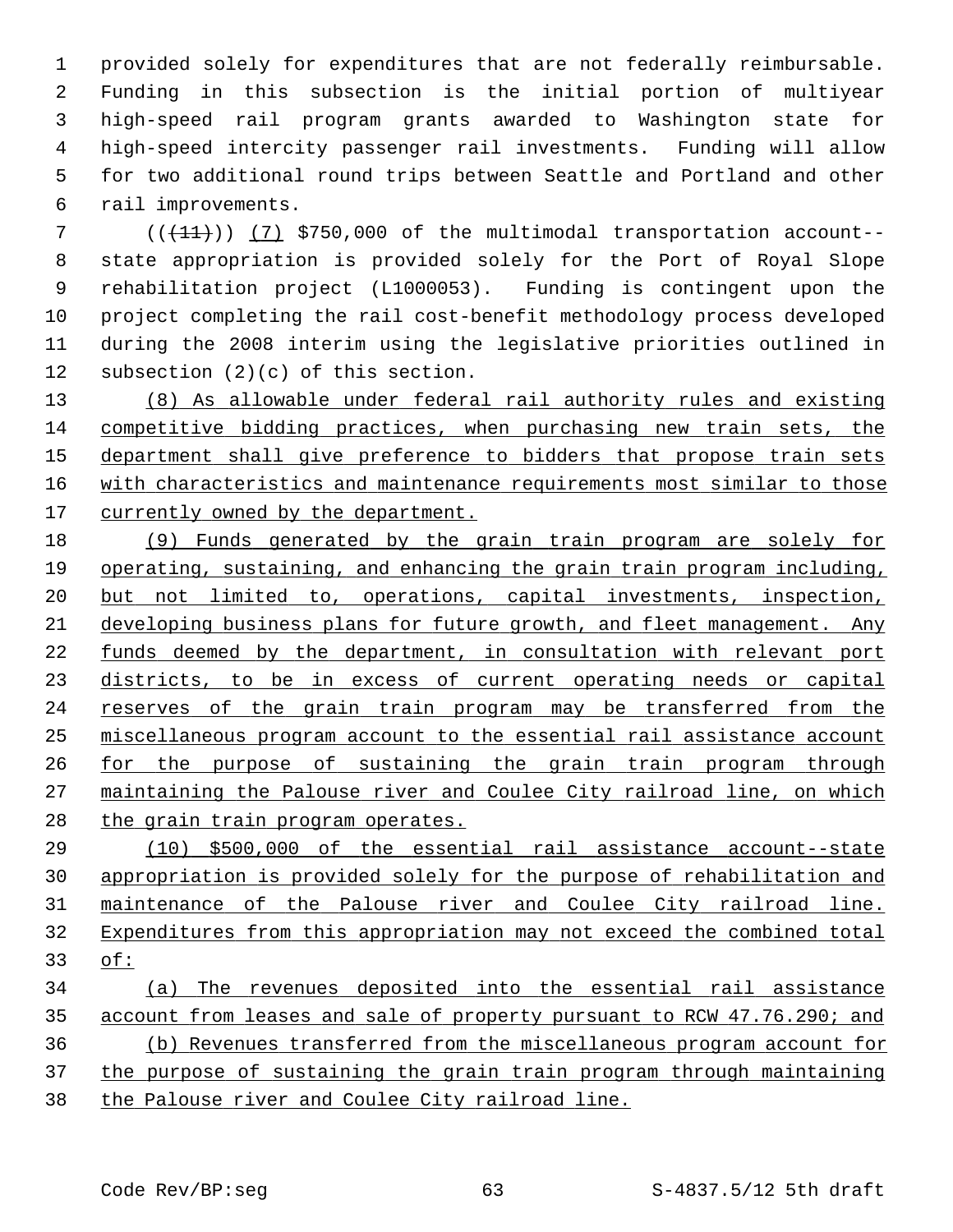1 provided solely for expenditures that are not federally reimbursable. 2 Funding in this subsection is the initial portion of multiyear 3 high-speed rail program grants awarded to Washington state for 4 high-speed intercity passenger rail investments. Funding will allow 5 for two additional round trips between Seattle and Portland and other 6 rail improvements.

 ( $(\overline{+11})$ ) (7) \$750,000 of the multimodal transportation account-- 8 state appropriation is provided solely for the Port of Royal Slope 9 rehabilitation project (L1000053). Funding is contingent upon the 10 project completing the rail cost-benefit methodology process developed 11 during the 2008 interim using the legislative priorities outlined in 12 subsection (2)(c) of this section.

 (8) As allowable under federal rail authority rules and existing competitive bidding practices, when purchasing new train sets, the department shall give preference to bidders that propose train sets with characteristics and maintenance requirements most similar to those 17 currently owned by the department.

 (9) Funds generated by the grain train program are solely for operating, sustaining, and enhancing the grain train program including, but not limited to, operations, capital investments, inspection, developing business plans for future growth, and fleet management. Any funds deemed by the department, in consultation with relevant port districts, to be in excess of current operating needs or capital reserves of the grain train program may be transferred from the miscellaneous program account to the essential rail assistance account for the purpose of sustaining the grain train program through maintaining the Palouse river and Coulee City railroad line, on which the grain train program operates.

 (10) \$500,000 of the essential rail assistance account--state appropriation is provided solely for the purpose of rehabilitation and maintenance of the Palouse river and Coulee City railroad line. Expenditures from this appropriation may not exceed the combined total of:

 (a) The revenues deposited into the essential rail assistance account from leases and sale of property pursuant to RCW 47.76.290; and (b) Revenues transferred from the miscellaneous program account for the purpose of sustaining the grain train program through maintaining the Palouse river and Coulee City railroad line.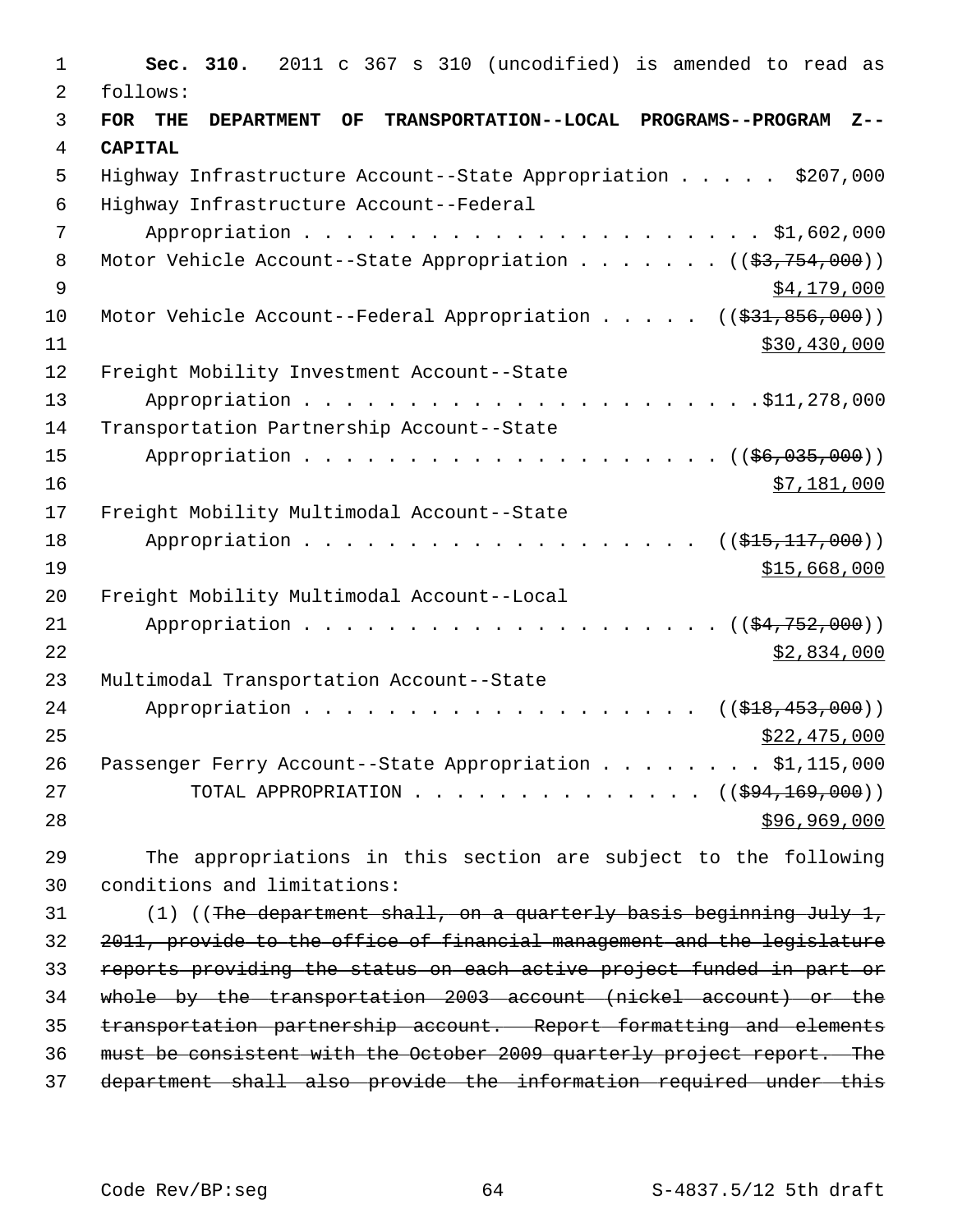| $\mathbf 1$    | Sec. 310.<br>2011 c 367 s 310 (uncodified) is amended to read as                         |
|----------------|------------------------------------------------------------------------------------------|
| 2              | follows:                                                                                 |
| 3              | FOR THE<br><b>DEPARTMENT</b><br>OF<br>TRANSPORTATION--LOCAL PROGRAMS--PROGRAM<br>$Z - -$ |
| $\overline{4}$ | <b>CAPITAL</b>                                                                           |
| 5              | Highway Infrastructure Account--State Appropriation \$207,000                            |
| 6              | Highway Infrastructure Account--Federal                                                  |
| 7              |                                                                                          |
| 8              | Motor Vehicle Account--State Appropriation ( $(\frac{2}{3}, 754, 000)$ )                 |
| $\overline{9}$ | \$4,179,000                                                                              |
| 10             | Motor Vehicle Account--Federal Appropriation $($ $($ \$31,856,000))                      |
| 11             | \$30,430,000                                                                             |
| 12             | Freight Mobility Investment Account--State                                               |
| 13             |                                                                                          |
| 14             | Transportation Partnership Account--State                                                |
| 15             |                                                                                          |
| 16             | \$7,181,000                                                                              |
| 17             | Freight Mobility Multimodal Account--State                                               |
| 18             | Appropriation<br>$((\$15,117,000))$                                                      |
| 19             | \$15,668,000                                                                             |
| 20             | Freight Mobility Multimodal Account--Local                                               |
| 21             | Appropriation<br>$((\frac{154}{752},000))$                                               |
| 22             | \$2,834,000                                                                              |
| 23             | Multimodal Transportation Account--State                                                 |
| 24             | Appropriation<br>((\$18,453,000))                                                        |
| 25             | \$22,475,000                                                                             |
| 26             | Passenger Ferry Account--State Appropriation \$1,115,000                                 |
| 27             | TOTAL APPROPRIATION $($ $($ $\frac{694,169,000)}{100,000})$                              |
| 28             | \$96,969,000                                                                             |
| 29             | The appropriations in this section are subject to the following                          |
| 30             | conditions and limitations:                                                              |
| 31             | (1) ((The department shall, on a quarterly basis beginning July 1,                       |
| 32             | 2011, provide to the office of financial management and the legislature                  |
| 33             | reports providing the status on each active project funded in part or                    |
| 34             | whole by the transportation 2003 account (nickel account) or the                         |
| 35             | transportation partnership account. Report formatting and elements                       |
| 36             | must be consistent with the October 2009 quarterly project report. The                   |
| 37             | department shall also provide the information required under this                        |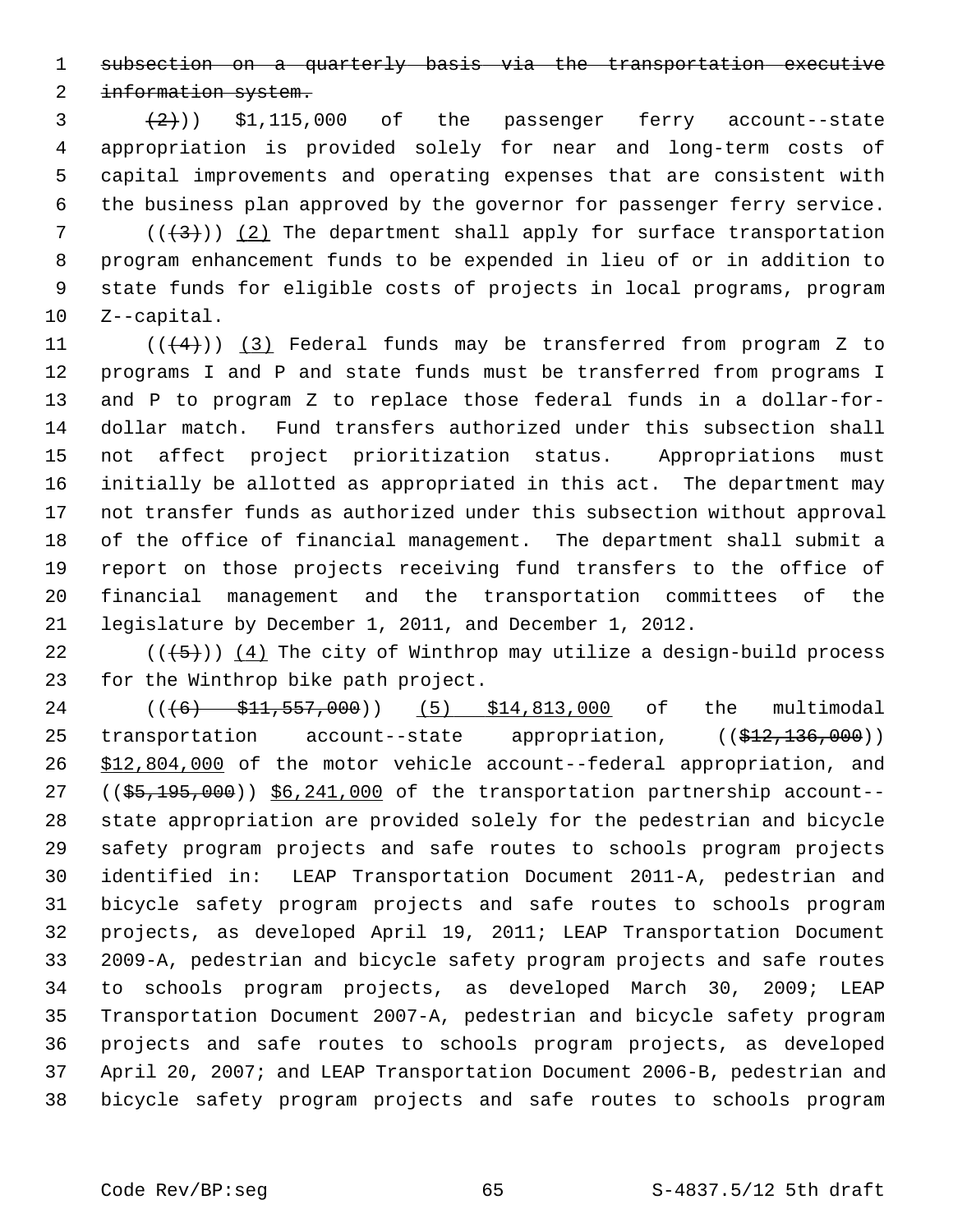1 subsection on a quarterly basis via the transportation executive

2 information system.

 $(3 + 2)$ ) \$1,115,000 of the passenger ferry account--state 4 appropriation is provided solely for near and long-term costs of 5 capital improvements and operating expenses that are consistent with 6 the business plan approved by the governor for passenger ferry service.

7  $((+3))$  (2) The department shall apply for surface transportation 8 program enhancement funds to be expended in lieu of or in addition to 9 state funds for eligible costs of projects in local programs, program 10 Z--capital.

11  $((+4))$  (3) Federal funds may be transferred from program Z to 12 programs I and P and state funds must be transferred from programs I 13 and P to program Z to replace those federal funds in a dollar-for-14 dollar match. Fund transfers authorized under this subsection shall 15 not affect project prioritization status. Appropriations must 16 initially be allotted as appropriated in this act. The department may 17 not transfer funds as authorized under this subsection without approval 18 of the office of financial management. The department shall submit a 19 report on those projects receiving fund transfers to the office of 20 financial management and the transportation committees of the 21 legislature by December 1, 2011, and December 1, 2012.

22  $((\langle 5 \rangle)(4)$  The city of Winthrop may utilize a design-build process 23 for the Winthrop bike path project.

24 ((<del>(6) \$11,557,000</del>)) (5) \$14,813,000 of the multimodal 25 transportation account--state appropriation,  $((\$12,136,000))$ 26 \$12,804,000 of the motor vehicle account--federal appropriation, and  $27$  ( $(\frac{25}{195},\frac{195}{000})$ )  $\S6,241,000$  of the transportation partnership account--28 state appropriation are provided solely for the pedestrian and bicycle 29 safety program projects and safe routes to schools program projects 30 identified in: LEAP Transportation Document 2011-A, pedestrian and 31 bicycle safety program projects and safe routes to schools program 32 projects, as developed April 19, 2011; LEAP Transportation Document 33 2009-A, pedestrian and bicycle safety program projects and safe routes 34 to schools program projects, as developed March 30, 2009; LEAP 35 Transportation Document 2007-A, pedestrian and bicycle safety program 36 projects and safe routes to schools program projects, as developed 37 April 20, 2007; and LEAP Transportation Document 2006-B, pedestrian and 38 bicycle safety program projects and safe routes to schools program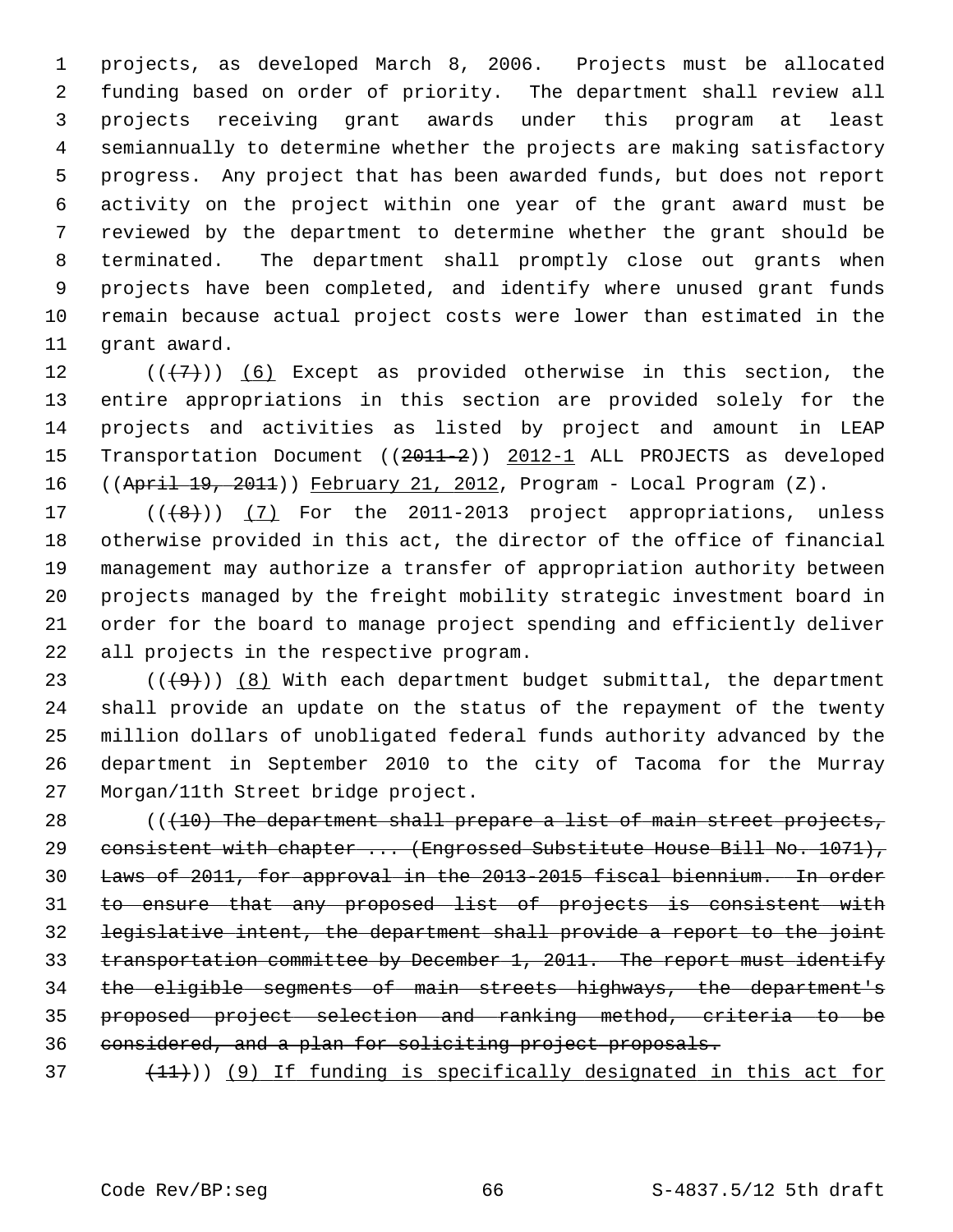1 projects, as developed March 8, 2006. Projects must be allocated 2 funding based on order of priority. The department shall review all 3 projects receiving grant awards under this program at least 4 semiannually to determine whether the projects are making satisfactory 5 progress. Any project that has been awarded funds, but does not report 6 activity on the project within one year of the grant award must be 7 reviewed by the department to determine whether the grant should be 8 terminated. The department shall promptly close out grants when 9 projects have been completed, and identify where unused grant funds 10 remain because actual project costs were lower than estimated in the 11 grant award.

12  $((+7)^{n})$  (6) Except as provided otherwise in this section, the 13 entire appropriations in this section are provided solely for the 14 projects and activities as listed by project and amount in LEAP 15 Transportation Document ((2011-2)) 2012-1 ALL PROJECTS as developed 16 ((April 19, 2011)) February 21, 2012, Program - Local Program (Z).

17  $((+8))$   $(7)$  For the 2011-2013 project appropriations, unless 18 otherwise provided in this act, the director of the office of financial 19 management may authorize a transfer of appropriation authority between 20 projects managed by the freight mobility strategic investment board in 21 order for the board to manage project spending and efficiently deliver 22 all projects in the respective program.

23 ( $(\frac{49}{})$ ) (8) With each department budget submittal, the department 24 shall provide an update on the status of the repayment of the twenty 25 million dollars of unobligated federal funds authority advanced by the 26 department in September 2010 to the city of Tacoma for the Murray 27 Morgan/11th Street bridge project.

28 (((10) The department shall prepare a list of main street projects, 29 consistent with chapter ... (Engrossed Substitute House Bill No. 1071), Laws of 2011, for approval in the 2013-2015 fiscal biennium. In order to ensure that any proposed list of projects is consistent with legislative intent, the department shall provide a report to the joint transportation committee by December 1, 2011. The report must identify the eligible segments of main streets highways, the department's proposed project selection and ranking method, criteria to be considered, and a plan for soliciting project proposals.

 $(11)$ ) (9) If funding is specifically designated in this act for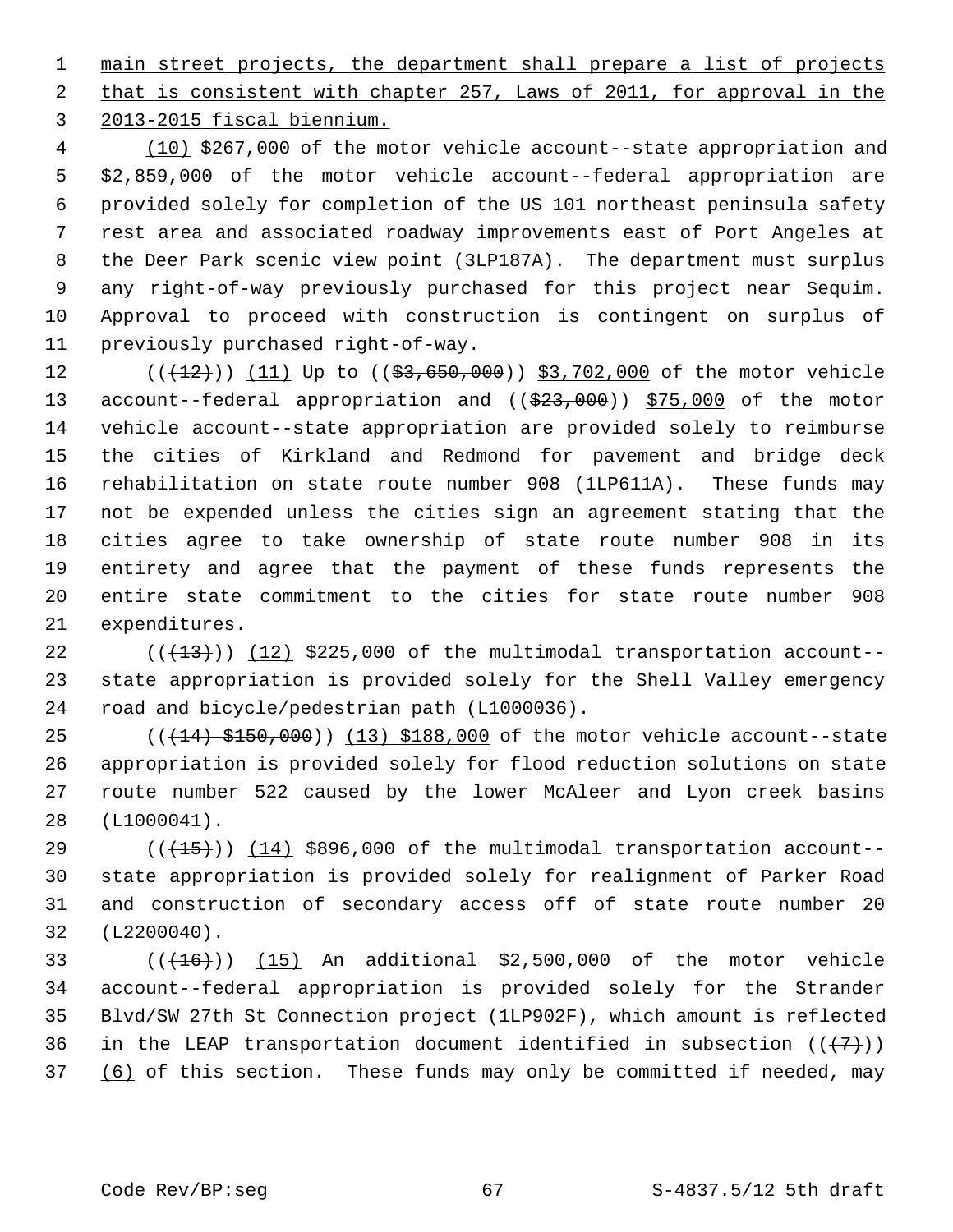1 main street projects, the department shall prepare a list of projects 2 that is consistent with chapter 257, Laws of 2011, for approval in the 3 2013-2015 fiscal biennium.

 4 (10) \$267,000 of the motor vehicle account--state appropriation and 5 \$2,859,000 of the motor vehicle account--federal appropriation are 6 provided solely for completion of the US 101 northeast peninsula safety 7 rest area and associated roadway improvements east of Port Angeles at 8 the Deer Park scenic view point (3LP187A). The department must surplus 9 any right-of-way previously purchased for this project near Sequim. 10 Approval to proceed with construction is contingent on surplus of 11 previously purchased right-of-way.

12 (( $(12)$ )) (11) Up to (( $$3,650,000$ )) \$3,702,000 of the motor vehicle 13 account--federal appropriation and ((\$23,000)) \$75,000 of the motor 14 vehicle account--state appropriation are provided solely to reimburse 15 the cities of Kirkland and Redmond for pavement and bridge deck 16 rehabilitation on state route number 908 (1LP611A). These funds may 17 not be expended unless the cities sign an agreement stating that the 18 cities agree to take ownership of state route number 908 in its 19 entirety and agree that the payment of these funds represents the 20 entire state commitment to the cities for state route number 908 21 expenditures.

22  $((+13))$  (12) \$225,000 of the multimodal transportation account--23 state appropriation is provided solely for the Shell Valley emergency 24 road and bicycle/pedestrian path (L1000036).

25  $((14)$   $$150,000)$   $(13)$   $$188,000$  of the motor vehicle account--state 26 appropriation is provided solely for flood reduction solutions on state 27 route number 522 caused by the lower McAleer and Lyon creek basins 28 (L1000041).

29  $((+15))$  (14) \$896,000 of the multimodal transportation account--30 state appropriation is provided solely for realignment of Parker Road 31 and construction of secondary access off of state route number 20 32 (L2200040).

33  $((+16))$   $(15)$  An additional \$2,500,000 of the motor vehicle 34 account--federal appropriation is provided solely for the Strander 35 Blvd/SW 27th St Connection project (1LP902F), which amount is reflected 36 in the LEAP transportation document identified in subsection  $((+7))$ 37 (6) of this section. These funds may only be committed if needed, may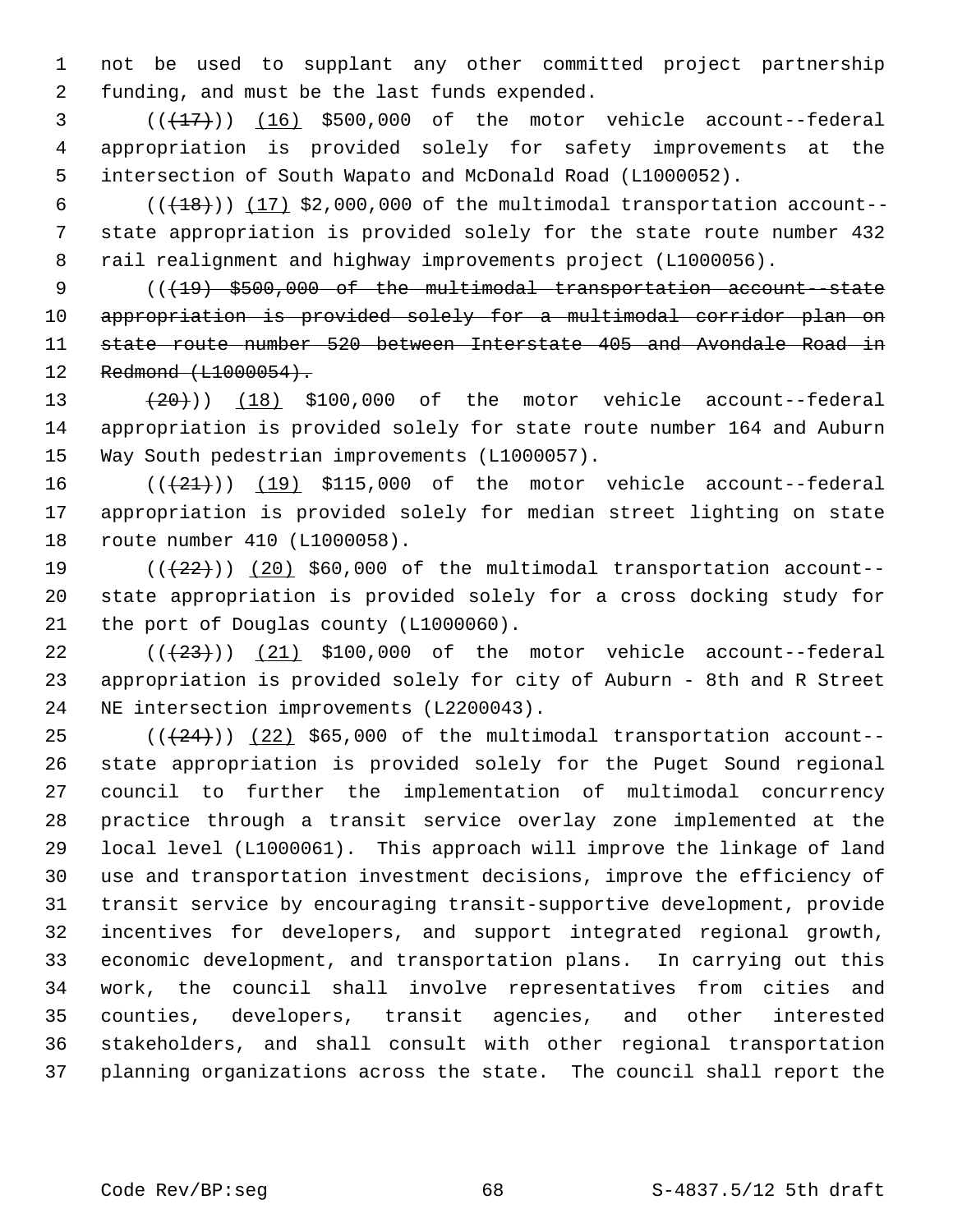1 not be used to supplant any other committed project partnership 2 funding, and must be the last funds expended.

 $3$   $((+17))$   $(16)$  \$500,000 of the motor vehicle account--federal 4 appropriation is provided solely for safety improvements at the 5 intersection of South Wapato and McDonald Road (L1000052).

6  $((+18))$   $(17)$  \$2,000,000 of the multimodal transportation account-- 7 state appropriation is provided solely for the state route number 432 8 rail realignment and highway improvements project (L1000056).

9 (( $\{19\}$  \$500,000 of the multimodal transportation account-state 10 appropriation is provided solely for a multimodal corridor plan on 11 state route number 520 between Interstate 405 and Avondale Road in 12 Redmond (L1000054).

13  $(20)$   $(18)$  \$100,000 of the motor vehicle account--federal 14 appropriation is provided solely for state route number 164 and Auburn 15 Way South pedestrian improvements (L1000057).

16  $((+21))$   $(19)$  \$115,000 of the motor vehicle account--federal 17 appropriation is provided solely for median street lighting on state 18 route number 410 (L1000058).

19  $((+22))$   $(20)$  \$60,000 of the multimodal transportation account--20 state appropriation is provided solely for a cross docking study for 21 the port of Douglas county (L1000060).

 $(1+23)$  ( $(21)$  \$100,000 of the motor vehicle account--federal 23 appropriation is provided solely for city of Auburn - 8th and R Street 24 NE intersection improvements (L2200043).

 $(1 + 24)(1 + 24)$  (22) \$65,000 of the multimodal transportation account--26 state appropriation is provided solely for the Puget Sound regional 27 council to further the implementation of multimodal concurrency 28 practice through a transit service overlay zone implemented at the 29 local level (L1000061). This approach will improve the linkage of land 30 use and transportation investment decisions, improve the efficiency of 31 transit service by encouraging transit-supportive development, provide 32 incentives for developers, and support integrated regional growth, 33 economic development, and transportation plans. In carrying out this 34 work, the council shall involve representatives from cities and 35 counties, developers, transit agencies, and other interested 36 stakeholders, and shall consult with other regional transportation 37 planning organizations across the state. The council shall report the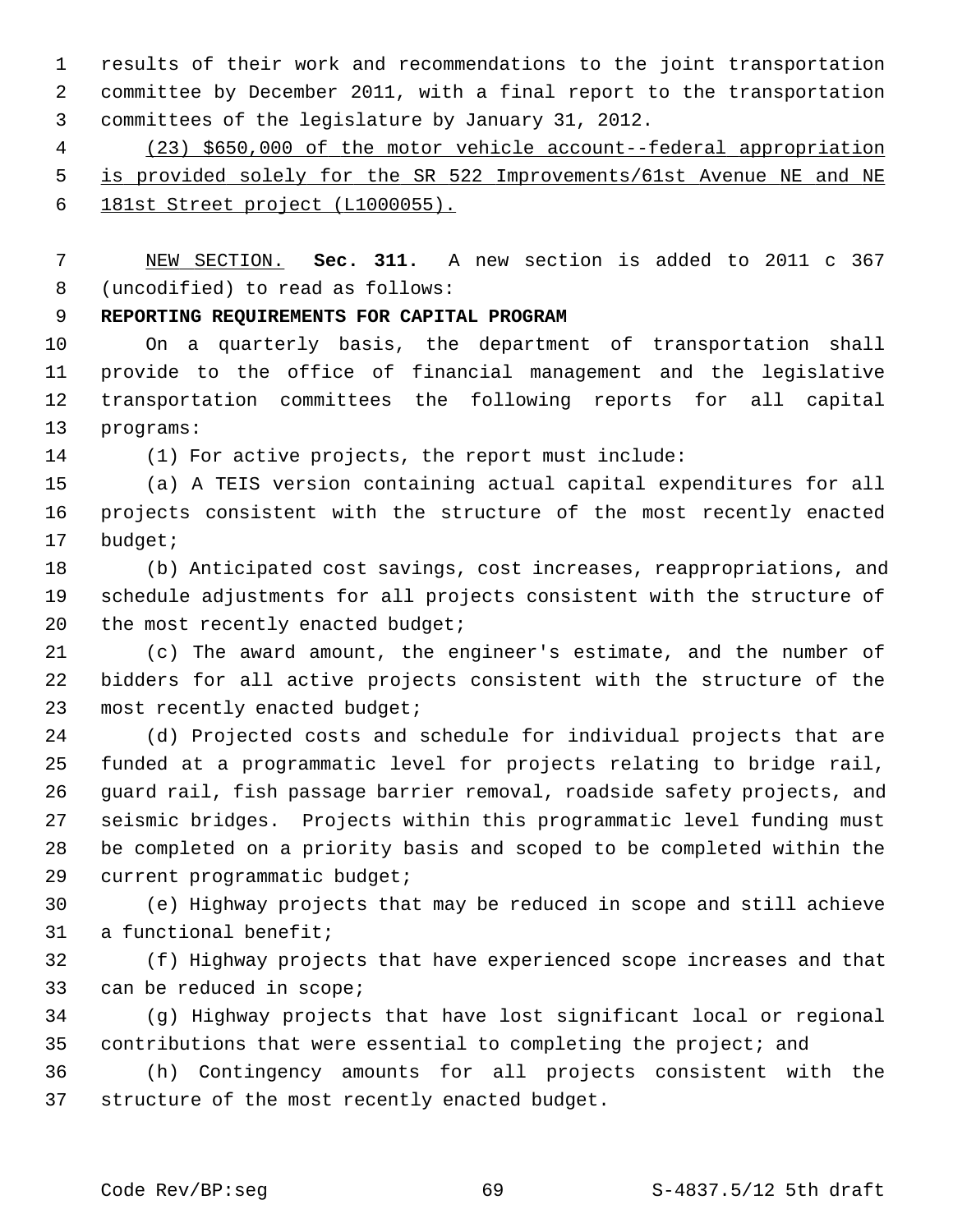1 results of their work and recommendations to the joint transportation 2 committee by December 2011, with a final report to the transportation 3 committees of the legislature by January 31, 2012.

 4 (23) \$650,000 of the motor vehicle account--federal appropriation 5 is provided solely for the SR 522 Improvements/61st Avenue NE and NE 6 181st Street project (L1000055).

 7 NEW SECTION. **Sec. 311.** A new section is added to 2011 c 367 8 (uncodified) to read as follows:

9 **REPORTING REQUIREMENTS FOR CAPITAL PROGRAM**

10 On a quarterly basis, the department of transportation shall 11 provide to the office of financial management and the legislative 12 transportation committees the following reports for all capital 13 programs:

14 (1) For active projects, the report must include:

15 (a) A TEIS version containing actual capital expenditures for all 16 projects consistent with the structure of the most recently enacted 17 budget;

18 (b) Anticipated cost savings, cost increases, reappropriations, and 19 schedule adjustments for all projects consistent with the structure of 20 the most recently enacted budget;

21 (c) The award amount, the engineer's estimate, and the number of 22 bidders for all active projects consistent with the structure of the 23 most recently enacted budget;

24 (d) Projected costs and schedule for individual projects that are 25 funded at a programmatic level for projects relating to bridge rail, 26 guard rail, fish passage barrier removal, roadside safety projects, and 27 seismic bridges. Projects within this programmatic level funding must 28 be completed on a priority basis and scoped to be completed within the 29 current programmatic budget;

30 (e) Highway projects that may be reduced in scope and still achieve 31 a functional benefit;

32 (f) Highway projects that have experienced scope increases and that 33 can be reduced in scope;

34 (g) Highway projects that have lost significant local or regional 35 contributions that were essential to completing the project; and

36 (h) Contingency amounts for all projects consistent with the 37 structure of the most recently enacted budget.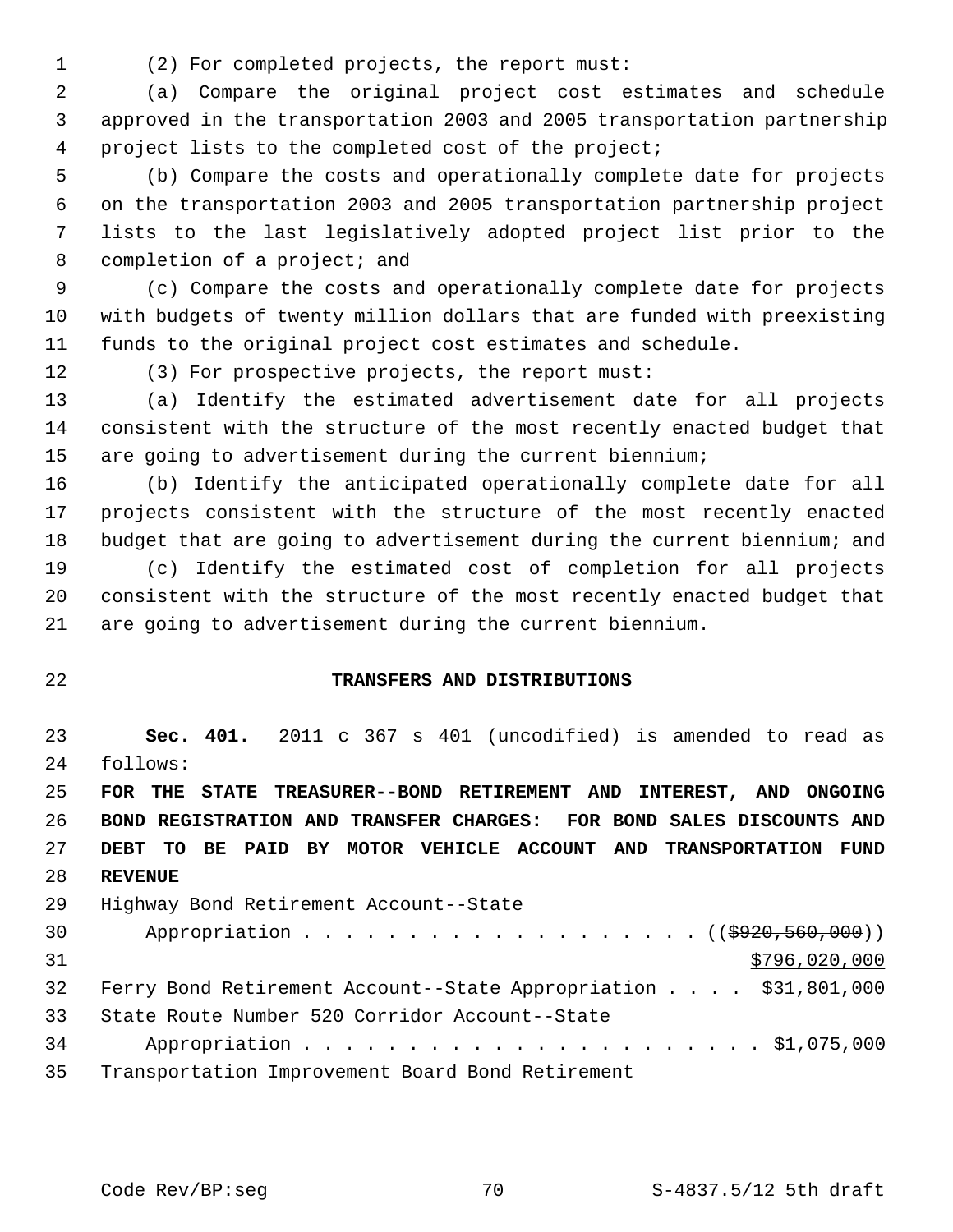1 (2) For completed projects, the report must:

 2 (a) Compare the original project cost estimates and schedule 3 approved in the transportation 2003 and 2005 transportation partnership 4 project lists to the completed cost of the project;

 5 (b) Compare the costs and operationally complete date for projects 6 on the transportation 2003 and 2005 transportation partnership project 7 lists to the last legislatively adopted project list prior to the 8 completion of a project; and

 9 (c) Compare the costs and operationally complete date for projects 10 with budgets of twenty million dollars that are funded with preexisting 11 funds to the original project cost estimates and schedule.

12 (3) For prospective projects, the report must:

13 (a) Identify the estimated advertisement date for all projects 14 consistent with the structure of the most recently enacted budget that 15 are going to advertisement during the current biennium;

16 (b) Identify the anticipated operationally complete date for all 17 projects consistent with the structure of the most recently enacted 18 budget that are going to advertisement during the current biennium; and 19 (c) Identify the estimated cost of completion for all projects 20 consistent with the structure of the most recently enacted budget that 21 are going to advertisement during the current biennium.

## 22 **TRANSFERS AND DISTRIBUTIONS**

23 **Sec. 401.** 2011 c 367 s 401 (uncodified) is amended to read as 24 follows:

 **FOR THE STATE TREASURER--BOND RETIREMENT AND INTEREST, AND ONGOING BOND REGISTRATION AND TRANSFER CHARGES: FOR BOND SALES DISCOUNTS AND DEBT TO BE PAID BY MOTOR VEHICLE ACCOUNT AND TRANSPORTATION FUND** 28 **REVENUE**

| 29              | Highway Bond Retirement Account--State                          |
|-----------------|-----------------------------------------------------------------|
| 30              | Appropriation ( $(\frac{2920}{560}, \frac{560}{000})$ )         |
| 31              | \$796,020,000                                                   |
| 32 <sup>°</sup> | Ferry Bond Retirement Account--State Appropriation \$31,801,000 |
| 33              | State Route Number 520 Corridor Account--State                  |
| 34              |                                                                 |
| 35              | Transportation Improvement Board Bond Retirement                |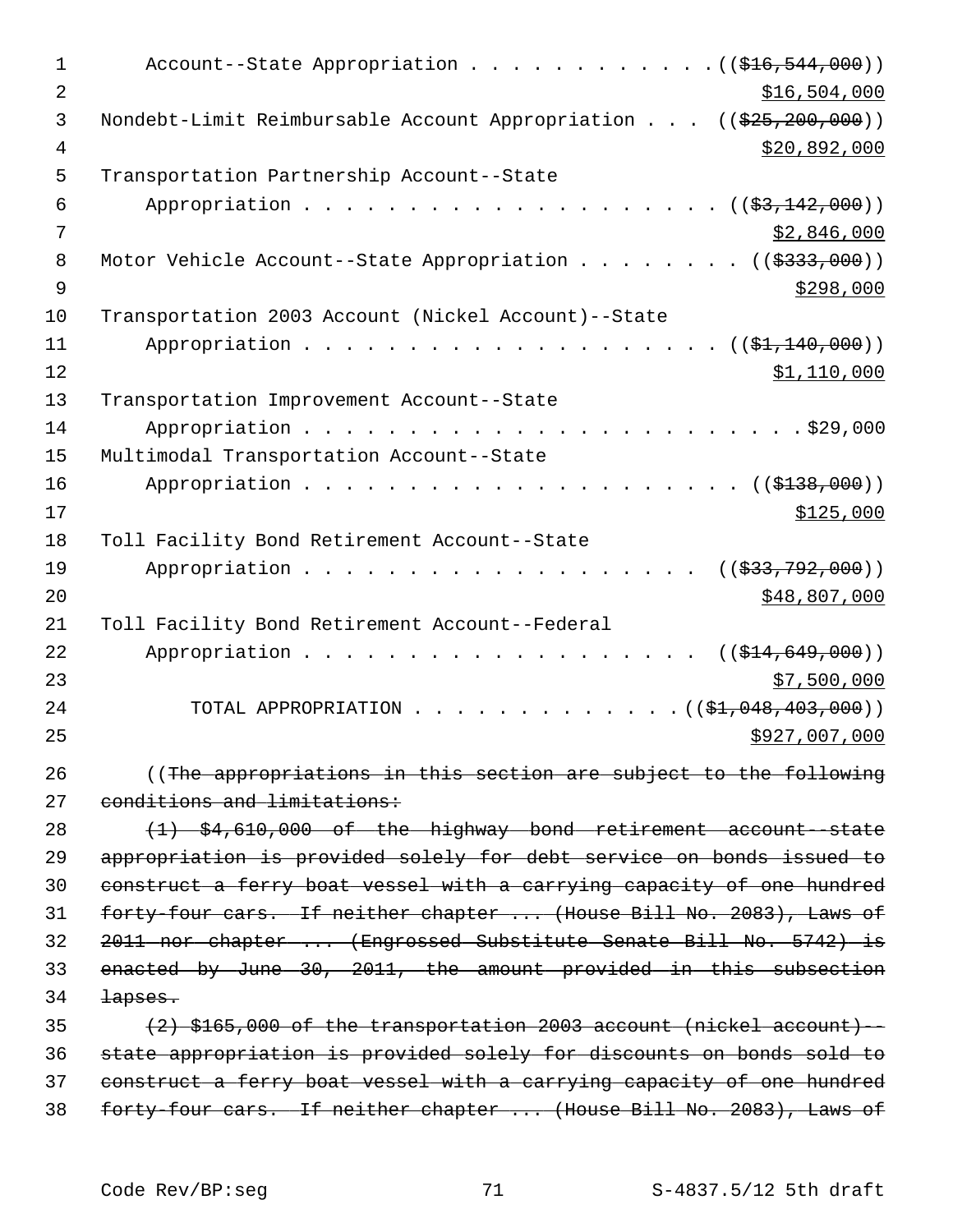| $\mathbf 1$ | Account--State Appropriation $($ $($ $$16, 544, 000)$ $)$             |
|-------------|-----------------------------------------------------------------------|
| 2           | \$16,504,000                                                          |
| 3           | Nondebt-Limit Reimbursable Account Appropriation $(($25,200,000))$    |
| 4           | \$20,892,000                                                          |
| 5           | Transportation Partnership Account--State                             |
| 6           | (( <del>\$3,142,000</del> ))                                          |
| 7           | \$2,846,000                                                           |
| 8           | Motor Vehicle Account--State Appropriation ( $(\frac{2333}{100})$ )   |
| $\mathsf 9$ | \$298,000                                                             |
| 10          | Transportation 2003 Account (Nickel Account)--State                   |
| 11<br>12    | $((\frac{1}{21}, 140, 000))$<br>\$1,110,000                           |
| 13          | Transportation Improvement Account--State                             |
| 14          |                                                                       |
| 15          | Multimodal Transportation Account--State                              |
| 16          |                                                                       |
| 17          | \$125,000                                                             |
| 18          | Toll Facility Bond Retirement Account--State                          |
| 19          | Appropriation<br>((\$33,792,000))                                     |
| 20          | \$48,807,000                                                          |
| 21          | Toll Facility Bond Retirement Account--Federal                        |
| 22          | Appropriation<br>((\$14,649,000))                                     |
| 23          | \$7,500,000                                                           |
| 24          | TOTAL APPROPRIATION<br>$\ldots$ (( $\frac{1}{2}$ , 048, 403, 000))    |
| 25          | \$927,007,000                                                         |
| 26          | ((The appropriations in this section are subject to the following     |
| 27          | conditions and limitations:                                           |
| 28          | $(1)$ \$4,610,000 of the highway bond retirement account-state        |
| 29          | appropriation is provided solely for debt service on bonds issued to  |
| 30          | construct a ferry boat vessel with a carrying capacity of one hundred |
| 31          | forty-four cars. If neither chapter  (House Bill No. 2083), Laws of   |
| 32          | 2011 nor chapter  (Engrossed Substitute Senate Bill No. 5742) is      |
| 33          | enacted by June 30, 2011, the amount provided in this subsection      |
| 34          | lapses.                                                               |
| 35          | (2) \$165,000 of the transportation 2003 account (nickel account) --  |
| 36          | state appropriation is provided solely for discounts on bonds sold to |
| 37          | construct a ferry boat vessel with a carrying capacity of one hundred |
| 38          | forty-four cars. If neither chapter  (House Bill No. 2083), Laws of   |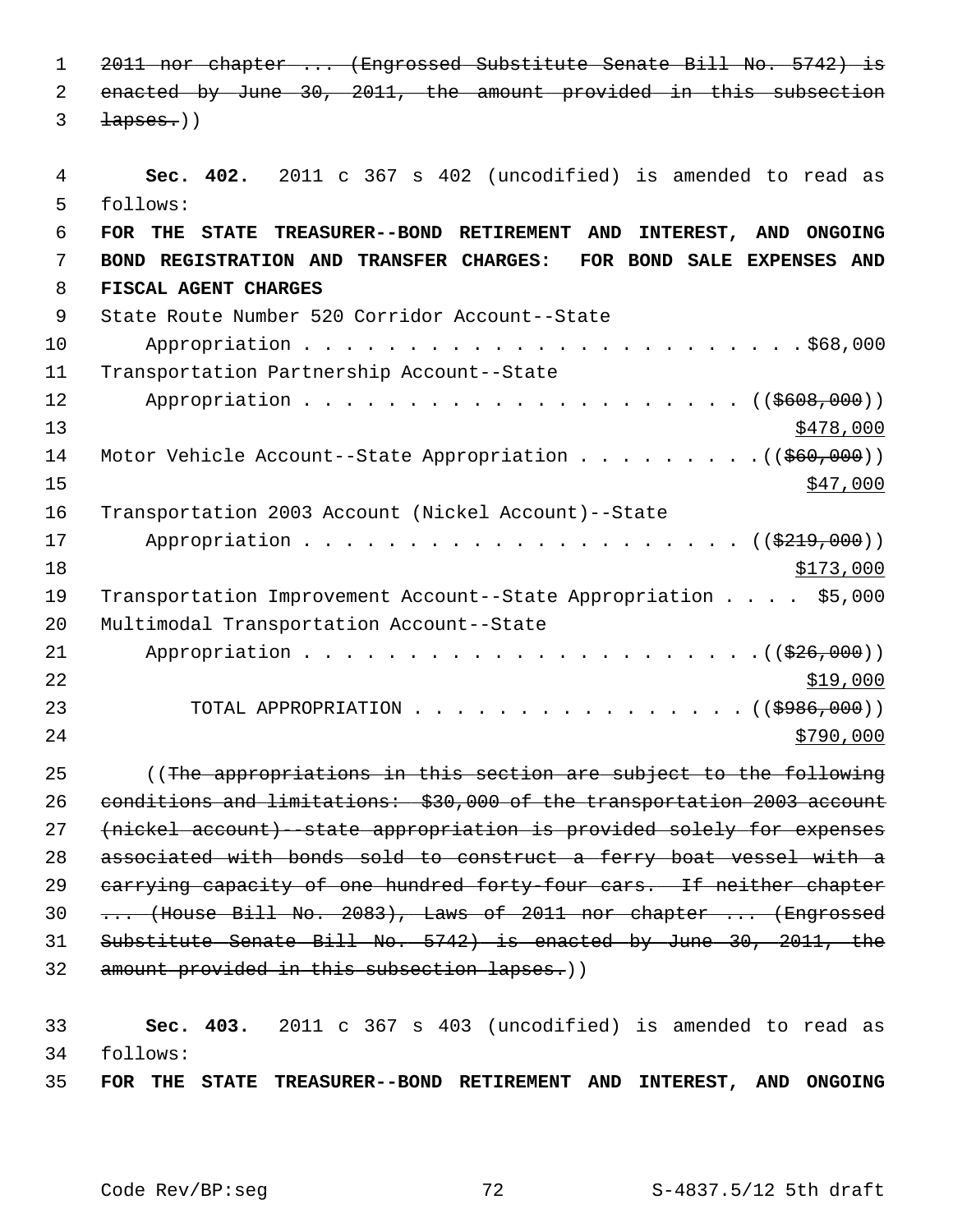1 2011 nor chapter ... (Engrossed Substitute Senate Bill No. 5742) is 2 enacted by June 30, 2011, the amount provided in this subsection  $3 \t\t \text{layers.}$  4 **Sec. 402.** 2011 c 367 s 402 (uncodified) is amended to read as 5 follows: 6 **FOR THE STATE TREASURER--BOND RETIREMENT AND INTEREST, AND ONGOING** 7 **BOND REGISTRATION AND TRANSFER CHARGES: FOR BOND SALE EXPENSES AND** 8 **FISCAL AGENT CHARGES**  9 State Route Number 520 Corridor Account--State 10 Appropriation . . . . . . . . . . . . . . . . . . . . . . . . \$68,000 11 Transportation Partnership Account--State 12 Appropriation . . . . . . . . . . . . . . . . . . (  $(\frac{2608,000}{1000})$  $\frac{$478,000}{ }$ 14 Motor Vehicle Account--State Appropriation . . . . . . . . . ((\$60,000))  $15$   $\frac{$47,000}{}$ 16 Transportation 2003 Account (Nickel Account)--State 17 Appropriation . . . . . . . . . . . . . . . . . . ((<del>\$219,000</del>))  $18$   $\frac{$173,000}{}$ 19 Transportation Improvement Account--State Appropriation . . . . \$5,000 20 Multimodal Transportation Account--State 21 Appropriation . . . . . . . . . . . . . . . . . . . . . .((\$26,000))  $22$ 23 TOTAL APPROPRIATION . . . . . . . . . . . . . . . ((<del>\$986,000</del>))  $24$ 25 ((The appropriations in this section are subject to the following 26 conditions and limitations: \$30,000 of the transportation 2003 account 27 (nickel account)--state appropriation is provided solely for expenses 28 associated with bonds sold to construct a ferry boat vessel with a 29 carrying capacity of one hundred forty-four cars. If neither chapter 30 ... (House Bill No. 2083), Laws of 2011 nor chapter ... (Engrossed 31 Substitute Senate Bill No. 5742) is enacted by June 30, 2011, the 32 amount provided in this subsection lapses.)) 33 **Sec. 403.** 2011 c 367 s 403 (uncodified) is amended to read as

34 follows: 35 **FOR THE STATE TREASURER--BOND RETIREMENT AND INTEREST, AND ONGOING**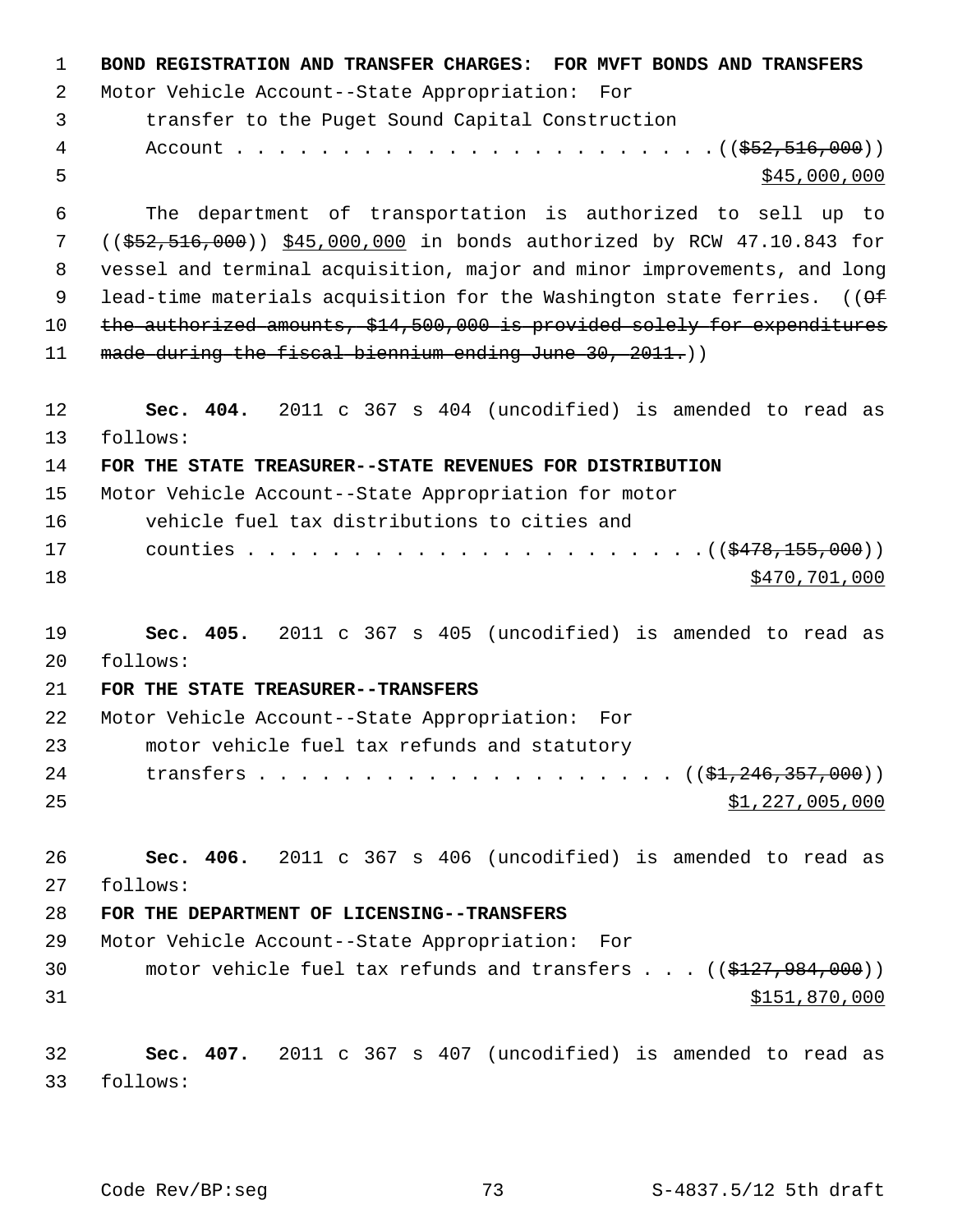| $\mathbf{1}$ | BOND REGISTRATION AND TRANSFER CHARGES: FOR MVFT BONDS AND TRANSFERS     |
|--------------|--------------------------------------------------------------------------|
| 2            | Motor Vehicle Account--State Appropriation: For                          |
| 3            | transfer to the Puget Sound Capital Construction                         |
| 4            |                                                                          |
| 5            | \$45,000,000                                                             |
| 6            | The department of transportation is authorized to sell up to             |
| 7            | $(($552,516,000))$ \$45,000,000 in bonds authorized by RCW 47.10.843 for |
| 8            | vessel and terminal acquisition, major and minor improvements, and long  |
| 9            | lead-time materials acquisition for the Washington state ferries. $(9)$  |
| 10           | the authorized amounts, \$14,500,000 is provided solely for expenditures |
| 11           | made during the fiscal biennium ending June 30, 2011.))                  |
| 12           | Sec. 404. 2011 c 367 s 404 (uncodified) is amended to read as            |
| 13           | follows:                                                                 |
| 14           | FOR THE STATE TREASURER--STATE REVENUES FOR DISTRIBUTION                 |
| 15           | Motor Vehicle Account--State Appropriation for motor                     |
| 16           | vehicle fuel tax distributions to cities and                             |
| 17           |                                                                          |
| 18           | \$470,701,000                                                            |
| 19           | Sec. 405. 2011 c 367 s 405 (uncodified) is amended to read as            |
| 20           | follows:                                                                 |
| 21           | FOR THE STATE TREASURER--TRANSFERS                                       |
| 22           | Motor Vehicle Account--State Appropriation: For                          |
| 23           | motor vehicle fuel tax refunds and statutory                             |
| 24           |                                                                          |
| 25           | \$1,227,005,000                                                          |
| 26           | Sec. 406. 2011 c 367 s 406 (uncodified) is amended to read as            |
| 27           | follows:                                                                 |
| 28           | FOR THE DEPARTMENT OF LICENSING--TRANSFERS                               |
| 29           | Motor Vehicle Account--State Appropriation: For                          |
| 30           | motor vehicle fuel tax refunds and transfers $\ldots$ ((\$127,984,000))  |
| 31           | \$151,870,000                                                            |
| 32           | Sec. 407. 2011 c 367 s 407 (uncodified) is amended to read as            |
| 33           | follows:                                                                 |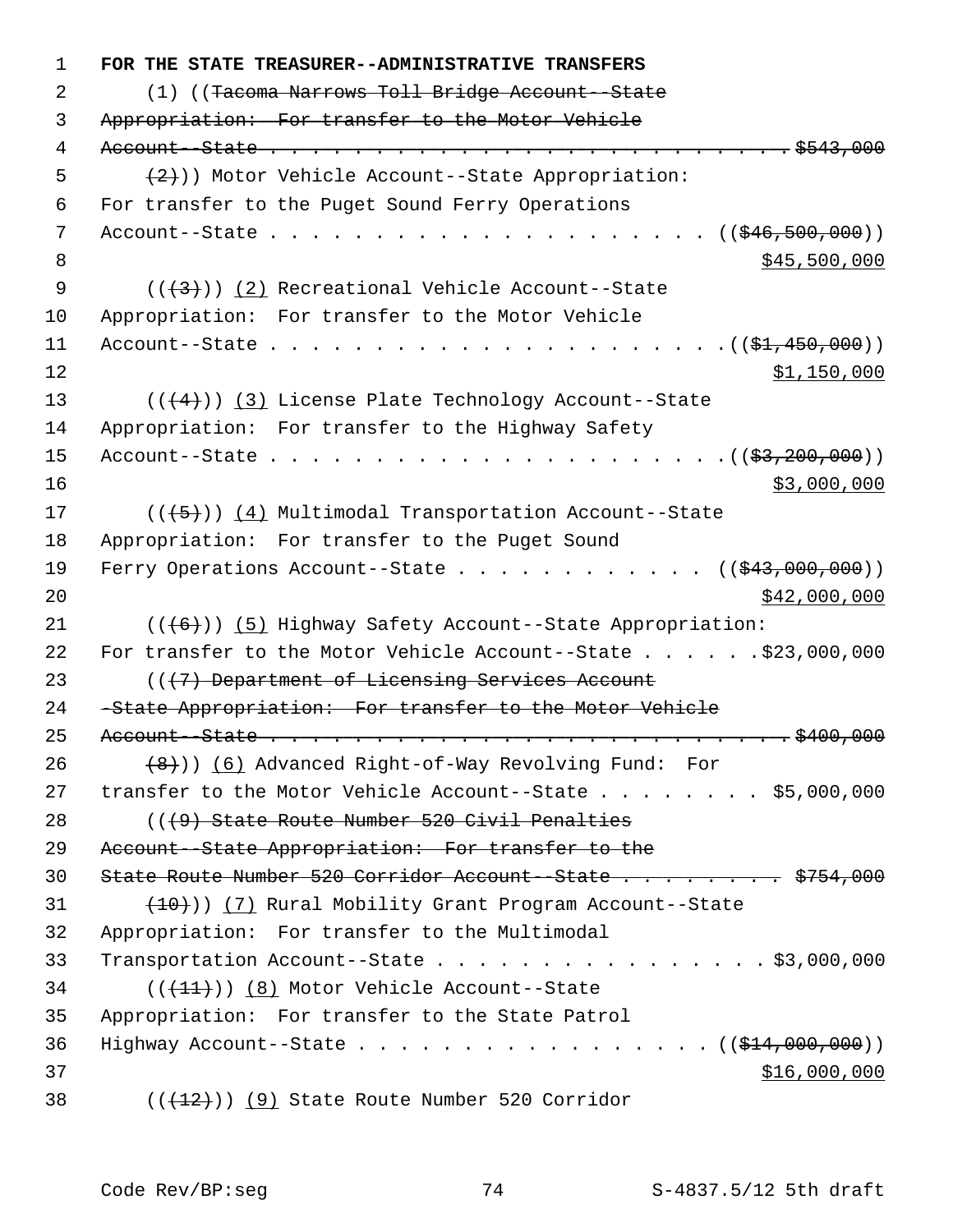1 **FOR THE STATE TREASURER--ADMINISTRATIVE TRANSFERS** 2 (1) ((Tacoma Narrows Toll Bridge Account--State 3 Appropriation: For transfer to the Motor Vehicle 4 Account--State . . . . . . . . . . . . . . . . . . . . . . . . . \$543,000  $\{2\})$ ) Motor Vehicle Account--State Appropriation: 6 For transfer to the Puget Sound Ferry Operations 7 Account--State . . . . . . . . . . . . . . . . . . . . . ((\$46,500,000)) 8 \$45,500,000 \$45,500,000 \$45,500 \$45,500 \$45,500 \$45,500 \$45,500 \$45,500 \$45,500 \$1,000 \$1,000 \$1,000 \$1,000 \$1,000 \$1,000 \$1,000 \$1,000 \$1,000 \$1,000 \$1,000 \$1,000 \$1,000 \$1,000 \$1,000 \$1,000 \$1,000 \$1,000 \$1,000 \$1,000 9  $((+3))$  (2) Recreational Vehicle Account--State 10 Appropriation: For transfer to the Motor Vehicle 11 Account--State . . . . . . . . . . . . . . . . . . . . . .((\$1,450,000))  $12$  \$1,150,000 13  $((\langle 4 \rangle)(3)$  License Plate Technology Account--State 14 Appropriation: For transfer to the Highway Safety 15 Account--State  $\ldots$  . . . . . . . . . . . . . . . . . .  $(33.200.000))$  $16$  \$3,000,000 17 (((+5)) (4) Multimodal Transportation Account--State 18 Appropriation: For transfer to the Puget Sound 19 Ferry Operations Account--State . . . . . . . . . . . ((\$43,000,000))  $20$  \$42,000,000 21  $((\lbrace 6 \rbrace))$  (5) Highway Safety Account--State Appropriation: 22 For transfer to the Motor Vehicle Account--State . . . . . . \$23,000,000 23 (( $(7)$  Department of Licensing Services Account 24 -State Appropriation: For transfer to the Motor Vehicle 25 Account--State . . . . . . . . . . . . . . . . . . . . . . . . . \$400,000 26 (8))) (6) Advanced Right-of-Way Revolving Fund: For 27 transfer to the Motor Vehicle Account--State . . . . . . . \$5,000,000 28 (((9) State Route Number 520 Civil Penalties 29 Account--State Appropriation: For transfer to the 30 State Route Number 520 Corridor Account-State . . . . . . . \$754,000  $(10)(7)$  Rural Mobility Grant Program Account--State 32 Appropriation: For transfer to the Multimodal 33 Transportation Account--State . . . . . . . . . . . . . . . . \$3,000,000 34 (( $(11)$ )) (8) Motor Vehicle Account--State 35 Appropriation: For transfer to the State Patrol 36 Highway Account--State . . . . . . . . . . . . . . . . . (  $(\frac{144,000,000)}{1000,000})$  $37$   $37$ 38  $((+12))$  (9) State Route Number 520 Corridor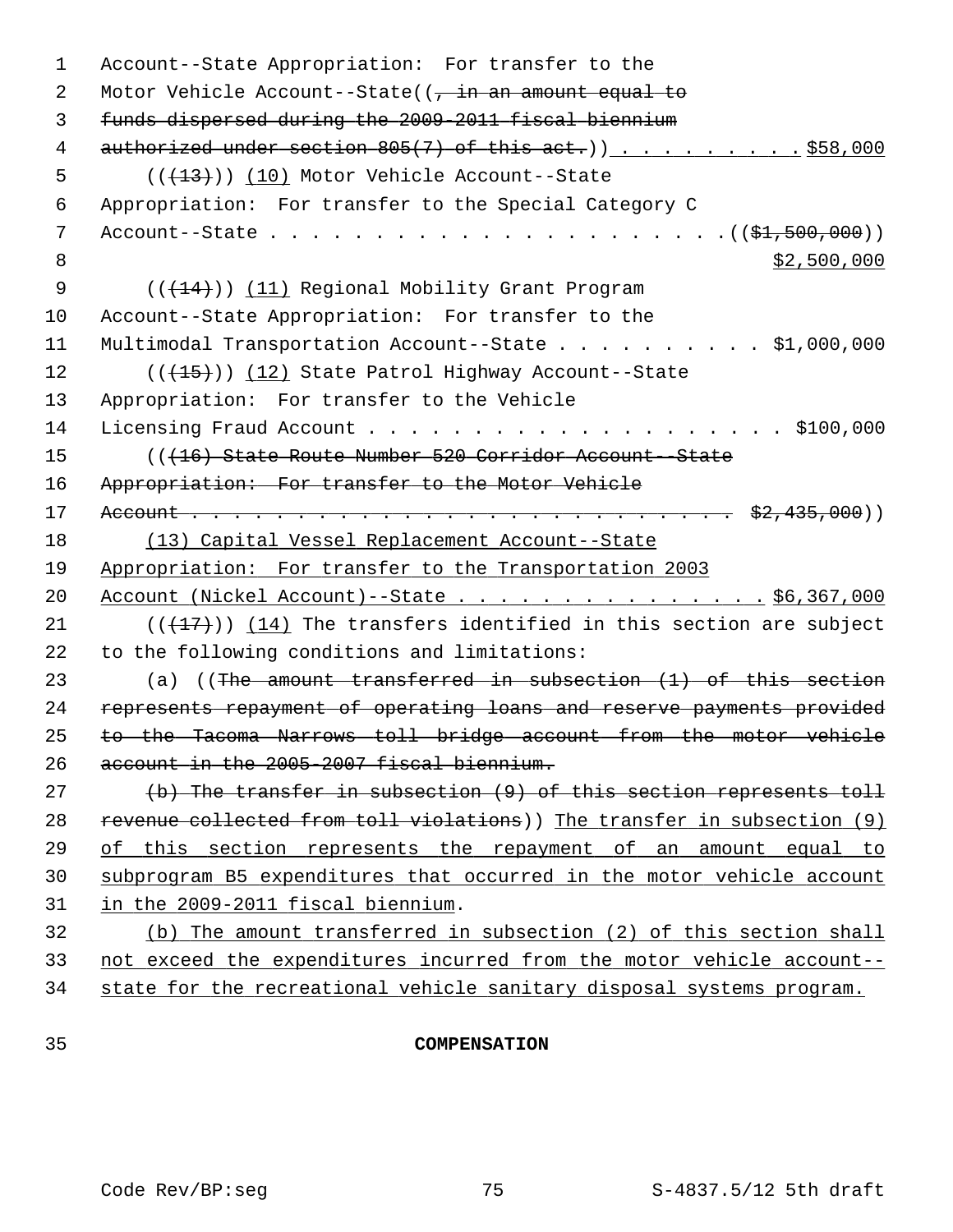| 1  | Account--State Appropriation: For transfer to the                       |
|----|-------------------------------------------------------------------------|
| 2  | Motor Vehicle Account--State( $\frac{1}{7}$ in an amount equal to       |
| 3  | funds dispersed during the 2009-2011 fiscal biennium                    |
| 4  | $\alpha$ uthorized under section 805(7) of this act.)) \$58,000         |
| 5  | $((+13))$ (10) Motor Vehicle Account--State                             |
| 6  | Appropriation: For transfer to the Special Category C                   |
| 7  |                                                                         |
| 8  | \$2,500,000                                                             |
| 9  | (( <del>(14)</del> )) (11) Regional Mobility Grant Program              |
| 10 | Account--State Appropriation: For transfer to the                       |
| 11 | Multimodal Transportation Account--State \$1,000,000                    |
| 12 | $((+15))$ $(12)$ State Patrol Highway Account--State                    |
| 13 | Appropriation: For transfer to the Vehicle                              |
| 14 |                                                                         |
| 15 | (( <del>(16) State Route Number 520 Corridor Account-State</del>        |
| 16 | Appropriation: For transfer to the Motor Vehicle                        |
| 17 |                                                                         |
| 18 | (13) Capital Vessel Replacement Account--State                          |
| 19 | Appropriation: For transfer to the Transportation 2003                  |
| 20 | Account (Nickel Account)--State \$6,367,000                             |
| 21 | $((+17))$ $(14)$ The transfers identified in this section are subject   |
| 22 | to the following conditions and limitations:                            |
| 23 | (a) $($ The amount transferred in subsection $(1)$ of this section      |
| 24 | represents repayment of operating loans and reserve payments provided   |
| 25 | to the Tacoma Narrows toll bridge account from the motor vehicle        |
| 26 | account in the 2005-2007 fiscal biennium.                               |
| 27 | (b) The transfer in subsection (9) of this section represents toll      |
| 28 | revenue collected from toll violations)) The transfer in subsection (9) |
| 29 | this section represents the repayment of an amount equal to<br>оf       |
| 30 | subprogram B5 expenditures that occurred in the motor vehicle account   |
| 31 | in the 2009-2011 fiscal biennium.                                       |
| 32 | (b) The amount transferred in subsection (2) of this section shall      |
| 33 | not exceed the expenditures incurred from the motor vehicle account--   |
| 34 | state for the recreational vehicle sanitary disposal systems program.   |
|    |                                                                         |

# 35 **COMPENSATION**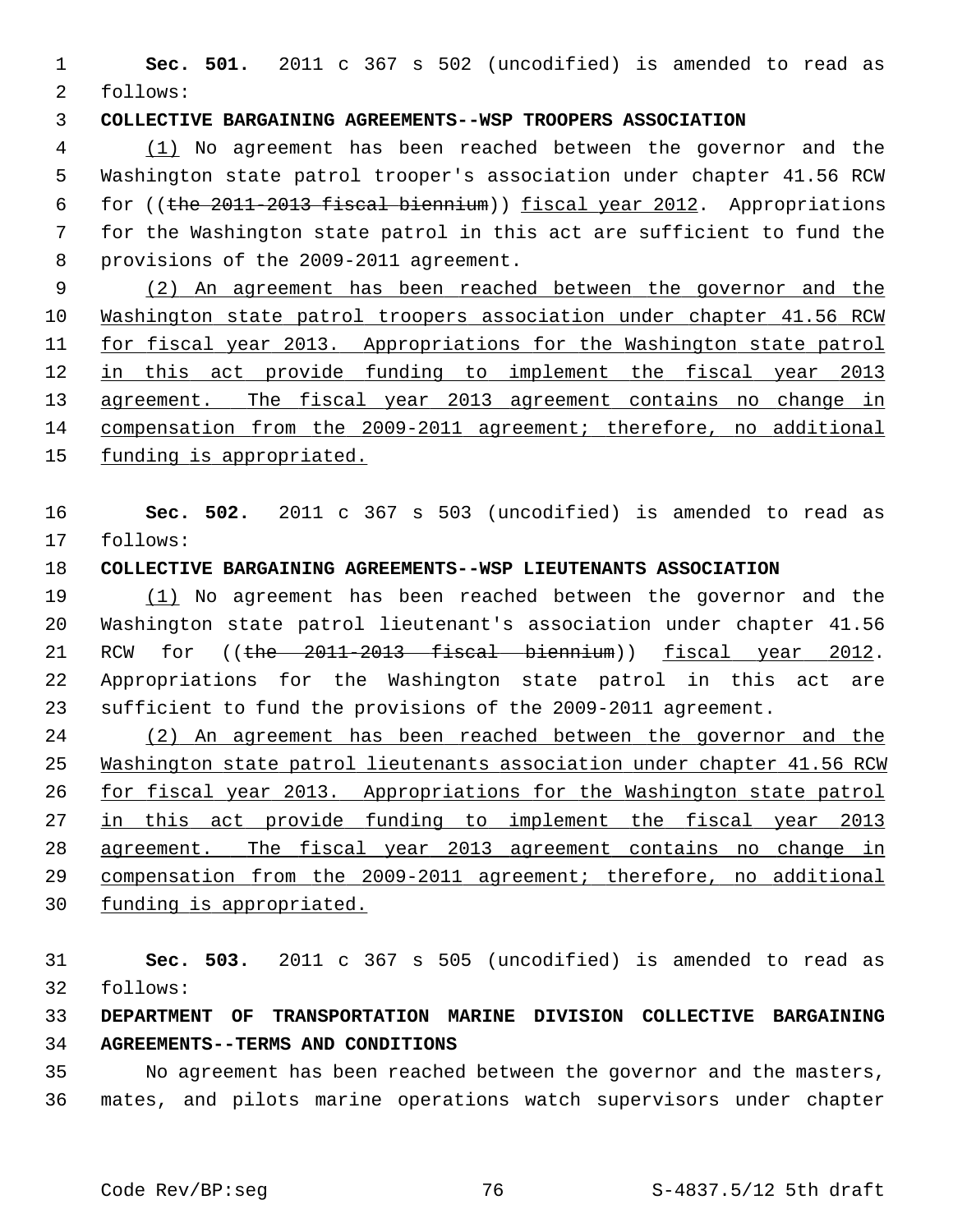1 **Sec. 501.** 2011 c 367 s 502 (uncodified) is amended to read as 2 follows:

## 3 **COLLECTIVE BARGAINING AGREEMENTS--WSP TROOPERS ASSOCIATION**

 4 (1) No agreement has been reached between the governor and the 5 Washington state patrol trooper's association under chapter 41.56 RCW 6 for ((the 2011-2013 fiscal biennium)) fiscal year 2012. Appropriations 7 for the Washington state patrol in this act are sufficient to fund the 8 provisions of the 2009-2011 agreement.

 (2) An agreement has been reached between the governor and the Washington state patrol troopers association under chapter 41.56 RCW for fiscal year 2013. Appropriations for the Washington state patrol in this act provide funding to implement the fiscal year 2013 13 agreement. The fiscal year 2013 agreement contains no change in compensation from the 2009-2011 agreement; therefore, no additional funding is appropriated.

16 **Sec. 502.** 2011 c 367 s 503 (uncodified) is amended to read as 17 follows:

# 18 **COLLECTIVE BARGAINING AGREEMENTS--WSP LIEUTENANTS ASSOCIATION**

19 (1) No agreement has been reached between the governor and the 20 Washington state patrol lieutenant's association under chapter 41.56 21 RCW for ((the 2011-2013 fiscal biennium)) fiscal year 2012. 22 Appropriations for the Washington state patrol in this act are 23 sufficient to fund the provisions of the 2009-2011 agreement.

 (2) An agreement has been reached between the governor and the Washington state patrol lieutenants association under chapter 41.56 RCW for fiscal year 2013. Appropriations for the Washington state patrol 27 in this act provide funding to implement the fiscal year 2013 agreement. The fiscal year 2013 agreement contains no change in compensation from the 2009-2011 agreement; therefore, no additional funding is appropriated.

31 **Sec. 503.** 2011 c 367 s 505 (uncodified) is amended to read as 32 follows:

# 33 **DEPARTMENT OF TRANSPORTATION MARINE DIVISION COLLECTIVE BARGAINING** 34 **AGREEMENTS--TERMS AND CONDITIONS**

35 No agreement has been reached between the governor and the masters, 36 mates, and pilots marine operations watch supervisors under chapter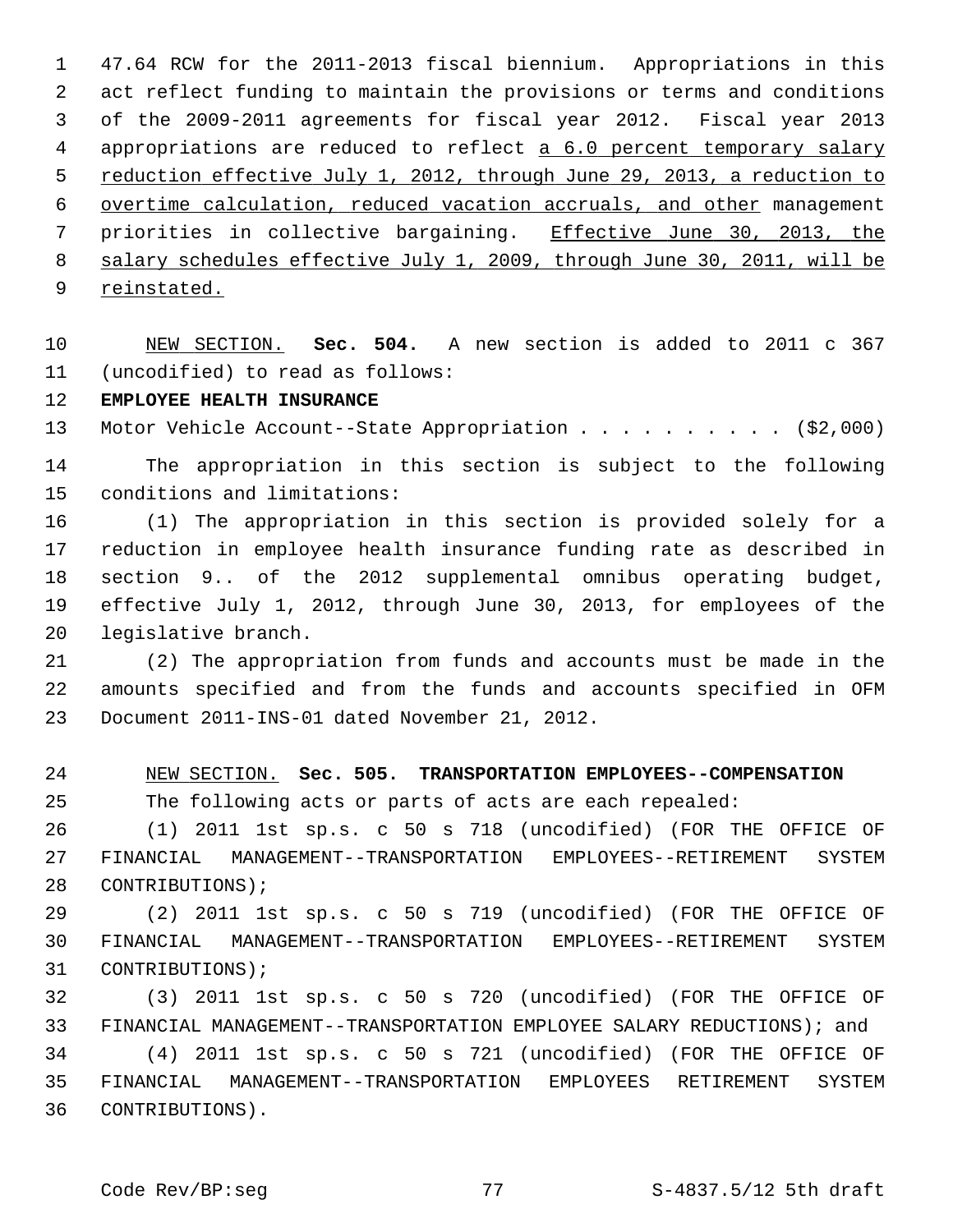1 47.64 RCW for the 2011-2013 fiscal biennium. Appropriations in this 2 act reflect funding to maintain the provisions or terms and conditions 3 of the 2009-2011 agreements for fiscal year 2012. Fiscal year 2013 4 appropriations are reduced to reflect a 6.0 percent temporary salary 5 reduction effective July 1, 2012, through June 29, 2013, a reduction to 6 overtime calculation, reduced vacation accruals, and other management 7 priorities in collective bargaining. Effective June 30, 2013, the 8 salary schedules effective July 1, 2009, through June 30, 2011, will be 9 reinstated.

10 NEW SECTION. **Sec. 504.** A new section is added to 2011 c 367 11 (uncodified) to read as follows:

12 **EMPLOYEE HEALTH INSURANCE**

13 Motor Vehicle Account--State Appropriation . . . . . . . . . . (\$2,000)

14 The appropriation in this section is subject to the following 15 conditions and limitations:

16 (1) The appropriation in this section is provided solely for a 17 reduction in employee health insurance funding rate as described in 18 section 9.. of the 2012 supplemental omnibus operating budget, 19 effective July 1, 2012, through June 30, 2013, for employees of the 20 legislative branch.

21 (2) The appropriation from funds and accounts must be made in the 22 amounts specified and from the funds and accounts specified in OFM 23 Document 2011-INS-01 dated November 21, 2012.

24 NEW SECTION. **Sec. 505. TRANSPORTATION EMPLOYEES--COMPENSATION**

25 The following acts or parts of acts are each repealed:

26 (1) 2011 1st sp.s. c 50 s 718 (uncodified) (FOR THE OFFICE OF 27 FINANCIAL MANAGEMENT--TRANSPORTATION EMPLOYEES--RETIREMENT SYSTEM 28 CONTRIBUTIONS);

29 (2) 2011 1st sp.s. c 50 s 719 (uncodified) (FOR THE OFFICE OF 30 FINANCIAL MANAGEMENT--TRANSPORTATION EMPLOYEES--RETIREMENT SYSTEM 31 CONTRIBUTIONS);

32 (3) 2011 1st sp.s. c 50 s 720 (uncodified) (FOR THE OFFICE OF 33 FINANCIAL MANAGEMENT--TRANSPORTATION EMPLOYEE SALARY REDUCTIONS); and

34 (4) 2011 1st sp.s. c 50 s 721 (uncodified) (FOR THE OFFICE OF 35 FINANCIAL MANAGEMENT--TRANSPORTATION EMPLOYEES RETIREMENT SYSTEM 36 CONTRIBUTIONS).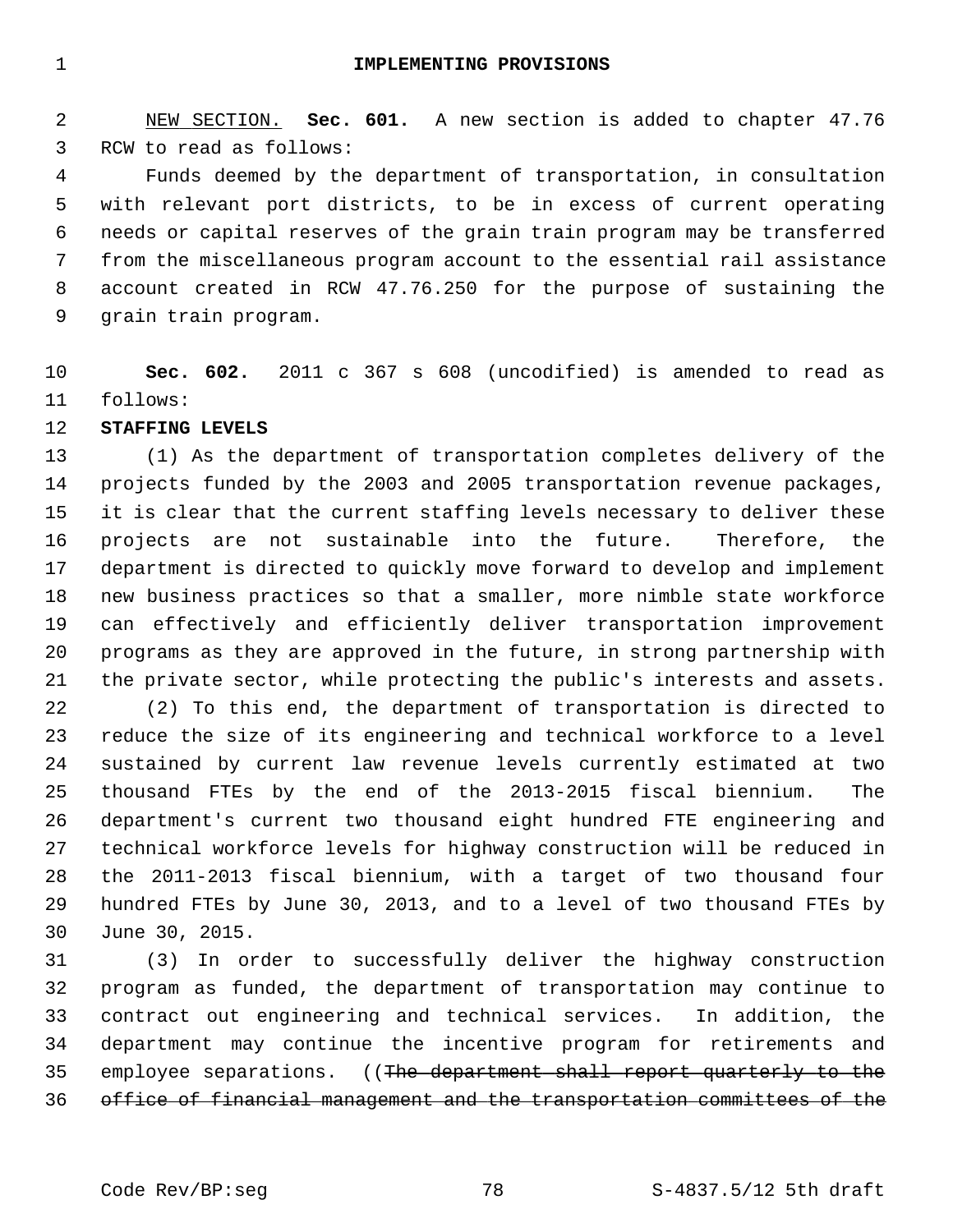1 **IMPLEMENTING PROVISIONS**

 2 NEW SECTION. **Sec. 601.** A new section is added to chapter 47.76 3 RCW to read as follows:

 4 Funds deemed by the department of transportation, in consultation 5 with relevant port districts, to be in excess of current operating 6 needs or capital reserves of the grain train program may be transferred 7 from the miscellaneous program account to the essential rail assistance 8 account created in RCW 47.76.250 for the purpose of sustaining the 9 grain train program.

10 **Sec. 602.** 2011 c 367 s 608 (uncodified) is amended to read as 11 follows:

12 **STAFFING LEVELS**

13 (1) As the department of transportation completes delivery of the 14 projects funded by the 2003 and 2005 transportation revenue packages, 15 it is clear that the current staffing levels necessary to deliver these 16 projects are not sustainable into the future. Therefore, the 17 department is directed to quickly move forward to develop and implement 18 new business practices so that a smaller, more nimble state workforce 19 can effectively and efficiently deliver transportation improvement 20 programs as they are approved in the future, in strong partnership with 21 the private sector, while protecting the public's interests and assets.

22 (2) To this end, the department of transportation is directed to 23 reduce the size of its engineering and technical workforce to a level 24 sustained by current law revenue levels currently estimated at two 25 thousand FTEs by the end of the 2013-2015 fiscal biennium. The 26 department's current two thousand eight hundred FTE engineering and 27 technical workforce levels for highway construction will be reduced in 28 the 2011-2013 fiscal biennium, with a target of two thousand four 29 hundred FTEs by June 30, 2013, and to a level of two thousand FTEs by 30 June 30, 2015.

31 (3) In order to successfully deliver the highway construction 32 program as funded, the department of transportation may continue to 33 contract out engineering and technical services. In addition, the 34 department may continue the incentive program for retirements and 35 employee separations. ((The department shall report quarterly to the 36 office of financial management and the transportation committees of the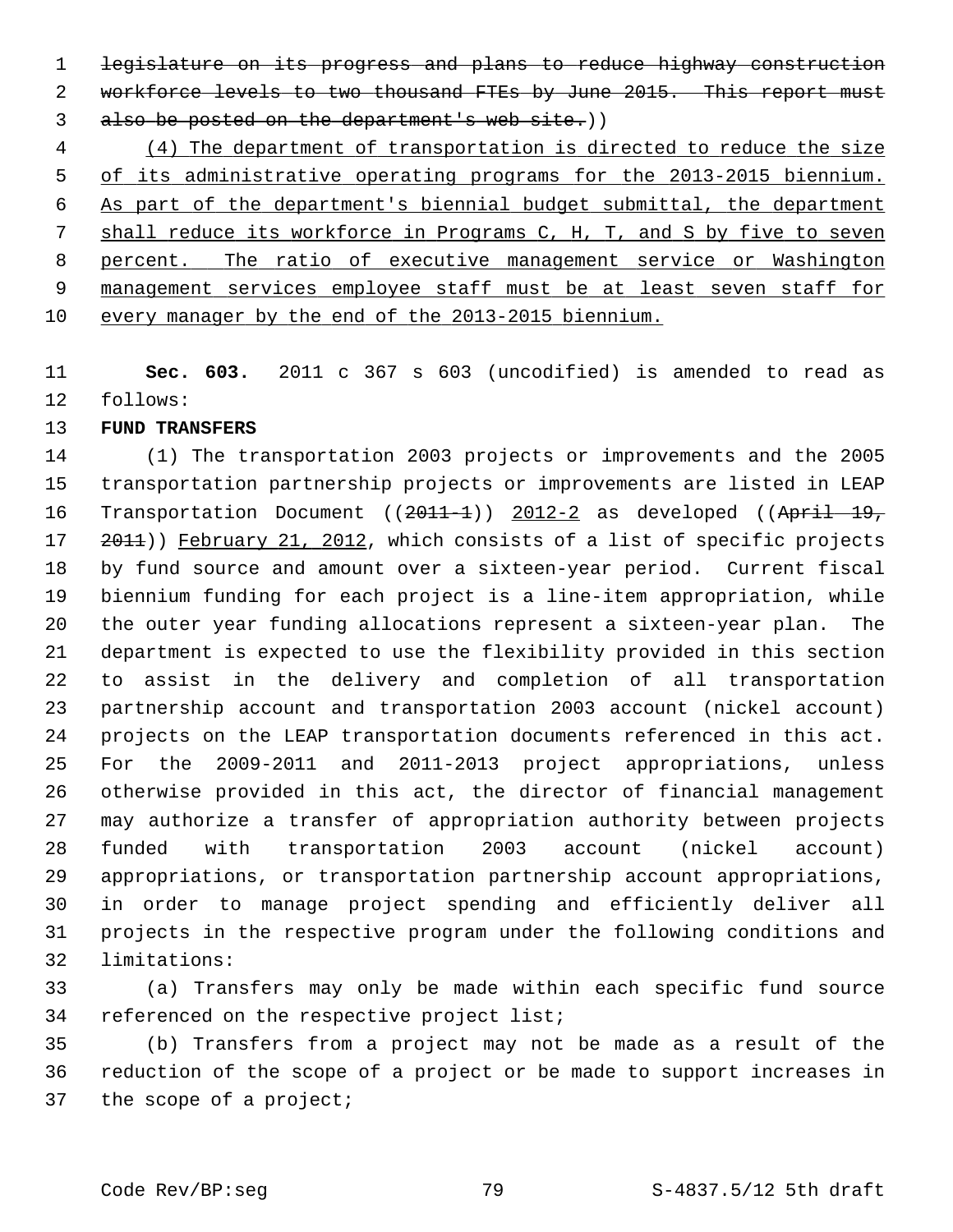1 legislature on its progress and plans to reduce highway construction 2 workforce levels to two thousand FTEs by June 2015. This report must 3 also be posted on the department's web site.))

 (4) The department of transportation is directed to reduce the size of its administrative operating programs for the 2013-2015 biennium. As part of the department's biennial budget submittal, the department shall reduce its workforce in Programs C, H, T, and S by five to seven percent. The ratio of executive management service or Washington management services employee staff must be at least seven staff for every manager by the end of the 2013-2015 biennium.

11 **Sec. 603.** 2011 c 367 s 603 (uncodified) is amended to read as 12 follows:

# 13 **FUND TRANSFERS**

14 (1) The transportation 2003 projects or improvements and the 2005 15 transportation partnership projects or improvements are listed in LEAP 16 Transportation Document ((2011-1)) 2012-2 as developed ((April 19, 17 2011)) February 21, 2012, which consists of a list of specific projects 18 by fund source and amount over a sixteen-year period. Current fiscal 19 biennium funding for each project is a line-item appropriation, while 20 the outer year funding allocations represent a sixteen-year plan. The 21 department is expected to use the flexibility provided in this section 22 to assist in the delivery and completion of all transportation 23 partnership account and transportation 2003 account (nickel account) 24 projects on the LEAP transportation documents referenced in this act. 25 For the 2009-2011 and 2011-2013 project appropriations, unless 26 otherwise provided in this act, the director of financial management 27 may authorize a transfer of appropriation authority between projects 28 funded with transportation 2003 account (nickel account) 29 appropriations, or transportation partnership account appropriations, 30 in order to manage project spending and efficiently deliver all 31 projects in the respective program under the following conditions and 32 limitations:

33 (a) Transfers may only be made within each specific fund source 34 referenced on the respective project list;

35 (b) Transfers from a project may not be made as a result of the 36 reduction of the scope of a project or be made to support increases in 37 the scope of a project;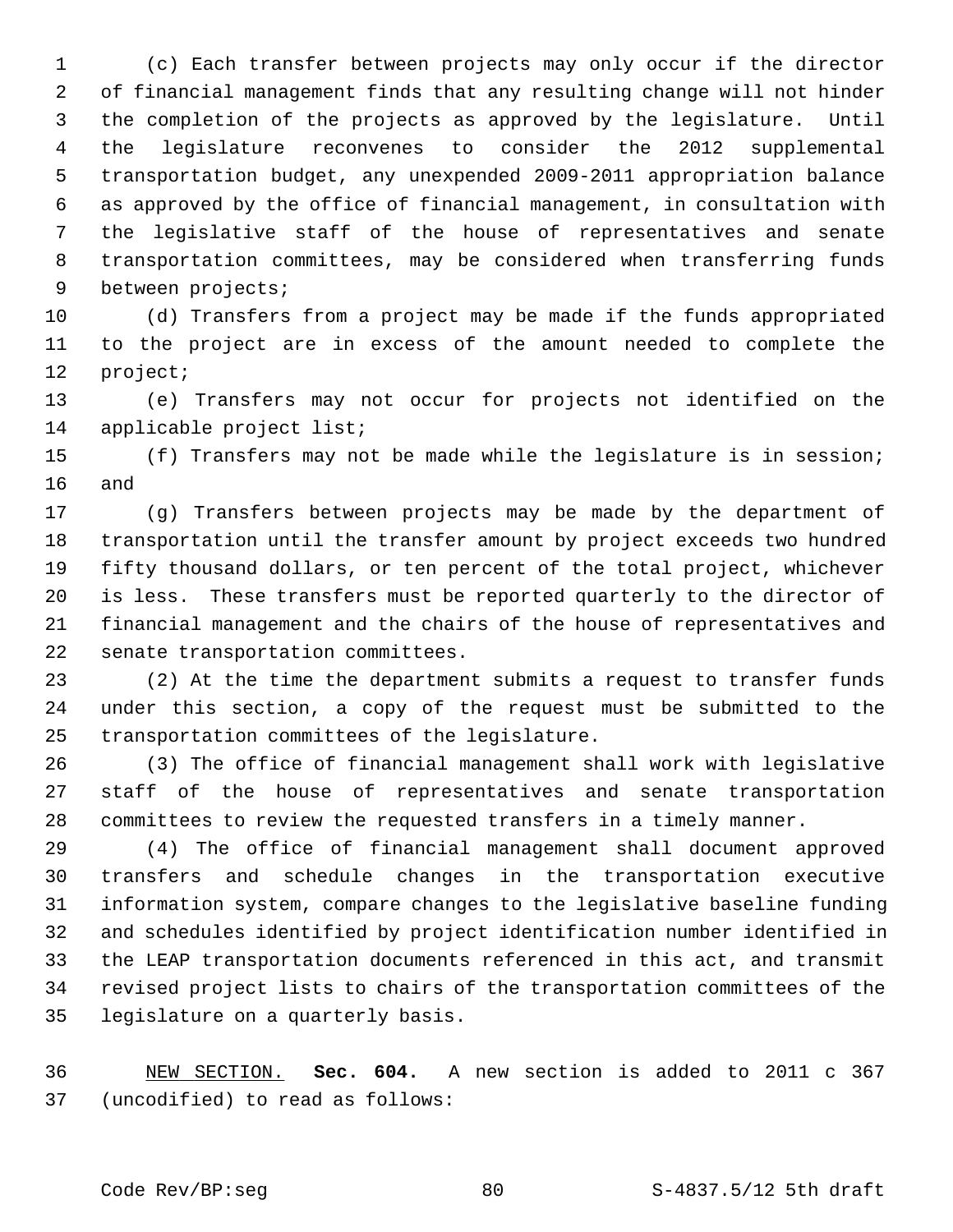1 (c) Each transfer between projects may only occur if the director 2 of financial management finds that any resulting change will not hinder 3 the completion of the projects as approved by the legislature. Until 4 the legislature reconvenes to consider the 2012 supplemental 5 transportation budget, any unexpended 2009-2011 appropriation balance 6 as approved by the office of financial management, in consultation with 7 the legislative staff of the house of representatives and senate 8 transportation committees, may be considered when transferring funds 9 between projects;

10 (d) Transfers from a project may be made if the funds appropriated 11 to the project are in excess of the amount needed to complete the 12 project;

13 (e) Transfers may not occur for projects not identified on the 14 applicable project list;

15 (f) Transfers may not be made while the legislature is in session; 16 and

17 (g) Transfers between projects may be made by the department of 18 transportation until the transfer amount by project exceeds two hundred 19 fifty thousand dollars, or ten percent of the total project, whichever 20 is less. These transfers must be reported quarterly to the director of 21 financial management and the chairs of the house of representatives and 22 senate transportation committees.

23 (2) At the time the department submits a request to transfer funds 24 under this section, a copy of the request must be submitted to the 25 transportation committees of the legislature.

26 (3) The office of financial management shall work with legislative 27 staff of the house of representatives and senate transportation 28 committees to review the requested transfers in a timely manner.

29 (4) The office of financial management shall document approved 30 transfers and schedule changes in the transportation executive 31 information system, compare changes to the legislative baseline funding 32 and schedules identified by project identification number identified in 33 the LEAP transportation documents referenced in this act, and transmit 34 revised project lists to chairs of the transportation committees of the 35 legislature on a quarterly basis.

36 NEW SECTION. **Sec. 604.** A new section is added to 2011 c 367 37 (uncodified) to read as follows: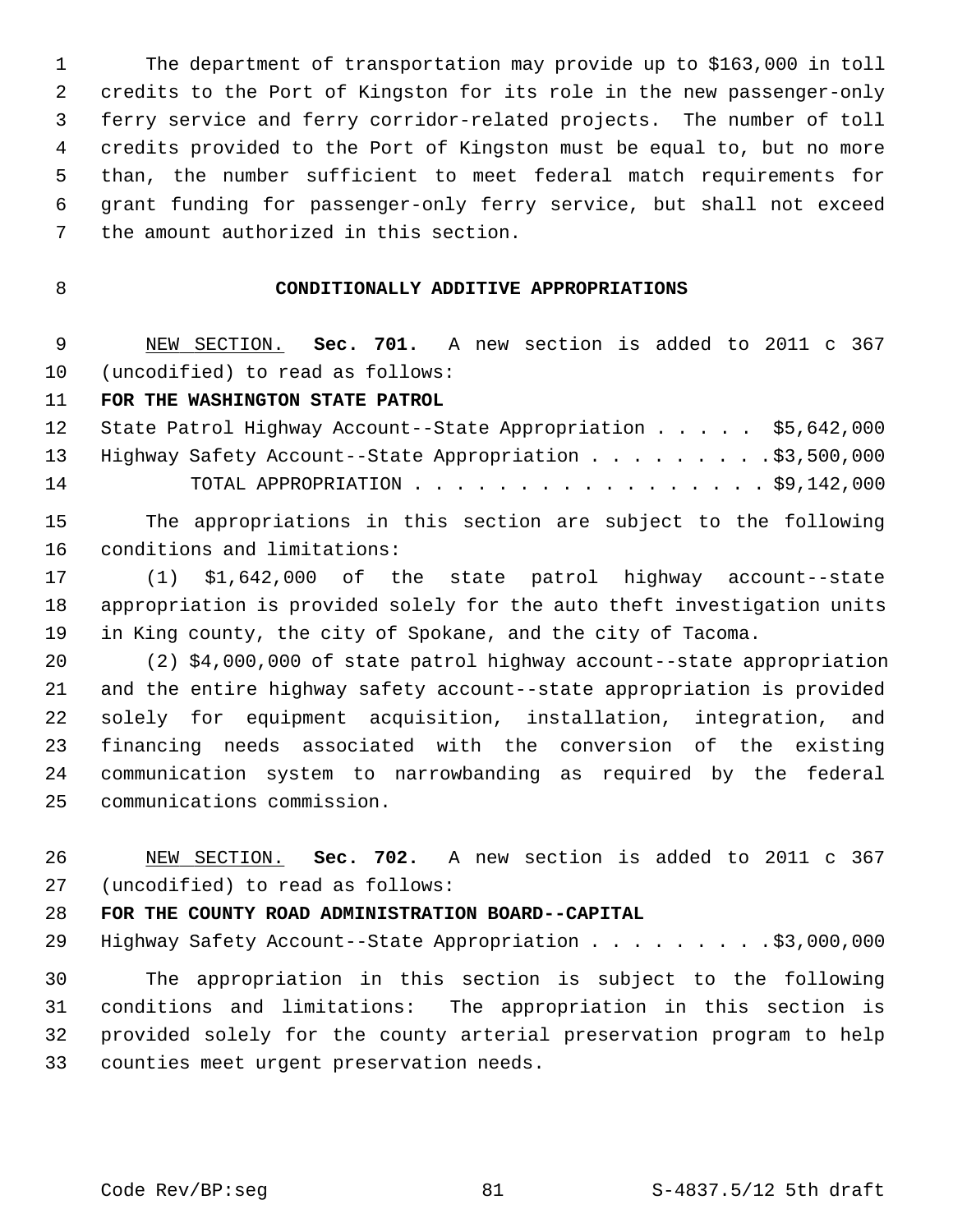1 The department of transportation may provide up to \$163,000 in toll 2 credits to the Port of Kingston for its role in the new passenger-only 3 ferry service and ferry corridor-related projects. The number of toll 4 credits provided to the Port of Kingston must be equal to, but no more 5 than, the number sufficient to meet federal match requirements for 6 grant funding for passenger-only ferry service, but shall not exceed 7 the amount authorized in this section.

# 8 **CONDITIONALLY ADDITIVE APPROPRIATIONS**

 9 NEW SECTION. **Sec. 701.** A new section is added to 2011 c 367 10 (uncodified) to read as follows:

### 11 **FOR THE WASHINGTON STATE PATROL**

|    | 12 State Patrol Highway Account--State Appropriation \$5,642,000 |  |
|----|------------------------------------------------------------------|--|
|    | 13 Highway Safety Account--State Appropriation \$3,500,000       |  |
| 14 | TOTAL APPROPRIATION $\ldots$ , \$9,142,000                       |  |

15 The appropriations in this section are subject to the following 16 conditions and limitations:

17 (1) \$1,642,000 of the state patrol highway account--state 18 appropriation is provided solely for the auto theft investigation units 19 in King county, the city of Spokane, and the city of Tacoma.

20 (2) \$4,000,000 of state patrol highway account--state appropriation 21 and the entire highway safety account--state appropriation is provided 22 solely for equipment acquisition, installation, integration, and 23 financing needs associated with the conversion of the existing 24 communication system to narrowbanding as required by the federal 25 communications commission.

26 NEW SECTION. **Sec. 702.** A new section is added to 2011 c 367 27 (uncodified) to read as follows:

### 28 **FOR THE COUNTY ROAD ADMINISTRATION BOARD--CAPITAL**

29 Highway Safety Account--State Appropriation . . . . . . . . . \$3,000,000

30 The appropriation in this section is subject to the following 31 conditions and limitations: The appropriation in this section is 32 provided solely for the county arterial preservation program to help 33 counties meet urgent preservation needs.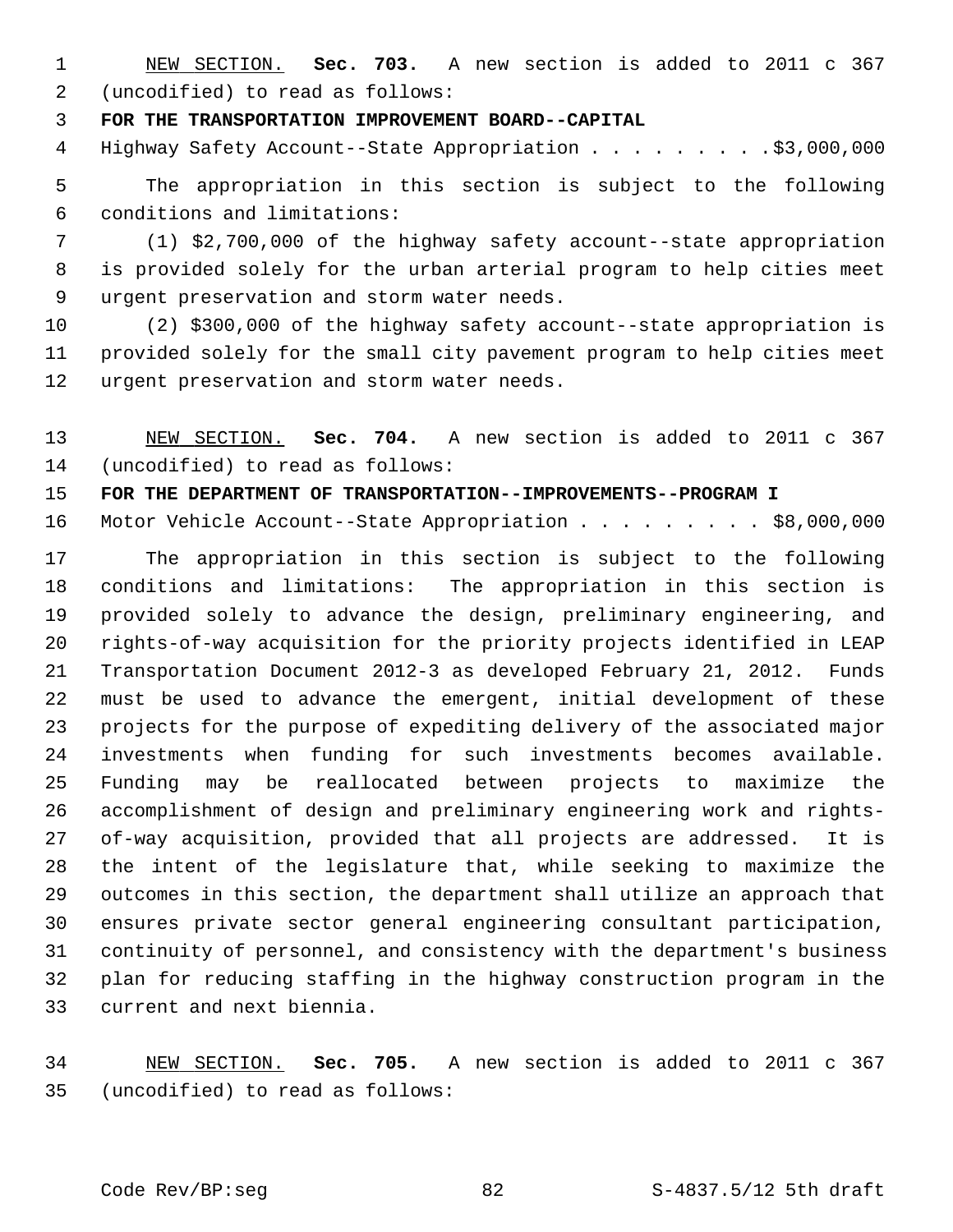1 NEW SECTION. **Sec. 703.** A new section is added to 2011 c 367 2 (uncodified) to read as follows:

3 **FOR THE TRANSPORTATION IMPROVEMENT BOARD--CAPITAL**

4 Highway Safety Account--State Appropriation . . . . . . . . \$3,000,000

 5 The appropriation in this section is subject to the following 6 conditions and limitations:

 7 (1) \$2,700,000 of the highway safety account--state appropriation 8 is provided solely for the urban arterial program to help cities meet 9 urgent preservation and storm water needs.

10 (2) \$300,000 of the highway safety account--state appropriation is 11 provided solely for the small city pavement program to help cities meet 12 urgent preservation and storm water needs.

13 NEW SECTION. **Sec. 704.** A new section is added to 2011 c 367 14 (uncodified) to read as follows:

15 **FOR THE DEPARTMENT OF TRANSPORTATION--IMPROVEMENTS--PROGRAM I**

16 Motor Vehicle Account--State Appropriation . . . . . . . . \$8,000,000

17 The appropriation in this section is subject to the following 18 conditions and limitations: The appropriation in this section is 19 provided solely to advance the design, preliminary engineering, and 20 rights-of-way acquisition for the priority projects identified in LEAP 21 Transportation Document 2012-3 as developed February 21, 2012. Funds 22 must be used to advance the emergent, initial development of these 23 projects for the purpose of expediting delivery of the associated major 24 investments when funding for such investments becomes available. 25 Funding may be reallocated between projects to maximize the 26 accomplishment of design and preliminary engineering work and rights-27 of-way acquisition, provided that all projects are addressed. It is 28 the intent of the legislature that, while seeking to maximize the 29 outcomes in this section, the department shall utilize an approach that 30 ensures private sector general engineering consultant participation, 31 continuity of personnel, and consistency with the department's business 32 plan for reducing staffing in the highway construction program in the 33 current and next biennia.

34 NEW SECTION. **Sec. 705.** A new section is added to 2011 c 367 35 (uncodified) to read as follows: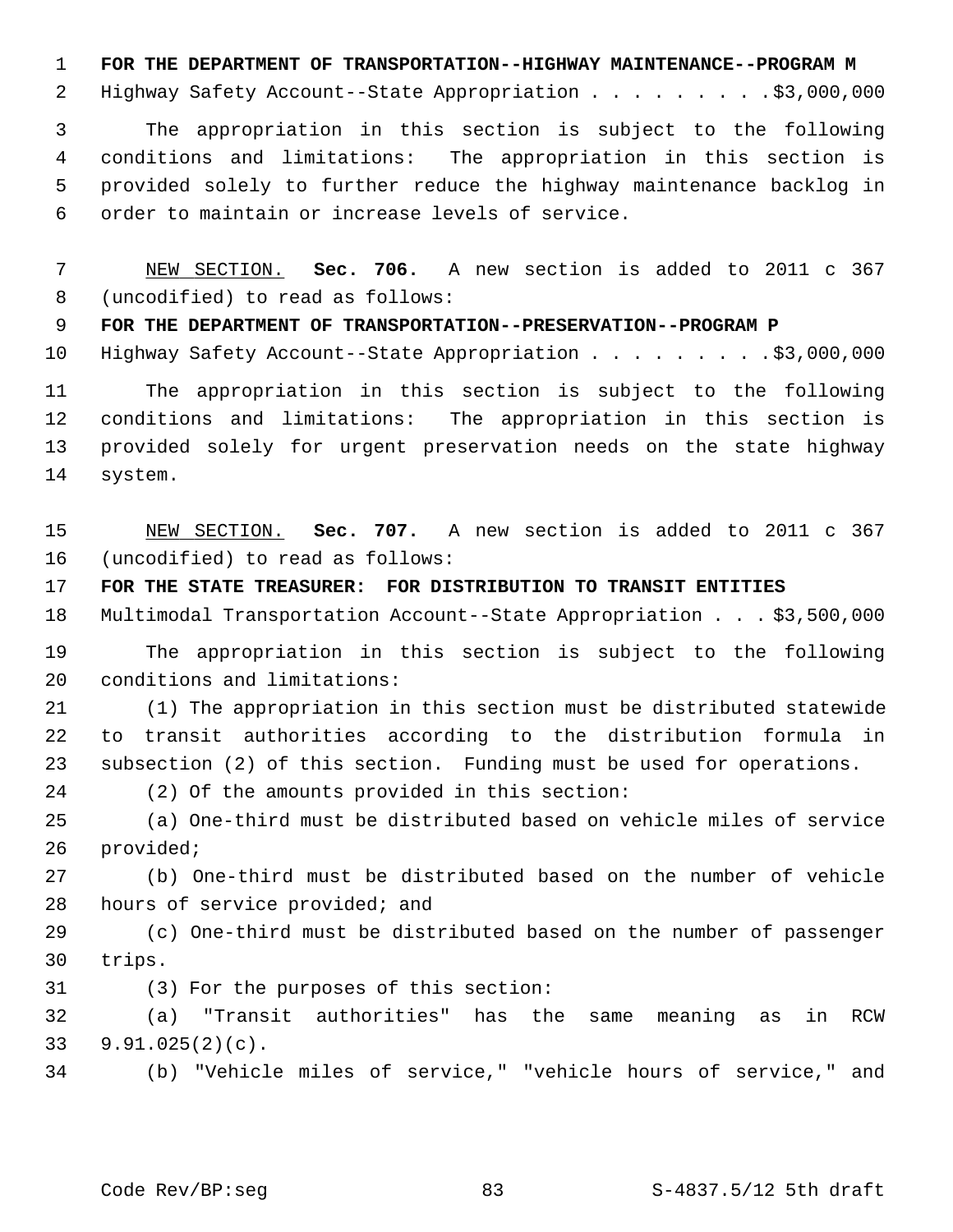1 **FOR THE DEPARTMENT OF TRANSPORTATION--HIGHWAY MAINTENANCE--PROGRAM M**

2 Highway Safety Account--State Appropriation . . . . . . . . . \$3,000,000

 3 The appropriation in this section is subject to the following 4 conditions and limitations: The appropriation in this section is 5 provided solely to further reduce the highway maintenance backlog in 6 order to maintain or increase levels of service.

 7 NEW SECTION. **Sec. 706.** A new section is added to 2011 c 367 8 (uncodified) to read as follows:

9 **FOR THE DEPARTMENT OF TRANSPORTATION--PRESERVATION--PROGRAM P**

10 Highway Safety Account--State Appropriation . . . . . . . . . \$3,000,000

11 The appropriation in this section is subject to the following 12 conditions and limitations: The appropriation in this section is 13 provided solely for urgent preservation needs on the state highway 14 system.

15 NEW SECTION. **Sec. 707.** A new section is added to 2011 c 367 16 (uncodified) to read as follows:

17 **FOR THE STATE TREASURER: FOR DISTRIBUTION TO TRANSIT ENTITIES**

18 Multimodal Transportation Account--State Appropriation . . . \$3,500,000

19 The appropriation in this section is subject to the following 20 conditions and limitations:

21 (1) The appropriation in this section must be distributed statewide 22 to transit authorities according to the distribution formula in 23 subsection (2) of this section. Funding must be used for operations.

24 (2) Of the amounts provided in this section:

25 (a) One-third must be distributed based on vehicle miles of service 26 provided;

27 (b) One-third must be distributed based on the number of vehicle 28 hours of service provided; and

29 (c) One-third must be distributed based on the number of passenger 30 trips.

31 (3) For the purposes of this section:

32 (a) "Transit authorities" has the same meaning as in RCW 33 9.91.025(2)(c).

34 (b) "Vehicle miles of service," "vehicle hours of service," and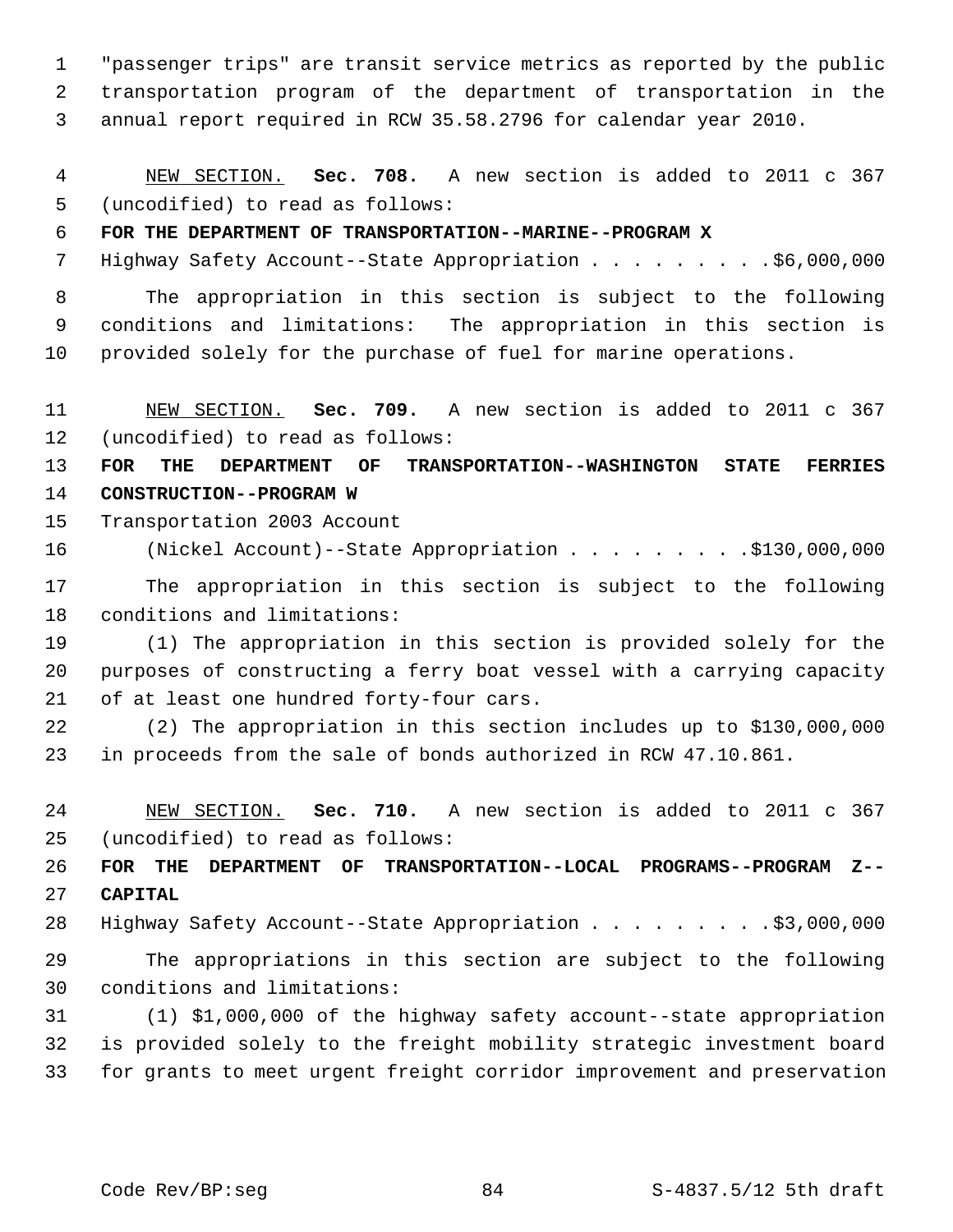1 "passenger trips" are transit service metrics as reported by the public 2 transportation program of the department of transportation in the 3 annual report required in RCW 35.58.2796 for calendar year 2010.

 4 NEW SECTION. **Sec. 708.** A new section is added to 2011 c 367 5 (uncodified) to read as follows:

# 6 **FOR THE DEPARTMENT OF TRANSPORTATION--MARINE--PROGRAM X**

7 Highway Safety Account--State Appropriation . . . . . . . . . \$6,000,000

 8 The appropriation in this section is subject to the following 9 conditions and limitations: The appropriation in this section is 10 provided solely for the purchase of fuel for marine operations.

11 NEW SECTION. **Sec. 709.** A new section is added to 2011 c 367 12 (uncodified) to read as follows:

13 **FOR THE DEPARTMENT OF TRANSPORTATION--WASHINGTON STATE FERRIES** 14 **CONSTRUCTION--PROGRAM W**

15 Transportation 2003 Account

16 (Nickel Account)--State Appropriation . . . . . . . . .\$130,000,000

17 The appropriation in this section is subject to the following 18 conditions and limitations:

19 (1) The appropriation in this section is provided solely for the 20 purposes of constructing a ferry boat vessel with a carrying capacity 21 of at least one hundred forty-four cars.

22 (2) The appropriation in this section includes up to \$130,000,000 23 in proceeds from the sale of bonds authorized in RCW 47.10.861.

24 NEW SECTION. **Sec. 710.** A new section is added to 2011 c 367 25 (uncodified) to read as follows:

26 **FOR THE DEPARTMENT OF TRANSPORTATION--LOCAL PROGRAMS--PROGRAM Z--** 27 **CAPITAL**

28 Highway Safety Account--State Appropriation . . . . . . . . . \$3,000,000

29 The appropriations in this section are subject to the following 30 conditions and limitations:

31 (1) \$1,000,000 of the highway safety account--state appropriation 32 is provided solely to the freight mobility strategic investment board 33 for grants to meet urgent freight corridor improvement and preservation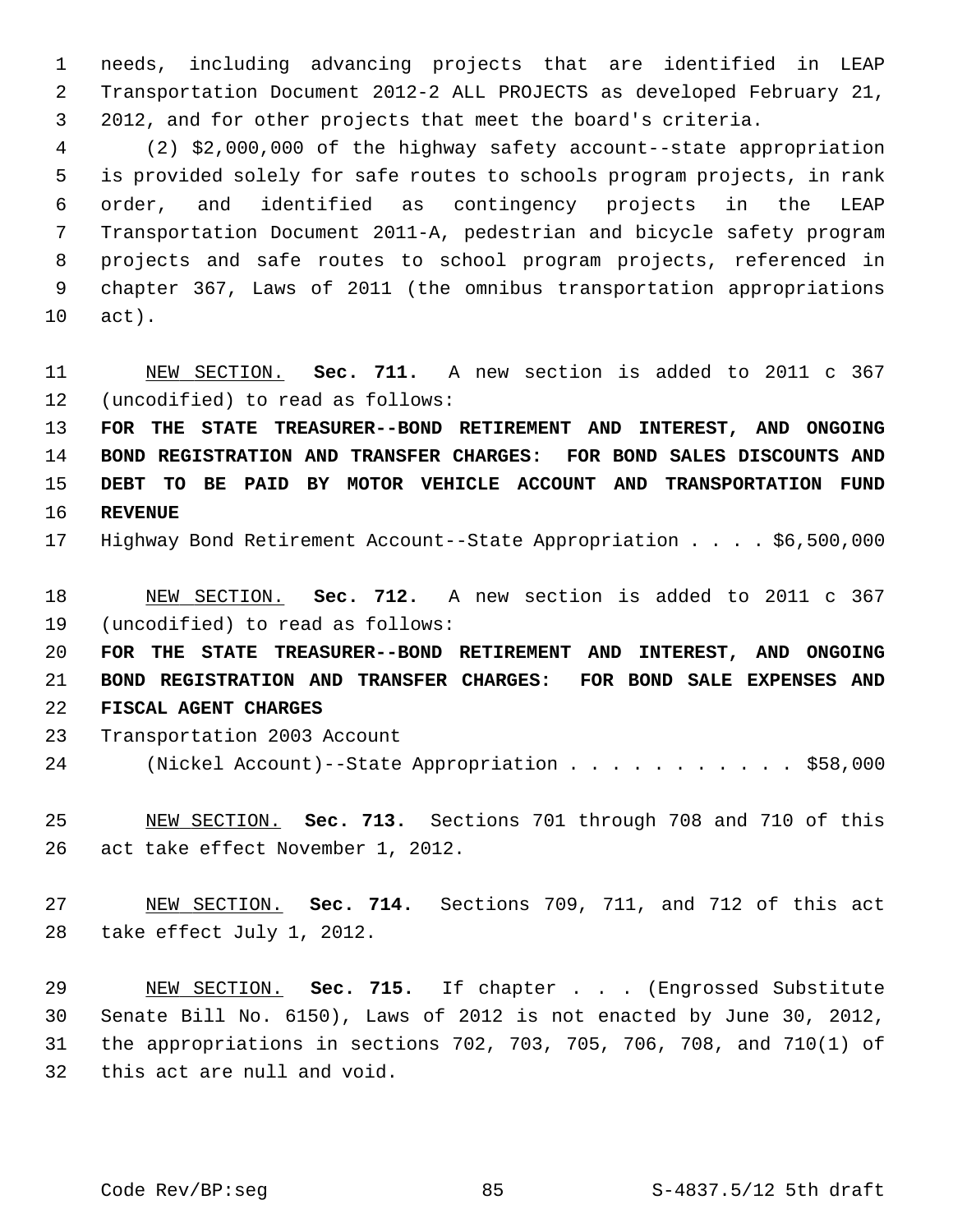1 needs, including advancing projects that are identified in LEAP 2 Transportation Document 2012-2 ALL PROJECTS as developed February 21, 3 2012, and for other projects that meet the board's criteria.

 4 (2) \$2,000,000 of the highway safety account--state appropriation 5 is provided solely for safe routes to schools program projects, in rank 6 order, and identified as contingency projects in the LEAP 7 Transportation Document 2011-A, pedestrian and bicycle safety program 8 projects and safe routes to school program projects, referenced in 9 chapter 367, Laws of 2011 (the omnibus transportation appropriations 10 act).

11 NEW SECTION. **Sec. 711.** A new section is added to 2011 c 367 12 (uncodified) to read as follows:

 **FOR THE STATE TREASURER--BOND RETIREMENT AND INTEREST, AND ONGOING BOND REGISTRATION AND TRANSFER CHARGES: FOR BOND SALES DISCOUNTS AND DEBT TO BE PAID BY MOTOR VEHICLE ACCOUNT AND TRANSPORTATION FUND** 16 **REVENUE**

17 Highway Bond Retirement Account--State Appropriation . . . . \$6,500,000

18 NEW SECTION. **Sec. 712.** A new section is added to 2011 c 367 19 (uncodified) to read as follows:

20 **FOR THE STATE TREASURER--BOND RETIREMENT AND INTEREST, AND ONGOING** 21 **BOND REGISTRATION AND TRANSFER CHARGES: FOR BOND SALE EXPENSES AND** 22 **FISCAL AGENT CHARGES**

- 23 Transportation 2003 Account
- 24 (Nickel Account)--State Appropriation . . . . . . . . . . . \$58,000

25 NEW SECTION. **Sec. 713.** Sections 701 through 708 and 710 of this 26 act take effect November 1, 2012.

27 NEW SECTION. **Sec. 714.** Sections 709, 711, and 712 of this act 28 take effect July 1, 2012.

29 NEW SECTION. **Sec. 715.** If chapter . . . (Engrossed Substitute 30 Senate Bill No. 6150), Laws of 2012 is not enacted by June 30, 2012, 31 the appropriations in sections 702, 703, 705, 706, 708, and 710(1) of 32 this act are null and void.

Code Rev/BP:seg 85 85 S-4837.5/12 5th draft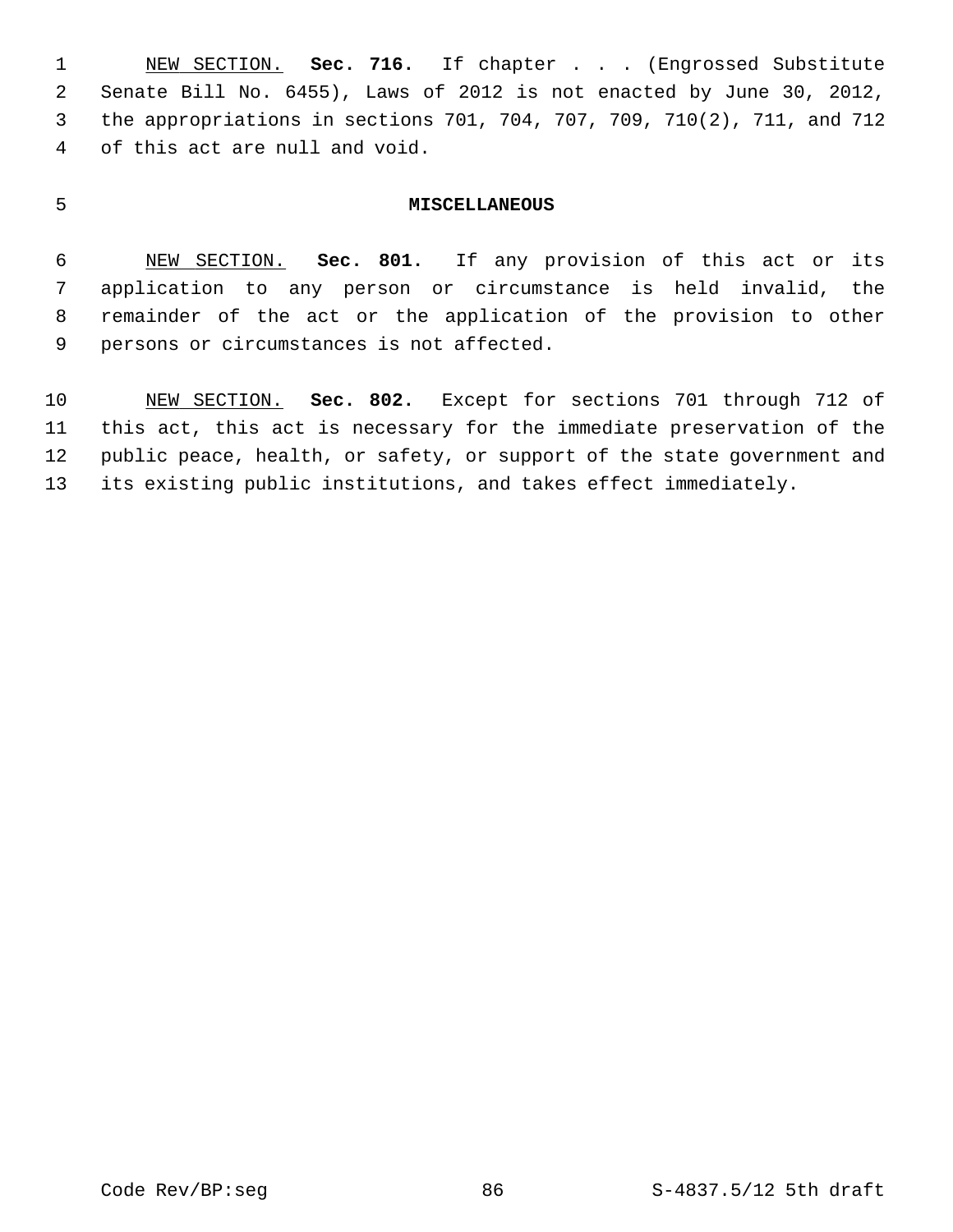1 NEW SECTION. **Sec. 716.** If chapter . . . (Engrossed Substitute 2 Senate Bill No. 6455), Laws of 2012 is not enacted by June 30, 2012, 3 the appropriations in sections 701, 704, 707, 709, 710(2), 711, and 712 4 of this act are null and void.

### 5 **MISCELLANEOUS**

 6 NEW SECTION. **Sec. 801.** If any provision of this act or its 7 application to any person or circumstance is held invalid, the 8 remainder of the act or the application of the provision to other 9 persons or circumstances is not affected.

10 NEW SECTION. **Sec. 802.** Except for sections 701 through 712 of 11 this act, this act is necessary for the immediate preservation of the 12 public peace, health, or safety, or support of the state government and 13 its existing public institutions, and takes effect immediately.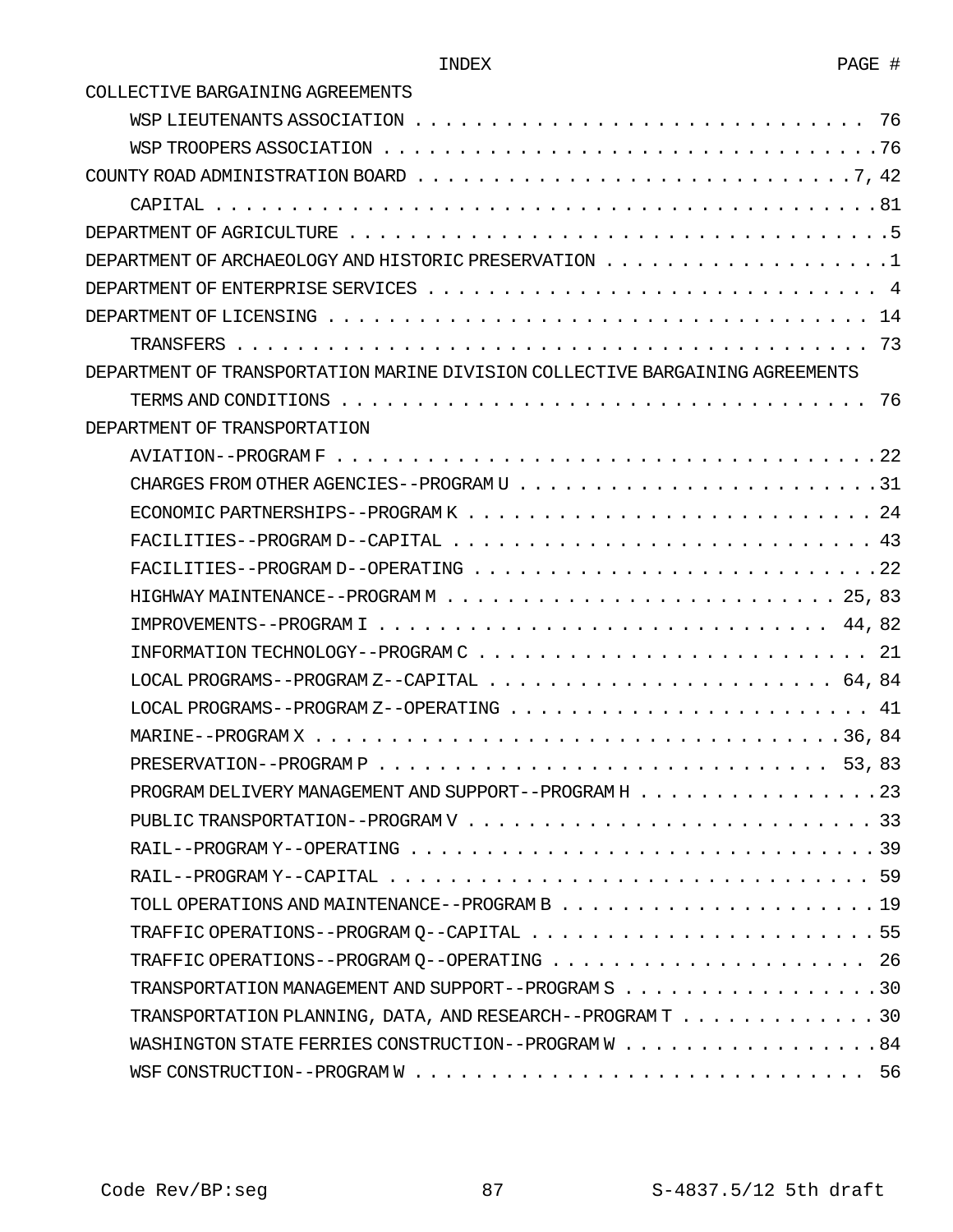COLLECTIVE BARGAINING AGREEMENTS

| COUNTY ROAD ADMINISTRATION BOARD $\dots \dots \dots \dots \dots \dots \dots \dots \dots \dots \dots \dots \dots \dots$ |
|------------------------------------------------------------------------------------------------------------------------|
|                                                                                                                        |
|                                                                                                                        |
| DEPARTMENT OF ARCHAEOLOGY AND HISTORIC PRESERVATION $\ldots \ldots \ldots \ldots \ldots \ldots \ldots \ldots$          |
| DEPARTMENT OF ENTERPRISE SERVICES $\ldots \ldots \ldots \ldots \ldots \ldots \ldots \ldots \ldots \ldots \ldots$       |
|                                                                                                                        |
|                                                                                                                        |
| DEPARTMENT OF TRANSPORTATION MARINE DIVISION COLLECTIVE BARGAINING AGREEMENTS                                          |
| TERMS AND CONDITIONS $\dots\dots\dots\dots\dots\dots\dots\dots\dots\dots\dots\dots\dots\dots\dots$                     |
| DEPARTMENT OF TRANSPORTATION                                                                                           |
|                                                                                                                        |
|                                                                                                                        |
|                                                                                                                        |
|                                                                                                                        |
|                                                                                                                        |
|                                                                                                                        |
|                                                                                                                        |
| INFORMATION TECHNOLOGY--PROGRAM $C \ldots \ldots \ldots \ldots \ldots \ldots \ldots \ldots \ldots \ldots \ldots 21$    |
| LOCAL PROGRAMS--PROGRAM Z--CAPITAL $\dots \dots \dots \dots \dots \dots \dots \dots \dots \dots \dots \dots$ 64,84     |
| LOCAL PROGRAMS--PROGRAM Z--OPERATING $\dots \dots \dots \dots \dots \dots \dots \dots \dots \dots \dots$               |
|                                                                                                                        |
|                                                                                                                        |
| PROGRAM DELIVERY MANAGEMENT AND SUPPORT--PROGRAM H 23                                                                  |
|                                                                                                                        |
|                                                                                                                        |
|                                                                                                                        |
|                                                                                                                        |
|                                                                                                                        |
| TRAFFIC OPERATIONS--PROGRAM Q--OPERATING  26                                                                           |
| TRANSPORTATION MANAGEMENT AND SUPPORT--PROGRAM S 30                                                                    |
| TRANSPORTATION PLANNING, DATA, AND RESEARCH--PROGRAM T 30                                                              |
| WASHINGTON STATE FERRIES CONSTRUCTION--PROGRAM W 84                                                                    |
|                                                                                                                        |
|                                                                                                                        |